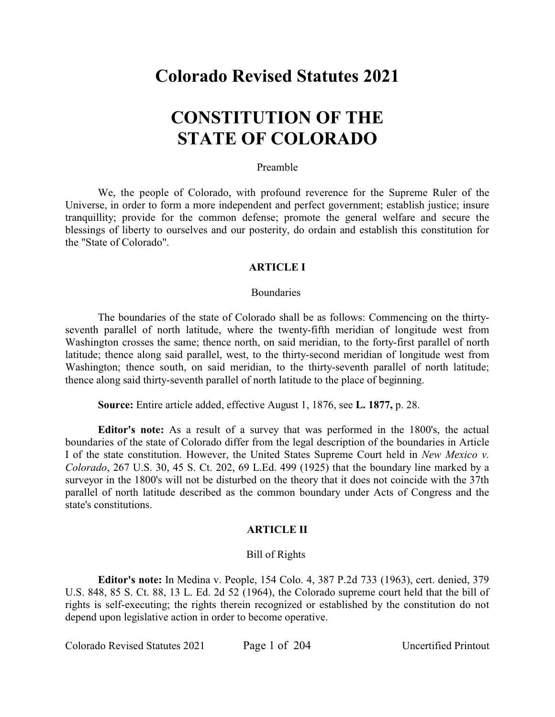## **Colorado Revised Statutes 2021**

# **CONSTITUTION OF THE STATE OF COLORADO**

#### Preamble

We, the people of Colorado, with profound reverence for the Supreme Ruler of the Universe, in order to form a more independent and perfect government; establish justice; insure tranquillity; provide for the common defense; promote the general welfare and secure the blessings of liberty to ourselves and our posterity, do ordain and establish this constitution for the "State of Colorado".

#### **ARTICLE I**

#### Boundaries

The boundaries of the state of Colorado shall be as follows: Commencing on the thirtyseventh parallel of north latitude, where the twenty-fifth meridian of longitude west from Washington crosses the same; thence north, on said meridian, to the forty-first parallel of north latitude; thence along said parallel, west, to the thirty-second meridian of longitude west from Washington; thence south, on said meridian, to the thirty-seventh parallel of north latitude; thence along said thirty-seventh parallel of north latitude to the place of beginning.

**Source:** Entire article added, effective August 1, 1876, see **L. 1877,** p. 28.

**Editor's note:** As a result of a survey that was performed in the 1800's, the actual boundaries of the state of Colorado differ from the legal description of the boundaries in Article I of the state constitution. However, the United States Supreme Court held in *New Mexico v. Colorado*, 267 U.S. 30, 45 S. Ct. 202, 69 L.Ed. 499 (1925) that the boundary line marked by a surveyor in the 1800's will not be disturbed on the theory that it does not coincide with the 37th parallel of north latitude described as the common boundary under Acts of Congress and the state's constitutions.

### **ARTICLE II**

#### Bill of Rights

**Editor's note:** In Medina v. People, 154 Colo. 4, 387 P.2d 733 (1963), cert. denied, 379 U.S. 848, 85 S. Ct. 88, 13 L. Ed. 2d 52 (1964), the Colorado supreme court held that the bill of rights is self-executing; the rights therein recognized or established by the constitution do not depend upon legislative action in order to become operative.

Colorado Revised Statutes 2021 Page 1 of 204 Uncertified Printout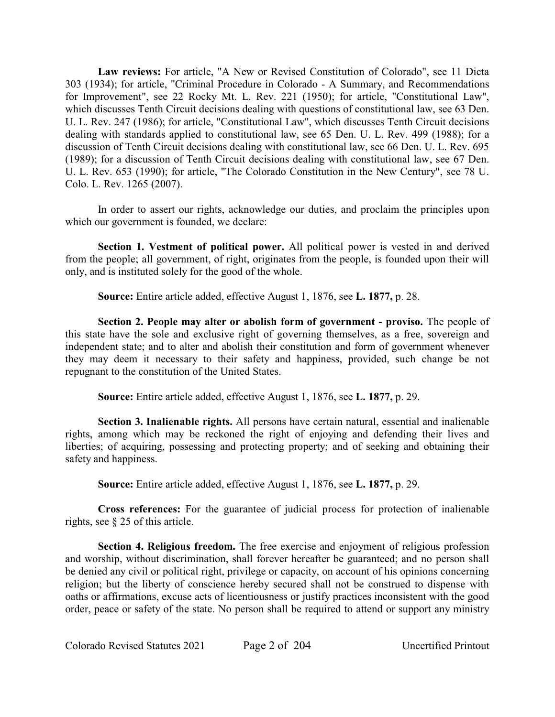**Law reviews:** For article, "A New or Revised Constitution of Colorado", see 11 Dicta 303 (1934); for article, "Criminal Procedure in Colorado - A Summary, and Recommendations for Improvement", see 22 Rocky Mt. L. Rev. 221 (1950); for article, "Constitutional Law", which discusses Tenth Circuit decisions dealing with questions of constitutional law, see 63 Den. U. L. Rev. 247 (1986); for article, "Constitutional Law", which discusses Tenth Circuit decisions dealing with standards applied to constitutional law, see 65 Den. U. L. Rev. 499 (1988); for a discussion of Tenth Circuit decisions dealing with constitutional law, see 66 Den. U. L. Rev. 695 (1989); for a discussion of Tenth Circuit decisions dealing with constitutional law, see 67 Den. U. L. Rev. 653 (1990); for article, "The Colorado Constitution in the New Century", see 78 U. Colo. L. Rev. 1265 (2007).

In order to assert our rights, acknowledge our duties, and proclaim the principles upon which our government is founded, we declare:

**Section 1. Vestment of political power.** All political power is vested in and derived from the people; all government, of right, originates from the people, is founded upon their will only, and is instituted solely for the good of the whole.

**Source:** Entire article added, effective August 1, 1876, see **L. 1877,** p. 28.

**Section 2. People may alter or abolish form of government - proviso.** The people of this state have the sole and exclusive right of governing themselves, as a free, sovereign and independent state; and to alter and abolish their constitution and form of government whenever they may deem it necessary to their safety and happiness, provided, such change be not repugnant to the constitution of the United States.

**Source:** Entire article added, effective August 1, 1876, see **L. 1877,** p. 29.

**Section 3. Inalienable rights.** All persons have certain natural, essential and inalienable rights, among which may be reckoned the right of enjoying and defending their lives and liberties; of acquiring, possessing and protecting property; and of seeking and obtaining their safety and happiness.

**Source:** Entire article added, effective August 1, 1876, see **L. 1877,** p. 29.

**Cross references:** For the guarantee of judicial process for protection of inalienable rights, see § 25 of this article.

**Section 4. Religious freedom.** The free exercise and enjoyment of religious profession and worship, without discrimination, shall forever hereafter be guaranteed; and no person shall be denied any civil or political right, privilege or capacity, on account of his opinions concerning religion; but the liberty of conscience hereby secured shall not be construed to dispense with oaths or affirmations, excuse acts of licentiousness or justify practices inconsistent with the good order, peace or safety of the state. No person shall be required to attend or support any ministry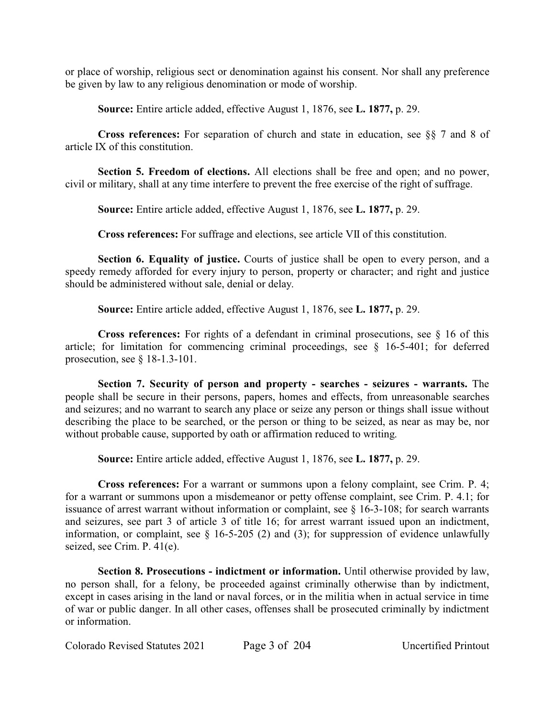or place of worship, religious sect or denomination against his consent. Nor shall any preference be given by law to any religious denomination or mode of worship.

**Source:** Entire article added, effective August 1, 1876, see **L. 1877,** p. 29.

**Cross references:** For separation of church and state in education, see §§ 7 and 8 of article IX of this constitution.

**Section 5. Freedom of elections.** All elections shall be free and open; and no power, civil or military, shall at any time interfere to prevent the free exercise of the right of suffrage.

**Source:** Entire article added, effective August 1, 1876, see **L. 1877,** p. 29.

**Cross references:** For suffrage and elections, see article VII of this constitution.

**Section 6. Equality of justice.** Courts of justice shall be open to every person, and a speedy remedy afforded for every injury to person, property or character; and right and justice should be administered without sale, denial or delay.

**Source:** Entire article added, effective August 1, 1876, see **L. 1877,** p. 29.

**Cross references:** For rights of a defendant in criminal prosecutions, see § 16 of this article; for limitation for commencing criminal proceedings, see § 16-5-401; for deferred prosecution, see § 18-1.3-101.

**Section 7. Security of person and property - searches - seizures - warrants.** The people shall be secure in their persons, papers, homes and effects, from unreasonable searches and seizures; and no warrant to search any place or seize any person or things shall issue without describing the place to be searched, or the person or thing to be seized, as near as may be, nor without probable cause, supported by oath or affirmation reduced to writing.

**Source:** Entire article added, effective August 1, 1876, see **L. 1877,** p. 29.

**Cross references:** For a warrant or summons upon a felony complaint, see Crim. P. 4; for a warrant or summons upon a misdemeanor or petty offense complaint, see Crim. P. 4.1; for issuance of arrest warrant without information or complaint, see § 16-3-108; for search warrants and seizures, see part 3 of article 3 of title 16; for arrest warrant issued upon an indictment, information, or complaint, see  $\S$  16-5-205 (2) and (3); for suppression of evidence unlawfully seized, see Crim. P. 41(e).

**Section 8. Prosecutions - indictment or information.** Until otherwise provided by law, no person shall, for a felony, be proceeded against criminally otherwise than by indictment, except in cases arising in the land or naval forces, or in the militia when in actual service in time of war or public danger. In all other cases, offenses shall be prosecuted criminally by indictment or information.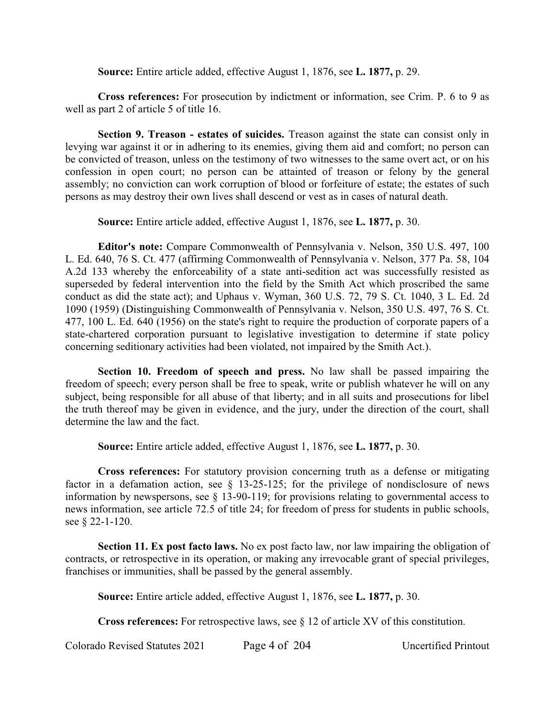**Source:** Entire article added, effective August 1, 1876, see **L. 1877,** p. 29.

**Cross references:** For prosecution by indictment or information, see Crim. P. 6 to 9 as well as part 2 of article 5 of title 16.

**Section 9. Treason - estates of suicides.** Treason against the state can consist only in levying war against it or in adhering to its enemies, giving them aid and comfort; no person can be convicted of treason, unless on the testimony of two witnesses to the same overt act, or on his confession in open court; no person can be attainted of treason or felony by the general assembly; no conviction can work corruption of blood or forfeiture of estate; the estates of such persons as may destroy their own lives shall descend or vest as in cases of natural death.

**Source:** Entire article added, effective August 1, 1876, see **L. 1877,** p. 30.

**Editor's note:** Compare Commonwealth of Pennsylvania v. Nelson, 350 U.S. 497, 100 L. Ed. 640, 76 S. Ct. 477 (affirming Commonwealth of Pennsylvania v. Nelson, 377 Pa. 58, 104 A.2d 133 whereby the enforceability of a state anti-sedition act was successfully resisted as superseded by federal intervention into the field by the Smith Act which proscribed the same conduct as did the state act); and Uphaus v. Wyman, 360 U.S. 72, 79 S. Ct. 1040, 3 L. Ed. 2d 1090 (1959) (Distinguishing Commonwealth of Pennsylvania v. Nelson, 350 U.S. 497, 76 S. Ct. 477, 100 L. Ed. 640 (1956) on the state's right to require the production of corporate papers of a state-chartered corporation pursuant to legislative investigation to determine if state policy concerning seditionary activities had been violated, not impaired by the Smith Act.).

**Section 10. Freedom of speech and press.** No law shall be passed impairing the freedom of speech; every person shall be free to speak, write or publish whatever he will on any subject, being responsible for all abuse of that liberty; and in all suits and prosecutions for libel the truth thereof may be given in evidence, and the jury, under the direction of the court, shall determine the law and the fact.

**Source:** Entire article added, effective August 1, 1876, see **L. 1877,** p. 30.

**Cross references:** For statutory provision concerning truth as a defense or mitigating factor in a defamation action, see  $\S$  13-25-125; for the privilege of nondisclosure of news information by newspersons, see § 13-90-119; for provisions relating to governmental access to news information, see article 72.5 of title 24; for freedom of press for students in public schools, see § 22-1-120.

**Section 11. Ex post facto laws.** No ex post facto law, nor law impairing the obligation of contracts, or retrospective in its operation, or making any irrevocable grant of special privileges, franchises or immunities, shall be passed by the general assembly.

**Source:** Entire article added, effective August 1, 1876, see **L. 1877,** p. 30.

**Cross references:** For retrospective laws, see § 12 of article XV of this constitution.

Colorado Revised Statutes 2021 Page 4 of 204 Uncertified Printout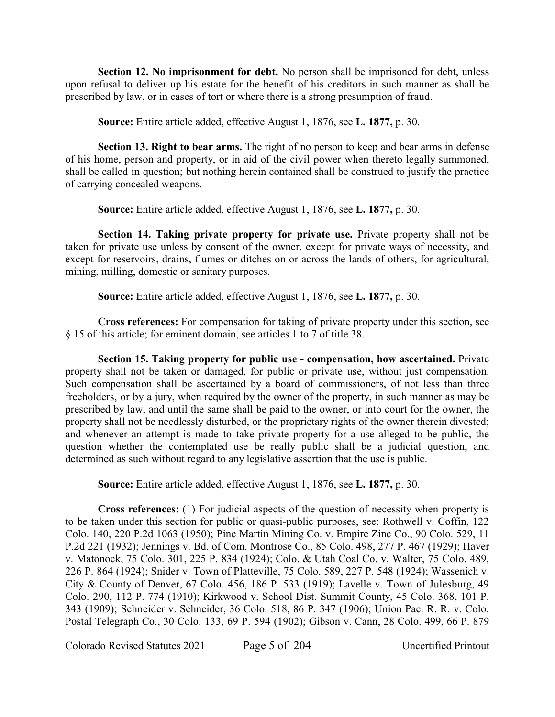**Section 12. No imprisonment for debt.** No person shall be imprisoned for debt, unless upon refusal to deliver up his estate for the benefit of his creditors in such manner as shall be prescribed by law, or in cases of tort or where there is a strong presumption of fraud.

**Source:** Entire article added, effective August 1, 1876, see **L. 1877,** p. 30.

**Section 13. Right to bear arms.** The right of no person to keep and bear arms in defense of his home, person and property, or in aid of the civil power when thereto legally summoned, shall be called in question; but nothing herein contained shall be construed to justify the practice of carrying concealed weapons.

**Source:** Entire article added, effective August 1, 1876, see **L. 1877,** p. 30.

**Section 14. Taking private property for private use.** Private property shall not be taken for private use unless by consent of the owner, except for private ways of necessity, and except for reservoirs, drains, flumes or ditches on or across the lands of others, for agricultural, mining, milling, domestic or sanitary purposes.

**Source:** Entire article added, effective August 1, 1876, see **L. 1877,** p. 30.

**Cross references:** For compensation for taking of private property under this section, see § 15 of this article; for eminent domain, see articles 1 to 7 of title 38.

**Section 15. Taking property for public use - compensation, how ascertained.** Private property shall not be taken or damaged, for public or private use, without just compensation. Such compensation shall be ascertained by a board of commissioners, of not less than three freeholders, or by a jury, when required by the owner of the property, in such manner as may be prescribed by law, and until the same shall be paid to the owner, or into court for the owner, the property shall not be needlessly disturbed, or the proprietary rights of the owner therein divested; and whenever an attempt is made to take private property for a use alleged to be public, the question whether the contemplated use be really public shall be a judicial question, and determined as such without regard to any legislative assertion that the use is public.

**Source:** Entire article added, effective August 1, 1876, see **L. 1877,** p. 30.

**Cross references:** (1) For judicial aspects of the question of necessity when property is to be taken under this section for public or quasi-public purposes, see: Rothwell v. Coffin, 122 Colo. 140, 220 P.2d 1063 (1950); Pine Martin Mining Co. v. Empire Zinc Co., 90 Colo. 529, 11 P.2d 221 (1932); Jennings v. Bd. of Com. Montrose Co., 85 Colo. 498, 277 P. 467 (1929); Haver v. Matonock, 75 Colo. 301, 225 P. 834 (1924); Colo. & Utah Coal Co. v. Walter, 75 Colo. 489, 226 P. 864 (1924); Snider v. Town of Platteville, 75 Colo. 589, 227 P. 548 (1924); Wassenich v. City & County of Denver, 67 Colo. 456, 186 P. 533 (1919); Lavelle v. Town of Julesburg, 49 Colo. 290, 112 P. 774 (1910); Kirkwood v. School Dist. Summit County, 45 Colo. 368, 101 P. 343 (1909); Schneider v. Schneider, 36 Colo. 518, 86 P. 347 (1906); Union Pac. R. R. v. Colo. Postal Telegraph Co., 30 Colo. 133, 69 P. 594 (1902); Gibson v. Cann, 28 Colo. 499, 66 P. 879

Colorado Revised Statutes 2021 Page 5 of 204 Uncertified Printout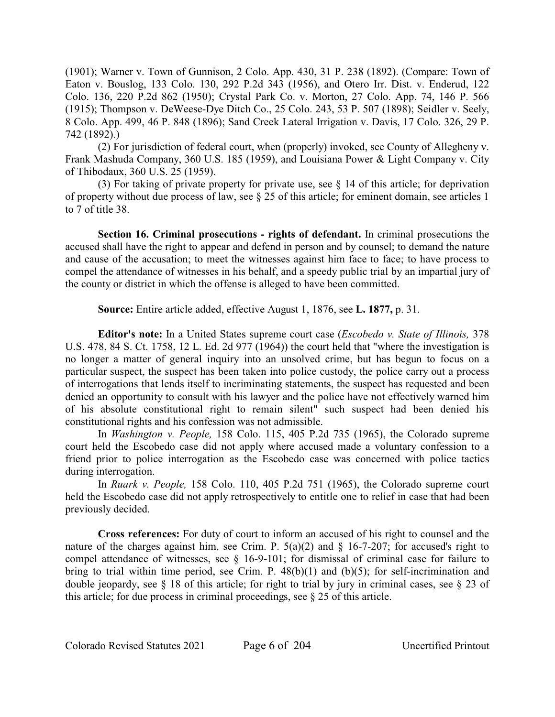(1901); Warner v. Town of Gunnison, 2 Colo. App. 430, 31 P. 238 (1892). (Compare: Town of Eaton v. Bouslog, 133 Colo. 130, 292 P.2d 343 (1956), and Otero Irr. Dist. v. Enderud, 122 Colo. 136, 220 P.2d 862 (1950); Crystal Park Co. v. Morton, 27 Colo. App. 74, 146 P. 566 (1915); Thompson v. DeWeese-Dye Ditch Co., 25 Colo. 243, 53 P. 507 (1898); Seidler v. Seely, 8 Colo. App. 499, 46 P. 848 (1896); Sand Creek Lateral Irrigation v. Davis, 17 Colo. 326, 29 P. 742 (1892).)

(2) For jurisdiction of federal court, when (properly) invoked, see County of Allegheny v. Frank Mashuda Company, 360 U.S. 185 (1959), and Louisiana Power & Light Company v. City of Thibodaux, 360 U.S. 25 (1959).

(3) For taking of private property for private use, see § 14 of this article; for deprivation of property without due process of law, see § 25 of this article; for eminent domain, see articles 1 to 7 of title 38.

**Section 16. Criminal prosecutions - rights of defendant.** In criminal prosecutions the accused shall have the right to appear and defend in person and by counsel; to demand the nature and cause of the accusation; to meet the witnesses against him face to face; to have process to compel the attendance of witnesses in his behalf, and a speedy public trial by an impartial jury of the county or district in which the offense is alleged to have been committed.

**Source:** Entire article added, effective August 1, 1876, see **L. 1877,** p. 31.

**Editor's note:** In a United States supreme court case (*Escobedo v. State of Illinois,* 378 U.S. 478, 84 S. Ct. 1758, 12 L. Ed. 2d 977 (1964)) the court held that "where the investigation is no longer a matter of general inquiry into an unsolved crime, but has begun to focus on a particular suspect, the suspect has been taken into police custody, the police carry out a process of interrogations that lends itself to incriminating statements, the suspect has requested and been denied an opportunity to consult with his lawyer and the police have not effectively warned him of his absolute constitutional right to remain silent" such suspect had been denied his constitutional rights and his confession was not admissible.

In *Washington v. People,* 158 Colo. 115, 405 P.2d 735 (1965), the Colorado supreme court held the Escobedo case did not apply where accused made a voluntary confession to a friend prior to police interrogation as the Escobedo case was concerned with police tactics during interrogation.

In *Ruark v. People,* 158 Colo. 110, 405 P.2d 751 (1965), the Colorado supreme court held the Escobedo case did not apply retrospectively to entitle one to relief in case that had been previously decided.

**Cross references:** For duty of court to inform an accused of his right to counsel and the nature of the charges against him, see Crim. P.  $5(a)(2)$  and  $\S$  16-7-207; for accused's right to compel attendance of witnesses, see § 16-9-101; for dismissal of criminal case for failure to bring to trial within time period, see Crim. P. 48(b)(1) and (b)(5); for self-incrimination and double jeopardy, see § 18 of this article; for right to trial by jury in criminal cases, see § 23 of this article; for due process in criminal proceedings, see § 25 of this article.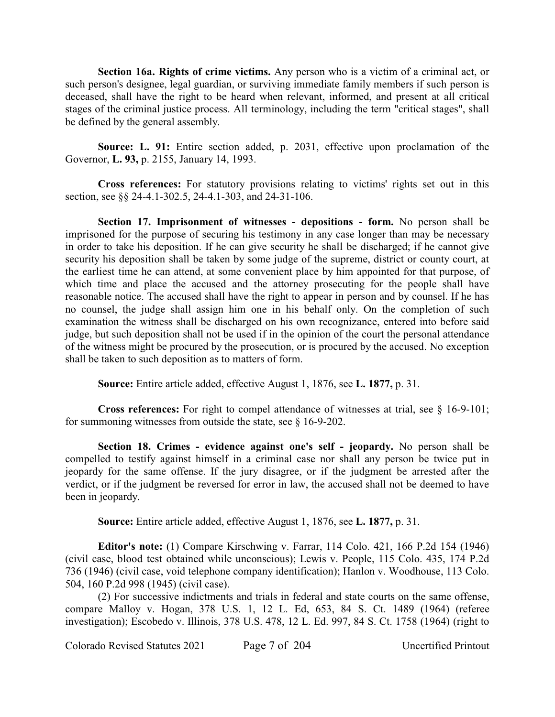**Section 16a. Rights of crime victims.** Any person who is a victim of a criminal act, or such person's designee, legal guardian, or surviving immediate family members if such person is deceased, shall have the right to be heard when relevant, informed, and present at all critical stages of the criminal justice process. All terminology, including the term "critical stages", shall be defined by the general assembly.

**Source: L. 91:** Entire section added, p. 2031, effective upon proclamation of the Governor, **L. 93,** p. 2155, January 14, 1993.

**Cross references:** For statutory provisions relating to victims' rights set out in this section, see §§ 24-4.1-302.5, 24-4.1-303, and 24-31-106.

**Section 17. Imprisonment of witnesses - depositions - form.** No person shall be imprisoned for the purpose of securing his testimony in any case longer than may be necessary in order to take his deposition. If he can give security he shall be discharged; if he cannot give security his deposition shall be taken by some judge of the supreme, district or county court, at the earliest time he can attend, at some convenient place by him appointed for that purpose, of which time and place the accused and the attorney prosecuting for the people shall have reasonable notice. The accused shall have the right to appear in person and by counsel. If he has no counsel, the judge shall assign him one in his behalf only. On the completion of such examination the witness shall be discharged on his own recognizance, entered into before said judge, but such deposition shall not be used if in the opinion of the court the personal attendance of the witness might be procured by the prosecution, or is procured by the accused. No exception shall be taken to such deposition as to matters of form.

**Source:** Entire article added, effective August 1, 1876, see **L. 1877,** p. 31.

**Cross references:** For right to compel attendance of witnesses at trial, see § 16-9-101; for summoning witnesses from outside the state, see § 16-9-202.

**Section 18. Crimes - evidence against one's self - jeopardy.** No person shall be compelled to testify against himself in a criminal case nor shall any person be twice put in jeopardy for the same offense. If the jury disagree, or if the judgment be arrested after the verdict, or if the judgment be reversed for error in law, the accused shall not be deemed to have been in jeopardy.

**Source:** Entire article added, effective August 1, 1876, see **L. 1877,** p. 31.

**Editor's note:** (1) Compare Kirschwing v. Farrar, 114 Colo. 421, 166 P.2d 154 (1946) (civil case, blood test obtained while unconscious); Lewis v. People, 115 Colo. 435, 174 P.2d 736 (1946) (civil case, void telephone company identification); Hanlon v. Woodhouse, 113 Colo. 504, 160 P.2d 998 (1945) (civil case).

(2) For successive indictments and trials in federal and state courts on the same offense, compare Malloy v. Hogan, 378 U.S. 1, 12 L. Ed, 653, 84 S. Ct. 1489 (1964) (referee investigation); Escobedo v. Illinois, 378 U.S. 478, 12 L. Ed. 997, 84 S. Ct. 1758 (1964) (right to

Colorado Revised Statutes 2021 Page 7 of 204 Uncertified Printout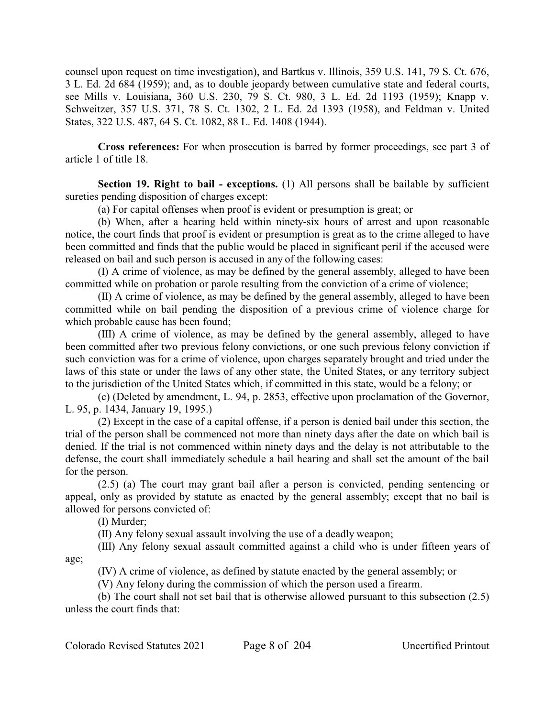counsel upon request on time investigation), and Bartkus v. Illinois, 359 U.S. 141, 79 S. Ct. 676, 3 L. Ed. 2d 684 (1959); and, as to double jeopardy between cumulative state and federal courts, see Mills v. Louisiana, 360 U.S. 230, 79 S. Ct. 980, 3 L. Ed. 2d 1193 (1959); Knapp v. Schweitzer, 357 U.S. 371, 78 S. Ct. 1302, 2 L. Ed. 2d 1393 (1958), and Feldman v. United States, 322 U.S. 487, 64 S. Ct. 1082, 88 L. Ed. 1408 (1944).

**Cross references:** For when prosecution is barred by former proceedings, see part 3 of article 1 of title 18.

**Section 19. Right to bail - exceptions.** (1) All persons shall be bailable by sufficient sureties pending disposition of charges except:

(a) For capital offenses when proof is evident or presumption is great; or

(b) When, after a hearing held within ninety-six hours of arrest and upon reasonable notice, the court finds that proof is evident or presumption is great as to the crime alleged to have been committed and finds that the public would be placed in significant peril if the accused were released on bail and such person is accused in any of the following cases:

(I) A crime of violence, as may be defined by the general assembly, alleged to have been committed while on probation or parole resulting from the conviction of a crime of violence;

(II) A crime of violence, as may be defined by the general assembly, alleged to have been committed while on bail pending the disposition of a previous crime of violence charge for which probable cause has been found;

(III) A crime of violence, as may be defined by the general assembly, alleged to have been committed after two previous felony convictions, or one such previous felony conviction if such conviction was for a crime of violence, upon charges separately brought and tried under the laws of this state or under the laws of any other state, the United States, or any territory subject to the jurisdiction of the United States which, if committed in this state, would be a felony; or

(c) (Deleted by amendment, L. 94, p. 2853, effective upon proclamation of the Governor, L. 95, p. 1434, January 19, 1995.)

(2) Except in the case of a capital offense, if a person is denied bail under this section, the trial of the person shall be commenced not more than ninety days after the date on which bail is denied. If the trial is not commenced within ninety days and the delay is not attributable to the defense, the court shall immediately schedule a bail hearing and shall set the amount of the bail for the person.

(2.5) (a) The court may grant bail after a person is convicted, pending sentencing or appeal, only as provided by statute as enacted by the general assembly; except that no bail is allowed for persons convicted of:

(I) Murder;

(II) Any felony sexual assault involving the use of a deadly weapon;

(III) Any felony sexual assault committed against a child who is under fifteen years of age;

(IV) A crime of violence, as defined by statute enacted by the general assembly; or

(V) Any felony during the commission of which the person used a firearm.

(b) The court shall not set bail that is otherwise allowed pursuant to this subsection (2.5) unless the court finds that: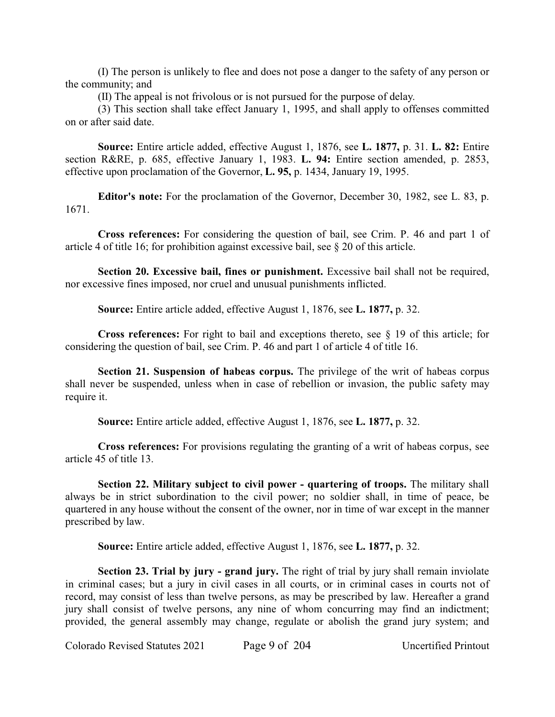(I) The person is unlikely to flee and does not pose a danger to the safety of any person or the community; and

(II) The appeal is not frivolous or is not pursued for the purpose of delay.

(3) This section shall take effect January 1, 1995, and shall apply to offenses committed on or after said date.

**Source:** Entire article added, effective August 1, 1876, see **L. 1877,** p. 31. **L. 82:** Entire section R&RE, p. 685, effective January 1, 1983. **L. 94:** Entire section amended, p. 2853, effective upon proclamation of the Governor, **L. 95,** p. 1434, January 19, 1995.

**Editor's note:** For the proclamation of the Governor, December 30, 1982, see L. 83, p. 1671.

**Cross references:** For considering the question of bail, see Crim. P. 46 and part 1 of article 4 of title 16; for prohibition against excessive bail, see § 20 of this article.

**Section 20. Excessive bail, fines or punishment.** Excessive bail shall not be required, nor excessive fines imposed, nor cruel and unusual punishments inflicted.

**Source:** Entire article added, effective August 1, 1876, see **L. 1877,** p. 32.

**Cross references:** For right to bail and exceptions thereto, see § 19 of this article; for considering the question of bail, see Crim. P. 46 and part 1 of article 4 of title 16.

**Section 21. Suspension of habeas corpus.** The privilege of the writ of habeas corpus shall never be suspended, unless when in case of rebellion or invasion, the public safety may require it.

**Source:** Entire article added, effective August 1, 1876, see **L. 1877,** p. 32.

**Cross references:** For provisions regulating the granting of a writ of habeas corpus, see article 45 of title 13.

**Section 22. Military subject to civil power - quartering of troops.** The military shall always be in strict subordination to the civil power; no soldier shall, in time of peace, be quartered in any house without the consent of the owner, nor in time of war except in the manner prescribed by law.

**Source:** Entire article added, effective August 1, 1876, see **L. 1877,** p. 32.

**Section 23. Trial by jury - grand jury.** The right of trial by jury shall remain inviolate in criminal cases; but a jury in civil cases in all courts, or in criminal cases in courts not of record, may consist of less than twelve persons, as may be prescribed by law. Hereafter a grand jury shall consist of twelve persons, any nine of whom concurring may find an indictment; provided, the general assembly may change, regulate or abolish the grand jury system; and

Colorado Revised Statutes 2021 Page 9 of 204 Uncertified Printout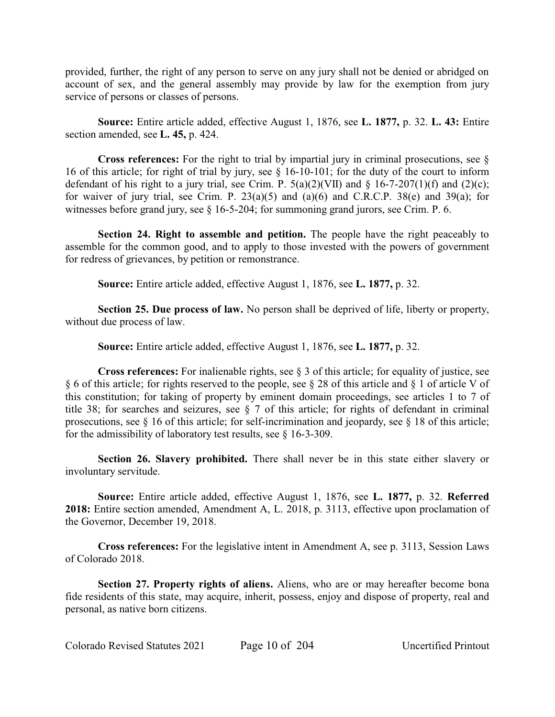provided, further, the right of any person to serve on any jury shall not be denied or abridged on account of sex, and the general assembly may provide by law for the exemption from jury service of persons or classes of persons.

**Source:** Entire article added, effective August 1, 1876, see **L. 1877,** p. 32. **L. 43:** Entire section amended, see **L. 45,** p. 424.

**Cross references:** For the right to trial by impartial jury in criminal prosecutions, see § 16 of this article; for right of trial by jury, see § 16-10-101; for the duty of the court to inform defendant of his right to a jury trial, see Crim. P.  $5(a)(2)(\text{VII})$  and  $\S$  16-7-207(1)(f) and (2)(c); for waiver of jury trial, see Crim. P. 23(a)(5) and (a)(6) and C.R.C.P. 38(e) and 39(a); for witnesses before grand jury, see § 16-5-204; for summoning grand jurors, see Crim. P. 6.

**Section 24. Right to assemble and petition.** The people have the right peaceably to assemble for the common good, and to apply to those invested with the powers of government for redress of grievances, by petition or remonstrance.

**Source:** Entire article added, effective August 1, 1876, see **L. 1877,** p. 32.

**Section 25. Due process of law.** No person shall be deprived of life, liberty or property, without due process of law.

**Source:** Entire article added, effective August 1, 1876, see **L. 1877,** p. 32.

**Cross references:** For inalienable rights, see § 3 of this article; for equality of justice, see § 6 of this article; for rights reserved to the people, see § 28 of this article and § 1 of article V of this constitution; for taking of property by eminent domain proceedings, see articles 1 to 7 of title 38; for searches and seizures, see § 7 of this article; for rights of defendant in criminal prosecutions, see § 16 of this article; for self-incrimination and jeopardy, see § 18 of this article; for the admissibility of laboratory test results, see § 16-3-309.

**Section 26. Slavery prohibited.** There shall never be in this state either slavery or involuntary servitude.

**Source:** Entire article added, effective August 1, 1876, see **L. 1877,** p. 32. **Referred 2018:** Entire section amended, Amendment A, L. 2018, p. 3113, effective upon proclamation of the Governor, December 19, 2018.

**Cross references:** For the legislative intent in Amendment A, see p. 3113, Session Laws of Colorado 2018.

**Section 27. Property rights of aliens.** Aliens, who are or may hereafter become bona fide residents of this state, may acquire, inherit, possess, enjoy and dispose of property, real and personal, as native born citizens.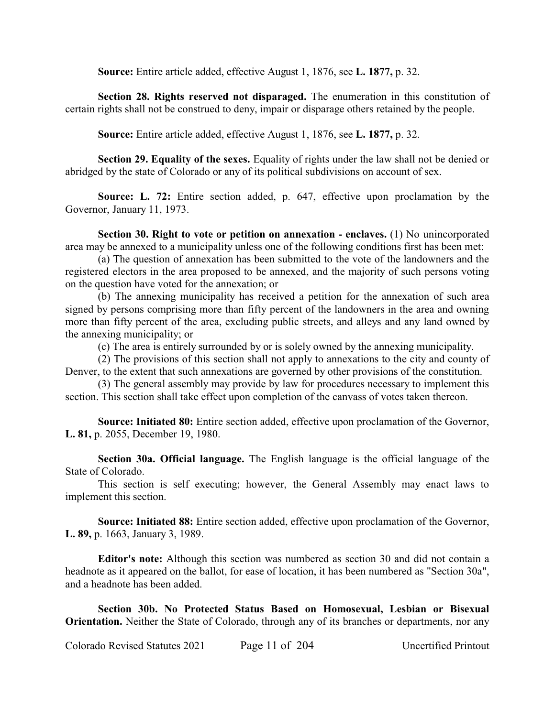**Source:** Entire article added, effective August 1, 1876, see **L. 1877,** p. 32.

**Section 28. Rights reserved not disparaged.** The enumeration in this constitution of certain rights shall not be construed to deny, impair or disparage others retained by the people.

**Source:** Entire article added, effective August 1, 1876, see **L. 1877,** p. 32.

**Section 29. Equality of the sexes.** Equality of rights under the law shall not be denied or abridged by the state of Colorado or any of its political subdivisions on account of sex.

**Source: L. 72:** Entire section added, p. 647, effective upon proclamation by the Governor, January 11, 1973.

**Section 30. Right to vote or petition on annexation - enclaves.** (1) No unincorporated area may be annexed to a municipality unless one of the following conditions first has been met:

(a) The question of annexation has been submitted to the vote of the landowners and the registered electors in the area proposed to be annexed, and the majority of such persons voting on the question have voted for the annexation; or

(b) The annexing municipality has received a petition for the annexation of such area signed by persons comprising more than fifty percent of the landowners in the area and owning more than fifty percent of the area, excluding public streets, and alleys and any land owned by the annexing municipality; or

(c) The area is entirely surrounded by or is solely owned by the annexing municipality.

(2) The provisions of this section shall not apply to annexations to the city and county of Denver, to the extent that such annexations are governed by other provisions of the constitution.

(3) The general assembly may provide by law for procedures necessary to implement this section. This section shall take effect upon completion of the canvass of votes taken thereon.

**Source: Initiated 80:** Entire section added, effective upon proclamation of the Governor, **L. 81,** p. 2055, December 19, 1980.

**Section 30a. Official language.** The English language is the official language of the State of Colorado.

This section is self executing; however, the General Assembly may enact laws to implement this section.

**Source: Initiated 88:** Entire section added, effective upon proclamation of the Governor, **L. 89,** p. 1663, January 3, 1989.

**Editor's note:** Although this section was numbered as section 30 and did not contain a headnote as it appeared on the ballot, for ease of location, it has been numbered as "Section 30a", and a headnote has been added.

**Section 30b. No Protected Status Based on Homosexual, Lesbian or Bisexual Orientation.** Neither the State of Colorado, through any of its branches or departments, nor any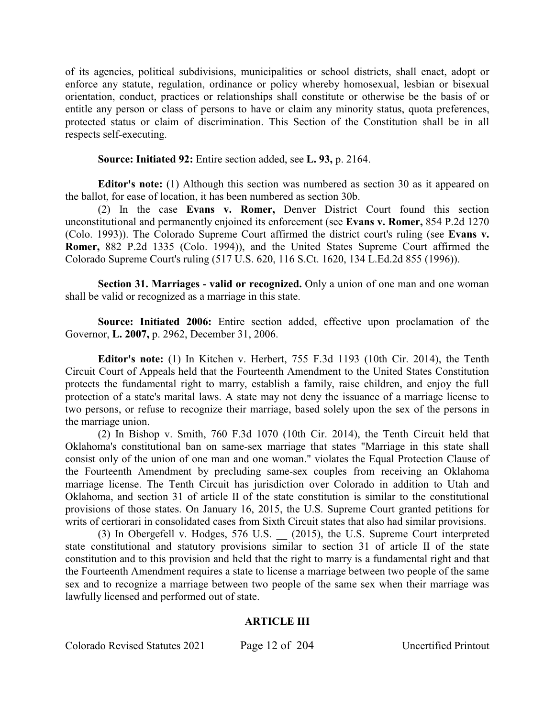of its agencies, political subdivisions, municipalities or school districts, shall enact, adopt or enforce any statute, regulation, ordinance or policy whereby homosexual, lesbian or bisexual orientation, conduct, practices or relationships shall constitute or otherwise be the basis of or entitle any person or class of persons to have or claim any minority status, quota preferences, protected status or claim of discrimination. This Section of the Constitution shall be in all respects self-executing.

**Source: Initiated 92:** Entire section added, see **L. 93,** p. 2164.

**Editor's note:** (1) Although this section was numbered as section 30 as it appeared on the ballot, for ease of location, it has been numbered as section 30b.

(2) In the case **Evans v. Romer,** Denver District Court found this section unconstitutional and permanently enjoined its enforcement (see **Evans v. Romer,** 854 P.2d 1270 (Colo. 1993)). The Colorado Supreme Court affirmed the district court's ruling (see **Evans v. Romer,** 882 P.2d 1335 (Colo. 1994)), and the United States Supreme Court affirmed the Colorado Supreme Court's ruling (517 U.S. 620, 116 S.Ct. 1620, 134 L.Ed.2d 855 (1996)).

**Section 31. Marriages - valid or recognized.** Only a union of one man and one woman shall be valid or recognized as a marriage in this state.

**Source: Initiated 2006:** Entire section added, effective upon proclamation of the Governor, **L. 2007,** p. 2962, December 31, 2006.

**Editor's note:** (1) In Kitchen v. Herbert, 755 F.3d 1193 (10th Cir. 2014), the Tenth Circuit Court of Appeals held that the Fourteenth Amendment to the United States Constitution protects the fundamental right to marry, establish a family, raise children, and enjoy the full protection of a state's marital laws. A state may not deny the issuance of a marriage license to two persons, or refuse to recognize their marriage, based solely upon the sex of the persons in the marriage union.

(2) In Bishop v. Smith, 760 F.3d 1070 (10th Cir. 2014), the Tenth Circuit held that Oklahoma's constitutional ban on same-sex marriage that states "Marriage in this state shall consist only of the union of one man and one woman." violates the Equal Protection Clause of the Fourteenth Amendment by precluding same-sex couples from receiving an Oklahoma marriage license. The Tenth Circuit has jurisdiction over Colorado in addition to Utah and Oklahoma, and section 31 of article II of the state constitution is similar to the constitutional provisions of those states. On January 16, 2015, the U.S. Supreme Court granted petitions for writs of certiorari in consolidated cases from Sixth Circuit states that also had similar provisions.

(3) In Obergefell v. Hodges, 576 U.S. \_\_ (2015), the U.S. Supreme Court interpreted state constitutional and statutory provisions similar to section 31 of article II of the state constitution and to this provision and held that the right to marry is a fundamental right and that the Fourteenth Amendment requires a state to license a marriage between two people of the same sex and to recognize a marriage between two people of the same sex when their marriage was lawfully licensed and performed out of state.

### **ARTICLE III**

Colorado Revised Statutes 2021 Page 12 of 204 Uncertified Printout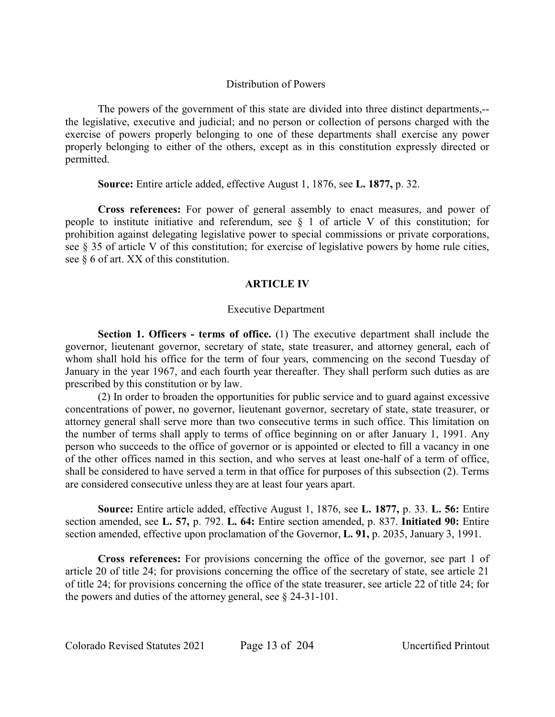#### Distribution of Powers

The powers of the government of this state are divided into three distinct departments,- the legislative, executive and judicial; and no person or collection of persons charged with the exercise of powers properly belonging to one of these departments shall exercise any power properly belonging to either of the others, except as in this constitution expressly directed or permitted.

**Source:** Entire article added, effective August 1, 1876, see **L. 1877,** p. 32.

**Cross references:** For power of general assembly to enact measures, and power of people to institute initiative and referendum, see § 1 of article V of this constitution; for prohibition against delegating legislative power to special commissions or private corporations, see § 35 of article V of this constitution; for exercise of legislative powers by home rule cities, see § 6 of art. XX of this constitution.

### **ARTICLE IV**

### Executive Department

**Section 1. Officers - terms of office.** (1) The executive department shall include the governor, lieutenant governor, secretary of state, state treasurer, and attorney general, each of whom shall hold his office for the term of four years, commencing on the second Tuesday of January in the year 1967, and each fourth year thereafter. They shall perform such duties as are prescribed by this constitution or by law.

(2) In order to broaden the opportunities for public service and to guard against excessive concentrations of power, no governor, lieutenant governor, secretary of state, state treasurer, or attorney general shall serve more than two consecutive terms in such office. This limitation on the number of terms shall apply to terms of office beginning on or after January 1, 1991. Any person who succeeds to the office of governor or is appointed or elected to fill a vacancy in one of the other offices named in this section, and who serves at least one-half of a term of office, shall be considered to have served a term in that office for purposes of this subsection (2). Terms are considered consecutive unless they are at least four years apart.

**Source:** Entire article added, effective August 1, 1876, see **L. 1877,** p. 33. **L. 56:** Entire section amended, see **L. 57,** p. 792. **L. 64:** Entire section amended, p. 837. **Initiated 90:** Entire section amended, effective upon proclamation of the Governor, **L. 91,** p. 2035, January 3, 1991.

**Cross references:** For provisions concerning the office of the governor, see part 1 of article 20 of title 24; for provisions concerning the office of the secretary of state, see article 21 of title 24; for provisions concerning the office of the state treasurer, see article 22 of title 24; for the powers and duties of the attorney general, see § 24-31-101.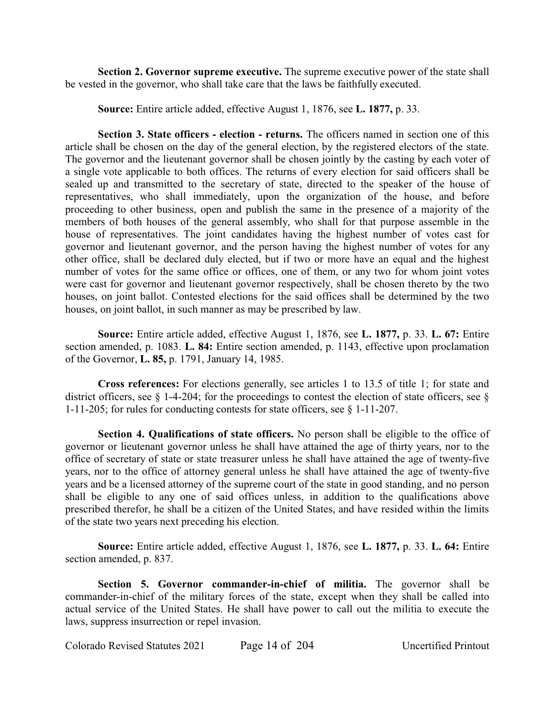**Section 2. Governor supreme executive.** The supreme executive power of the state shall be vested in the governor, who shall take care that the laws be faithfully executed.

**Source:** Entire article added, effective August 1, 1876, see **L. 1877,** p. 33.

**Section 3. State officers - election - returns.** The officers named in section one of this article shall be chosen on the day of the general election, by the registered electors of the state. The governor and the lieutenant governor shall be chosen jointly by the casting by each voter of a single vote applicable to both offices. The returns of every election for said officers shall be sealed up and transmitted to the secretary of state, directed to the speaker of the house of representatives, who shall immediately, upon the organization of the house, and before proceeding to other business, open and publish the same in the presence of a majority of the members of both houses of the general assembly, who shall for that purpose assemble in the house of representatives. The joint candidates having the highest number of votes cast for governor and lieutenant governor, and the person having the highest number of votes for any other office, shall be declared duly elected, but if two or more have an equal and the highest number of votes for the same office or offices, one of them, or any two for whom joint votes were cast for governor and lieutenant governor respectively, shall be chosen thereto by the two houses, on joint ballot. Contested elections for the said offices shall be determined by the two houses, on joint ballot, in such manner as may be prescribed by law.

**Source:** Entire article added, effective August 1, 1876, see **L. 1877,** p. 33. **L. 67:** Entire section amended, p. 1083. **L. 84:** Entire section amended, p. 1143, effective upon proclamation of the Governor, **L. 85,** p. 1791, January 14, 1985.

**Cross references:** For elections generally, see articles 1 to 13.5 of title 1; for state and district officers, see § 1-4-204; for the proceedings to contest the election of state officers, see § 1-11-205; for rules for conducting contests for state officers, see § 1-11-207.

**Section 4. Qualifications of state officers.** No person shall be eligible to the office of governor or lieutenant governor unless he shall have attained the age of thirty years, nor to the office of secretary of state or state treasurer unless he shall have attained the age of twenty-five years, nor to the office of attorney general unless he shall have attained the age of twenty-five years and be a licensed attorney of the supreme court of the state in good standing, and no person shall be eligible to any one of said offices unless, in addition to the qualifications above prescribed therefor, he shall be a citizen of the United States, and have resided within the limits of the state two years next preceding his election.

**Source:** Entire article added, effective August 1, 1876, see **L. 1877,** p. 33. **L. 64:** Entire section amended, p. 837.

**Section 5. Governor commander-in-chief of militia.** The governor shall be commander-in-chief of the military forces of the state, except when they shall be called into actual service of the United States. He shall have power to call out the militia to execute the laws, suppress insurrection or repel invasion.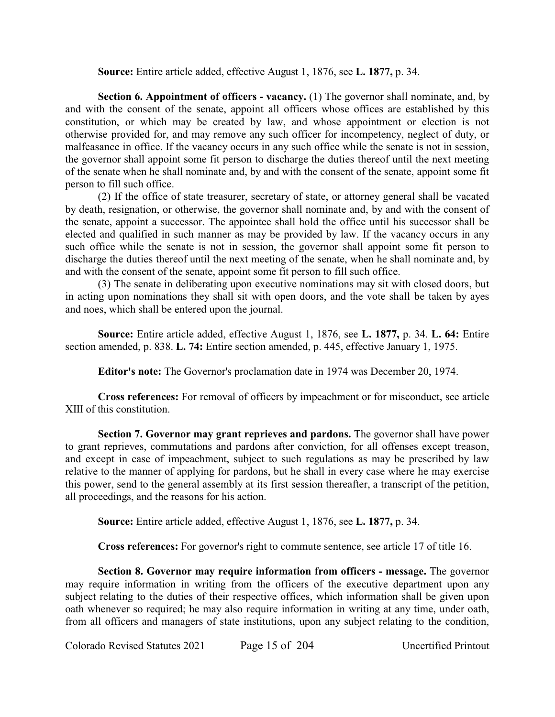**Source:** Entire article added, effective August 1, 1876, see **L. 1877,** p. 34.

**Section 6. Appointment of officers - vacancy.** (1) The governor shall nominate, and, by and with the consent of the senate, appoint all officers whose offices are established by this constitution, or which may be created by law, and whose appointment or election is not otherwise provided for, and may remove any such officer for incompetency, neglect of duty, or malfeasance in office. If the vacancy occurs in any such office while the senate is not in session, the governor shall appoint some fit person to discharge the duties thereof until the next meeting of the senate when he shall nominate and, by and with the consent of the senate, appoint some fit person to fill such office.

(2) If the office of state treasurer, secretary of state, or attorney general shall be vacated by death, resignation, or otherwise, the governor shall nominate and, by and with the consent of the senate, appoint a successor. The appointee shall hold the office until his successor shall be elected and qualified in such manner as may be provided by law. If the vacancy occurs in any such office while the senate is not in session, the governor shall appoint some fit person to discharge the duties thereof until the next meeting of the senate, when he shall nominate and, by and with the consent of the senate, appoint some fit person to fill such office.

(3) The senate in deliberating upon executive nominations may sit with closed doors, but in acting upon nominations they shall sit with open doors, and the vote shall be taken by ayes and noes, which shall be entered upon the journal.

**Source:** Entire article added, effective August 1, 1876, see **L. 1877,** p. 34. **L. 64:** Entire section amended, p. 838. **L. 74:** Entire section amended, p. 445, effective January 1, 1975.

**Editor's note:** The Governor's proclamation date in 1974 was December 20, 1974.

**Cross references:** For removal of officers by impeachment or for misconduct, see article XIII of this constitution.

**Section 7. Governor may grant reprieves and pardons.** The governor shall have power to grant reprieves, commutations and pardons after conviction, for all offenses except treason, and except in case of impeachment, subject to such regulations as may be prescribed by law relative to the manner of applying for pardons, but he shall in every case where he may exercise this power, send to the general assembly at its first session thereafter, a transcript of the petition, all proceedings, and the reasons for his action.

**Source:** Entire article added, effective August 1, 1876, see **L. 1877,** p. 34.

**Cross references:** For governor's right to commute sentence, see article 17 of title 16.

**Section 8. Governor may require information from officers - message.** The governor may require information in writing from the officers of the executive department upon any subject relating to the duties of their respective offices, which information shall be given upon oath whenever so required; he may also require information in writing at any time, under oath, from all officers and managers of state institutions, upon any subject relating to the condition,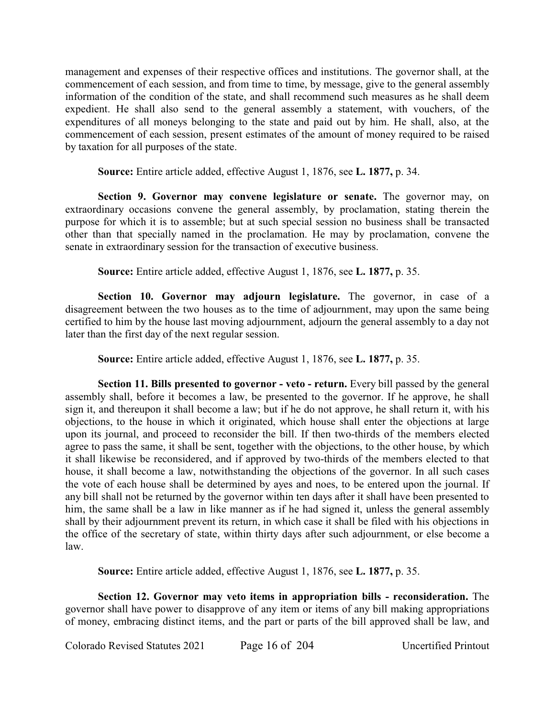management and expenses of their respective offices and institutions. The governor shall, at the commencement of each session, and from time to time, by message, give to the general assembly information of the condition of the state, and shall recommend such measures as he shall deem expedient. He shall also send to the general assembly a statement, with vouchers, of the expenditures of all moneys belonging to the state and paid out by him. He shall, also, at the commencement of each session, present estimates of the amount of money required to be raised by taxation for all purposes of the state.

**Source:** Entire article added, effective August 1, 1876, see **L. 1877,** p. 34.

**Section 9. Governor may convene legislature or senate.** The governor may, on extraordinary occasions convene the general assembly, by proclamation, stating therein the purpose for which it is to assemble; but at such special session no business shall be transacted other than that specially named in the proclamation. He may by proclamation, convene the senate in extraordinary session for the transaction of executive business.

**Source:** Entire article added, effective August 1, 1876, see **L. 1877,** p. 35.

**Section 10. Governor may adjourn legislature.** The governor, in case of a disagreement between the two houses as to the time of adjournment, may upon the same being certified to him by the house last moving adjournment, adjourn the general assembly to a day not later than the first day of the next regular session.

**Source:** Entire article added, effective August 1, 1876, see **L. 1877,** p. 35.

**Section 11. Bills presented to governor - veto - return.** Every bill passed by the general assembly shall, before it becomes a law, be presented to the governor. If he approve, he shall sign it, and thereupon it shall become a law; but if he do not approve, he shall return it, with his objections, to the house in which it originated, which house shall enter the objections at large upon its journal, and proceed to reconsider the bill. If then two-thirds of the members elected agree to pass the same, it shall be sent, together with the objections, to the other house, by which it shall likewise be reconsidered, and if approved by two-thirds of the members elected to that house, it shall become a law, notwithstanding the objections of the governor. In all such cases the vote of each house shall be determined by ayes and noes, to be entered upon the journal. If any bill shall not be returned by the governor within ten days after it shall have been presented to him, the same shall be a law in like manner as if he had signed it, unless the general assembly shall by their adjournment prevent its return, in which case it shall be filed with his objections in the office of the secretary of state, within thirty days after such adjournment, or else become a law.

**Source:** Entire article added, effective August 1, 1876, see **L. 1877,** p. 35.

**Section 12. Governor may veto items in appropriation bills - reconsideration.** The governor shall have power to disapprove of any item or items of any bill making appropriations of money, embracing distinct items, and the part or parts of the bill approved shall be law, and

Colorado Revised Statutes 2021 Page 16 of 204 Uncertified Printout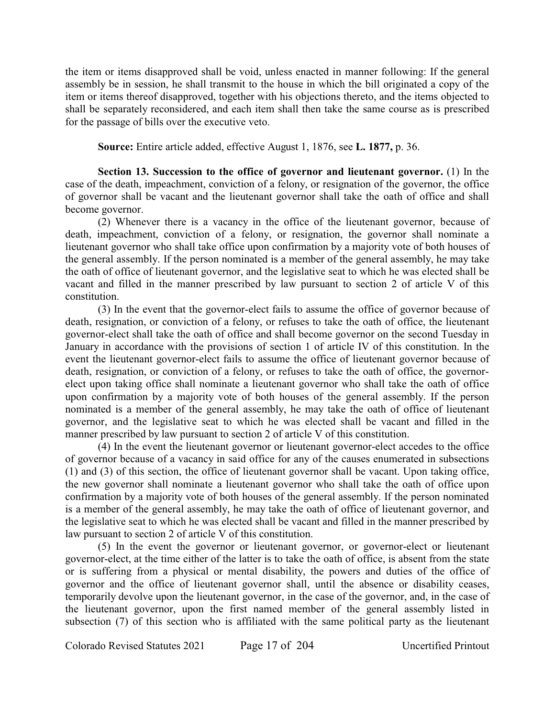the item or items disapproved shall be void, unless enacted in manner following: If the general assembly be in session, he shall transmit to the house in which the bill originated a copy of the item or items thereof disapproved, together with his objections thereto, and the items objected to shall be separately reconsidered, and each item shall then take the same course as is prescribed for the passage of bills over the executive veto.

**Source:** Entire article added, effective August 1, 1876, see **L. 1877,** p. 36.

**Section 13. Succession to the office of governor and lieutenant governor.** (1) In the case of the death, impeachment, conviction of a felony, or resignation of the governor, the office of governor shall be vacant and the lieutenant governor shall take the oath of office and shall become governor.

(2) Whenever there is a vacancy in the office of the lieutenant governor, because of death, impeachment, conviction of a felony, or resignation, the governor shall nominate a lieutenant governor who shall take office upon confirmation by a majority vote of both houses of the general assembly. If the person nominated is a member of the general assembly, he may take the oath of office of lieutenant governor, and the legislative seat to which he was elected shall be vacant and filled in the manner prescribed by law pursuant to section 2 of article V of this constitution.

(3) In the event that the governor-elect fails to assume the office of governor because of death, resignation, or conviction of a felony, or refuses to take the oath of office, the lieutenant governor-elect shall take the oath of office and shall become governor on the second Tuesday in January in accordance with the provisions of section 1 of article IV of this constitution. In the event the lieutenant governor-elect fails to assume the office of lieutenant governor because of death, resignation, or conviction of a felony, or refuses to take the oath of office, the governorelect upon taking office shall nominate a lieutenant governor who shall take the oath of office upon confirmation by a majority vote of both houses of the general assembly. If the person nominated is a member of the general assembly, he may take the oath of office of lieutenant governor, and the legislative seat to which he was elected shall be vacant and filled in the manner prescribed by law pursuant to section 2 of article V of this constitution.

(4) In the event the lieutenant governor or lieutenant governor-elect accedes to the office of governor because of a vacancy in said office for any of the causes enumerated in subsections (1) and (3) of this section, the office of lieutenant governor shall be vacant. Upon taking office, the new governor shall nominate a lieutenant governor who shall take the oath of office upon confirmation by a majority vote of both houses of the general assembly. If the person nominated is a member of the general assembly, he may take the oath of office of lieutenant governor, and the legislative seat to which he was elected shall be vacant and filled in the manner prescribed by law pursuant to section 2 of article V of this constitution.

(5) In the event the governor or lieutenant governor, or governor-elect or lieutenant governor-elect, at the time either of the latter is to take the oath of office, is absent from the state or is suffering from a physical or mental disability, the powers and duties of the office of governor and the office of lieutenant governor shall, until the absence or disability ceases, temporarily devolve upon the lieutenant governor, in the case of the governor, and, in the case of the lieutenant governor, upon the first named member of the general assembly listed in subsection (7) of this section who is affiliated with the same political party as the lieutenant

Colorado Revised Statutes 2021 Page 17 of 204 Uncertified Printout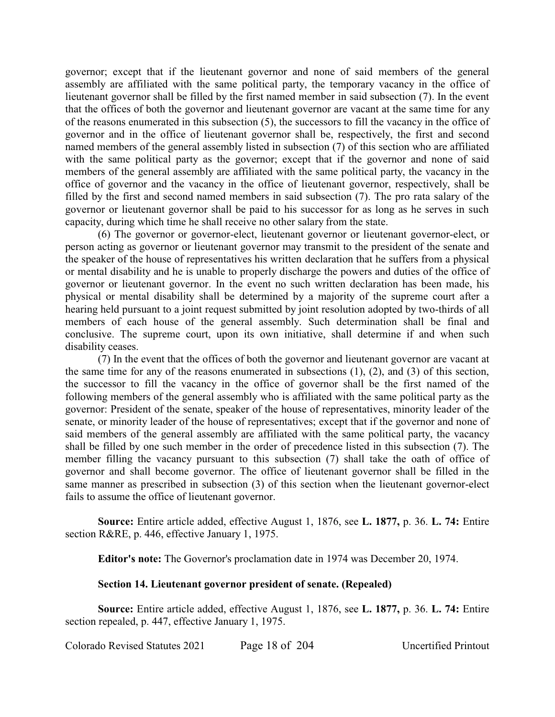governor; except that if the lieutenant governor and none of said members of the general assembly are affiliated with the same political party, the temporary vacancy in the office of lieutenant governor shall be filled by the first named member in said subsection (7). In the event that the offices of both the governor and lieutenant governor are vacant at the same time for any of the reasons enumerated in this subsection (5), the successors to fill the vacancy in the office of governor and in the office of lieutenant governor shall be, respectively, the first and second named members of the general assembly listed in subsection (7) of this section who are affiliated with the same political party as the governor; except that if the governor and none of said members of the general assembly are affiliated with the same political party, the vacancy in the office of governor and the vacancy in the office of lieutenant governor, respectively, shall be filled by the first and second named members in said subsection (7). The pro rata salary of the governor or lieutenant governor shall be paid to his successor for as long as he serves in such capacity, during which time he shall receive no other salary from the state.

(6) The governor or governor-elect, lieutenant governor or lieutenant governor-elect, or person acting as governor or lieutenant governor may transmit to the president of the senate and the speaker of the house of representatives his written declaration that he suffers from a physical or mental disability and he is unable to properly discharge the powers and duties of the office of governor or lieutenant governor. In the event no such written declaration has been made, his physical or mental disability shall be determined by a majority of the supreme court after a hearing held pursuant to a joint request submitted by joint resolution adopted by two-thirds of all members of each house of the general assembly. Such determination shall be final and conclusive. The supreme court, upon its own initiative, shall determine if and when such disability ceases.

(7) In the event that the offices of both the governor and lieutenant governor are vacant at the same time for any of the reasons enumerated in subsections (1), (2), and (3) of this section, the successor to fill the vacancy in the office of governor shall be the first named of the following members of the general assembly who is affiliated with the same political party as the governor: President of the senate, speaker of the house of representatives, minority leader of the senate, or minority leader of the house of representatives; except that if the governor and none of said members of the general assembly are affiliated with the same political party, the vacancy shall be filled by one such member in the order of precedence listed in this subsection (7). The member filling the vacancy pursuant to this subsection (7) shall take the oath of office of governor and shall become governor. The office of lieutenant governor shall be filled in the same manner as prescribed in subsection (3) of this section when the lieutenant governor-elect fails to assume the office of lieutenant governor.

**Source:** Entire article added, effective August 1, 1876, see **L. 1877,** p. 36. **L. 74:** Entire section R&RE, p. 446, effective January 1, 1975.

**Editor's note:** The Governor's proclamation date in 1974 was December 20, 1974.

### **Section 14. Lieutenant governor president of senate. (Repealed)**

**Source:** Entire article added, effective August 1, 1876, see **L. 1877,** p. 36. **L. 74:** Entire section repealed, p. 447, effective January 1, 1975.

Colorado Revised Statutes 2021 Page 18 of 204 Uncertified Printout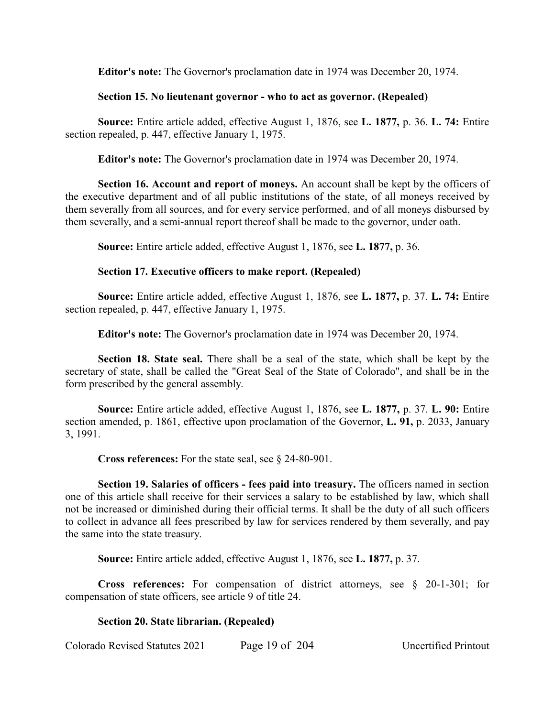**Editor's note:** The Governor's proclamation date in 1974 was December 20, 1974.

## **Section 15. No lieutenant governor - who to act as governor. (Repealed)**

**Source:** Entire article added, effective August 1, 1876, see **L. 1877,** p. 36. **L. 74:** Entire section repealed, p. 447, effective January 1, 1975.

**Editor's note:** The Governor's proclamation date in 1974 was December 20, 1974.

**Section 16. Account and report of moneys.** An account shall be kept by the officers of the executive department and of all public institutions of the state, of all moneys received by them severally from all sources, and for every service performed, and of all moneys disbursed by them severally, and a semi-annual report thereof shall be made to the governor, under oath.

**Source:** Entire article added, effective August 1, 1876, see **L. 1877,** p. 36.

## **Section 17. Executive officers to make report. (Repealed)**

**Source:** Entire article added, effective August 1, 1876, see **L. 1877,** p. 37. **L. 74:** Entire section repealed, p. 447, effective January 1, 1975.

**Editor's note:** The Governor's proclamation date in 1974 was December 20, 1974.

**Section 18. State seal.** There shall be a seal of the state, which shall be kept by the secretary of state, shall be called the "Great Seal of the State of Colorado", and shall be in the form prescribed by the general assembly.

**Source:** Entire article added, effective August 1, 1876, see **L. 1877,** p. 37. **L. 90:** Entire section amended, p. 1861, effective upon proclamation of the Governor, **L. 91,** p. 2033, January 3, 1991.

**Cross references:** For the state seal, see § 24-80-901.

**Section 19. Salaries of officers - fees paid into treasury.** The officers named in section one of this article shall receive for their services a salary to be established by law, which shall not be increased or diminished during their official terms. It shall be the duty of all such officers to collect in advance all fees prescribed by law for services rendered by them severally, and pay the same into the state treasury.

**Source:** Entire article added, effective August 1, 1876, see **L. 1877,** p. 37.

**Cross references:** For compensation of district attorneys, see § 20-1-301; for compensation of state officers, see article 9 of title 24.

### **Section 20. State librarian. (Repealed)**

Colorado Revised Statutes 2021 Page 19 of 204 Uncertified Printout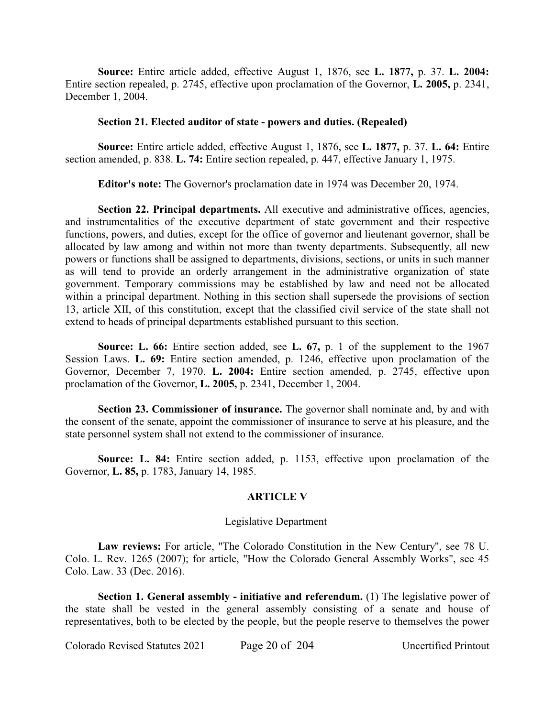**Source:** Entire article added, effective August 1, 1876, see **L. 1877,** p. 37. **L. 2004:** Entire section repealed, p. 2745, effective upon proclamation of the Governor, **L. 2005,** p. 2341, December 1, 2004.

#### **Section 21. Elected auditor of state - powers and duties. (Repealed)**

**Source:** Entire article added, effective August 1, 1876, see **L. 1877,** p. 37. **L. 64:** Entire section amended, p. 838. **L. 74:** Entire section repealed, p. 447, effective January 1, 1975.

**Editor's note:** The Governor's proclamation date in 1974 was December 20, 1974.

**Section 22. Principal departments.** All executive and administrative offices, agencies, and instrumentalities of the executive department of state government and their respective functions, powers, and duties, except for the office of governor and lieutenant governor, shall be allocated by law among and within not more than twenty departments. Subsequently, all new powers or functions shall be assigned to departments, divisions, sections, or units in such manner as will tend to provide an orderly arrangement in the administrative organization of state government. Temporary commissions may be established by law and need not be allocated within a principal department. Nothing in this section shall supersede the provisions of section 13, article XII, of this constitution, except that the classified civil service of the state shall not extend to heads of principal departments established pursuant to this section.

**Source: L. 66:** Entire section added, see **L. 67,** p. 1 of the supplement to the 1967 Session Laws. **L. 69:** Entire section amended, p. 1246, effective upon proclamation of the Governor, December 7, 1970. **L. 2004:** Entire section amended, p. 2745, effective upon proclamation of the Governor, **L. 2005,** p. 2341, December 1, 2004.

**Section 23. Commissioner of insurance.** The governor shall nominate and, by and with the consent of the senate, appoint the commissioner of insurance to serve at his pleasure, and the state personnel system shall not extend to the commissioner of insurance.

**Source: L. 84:** Entire section added, p. 1153, effective upon proclamation of the Governor, **L. 85,** p. 1783, January 14, 1985.

#### **ARTICLE V**

#### Legislative Department

**Law reviews:** For article, "The Colorado Constitution in the New Century", see 78 U. Colo. L. Rev. 1265 (2007); for article, "How the Colorado General Assembly Works", see 45 Colo. Law. 33 (Dec. 2016).

**Section 1. General assembly - initiative and referendum.** (1) The legislative power of the state shall be vested in the general assembly consisting of a senate and house of representatives, both to be elected by the people, but the people reserve to themselves the power

Colorado Revised Statutes 2021 Page 20 of 204 Uncertified Printout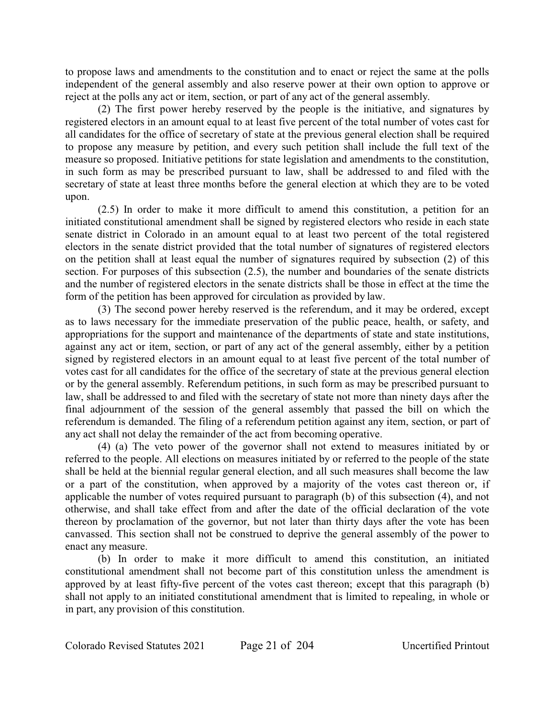to propose laws and amendments to the constitution and to enact or reject the same at the polls independent of the general assembly and also reserve power at their own option to approve or reject at the polls any act or item, section, or part of any act of the general assembly.

(2) The first power hereby reserved by the people is the initiative, and signatures by registered electors in an amount equal to at least five percent of the total number of votes cast for all candidates for the office of secretary of state at the previous general election shall be required to propose any measure by petition, and every such petition shall include the full text of the measure so proposed. Initiative petitions for state legislation and amendments to the constitution, in such form as may be prescribed pursuant to law, shall be addressed to and filed with the secretary of state at least three months before the general election at which they are to be voted upon.

(2.5) In order to make it more difficult to amend this constitution, a petition for an initiated constitutional amendment shall be signed by registered electors who reside in each state senate district in Colorado in an amount equal to at least two percent of the total registered electors in the senate district provided that the total number of signatures of registered electors on the petition shall at least equal the number of signatures required by subsection (2) of this section. For purposes of this subsection (2.5), the number and boundaries of the senate districts and the number of registered electors in the senate districts shall be those in effect at the time the form of the petition has been approved for circulation as provided by law.

(3) The second power hereby reserved is the referendum, and it may be ordered, except as to laws necessary for the immediate preservation of the public peace, health, or safety, and appropriations for the support and maintenance of the departments of state and state institutions, against any act or item, section, or part of any act of the general assembly, either by a petition signed by registered electors in an amount equal to at least five percent of the total number of votes cast for all candidates for the office of the secretary of state at the previous general election or by the general assembly. Referendum petitions, in such form as may be prescribed pursuant to law, shall be addressed to and filed with the secretary of state not more than ninety days after the final adjournment of the session of the general assembly that passed the bill on which the referendum is demanded. The filing of a referendum petition against any item, section, or part of any act shall not delay the remainder of the act from becoming operative.

(4) (a) The veto power of the governor shall not extend to measures initiated by or referred to the people. All elections on measures initiated by or referred to the people of the state shall be held at the biennial regular general election, and all such measures shall become the law or a part of the constitution, when approved by a majority of the votes cast thereon or, if applicable the number of votes required pursuant to paragraph (b) of this subsection (4), and not otherwise, and shall take effect from and after the date of the official declaration of the vote thereon by proclamation of the governor, but not later than thirty days after the vote has been canvassed. This section shall not be construed to deprive the general assembly of the power to enact any measure.

(b) In order to make it more difficult to amend this constitution, an initiated constitutional amendment shall not become part of this constitution unless the amendment is approved by at least fifty-five percent of the votes cast thereon; except that this paragraph (b) shall not apply to an initiated constitutional amendment that is limited to repealing, in whole or in part, any provision of this constitution.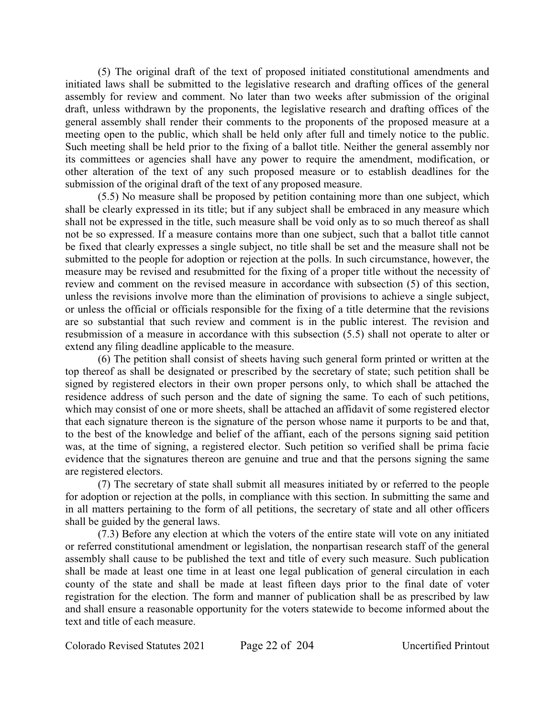(5) The original draft of the text of proposed initiated constitutional amendments and initiated laws shall be submitted to the legislative research and drafting offices of the general assembly for review and comment. No later than two weeks after submission of the original draft, unless withdrawn by the proponents, the legislative research and drafting offices of the general assembly shall render their comments to the proponents of the proposed measure at a meeting open to the public, which shall be held only after full and timely notice to the public. Such meeting shall be held prior to the fixing of a ballot title. Neither the general assembly nor its committees or agencies shall have any power to require the amendment, modification, or other alteration of the text of any such proposed measure or to establish deadlines for the submission of the original draft of the text of any proposed measure.

(5.5) No measure shall be proposed by petition containing more than one subject, which shall be clearly expressed in its title; but if any subject shall be embraced in any measure which shall not be expressed in the title, such measure shall be void only as to so much thereof as shall not be so expressed. If a measure contains more than one subject, such that a ballot title cannot be fixed that clearly expresses a single subject, no title shall be set and the measure shall not be submitted to the people for adoption or rejection at the polls. In such circumstance, however, the measure may be revised and resubmitted for the fixing of a proper title without the necessity of review and comment on the revised measure in accordance with subsection (5) of this section, unless the revisions involve more than the elimination of provisions to achieve a single subject, or unless the official or officials responsible for the fixing of a title determine that the revisions are so substantial that such review and comment is in the public interest. The revision and resubmission of a measure in accordance with this subsection (5.5) shall not operate to alter or extend any filing deadline applicable to the measure.

(6) The petition shall consist of sheets having such general form printed or written at the top thereof as shall be designated or prescribed by the secretary of state; such petition shall be signed by registered electors in their own proper persons only, to which shall be attached the residence address of such person and the date of signing the same. To each of such petitions, which may consist of one or more sheets, shall be attached an affidavit of some registered elector that each signature thereon is the signature of the person whose name it purports to be and that, to the best of the knowledge and belief of the affiant, each of the persons signing said petition was, at the time of signing, a registered elector. Such petition so verified shall be prima facie evidence that the signatures thereon are genuine and true and that the persons signing the same are registered electors.

(7) The secretary of state shall submit all measures initiated by or referred to the people for adoption or rejection at the polls, in compliance with this section. In submitting the same and in all matters pertaining to the form of all petitions, the secretary of state and all other officers shall be guided by the general laws.

(7.3) Before any election at which the voters of the entire state will vote on any initiated or referred constitutional amendment or legislation, the nonpartisan research staff of the general assembly shall cause to be published the text and title of every such measure. Such publication shall be made at least one time in at least one legal publication of general circulation in each county of the state and shall be made at least fifteen days prior to the final date of voter registration for the election. The form and manner of publication shall be as prescribed by law and shall ensure a reasonable opportunity for the voters statewide to become informed about the text and title of each measure.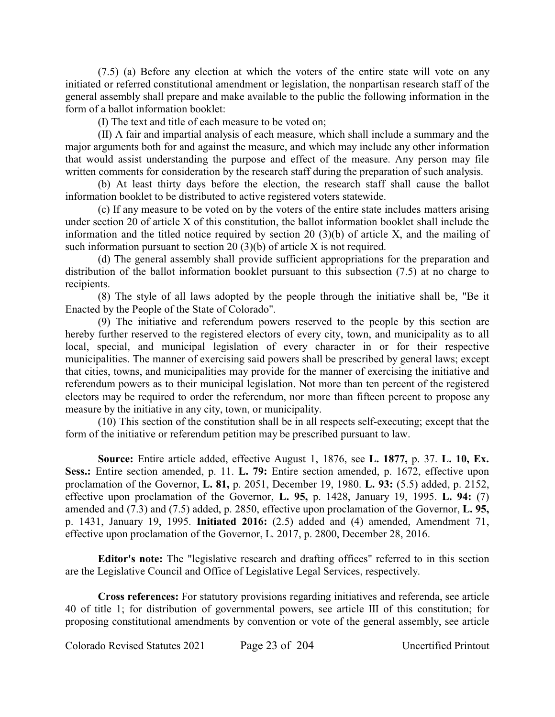(7.5) (a) Before any election at which the voters of the entire state will vote on any initiated or referred constitutional amendment or legislation, the nonpartisan research staff of the general assembly shall prepare and make available to the public the following information in the form of a ballot information booklet:

(I) The text and title of each measure to be voted on;

(II) A fair and impartial analysis of each measure, which shall include a summary and the major arguments both for and against the measure, and which may include any other information that would assist understanding the purpose and effect of the measure. Any person may file written comments for consideration by the research staff during the preparation of such analysis.

(b) At least thirty days before the election, the research staff shall cause the ballot information booklet to be distributed to active registered voters statewide.

(c) If any measure to be voted on by the voters of the entire state includes matters arising under section 20 of article X of this constitution, the ballot information booklet shall include the information and the titled notice required by section 20 (3)(b) of article X, and the mailing of such information pursuant to section 20 (3)(b) of article X is not required.

(d) The general assembly shall provide sufficient appropriations for the preparation and distribution of the ballot information booklet pursuant to this subsection (7.5) at no charge to recipients.

(8) The style of all laws adopted by the people through the initiative shall be, "Be it Enacted by the People of the State of Colorado".

(9) The initiative and referendum powers reserved to the people by this section are hereby further reserved to the registered electors of every city, town, and municipality as to all local, special, and municipal legislation of every character in or for their respective municipalities. The manner of exercising said powers shall be prescribed by general laws; except that cities, towns, and municipalities may provide for the manner of exercising the initiative and referendum powers as to their municipal legislation. Not more than ten percent of the registered electors may be required to order the referendum, nor more than fifteen percent to propose any measure by the initiative in any city, town, or municipality.

(10) This section of the constitution shall be in all respects self-executing; except that the form of the initiative or referendum petition may be prescribed pursuant to law.

**Source:** Entire article added, effective August 1, 1876, see **L. 1877,** p. 37. **L. 10, Ex. Sess.:** Entire section amended, p. 11. **L. 79:** Entire section amended, p. 1672, effective upon proclamation of the Governor, **L. 81,** p. 2051, December 19, 1980. **L. 93:** (5.5) added, p. 2152, effective upon proclamation of the Governor, **L. 95,** p. 1428, January 19, 1995. **L. 94:** (7) amended and (7.3) and (7.5) added, p. 2850, effective upon proclamation of the Governor, **L. 95,** p. 1431, January 19, 1995. **Initiated 2016:** (2.5) added and (4) amended, Amendment 71, effective upon proclamation of the Governor, L. 2017, p. 2800, December 28, 2016.

**Editor's note:** The "legislative research and drafting offices" referred to in this section are the Legislative Council and Office of Legislative Legal Services, respectively.

**Cross references:** For statutory provisions regarding initiatives and referenda, see article 40 of title 1; for distribution of governmental powers, see article III of this constitution; for proposing constitutional amendments by convention or vote of the general assembly, see article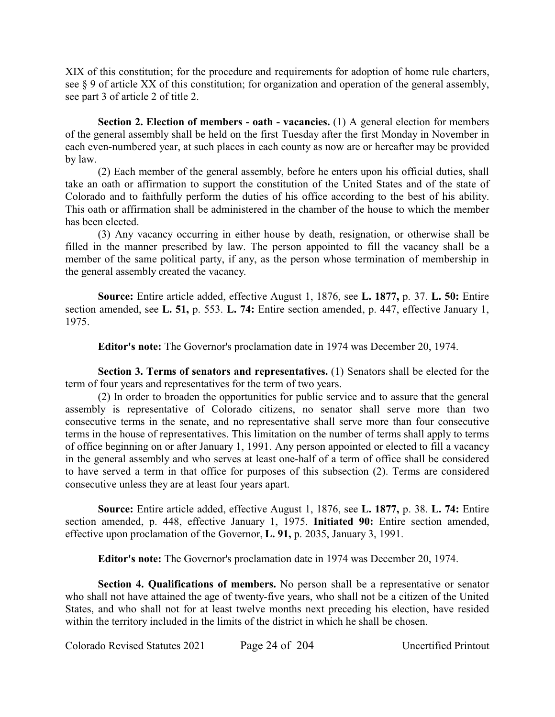XIX of this constitution; for the procedure and requirements for adoption of home rule charters, see § 9 of article XX of this constitution; for organization and operation of the general assembly, see part 3 of article 2 of title 2.

**Section 2. Election of members - oath - vacancies.** (1) A general election for members of the general assembly shall be held on the first Tuesday after the first Monday in November in each even-numbered year, at such places in each county as now are or hereafter may be provided by law.

(2) Each member of the general assembly, before he enters upon his official duties, shall take an oath or affirmation to support the constitution of the United States and of the state of Colorado and to faithfully perform the duties of his office according to the best of his ability. This oath or affirmation shall be administered in the chamber of the house to which the member has been elected.

(3) Any vacancy occurring in either house by death, resignation, or otherwise shall be filled in the manner prescribed by law. The person appointed to fill the vacancy shall be a member of the same political party, if any, as the person whose termination of membership in the general assembly created the vacancy.

**Source:** Entire article added, effective August 1, 1876, see **L. 1877,** p. 37. **L. 50:** Entire section amended, see **L. 51,** p. 553. **L. 74:** Entire section amended, p. 447, effective January 1, 1975.

**Editor's note:** The Governor's proclamation date in 1974 was December 20, 1974.

**Section 3. Terms of senators and representatives.** (1) Senators shall be elected for the term of four years and representatives for the term of two years.

(2) In order to broaden the opportunities for public service and to assure that the general assembly is representative of Colorado citizens, no senator shall serve more than two consecutive terms in the senate, and no representative shall serve more than four consecutive terms in the house of representatives. This limitation on the number of terms shall apply to terms of office beginning on or after January 1, 1991. Any person appointed or elected to fill a vacancy in the general assembly and who serves at least one-half of a term of office shall be considered to have served a term in that office for purposes of this subsection (2). Terms are considered consecutive unless they are at least four years apart.

**Source:** Entire article added, effective August 1, 1876, see **L. 1877,** p. 38. **L. 74:** Entire section amended, p. 448, effective January 1, 1975. **Initiated 90:** Entire section amended, effective upon proclamation of the Governor, **L. 91,** p. 2035, January 3, 1991.

**Editor's note:** The Governor's proclamation date in 1974 was December 20, 1974.

**Section 4. Qualifications of members.** No person shall be a representative or senator who shall not have attained the age of twenty-five years, who shall not be a citizen of the United States, and who shall not for at least twelve months next preceding his election, have resided within the territory included in the limits of the district in which he shall be chosen.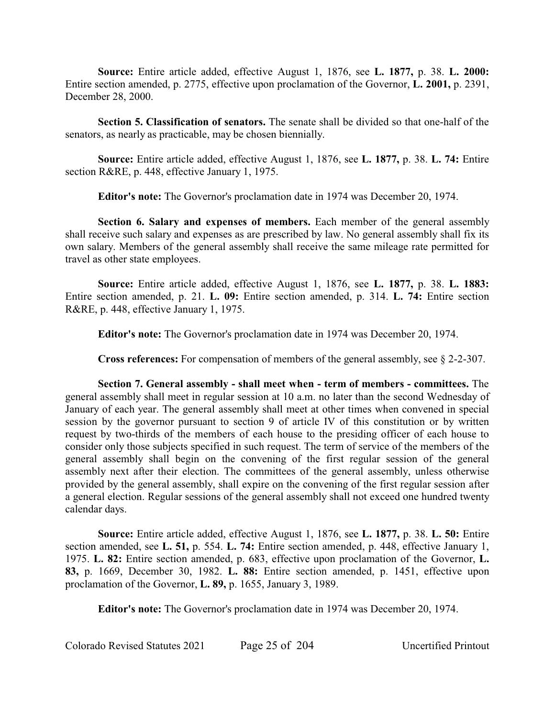**Source:** Entire article added, effective August 1, 1876, see **L. 1877,** p. 38. **L. 2000:** Entire section amended, p. 2775, effective upon proclamation of the Governor, **L. 2001,** p. 2391, December 28, 2000.

**Section 5. Classification of senators.** The senate shall be divided so that one-half of the senators, as nearly as practicable, may be chosen biennially.

**Source:** Entire article added, effective August 1, 1876, see **L. 1877,** p. 38. **L. 74:** Entire section R&RE, p. 448, effective January 1, 1975.

**Editor's note:** The Governor's proclamation date in 1974 was December 20, 1974.

**Section 6. Salary and expenses of members.** Each member of the general assembly shall receive such salary and expenses as are prescribed by law. No general assembly shall fix its own salary. Members of the general assembly shall receive the same mileage rate permitted for travel as other state employees.

**Source:** Entire article added, effective August 1, 1876, see **L. 1877,** p. 38. **L. 1883:** Entire section amended, p. 21. **L. 09:** Entire section amended, p. 314. **L. 74:** Entire section R&RE, p. 448, effective January 1, 1975.

**Editor's note:** The Governor's proclamation date in 1974 was December 20, 1974.

**Cross references:** For compensation of members of the general assembly, see § 2-2-307.

**Section 7. General assembly - shall meet when - term of members - committees.** The general assembly shall meet in regular session at 10 a.m. no later than the second Wednesday of January of each year. The general assembly shall meet at other times when convened in special session by the governor pursuant to section 9 of article IV of this constitution or by written request by two-thirds of the members of each house to the presiding officer of each house to consider only those subjects specified in such request. The term of service of the members of the general assembly shall begin on the convening of the first regular session of the general assembly next after their election. The committees of the general assembly, unless otherwise provided by the general assembly, shall expire on the convening of the first regular session after a general election. Regular sessions of the general assembly shall not exceed one hundred twenty calendar days.

**Source:** Entire article added, effective August 1, 1876, see **L. 1877,** p. 38. **L. 50:** Entire section amended, see **L. 51,** p. 554. **L. 74:** Entire section amended, p. 448, effective January 1, 1975. **L. 82:** Entire section amended, p. 683, effective upon proclamation of the Governor, **L. 83,** p. 1669, December 30, 1982. **L. 88:** Entire section amended, p. 1451, effective upon proclamation of the Governor, **L. 89,** p. 1655, January 3, 1989.

**Editor's note:** The Governor's proclamation date in 1974 was December 20, 1974.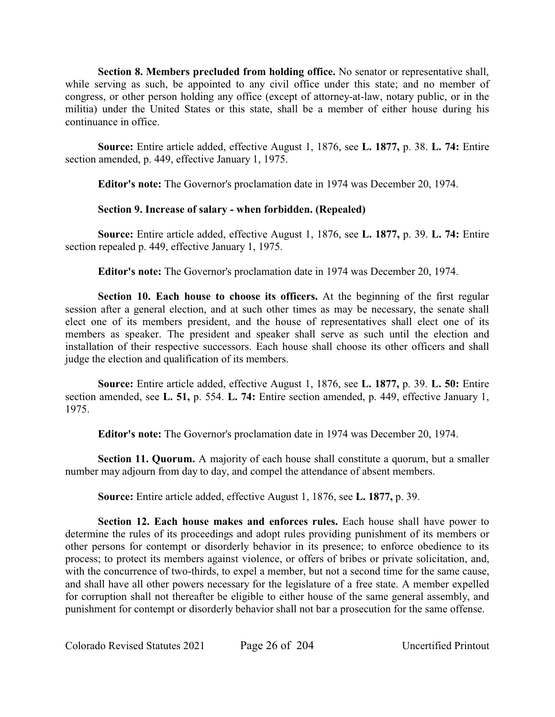**Section 8. Members precluded from holding office.** No senator or representative shall, while serving as such, be appointed to any civil office under this state; and no member of congress, or other person holding any office (except of attorney-at-law, notary public, or in the militia) under the United States or this state, shall be a member of either house during his continuance in office.

**Source:** Entire article added, effective August 1, 1876, see **L. 1877,** p. 38. **L. 74:** Entire section amended, p. 449, effective January 1, 1975.

**Editor's note:** The Governor's proclamation date in 1974 was December 20, 1974.

## **Section 9. Increase of salary - when forbidden. (Repealed)**

**Source:** Entire article added, effective August 1, 1876, see **L. 1877,** p. 39. **L. 74:** Entire section repealed p. 449, effective January 1, 1975.

**Editor's note:** The Governor's proclamation date in 1974 was December 20, 1974.

**Section 10. Each house to choose its officers.** At the beginning of the first regular session after a general election, and at such other times as may be necessary, the senate shall elect one of its members president, and the house of representatives shall elect one of its members as speaker. The president and speaker shall serve as such until the election and installation of their respective successors. Each house shall choose its other officers and shall judge the election and qualification of its members.

**Source:** Entire article added, effective August 1, 1876, see **L. 1877,** p. 39. **L. 50:** Entire section amended, see **L. 51,** p. 554. **L. 74:** Entire section amended, p. 449, effective January 1, 1975.

**Editor's note:** The Governor's proclamation date in 1974 was December 20, 1974.

**Section 11. Quorum.** A majority of each house shall constitute a quorum, but a smaller number may adjourn from day to day, and compel the attendance of absent members.

**Source:** Entire article added, effective August 1, 1876, see **L. 1877,** p. 39.

**Section 12. Each house makes and enforces rules.** Each house shall have power to determine the rules of its proceedings and adopt rules providing punishment of its members or other persons for contempt or disorderly behavior in its presence; to enforce obedience to its process; to protect its members against violence, or offers of bribes or private solicitation, and, with the concurrence of two-thirds, to expel a member, but not a second time for the same cause, and shall have all other powers necessary for the legislature of a free state. A member expelled for corruption shall not thereafter be eligible to either house of the same general assembly, and punishment for contempt or disorderly behavior shall not bar a prosecution for the same offense.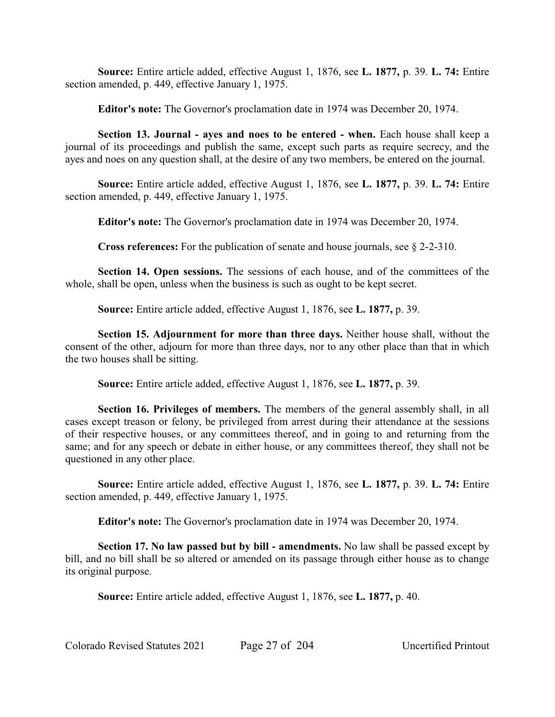**Source:** Entire article added, effective August 1, 1876, see **L. 1877,** p. 39. **L. 74:** Entire section amended, p. 449, effective January 1, 1975.

**Editor's note:** The Governor's proclamation date in 1974 was December 20, 1974.

**Section 13. Journal - ayes and noes to be entered - when.** Each house shall keep a journal of its proceedings and publish the same, except such parts as require secrecy, and the ayes and noes on any question shall, at the desire of any two members, be entered on the journal.

**Source:** Entire article added, effective August 1, 1876, see **L. 1877,** p. 39. **L. 74:** Entire section amended, p. 449, effective January 1, 1975.

**Editor's note:** The Governor's proclamation date in 1974 was December 20, 1974.

**Cross references:** For the publication of senate and house journals, see § 2-2-310.

**Section 14. Open sessions.** The sessions of each house, and of the committees of the whole, shall be open, unless when the business is such as ought to be kept secret.

**Source:** Entire article added, effective August 1, 1876, see **L. 1877,** p. 39.

**Section 15. Adjournment for more than three days.** Neither house shall, without the consent of the other, adjourn for more than three days, nor to any other place than that in which the two houses shall be sitting.

**Source:** Entire article added, effective August 1, 1876, see **L. 1877,** p. 39.

**Section 16. Privileges of members.** The members of the general assembly shall, in all cases except treason or felony, be privileged from arrest during their attendance at the sessions of their respective houses, or any committees thereof, and in going to and returning from the same; and for any speech or debate in either house, or any committees thereof, they shall not be questioned in any other place.

**Source:** Entire article added, effective August 1, 1876, see **L. 1877,** p. 39. **L. 74:** Entire section amended, p. 449, effective January 1, 1975.

**Editor's note:** The Governor's proclamation date in 1974 was December 20, 1974.

**Section 17. No law passed but by bill - amendments.** No law shall be passed except by bill, and no bill shall be so altered or amended on its passage through either house as to change its original purpose.

**Source:** Entire article added, effective August 1, 1876, see **L. 1877,** p. 40.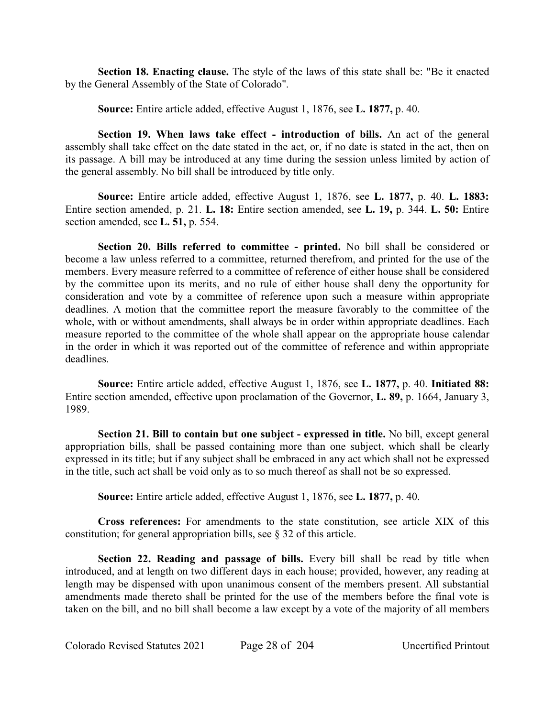**Section 18. Enacting clause.** The style of the laws of this state shall be: "Be it enacted by the General Assembly of the State of Colorado".

**Source:** Entire article added, effective August 1, 1876, see **L. 1877,** p. 40.

**Section 19. When laws take effect - introduction of bills.** An act of the general assembly shall take effect on the date stated in the act, or, if no date is stated in the act, then on its passage. A bill may be introduced at any time during the session unless limited by action of the general assembly. No bill shall be introduced by title only.

**Source:** Entire article added, effective August 1, 1876, see **L. 1877,** p. 40. **L. 1883:** Entire section amended, p. 21. **L. 18:** Entire section amended, see **L. 19,** p. 344. **L. 50:** Entire section amended, see **L. 51,** p. 554.

**Section 20. Bills referred to committee - printed.** No bill shall be considered or become a law unless referred to a committee, returned therefrom, and printed for the use of the members. Every measure referred to a committee of reference of either house shall be considered by the committee upon its merits, and no rule of either house shall deny the opportunity for consideration and vote by a committee of reference upon such a measure within appropriate deadlines. A motion that the committee report the measure favorably to the committee of the whole, with or without amendments, shall always be in order within appropriate deadlines. Each measure reported to the committee of the whole shall appear on the appropriate house calendar in the order in which it was reported out of the committee of reference and within appropriate deadlines.

**Source:** Entire article added, effective August 1, 1876, see **L. 1877,** p. 40. **Initiated 88:** Entire section amended, effective upon proclamation of the Governor, **L. 89,** p. 1664, January 3, 1989.

**Section 21. Bill to contain but one subject - expressed in title.** No bill, except general appropriation bills, shall be passed containing more than one subject, which shall be clearly expressed in its title; but if any subject shall be embraced in any act which shall not be expressed in the title, such act shall be void only as to so much thereof as shall not be so expressed.

**Source:** Entire article added, effective August 1, 1876, see **L. 1877,** p. 40.

**Cross references:** For amendments to the state constitution, see article XIX of this constitution; for general appropriation bills, see § 32 of this article.

**Section 22. Reading and passage of bills.** Every bill shall be read by title when introduced, and at length on two different days in each house; provided, however, any reading at length may be dispensed with upon unanimous consent of the members present. All substantial amendments made thereto shall be printed for the use of the members before the final vote is taken on the bill, and no bill shall become a law except by a vote of the majority of all members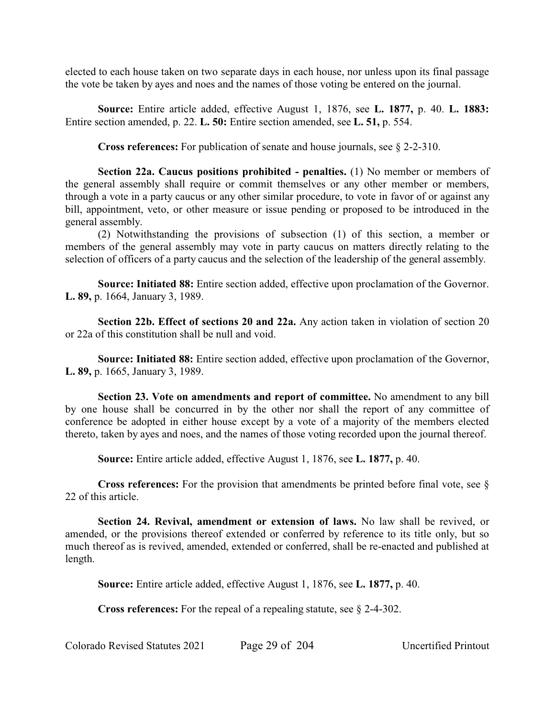elected to each house taken on two separate days in each house, nor unless upon its final passage the vote be taken by ayes and noes and the names of those voting be entered on the journal.

**Source:** Entire article added, effective August 1, 1876, see **L. 1877,** p. 40. **L. 1883:** Entire section amended, p. 22. **L. 50:** Entire section amended, see **L. 51,** p. 554.

**Cross references:** For publication of senate and house journals, see § 2-2-310.

**Section 22a. Caucus positions prohibited - penalties.** (1) No member or members of the general assembly shall require or commit themselves or any other member or members, through a vote in a party caucus or any other similar procedure, to vote in favor of or against any bill, appointment, veto, or other measure or issue pending or proposed to be introduced in the general assembly.

(2) Notwithstanding the provisions of subsection (1) of this section, a member or members of the general assembly may vote in party caucus on matters directly relating to the selection of officers of a party caucus and the selection of the leadership of the general assembly.

**Source: Initiated 88:** Entire section added, effective upon proclamation of the Governor. **L. 89,** p. 1664, January 3, 1989.

**Section 22b. Effect of sections 20 and 22a.** Any action taken in violation of section 20 or 22a of this constitution shall be null and void.

**Source: Initiated 88:** Entire section added, effective upon proclamation of the Governor, **L. 89,** p. 1665, January 3, 1989.

**Section 23. Vote on amendments and report of committee.** No amendment to any bill by one house shall be concurred in by the other nor shall the report of any committee of conference be adopted in either house except by a vote of a majority of the members elected thereto, taken by ayes and noes, and the names of those voting recorded upon the journal thereof.

**Source:** Entire article added, effective August 1, 1876, see **L. 1877,** p. 40.

**Cross references:** For the provision that amendments be printed before final vote, see § 22 of this article

**Section 24. Revival, amendment or extension of laws.** No law shall be revived, or amended, or the provisions thereof extended or conferred by reference to its title only, but so much thereof as is revived, amended, extended or conferred, shall be re-enacted and published at length.

**Source:** Entire article added, effective August 1, 1876, see **L. 1877,** p. 40.

**Cross references:** For the repeal of a repealing statute, see § 2-4-302.

Colorado Revised Statutes 2021 Page 29 of 204 Uncertified Printout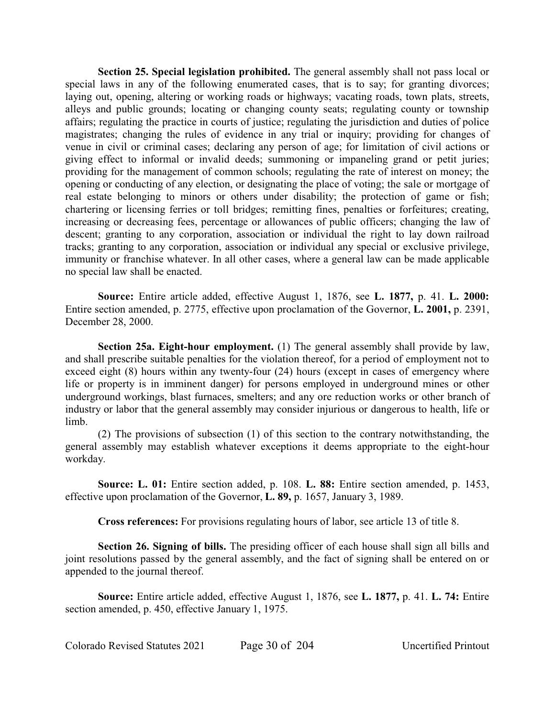**Section 25. Special legislation prohibited.** The general assembly shall not pass local or special laws in any of the following enumerated cases, that is to say; for granting divorces; laying out, opening, altering or working roads or highways; vacating roads, town plats, streets, alleys and public grounds; locating or changing county seats; regulating county or township affairs; regulating the practice in courts of justice; regulating the jurisdiction and duties of police magistrates; changing the rules of evidence in any trial or inquiry; providing for changes of venue in civil or criminal cases; declaring any person of age; for limitation of civil actions or giving effect to informal or invalid deeds; summoning or impaneling grand or petit juries; providing for the management of common schools; regulating the rate of interest on money; the opening or conducting of any election, or designating the place of voting; the sale or mortgage of real estate belonging to minors or others under disability; the protection of game or fish; chartering or licensing ferries or toll bridges; remitting fines, penalties or forfeitures; creating, increasing or decreasing fees, percentage or allowances of public officers; changing the law of descent; granting to any corporation, association or individual the right to lay down railroad tracks; granting to any corporation, association or individual any special or exclusive privilege, immunity or franchise whatever. In all other cases, where a general law can be made applicable no special law shall be enacted.

**Source:** Entire article added, effective August 1, 1876, see **L. 1877,** p. 41. **L. 2000:** Entire section amended, p. 2775, effective upon proclamation of the Governor, **L. 2001,** p. 2391, December 28, 2000.

**Section 25a. Eight-hour employment.** (1) The general assembly shall provide by law, and shall prescribe suitable penalties for the violation thereof, for a period of employment not to exceed eight (8) hours within any twenty-four (24) hours (except in cases of emergency where life or property is in imminent danger) for persons employed in underground mines or other underground workings, blast furnaces, smelters; and any ore reduction works or other branch of industry or labor that the general assembly may consider injurious or dangerous to health, life or limb.

(2) The provisions of subsection (1) of this section to the contrary notwithstanding, the general assembly may establish whatever exceptions it deems appropriate to the eight-hour workday.

**Source: L. 01:** Entire section added, p. 108. **L. 88:** Entire section amended, p. 1453, effective upon proclamation of the Governor, **L. 89,** p. 1657, January 3, 1989.

**Cross references:** For provisions regulating hours of labor, see article 13 of title 8.

**Section 26. Signing of bills.** The presiding officer of each house shall sign all bills and joint resolutions passed by the general assembly, and the fact of signing shall be entered on or appended to the journal thereof.

**Source:** Entire article added, effective August 1, 1876, see **L. 1877,** p. 41. **L. 74:** Entire section amended, p. 450, effective January 1, 1975.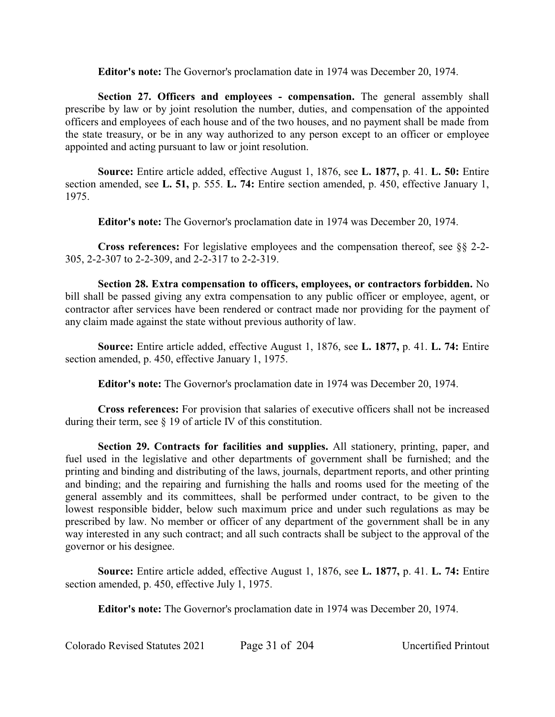**Editor's note:** The Governor's proclamation date in 1974 was December 20, 1974.

**Section 27. Officers and employees - compensation.** The general assembly shall prescribe by law or by joint resolution the number, duties, and compensation of the appointed officers and employees of each house and of the two houses, and no payment shall be made from the state treasury, or be in any way authorized to any person except to an officer or employee appointed and acting pursuant to law or joint resolution.

**Source:** Entire article added, effective August 1, 1876, see **L. 1877,** p. 41. **L. 50:** Entire section amended, see **L. 51,** p. 555. **L. 74:** Entire section amended, p. 450, effective January 1, 1975.

**Editor's note:** The Governor's proclamation date in 1974 was December 20, 1974.

**Cross references:** For legislative employees and the compensation thereof, see §§ 2-2- 305, 2-2-307 to 2-2-309, and 2-2-317 to 2-2-319.

**Section 28. Extra compensation to officers, employees, or contractors forbidden.** No bill shall be passed giving any extra compensation to any public officer or employee, agent, or contractor after services have been rendered or contract made nor providing for the payment of any claim made against the state without previous authority of law.

**Source:** Entire article added, effective August 1, 1876, see **L. 1877,** p. 41. **L. 74:** Entire section amended, p. 450, effective January 1, 1975.

**Editor's note:** The Governor's proclamation date in 1974 was December 20, 1974.

**Cross references:** For provision that salaries of executive officers shall not be increased during their term, see § 19 of article IV of this constitution.

**Section 29. Contracts for facilities and supplies.** All stationery, printing, paper, and fuel used in the legislative and other departments of government shall be furnished; and the printing and binding and distributing of the laws, journals, department reports, and other printing and binding; and the repairing and furnishing the halls and rooms used for the meeting of the general assembly and its committees, shall be performed under contract, to be given to the lowest responsible bidder, below such maximum price and under such regulations as may be prescribed by law. No member or officer of any department of the government shall be in any way interested in any such contract; and all such contracts shall be subject to the approval of the governor or his designee.

**Source:** Entire article added, effective August 1, 1876, see **L. 1877,** p. 41. **L. 74:** Entire section amended, p. 450, effective July 1, 1975.

**Editor's note:** The Governor's proclamation date in 1974 was December 20, 1974.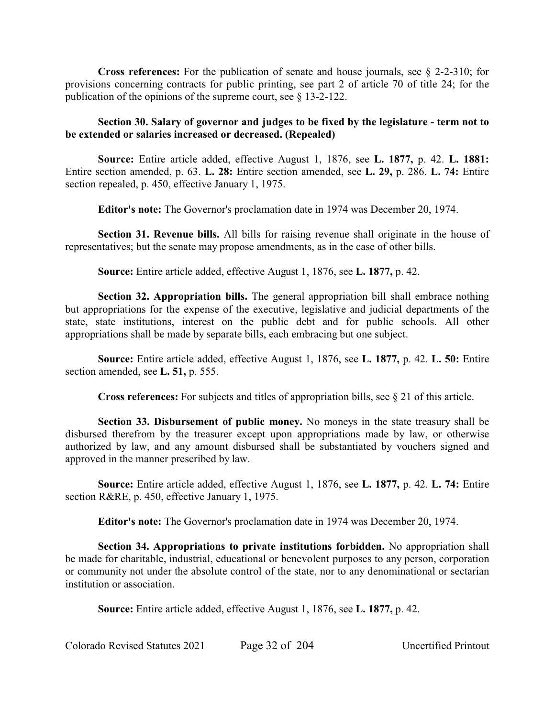**Cross references:** For the publication of senate and house journals, see  $\S$  2-2-310; for provisions concerning contracts for public printing, see part 2 of article 70 of title 24; for the publication of the opinions of the supreme court, see § 13-2-122.

## **Section 30. Salary of governor and judges to be fixed by the legislature - term not to be extended or salaries increased or decreased. (Repealed)**

**Source:** Entire article added, effective August 1, 1876, see **L. 1877,** p. 42. **L. 1881:** Entire section amended, p. 63. **L. 28:** Entire section amended, see **L. 29,** p. 286. **L. 74:** Entire section repealed, p. 450, effective January 1, 1975.

**Editor's note:** The Governor's proclamation date in 1974 was December 20, 1974.

**Section 31. Revenue bills.** All bills for raising revenue shall originate in the house of representatives; but the senate may propose amendments, as in the case of other bills.

**Source:** Entire article added, effective August 1, 1876, see **L. 1877,** p. 42.

**Section 32. Appropriation bills.** The general appropriation bill shall embrace nothing but appropriations for the expense of the executive, legislative and judicial departments of the state, state institutions, interest on the public debt and for public schools. All other appropriations shall be made by separate bills, each embracing but one subject.

**Source:** Entire article added, effective August 1, 1876, see **L. 1877,** p. 42. **L. 50:** Entire section amended, see **L. 51,** p. 555.

**Cross references:** For subjects and titles of appropriation bills, see § 21 of this article.

**Section 33. Disbursement of public money.** No moneys in the state treasury shall be disbursed therefrom by the treasurer except upon appropriations made by law, or otherwise authorized by law, and any amount disbursed shall be substantiated by vouchers signed and approved in the manner prescribed by law.

**Source:** Entire article added, effective August 1, 1876, see **L. 1877,** p. 42. **L. 74:** Entire section R&RE, p. 450, effective January 1, 1975.

**Editor's note:** The Governor's proclamation date in 1974 was December 20, 1974.

**Section 34. Appropriations to private institutions forbidden.** No appropriation shall be made for charitable, industrial, educational or benevolent purposes to any person, corporation or community not under the absolute control of the state, nor to any denominational or sectarian institution or association.

**Source:** Entire article added, effective August 1, 1876, see **L. 1877,** p. 42.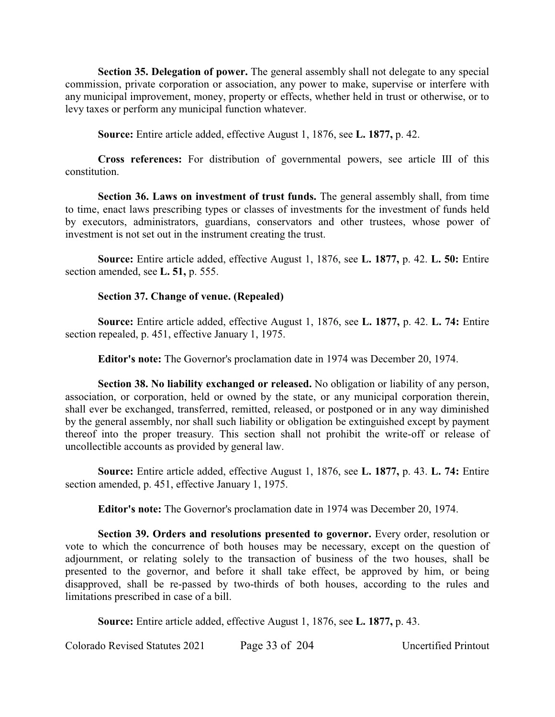**Section 35. Delegation of power.** The general assembly shall not delegate to any special commission, private corporation or association, any power to make, supervise or interfere with any municipal improvement, money, property or effects, whether held in trust or otherwise, or to levy taxes or perform any municipal function whatever.

**Source:** Entire article added, effective August 1, 1876, see **L. 1877,** p. 42.

**Cross references:** For distribution of governmental powers, see article III of this constitution.

**Section 36. Laws on investment of trust funds.** The general assembly shall, from time to time, enact laws prescribing types or classes of investments for the investment of funds held by executors, administrators, guardians, conservators and other trustees, whose power of investment is not set out in the instrument creating the trust.

**Source:** Entire article added, effective August 1, 1876, see **L. 1877,** p. 42. **L. 50:** Entire section amended, see **L. 51,** p. 555.

### **Section 37. Change of venue. (Repealed)**

**Source:** Entire article added, effective August 1, 1876, see **L. 1877,** p. 42. **L. 74:** Entire section repealed, p. 451, effective January 1, 1975.

**Editor's note:** The Governor's proclamation date in 1974 was December 20, 1974.

**Section 38. No liability exchanged or released.** No obligation or liability of any person, association, or corporation, held or owned by the state, or any municipal corporation therein, shall ever be exchanged, transferred, remitted, released, or postponed or in any way diminished by the general assembly, nor shall such liability or obligation be extinguished except by payment thereof into the proper treasury. This section shall not prohibit the write-off or release of uncollectible accounts as provided by general law.

**Source:** Entire article added, effective August 1, 1876, see **L. 1877,** p. 43. **L. 74:** Entire section amended, p. 451, effective January 1, 1975.

**Editor's note:** The Governor's proclamation date in 1974 was December 20, 1974.

**Section 39. Orders and resolutions presented to governor.** Every order, resolution or vote to which the concurrence of both houses may be necessary, except on the question of adjournment, or relating solely to the transaction of business of the two houses, shall be presented to the governor, and before it shall take effect, be approved by him, or being disapproved, shall be re-passed by two-thirds of both houses, according to the rules and limitations prescribed in case of a bill.

**Source:** Entire article added, effective August 1, 1876, see **L. 1877,** p. 43.

Colorado Revised Statutes 2021 Page 33 of 204 Uncertified Printout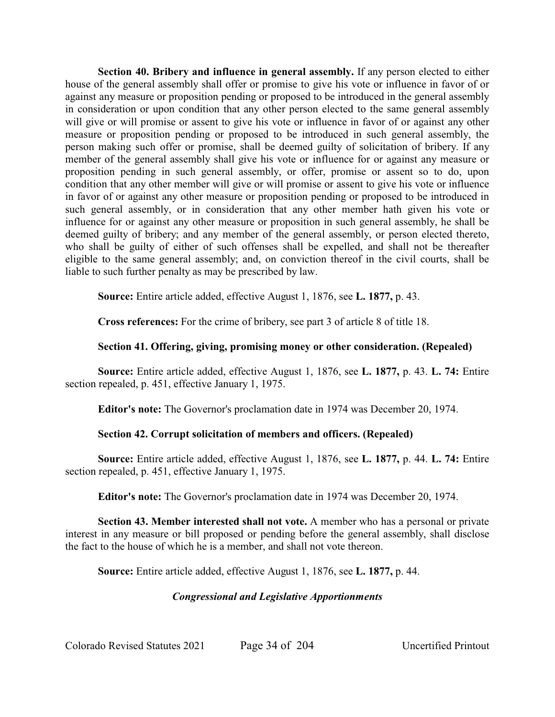**Section 40. Bribery and influence in general assembly.** If any person elected to either house of the general assembly shall offer or promise to give his vote or influence in favor of or against any measure or proposition pending or proposed to be introduced in the general assembly in consideration or upon condition that any other person elected to the same general assembly will give or will promise or assent to give his vote or influence in favor of or against any other measure or proposition pending or proposed to be introduced in such general assembly, the person making such offer or promise, shall be deemed guilty of solicitation of bribery. If any member of the general assembly shall give his vote or influence for or against any measure or proposition pending in such general assembly, or offer, promise or assent so to do, upon condition that any other member will give or will promise or assent to give his vote or influence in favor of or against any other measure or proposition pending or proposed to be introduced in such general assembly, or in consideration that any other member hath given his vote or influence for or against any other measure or proposition in such general assembly, he shall be deemed guilty of bribery; and any member of the general assembly, or person elected thereto, who shall be guilty of either of such offenses shall be expelled, and shall not be thereafter eligible to the same general assembly; and, on conviction thereof in the civil courts, shall be liable to such further penalty as may be prescribed by law.

**Source:** Entire article added, effective August 1, 1876, see **L. 1877,** p. 43.

**Cross references:** For the crime of bribery, see part 3 of article 8 of title 18.

## **Section 41. Offering, giving, promising money or other consideration. (Repealed)**

**Source:** Entire article added, effective August 1, 1876, see **L. 1877,** p. 43. **L. 74:** Entire section repealed, p. 451, effective January 1, 1975.

**Editor's note:** The Governor's proclamation date in 1974 was December 20, 1974.

## **Section 42. Corrupt solicitation of members and officers. (Repealed)**

**Source:** Entire article added, effective August 1, 1876, see **L. 1877,** p. 44. **L. 74:** Entire section repealed, p. 451, effective January 1, 1975.

**Editor's note:** The Governor's proclamation date in 1974 was December 20, 1974.

**Section 43. Member interested shall not vote.** A member who has a personal or private interest in any measure or bill proposed or pending before the general assembly, shall disclose the fact to the house of which he is a member, and shall not vote thereon.

**Source:** Entire article added, effective August 1, 1876, see **L. 1877,** p. 44.

## *Congressional and Legislative Apportionments*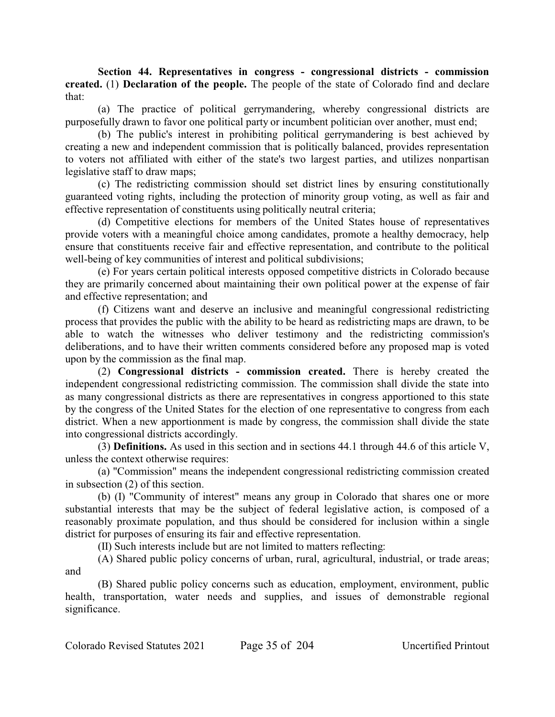**Section 44. Representatives in congress - congressional districts - commission created.** (1) **Declaration of the people.** The people of the state of Colorado find and declare that:

(a) The practice of political gerrymandering, whereby congressional districts are purposefully drawn to favor one political party or incumbent politician over another, must end;

(b) The public's interest in prohibiting political gerrymandering is best achieved by creating a new and independent commission that is politically balanced, provides representation to voters not affiliated with either of the state's two largest parties, and utilizes nonpartisan legislative staff to draw maps;

(c) The redistricting commission should set district lines by ensuring constitutionally guaranteed voting rights, including the protection of minority group voting, as well as fair and effective representation of constituents using politically neutral criteria;

(d) Competitive elections for members of the United States house of representatives provide voters with a meaningful choice among candidates, promote a healthy democracy, help ensure that constituents receive fair and effective representation, and contribute to the political well-being of key communities of interest and political subdivisions;

(e) For years certain political interests opposed competitive districts in Colorado because they are primarily concerned about maintaining their own political power at the expense of fair and effective representation; and

(f) Citizens want and deserve an inclusive and meaningful congressional redistricting process that provides the public with the ability to be heard as redistricting maps are drawn, to be able to watch the witnesses who deliver testimony and the redistricting commission's deliberations, and to have their written comments considered before any proposed map is voted upon by the commission as the final map.

(2) **Congressional districts - commission created.** There is hereby created the independent congressional redistricting commission. The commission shall divide the state into as many congressional districts as there are representatives in congress apportioned to this state by the congress of the United States for the election of one representative to congress from each district. When a new apportionment is made by congress, the commission shall divide the state into congressional districts accordingly.

(3) **Definitions.** As used in this section and in sections 44.1 through 44.6 of this article V, unless the context otherwise requires:

(a) "Commission" means the independent congressional redistricting commission created in subsection (2) of this section.

(b) (I) "Community of interest" means any group in Colorado that shares one or more substantial interests that may be the subject of federal legislative action, is composed of a reasonably proximate population, and thus should be considered for inclusion within a single district for purposes of ensuring its fair and effective representation.

(II) Such interests include but are not limited to matters reflecting:

(A) Shared public policy concerns of urban, rural, agricultural, industrial, or trade areas; and

(B) Shared public policy concerns such as education, employment, environment, public health, transportation, water needs and supplies, and issues of demonstrable regional significance.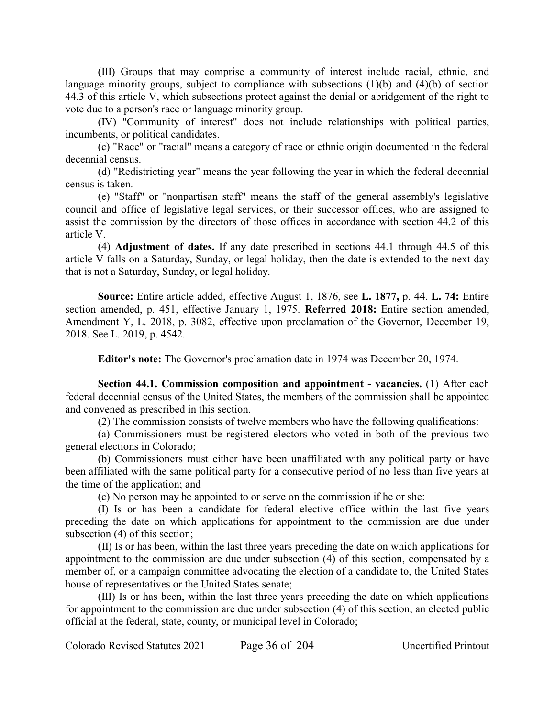(III) Groups that may comprise a community of interest include racial, ethnic, and language minority groups, subject to compliance with subsections (1)(b) and (4)(b) of section 44.3 of this article V, which subsections protect against the denial or abridgement of the right to vote due to a person's race or language minority group.

(IV) "Community of interest" does not include relationships with political parties, incumbents, or political candidates.

(c) "Race" or "racial" means a category of race or ethnic origin documented in the federal decennial census.

(d) "Redistricting year" means the year following the year in which the federal decennial census is taken.

(e) "Staff" or "nonpartisan staff" means the staff of the general assembly's legislative council and office of legislative legal services, or their successor offices, who are assigned to assist the commission by the directors of those offices in accordance with section 44.2 of this article V.

(4) **Adjustment of dates.** If any date prescribed in sections 44.1 through 44.5 of this article V falls on a Saturday, Sunday, or legal holiday, then the date is extended to the next day that is not a Saturday, Sunday, or legal holiday.

**Source:** Entire article added, effective August 1, 1876, see **L. 1877,** p. 44. **L. 74:** Entire section amended, p. 451, effective January 1, 1975. **Referred 2018:** Entire section amended, Amendment Y, L. 2018, p. 3082, effective upon proclamation of the Governor, December 19, 2018. See L. 2019, p. 4542.

**Editor's note:** The Governor's proclamation date in 1974 was December 20, 1974.

**Section 44.1. Commission composition and appointment - vacancies.** (1) After each federal decennial census of the United States, the members of the commission shall be appointed and convened as prescribed in this section.

(2) The commission consists of twelve members who have the following qualifications:

(a) Commissioners must be registered electors who voted in both of the previous two general elections in Colorado;

(b) Commissioners must either have been unaffiliated with any political party or have been affiliated with the same political party for a consecutive period of no less than five years at the time of the application; and

(c) No person may be appointed to or serve on the commission if he or she:

(I) Is or has been a candidate for federal elective office within the last five years preceding the date on which applications for appointment to the commission are due under subsection (4) of this section;

(II) Is or has been, within the last three years preceding the date on which applications for appointment to the commission are due under subsection (4) of this section, compensated by a member of, or a campaign committee advocating the election of a candidate to, the United States house of representatives or the United States senate;

(III) Is or has been, within the last three years preceding the date on which applications for appointment to the commission are due under subsection (4) of this section, an elected public official at the federal, state, county, or municipal level in Colorado;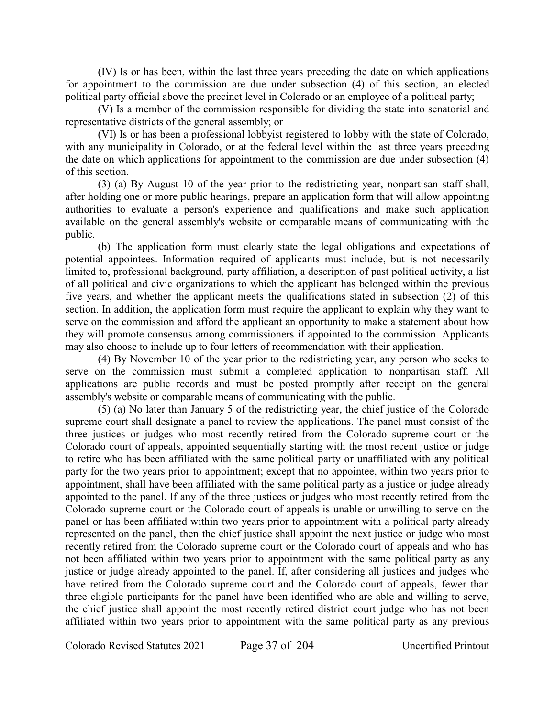(IV) Is or has been, within the last three years preceding the date on which applications for appointment to the commission are due under subsection (4) of this section, an elected political party official above the precinct level in Colorado or an employee of a political party;

(V) Is a member of the commission responsible for dividing the state into senatorial and representative districts of the general assembly; or

(VI) Is or has been a professional lobbyist registered to lobby with the state of Colorado, with any municipality in Colorado, or at the federal level within the last three years preceding the date on which applications for appointment to the commission are due under subsection (4) of this section.

(3) (a) By August 10 of the year prior to the redistricting year, nonpartisan staff shall, after holding one or more public hearings, prepare an application form that will allow appointing authorities to evaluate a person's experience and qualifications and make such application available on the general assembly's website or comparable means of communicating with the public.

(b) The application form must clearly state the legal obligations and expectations of potential appointees. Information required of applicants must include, but is not necessarily limited to, professional background, party affiliation, a description of past political activity, a list of all political and civic organizations to which the applicant has belonged within the previous five years, and whether the applicant meets the qualifications stated in subsection (2) of this section. In addition, the application form must require the applicant to explain why they want to serve on the commission and afford the applicant an opportunity to make a statement about how they will promote consensus among commissioners if appointed to the commission. Applicants may also choose to include up to four letters of recommendation with their application.

(4) By November 10 of the year prior to the redistricting year, any person who seeks to serve on the commission must submit a completed application to nonpartisan staff. All applications are public records and must be posted promptly after receipt on the general assembly's website or comparable means of communicating with the public.

(5) (a) No later than January 5 of the redistricting year, the chief justice of the Colorado supreme court shall designate a panel to review the applications. The panel must consist of the three justices or judges who most recently retired from the Colorado supreme court or the Colorado court of appeals, appointed sequentially starting with the most recent justice or judge to retire who has been affiliated with the same political party or unaffiliated with any political party for the two years prior to appointment; except that no appointee, within two years prior to appointment, shall have been affiliated with the same political party as a justice or judge already appointed to the panel. If any of the three justices or judges who most recently retired from the Colorado supreme court or the Colorado court of appeals is unable or unwilling to serve on the panel or has been affiliated within two years prior to appointment with a political party already represented on the panel, then the chief justice shall appoint the next justice or judge who most recently retired from the Colorado supreme court or the Colorado court of appeals and who has not been affiliated within two years prior to appointment with the same political party as any justice or judge already appointed to the panel. If, after considering all justices and judges who have retired from the Colorado supreme court and the Colorado court of appeals, fewer than three eligible participants for the panel have been identified who are able and willing to serve, the chief justice shall appoint the most recently retired district court judge who has not been affiliated within two years prior to appointment with the same political party as any previous

Colorado Revised Statutes 2021 Page 37 of 204 Uncertified Printout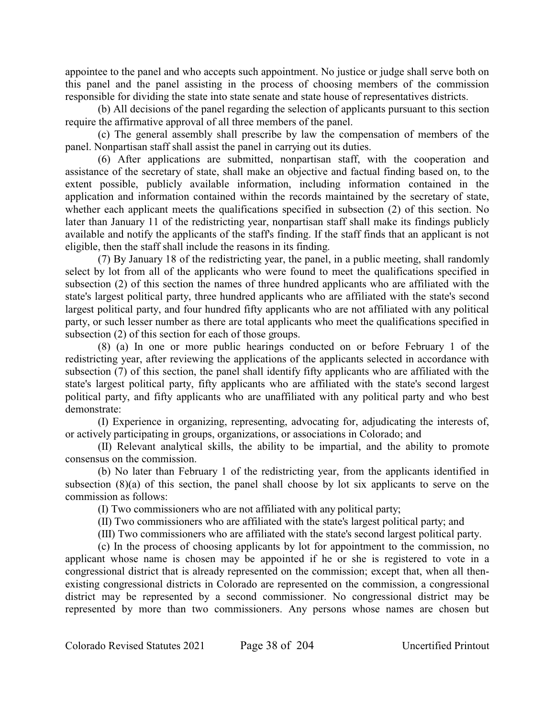appointee to the panel and who accepts such appointment. No justice or judge shall serve both on this panel and the panel assisting in the process of choosing members of the commission responsible for dividing the state into state senate and state house of representatives districts.

(b) All decisions of the panel regarding the selection of applicants pursuant to this section require the affirmative approval of all three members of the panel.

(c) The general assembly shall prescribe by law the compensation of members of the panel. Nonpartisan staff shall assist the panel in carrying out its duties.

(6) After applications are submitted, nonpartisan staff, with the cooperation and assistance of the secretary of state, shall make an objective and factual finding based on, to the extent possible, publicly available information, including information contained in the application and information contained within the records maintained by the secretary of state, whether each applicant meets the qualifications specified in subsection (2) of this section. No later than January 11 of the redistricting year, nonpartisan staff shall make its findings publicly available and notify the applicants of the staff's finding. If the staff finds that an applicant is not eligible, then the staff shall include the reasons in its finding.

(7) By January 18 of the redistricting year, the panel, in a public meeting, shall randomly select by lot from all of the applicants who were found to meet the qualifications specified in subsection (2) of this section the names of three hundred applicants who are affiliated with the state's largest political party, three hundred applicants who are affiliated with the state's second largest political party, and four hundred fifty applicants who are not affiliated with any political party, or such lesser number as there are total applicants who meet the qualifications specified in subsection (2) of this section for each of those groups.

(8) (a) In one or more public hearings conducted on or before February 1 of the redistricting year, after reviewing the applications of the applicants selected in accordance with subsection (7) of this section, the panel shall identify fifty applicants who are affiliated with the state's largest political party, fifty applicants who are affiliated with the state's second largest political party, and fifty applicants who are unaffiliated with any political party and who best demonstrate:

(I) Experience in organizing, representing, advocating for, adjudicating the interests of, or actively participating in groups, organizations, or associations in Colorado; and

(II) Relevant analytical skills, the ability to be impartial, and the ability to promote consensus on the commission.

(b) No later than February 1 of the redistricting year, from the applicants identified in subsection (8)(a) of this section, the panel shall choose by lot six applicants to serve on the commission as follows:

(I) Two commissioners who are not affiliated with any political party;

(II) Two commissioners who are affiliated with the state's largest political party; and

(III) Two commissioners who are affiliated with the state's second largest political party.

(c) In the process of choosing applicants by lot for appointment to the commission, no applicant whose name is chosen may be appointed if he or she is registered to vote in a congressional district that is already represented on the commission; except that, when all thenexisting congressional districts in Colorado are represented on the commission, a congressional district may be represented by a second commissioner. No congressional district may be represented by more than two commissioners. Any persons whose names are chosen but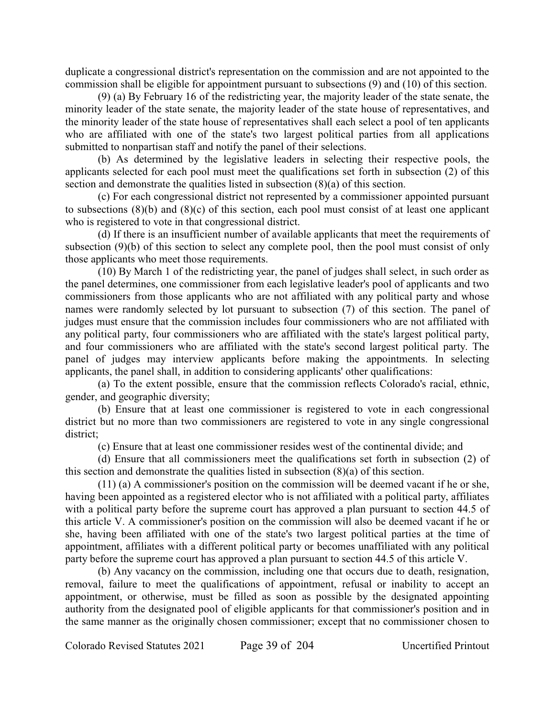duplicate a congressional district's representation on the commission and are not appointed to the commission shall be eligible for appointment pursuant to subsections (9) and (10) of this section.

(9) (a) By February 16 of the redistricting year, the majority leader of the state senate, the minority leader of the state senate, the majority leader of the state house of representatives, and the minority leader of the state house of representatives shall each select a pool of ten applicants who are affiliated with one of the state's two largest political parties from all applications submitted to nonpartisan staff and notify the panel of their selections.

(b) As determined by the legislative leaders in selecting their respective pools, the applicants selected for each pool must meet the qualifications set forth in subsection (2) of this section and demonstrate the qualities listed in subsection (8)(a) of this section.

(c) For each congressional district not represented by a commissioner appointed pursuant to subsections (8)(b) and (8)(c) of this section, each pool must consist of at least one applicant who is registered to vote in that congressional district.

(d) If there is an insufficient number of available applicants that meet the requirements of subsection (9)(b) of this section to select any complete pool, then the pool must consist of only those applicants who meet those requirements.

(10) By March 1 of the redistricting year, the panel of judges shall select, in such order as the panel determines, one commissioner from each legislative leader's pool of applicants and two commissioners from those applicants who are not affiliated with any political party and whose names were randomly selected by lot pursuant to subsection (7) of this section. The panel of judges must ensure that the commission includes four commissioners who are not affiliated with any political party, four commissioners who are affiliated with the state's largest political party, and four commissioners who are affiliated with the state's second largest political party. The panel of judges may interview applicants before making the appointments. In selecting applicants, the panel shall, in addition to considering applicants' other qualifications:

(a) To the extent possible, ensure that the commission reflects Colorado's racial, ethnic, gender, and geographic diversity;

(b) Ensure that at least one commissioner is registered to vote in each congressional district but no more than two commissioners are registered to vote in any single congressional district;

(c) Ensure that at least one commissioner resides west of the continental divide; and

(d) Ensure that all commissioners meet the qualifications set forth in subsection (2) of this section and demonstrate the qualities listed in subsection (8)(a) of this section.

(11) (a) A commissioner's position on the commission will be deemed vacant if he or she, having been appointed as a registered elector who is not affiliated with a political party, affiliates with a political party before the supreme court has approved a plan pursuant to section 44.5 of this article V. A commissioner's position on the commission will also be deemed vacant if he or she, having been affiliated with one of the state's two largest political parties at the time of appointment, affiliates with a different political party or becomes unaffiliated with any political party before the supreme court has approved a plan pursuant to section 44.5 of this article V.

(b) Any vacancy on the commission, including one that occurs due to death, resignation, removal, failure to meet the qualifications of appointment, refusal or inability to accept an appointment, or otherwise, must be filled as soon as possible by the designated appointing authority from the designated pool of eligible applicants for that commissioner's position and in the same manner as the originally chosen commissioner; except that no commissioner chosen to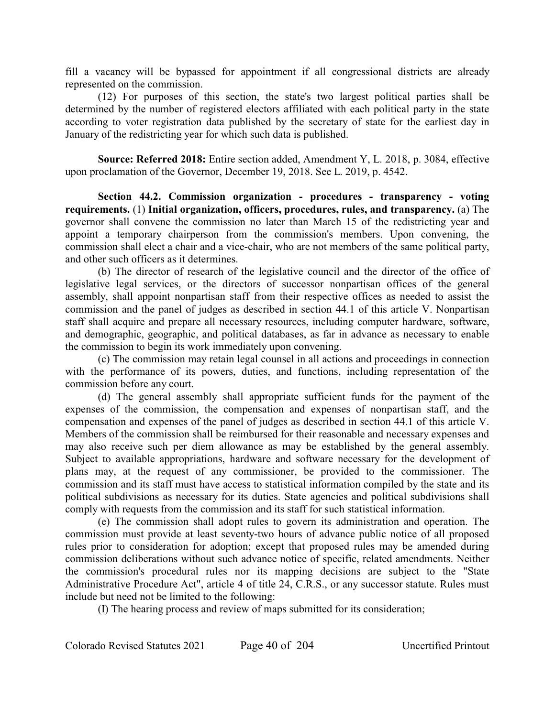fill a vacancy will be bypassed for appointment if all congressional districts are already represented on the commission.

(12) For purposes of this section, the state's two largest political parties shall be determined by the number of registered electors affiliated with each political party in the state according to voter registration data published by the secretary of state for the earliest day in January of the redistricting year for which such data is published.

**Source: Referred 2018:** Entire section added, Amendment Y, L. 2018, p. 3084, effective upon proclamation of the Governor, December 19, 2018. See L. 2019, p. 4542.

**Section 44.2. Commission organization - procedures - transparency - voting requirements.** (1) **Initial organization, officers, procedures, rules, and transparency.** (a) The governor shall convene the commission no later than March 15 of the redistricting year and appoint a temporary chairperson from the commission's members. Upon convening, the commission shall elect a chair and a vice-chair, who are not members of the same political party, and other such officers as it determines.

(b) The director of research of the legislative council and the director of the office of legislative legal services, or the directors of successor nonpartisan offices of the general assembly, shall appoint nonpartisan staff from their respective offices as needed to assist the commission and the panel of judges as described in section 44.1 of this article V. Nonpartisan staff shall acquire and prepare all necessary resources, including computer hardware, software, and demographic, geographic, and political databases, as far in advance as necessary to enable the commission to begin its work immediately upon convening.

(c) The commission may retain legal counsel in all actions and proceedings in connection with the performance of its powers, duties, and functions, including representation of the commission before any court.

(d) The general assembly shall appropriate sufficient funds for the payment of the expenses of the commission, the compensation and expenses of nonpartisan staff, and the compensation and expenses of the panel of judges as described in section 44.1 of this article V. Members of the commission shall be reimbursed for their reasonable and necessary expenses and may also receive such per diem allowance as may be established by the general assembly. Subject to available appropriations, hardware and software necessary for the development of plans may, at the request of any commissioner, be provided to the commissioner. The commission and its staff must have access to statistical information compiled by the state and its political subdivisions as necessary for its duties. State agencies and political subdivisions shall comply with requests from the commission and its staff for such statistical information.

(e) The commission shall adopt rules to govern its administration and operation. The commission must provide at least seventy-two hours of advance public notice of all proposed rules prior to consideration for adoption; except that proposed rules may be amended during commission deliberations without such advance notice of specific, related amendments. Neither the commission's procedural rules nor its mapping decisions are subject to the "State Administrative Procedure Act", article 4 of title 24, C.R.S., or any successor statute. Rules must include but need not be limited to the following:

(I) The hearing process and review of maps submitted for its consideration;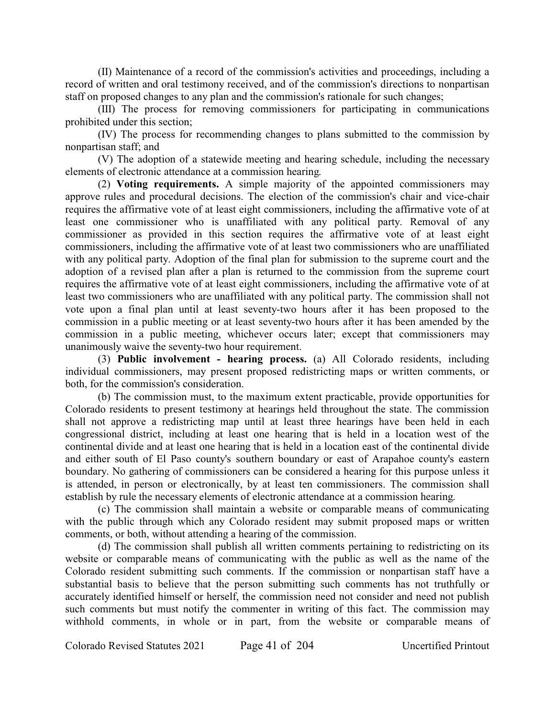(II) Maintenance of a record of the commission's activities and proceedings, including a record of written and oral testimony received, and of the commission's directions to nonpartisan staff on proposed changes to any plan and the commission's rationale for such changes;

(III) The process for removing commissioners for participating in communications prohibited under this section;

(IV) The process for recommending changes to plans submitted to the commission by nonpartisan staff; and

(V) The adoption of a statewide meeting and hearing schedule, including the necessary elements of electronic attendance at a commission hearing.

(2) **Voting requirements.** A simple majority of the appointed commissioners may approve rules and procedural decisions. The election of the commission's chair and vice-chair requires the affirmative vote of at least eight commissioners, including the affirmative vote of at least one commissioner who is unaffiliated with any political party. Removal of any commissioner as provided in this section requires the affirmative vote of at least eight commissioners, including the affirmative vote of at least two commissioners who are unaffiliated with any political party. Adoption of the final plan for submission to the supreme court and the adoption of a revised plan after a plan is returned to the commission from the supreme court requires the affirmative vote of at least eight commissioners, including the affirmative vote of at least two commissioners who are unaffiliated with any political party. The commission shall not vote upon a final plan until at least seventy-two hours after it has been proposed to the commission in a public meeting or at least seventy-two hours after it has been amended by the commission in a public meeting, whichever occurs later; except that commissioners may unanimously waive the seventy-two hour requirement.

(3) **Public involvement - hearing process.** (a) All Colorado residents, including individual commissioners, may present proposed redistricting maps or written comments, or both, for the commission's consideration.

(b) The commission must, to the maximum extent practicable, provide opportunities for Colorado residents to present testimony at hearings held throughout the state. The commission shall not approve a redistricting map until at least three hearings have been held in each congressional district, including at least one hearing that is held in a location west of the continental divide and at least one hearing that is held in a location east of the continental divide and either south of El Paso county's southern boundary or east of Arapahoe county's eastern boundary. No gathering of commissioners can be considered a hearing for this purpose unless it is attended, in person or electronically, by at least ten commissioners. The commission shall establish by rule the necessary elements of electronic attendance at a commission hearing.

(c) The commission shall maintain a website or comparable means of communicating with the public through which any Colorado resident may submit proposed maps or written comments, or both, without attending a hearing of the commission.

(d) The commission shall publish all written comments pertaining to redistricting on its website or comparable means of communicating with the public as well as the name of the Colorado resident submitting such comments. If the commission or nonpartisan staff have a substantial basis to believe that the person submitting such comments has not truthfully or accurately identified himself or herself, the commission need not consider and need not publish such comments but must notify the commenter in writing of this fact. The commission may withhold comments, in whole or in part, from the website or comparable means of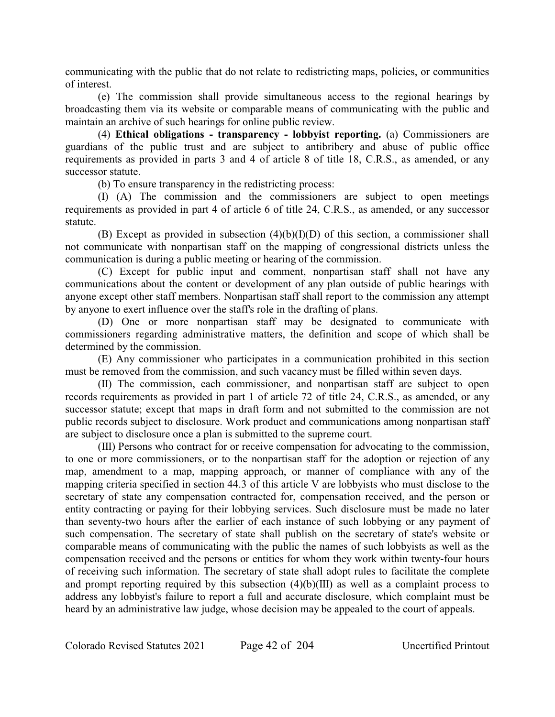communicating with the public that do not relate to redistricting maps, policies, or communities of interest.

(e) The commission shall provide simultaneous access to the regional hearings by broadcasting them via its website or comparable means of communicating with the public and maintain an archive of such hearings for online public review.

(4) **Ethical obligations - transparency - lobbyist reporting.** (a) Commissioners are guardians of the public trust and are subject to antibribery and abuse of public office requirements as provided in parts 3 and 4 of article 8 of title 18, C.R.S., as amended, or any successor statute.

(b) To ensure transparency in the redistricting process:

(I) (A) The commission and the commissioners are subject to open meetings requirements as provided in part 4 of article 6 of title 24, C.R.S., as amended, or any successor statute.

(B) Except as provided in subsection  $(4)(b)(I)(D)$  of this section, a commissioner shall not communicate with nonpartisan staff on the mapping of congressional districts unless the communication is during a public meeting or hearing of the commission.

(C) Except for public input and comment, nonpartisan staff shall not have any communications about the content or development of any plan outside of public hearings with anyone except other staff members. Nonpartisan staff shall report to the commission any attempt by anyone to exert influence over the staff's role in the drafting of plans.

(D) One or more nonpartisan staff may be designated to communicate with commissioners regarding administrative matters, the definition and scope of which shall be determined by the commission.

(E) Any commissioner who participates in a communication prohibited in this section must be removed from the commission, and such vacancy must be filled within seven days.

(II) The commission, each commissioner, and nonpartisan staff are subject to open records requirements as provided in part 1 of article 72 of title 24, C.R.S., as amended, or any successor statute; except that maps in draft form and not submitted to the commission are not public records subject to disclosure. Work product and communications among nonpartisan staff are subject to disclosure once a plan is submitted to the supreme court.

(III) Persons who contract for or receive compensation for advocating to the commission, to one or more commissioners, or to the nonpartisan staff for the adoption or rejection of any map, amendment to a map, mapping approach, or manner of compliance with any of the mapping criteria specified in section 44.3 of this article V are lobbyists who must disclose to the secretary of state any compensation contracted for, compensation received, and the person or entity contracting or paying for their lobbying services. Such disclosure must be made no later than seventy-two hours after the earlier of each instance of such lobbying or any payment of such compensation. The secretary of state shall publish on the secretary of state's website or comparable means of communicating with the public the names of such lobbyists as well as the compensation received and the persons or entities for whom they work within twenty-four hours of receiving such information. The secretary of state shall adopt rules to facilitate the complete and prompt reporting required by this subsection  $(4)(b)(III)$  as well as a complaint process to address any lobbyist's failure to report a full and accurate disclosure, which complaint must be heard by an administrative law judge, whose decision may be appealed to the court of appeals.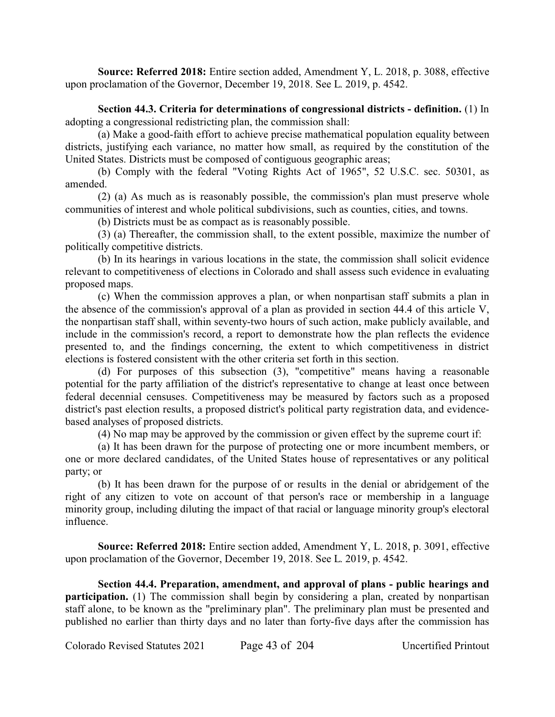**Source: Referred 2018:** Entire section added, Amendment Y, L. 2018, p. 3088, effective upon proclamation of the Governor, December 19, 2018. See L. 2019, p. 4542.

**Section 44.3. Criteria for determinations of congressional districts - definition.** (1) In adopting a congressional redistricting plan, the commission shall:

(a) Make a good-faith effort to achieve precise mathematical population equality between districts, justifying each variance, no matter how small, as required by the constitution of the United States. Districts must be composed of contiguous geographic areas;

(b) Comply with the federal "Voting Rights Act of 1965", 52 U.S.C. sec. 50301, as amended.

(2) (a) As much as is reasonably possible, the commission's plan must preserve whole communities of interest and whole political subdivisions, such as counties, cities, and towns.

(b) Districts must be as compact as is reasonably possible.

(3) (a) Thereafter, the commission shall, to the extent possible, maximize the number of politically competitive districts.

(b) In its hearings in various locations in the state, the commission shall solicit evidence relevant to competitiveness of elections in Colorado and shall assess such evidence in evaluating proposed maps.

(c) When the commission approves a plan, or when nonpartisan staff submits a plan in the absence of the commission's approval of a plan as provided in section 44.4 of this article V, the nonpartisan staff shall, within seventy-two hours of such action, make publicly available, and include in the commission's record, a report to demonstrate how the plan reflects the evidence presented to, and the findings concerning, the extent to which competitiveness in district elections is fostered consistent with the other criteria set forth in this section.

(d) For purposes of this subsection (3), "competitive" means having a reasonable potential for the party affiliation of the district's representative to change at least once between federal decennial censuses. Competitiveness may be measured by factors such as a proposed district's past election results, a proposed district's political party registration data, and evidencebased analyses of proposed districts.

(4) No map may be approved by the commission or given effect by the supreme court if:

(a) It has been drawn for the purpose of protecting one or more incumbent members, or one or more declared candidates, of the United States house of representatives or any political party; or

(b) It has been drawn for the purpose of or results in the denial or abridgement of the right of any citizen to vote on account of that person's race or membership in a language minority group, including diluting the impact of that racial or language minority group's electoral influence.

**Source: Referred 2018:** Entire section added, Amendment Y, L. 2018, p. 3091, effective upon proclamation of the Governor, December 19, 2018. See L. 2019, p. 4542.

**Section 44.4. Preparation, amendment, and approval of plans - public hearings and participation.** (1) The commission shall begin by considering a plan, created by nonpartisan staff alone, to be known as the "preliminary plan". The preliminary plan must be presented and published no earlier than thirty days and no later than forty-five days after the commission has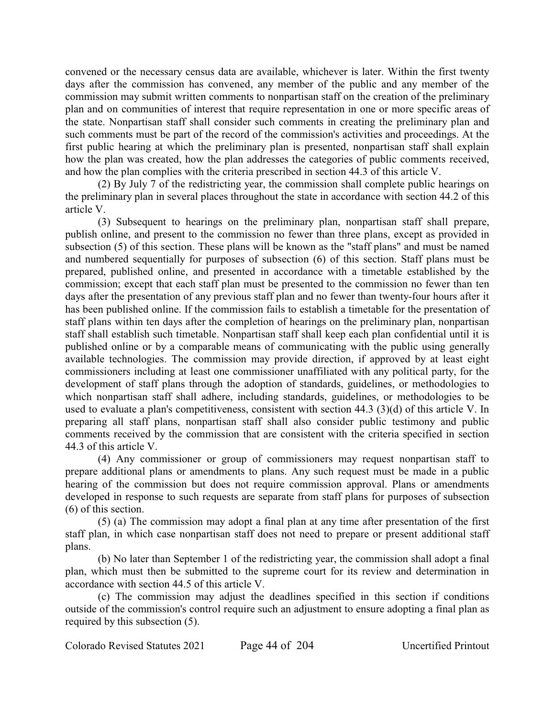convened or the necessary census data are available, whichever is later. Within the first twenty days after the commission has convened, any member of the public and any member of the commission may submit written comments to nonpartisan staff on the creation of the preliminary plan and on communities of interest that require representation in one or more specific areas of the state. Nonpartisan staff shall consider such comments in creating the preliminary plan and such comments must be part of the record of the commission's activities and proceedings. At the first public hearing at which the preliminary plan is presented, nonpartisan staff shall explain how the plan was created, how the plan addresses the categories of public comments received, and how the plan complies with the criteria prescribed in section 44.3 of this article V.

(2) By July 7 of the redistricting year, the commission shall complete public hearings on the preliminary plan in several places throughout the state in accordance with section 44.2 of this article V.

(3) Subsequent to hearings on the preliminary plan, nonpartisan staff shall prepare, publish online, and present to the commission no fewer than three plans, except as provided in subsection (5) of this section. These plans will be known as the "staff plans" and must be named and numbered sequentially for purposes of subsection (6) of this section. Staff plans must be prepared, published online, and presented in accordance with a timetable established by the commission; except that each staff plan must be presented to the commission no fewer than ten days after the presentation of any previous staff plan and no fewer than twenty-four hours after it has been published online. If the commission fails to establish a timetable for the presentation of staff plans within ten days after the completion of hearings on the preliminary plan, nonpartisan staff shall establish such timetable. Nonpartisan staff shall keep each plan confidential until it is published online or by a comparable means of communicating with the public using generally available technologies. The commission may provide direction, if approved by at least eight commissioners including at least one commissioner unaffiliated with any political party, for the development of staff plans through the adoption of standards, guidelines, or methodologies to which nonpartisan staff shall adhere, including standards, guidelines, or methodologies to be used to evaluate a plan's competitiveness, consistent with section 44.3 (3)(d) of this article V. In preparing all staff plans, nonpartisan staff shall also consider public testimony and public comments received by the commission that are consistent with the criteria specified in section 44.3 of this article V.

(4) Any commissioner or group of commissioners may request nonpartisan staff to prepare additional plans or amendments to plans. Any such request must be made in a public hearing of the commission but does not require commission approval. Plans or amendments developed in response to such requests are separate from staff plans for purposes of subsection (6) of this section.

(5) (a) The commission may adopt a final plan at any time after presentation of the first staff plan, in which case nonpartisan staff does not need to prepare or present additional staff plans.

(b) No later than September 1 of the redistricting year, the commission shall adopt a final plan, which must then be submitted to the supreme court for its review and determination in accordance with section 44.5 of this article V.

(c) The commission may adjust the deadlines specified in this section if conditions outside of the commission's control require such an adjustment to ensure adopting a final plan as required by this subsection (5).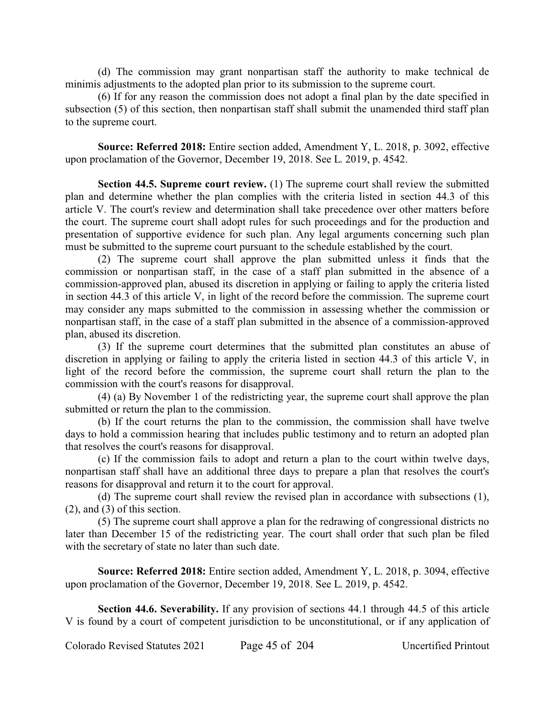(d) The commission may grant nonpartisan staff the authority to make technical de minimis adjustments to the adopted plan prior to its submission to the supreme court.

(6) If for any reason the commission does not adopt a final plan by the date specified in subsection (5) of this section, then nonpartisan staff shall submit the unamended third staff plan to the supreme court.

**Source: Referred 2018:** Entire section added, Amendment Y, L. 2018, p. 3092, effective upon proclamation of the Governor, December 19, 2018. See L. 2019, p. 4542.

**Section 44.5. Supreme court review.** (1) The supreme court shall review the submitted plan and determine whether the plan complies with the criteria listed in section 44.3 of this article V. The court's review and determination shall take precedence over other matters before the court. The supreme court shall adopt rules for such proceedings and for the production and presentation of supportive evidence for such plan. Any legal arguments concerning such plan must be submitted to the supreme court pursuant to the schedule established by the court.

(2) The supreme court shall approve the plan submitted unless it finds that the commission or nonpartisan staff, in the case of a staff plan submitted in the absence of a commission-approved plan, abused its discretion in applying or failing to apply the criteria listed in section 44.3 of this article V, in light of the record before the commission. The supreme court may consider any maps submitted to the commission in assessing whether the commission or nonpartisan staff, in the case of a staff plan submitted in the absence of a commission-approved plan, abused its discretion.

(3) If the supreme court determines that the submitted plan constitutes an abuse of discretion in applying or failing to apply the criteria listed in section 44.3 of this article V, in light of the record before the commission, the supreme court shall return the plan to the commission with the court's reasons for disapproval.

(4) (a) By November 1 of the redistricting year, the supreme court shall approve the plan submitted or return the plan to the commission.

(b) If the court returns the plan to the commission, the commission shall have twelve days to hold a commission hearing that includes public testimony and to return an adopted plan that resolves the court's reasons for disapproval.

(c) If the commission fails to adopt and return a plan to the court within twelve days, nonpartisan staff shall have an additional three days to prepare a plan that resolves the court's reasons for disapproval and return it to the court for approval.

(d) The supreme court shall review the revised plan in accordance with subsections (1), (2), and (3) of this section.

(5) The supreme court shall approve a plan for the redrawing of congressional districts no later than December 15 of the redistricting year. The court shall order that such plan be filed with the secretary of state no later than such date.

**Source: Referred 2018:** Entire section added, Amendment Y, L. 2018, p. 3094, effective upon proclamation of the Governor, December 19, 2018. See L. 2019, p. 4542.

**Section 44.6. Severability.** If any provision of sections 44.1 through 44.5 of this article V is found by a court of competent jurisdiction to be unconstitutional, or if any application of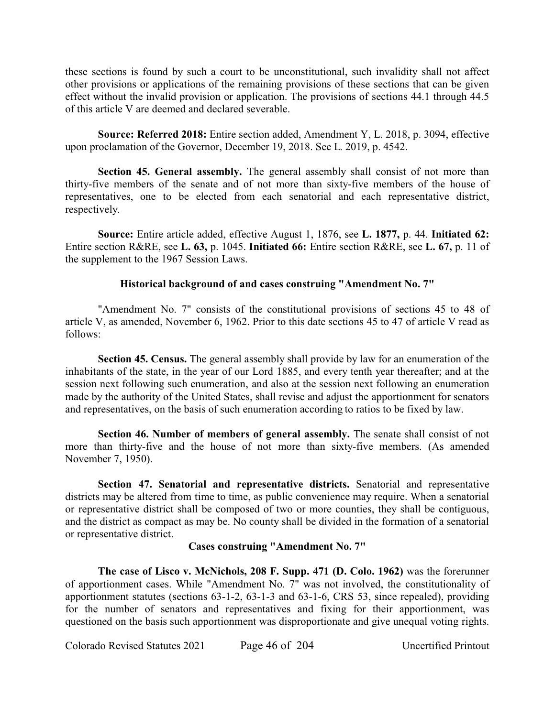these sections is found by such a court to be unconstitutional, such invalidity shall not affect other provisions or applications of the remaining provisions of these sections that can be given effect without the invalid provision or application. The provisions of sections 44.1 through 44.5 of this article V are deemed and declared severable.

**Source: Referred 2018:** Entire section added, Amendment Y, L. 2018, p. 3094, effective upon proclamation of the Governor, December 19, 2018. See L. 2019, p. 4542.

**Section 45. General assembly.** The general assembly shall consist of not more than thirty-five members of the senate and of not more than sixty-five members of the house of representatives, one to be elected from each senatorial and each representative district, respectively.

**Source:** Entire article added, effective August 1, 1876, see **L. 1877,** p. 44. **Initiated 62:** Entire section R&RE, see **L. 63,** p. 1045. **Initiated 66:** Entire section R&RE, see **L. 67,** p. 11 of the supplement to the 1967 Session Laws.

# **Historical background of and cases construing "Amendment No. 7"**

"Amendment No. 7" consists of the constitutional provisions of sections 45 to 48 of article V, as amended, November 6, 1962. Prior to this date sections 45 to 47 of article V read as follows:

**Section 45. Census.** The general assembly shall provide by law for an enumeration of the inhabitants of the state, in the year of our Lord 1885, and every tenth year thereafter; and at the session next following such enumeration, and also at the session next following an enumeration made by the authority of the United States, shall revise and adjust the apportionment for senators and representatives, on the basis of such enumeration according to ratios to be fixed by law.

**Section 46. Number of members of general assembly.** The senate shall consist of not more than thirty-five and the house of not more than sixty-five members. (As amended November 7, 1950).

**Section 47. Senatorial and representative districts.** Senatorial and representative districts may be altered from time to time, as public convenience may require. When a senatorial or representative district shall be composed of two or more counties, they shall be contiguous, and the district as compact as may be. No county shall be divided in the formation of a senatorial or representative district.

# **Cases construing "Amendment No. 7"**

**The case of Lisco v. McNichols, 208 F. Supp. 471 (D. Colo. 1962)** was the forerunner of apportionment cases. While "Amendment No. 7" was not involved, the constitutionality of apportionment statutes (sections 63-1-2, 63-1-3 and 63-1-6, CRS 53, since repealed), providing for the number of senators and representatives and fixing for their apportionment, was questioned on the basis such apportionment was disproportionate and give unequal voting rights.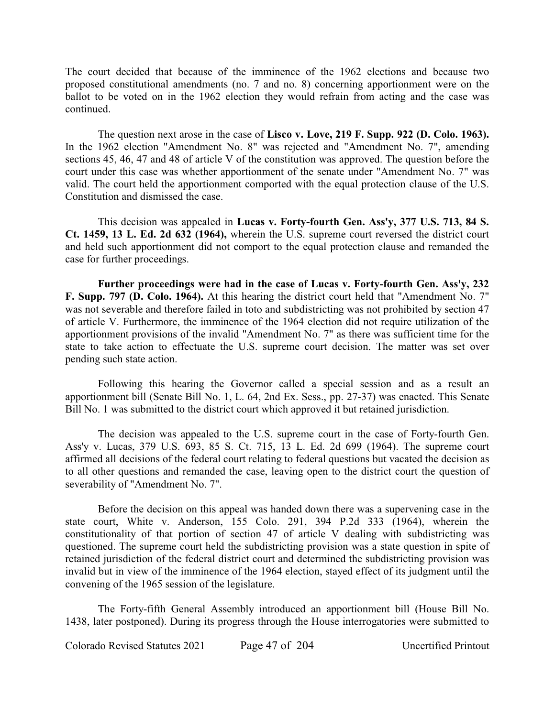The court decided that because of the imminence of the 1962 elections and because two proposed constitutional amendments (no. 7 and no. 8) concerning apportionment were on the ballot to be voted on in the 1962 election they would refrain from acting and the case was continued.

The question next arose in the case of **Lisco v. Love, 219 F. Supp. 922 (D. Colo. 1963).** In the 1962 election "Amendment No. 8" was rejected and "Amendment No. 7", amending sections 45, 46, 47 and 48 of article V of the constitution was approved. The question before the court under this case was whether apportionment of the senate under "Amendment No. 7" was valid. The court held the apportionment comported with the equal protection clause of the U.S. Constitution and dismissed the case.

This decision was appealed in **Lucas v. Forty-fourth Gen. Ass'y, 377 U.S. 713, 84 S. Ct. 1459, 13 L. Ed. 2d 632 (1964),** wherein the U.S. supreme court reversed the district court and held such apportionment did not comport to the equal protection clause and remanded the case for further proceedings.

**Further proceedings were had in the case of Lucas v. Forty-fourth Gen. Ass'y, 232 F. Supp. 797 (D. Colo. 1964).** At this hearing the district court held that "Amendment No. 7" was not severable and therefore failed in toto and subdistricting was not prohibited by section 47 of article V. Furthermore, the imminence of the 1964 election did not require utilization of the apportionment provisions of the invalid "Amendment No. 7" as there was sufficient time for the state to take action to effectuate the U.S. supreme court decision. The matter was set over pending such state action.

Following this hearing the Governor called a special session and as a result an apportionment bill (Senate Bill No. 1, L. 64, 2nd Ex. Sess., pp. 27-37) was enacted. This Senate Bill No. 1 was submitted to the district court which approved it but retained jurisdiction.

The decision was appealed to the U.S. supreme court in the case of Forty-fourth Gen. Ass'y v. Lucas, 379 U.S. 693, 85 S. Ct. 715, 13 L. Ed. 2d 699 (1964). The supreme court affirmed all decisions of the federal court relating to federal questions but vacated the decision as to all other questions and remanded the case, leaving open to the district court the question of severability of "Amendment No. 7".

Before the decision on this appeal was handed down there was a supervening case in the state court, White v. Anderson, 155 Colo. 291, 394 P.2d 333 (1964), wherein the constitutionality of that portion of section 47 of article V dealing with subdistricting was questioned. The supreme court held the subdistricting provision was a state question in spite of retained jurisdiction of the federal district court and determined the subdistricting provision was invalid but in view of the imminence of the 1964 election, stayed effect of its judgment until the convening of the 1965 session of the legislature.

The Forty-fifth General Assembly introduced an apportionment bill (House Bill No. 1438, later postponed). During its progress through the House interrogatories were submitted to

Colorado Revised Statutes 2021 Page 47 of 204 Uncertified Printout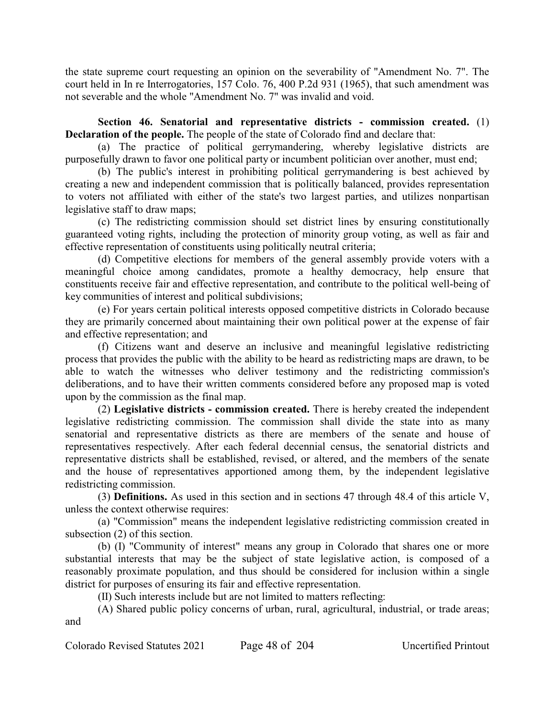the state supreme court requesting an opinion on the severability of "Amendment No. 7". The court held in In re Interrogatories, 157 Colo. 76, 400 P.2d 931 (1965), that such amendment was not severable and the whole "Amendment No. 7" was invalid and void.

**Section 46. Senatorial and representative districts - commission created.** (1) **Declaration of the people.** The people of the state of Colorado find and declare that:

(a) The practice of political gerrymandering, whereby legislative districts are purposefully drawn to favor one political party or incumbent politician over another, must end;

(b) The public's interest in prohibiting political gerrymandering is best achieved by creating a new and independent commission that is politically balanced, provides representation to voters not affiliated with either of the state's two largest parties, and utilizes nonpartisan legislative staff to draw maps;

(c) The redistricting commission should set district lines by ensuring constitutionally guaranteed voting rights, including the protection of minority group voting, as well as fair and effective representation of constituents using politically neutral criteria;

(d) Competitive elections for members of the general assembly provide voters with a meaningful choice among candidates, promote a healthy democracy, help ensure that constituents receive fair and effective representation, and contribute to the political well-being of key communities of interest and political subdivisions;

(e) For years certain political interests opposed competitive districts in Colorado because they are primarily concerned about maintaining their own political power at the expense of fair and effective representation; and

(f) Citizens want and deserve an inclusive and meaningful legislative redistricting process that provides the public with the ability to be heard as redistricting maps are drawn, to be able to watch the witnesses who deliver testimony and the redistricting commission's deliberations, and to have their written comments considered before any proposed map is voted upon by the commission as the final map.

(2) **Legislative districts - commission created.** There is hereby created the independent legislative redistricting commission. The commission shall divide the state into as many senatorial and representative districts as there are members of the senate and house of representatives respectively. After each federal decennial census, the senatorial districts and representative districts shall be established, revised, or altered, and the members of the senate and the house of representatives apportioned among them, by the independent legislative redistricting commission.

(3) **Definitions.** As used in this section and in sections 47 through 48.4 of this article V, unless the context otherwise requires:

(a) "Commission" means the independent legislative redistricting commission created in subsection (2) of this section.

(b) (I) "Community of interest" means any group in Colorado that shares one or more substantial interests that may be the subject of state legislative action, is composed of a reasonably proximate population, and thus should be considered for inclusion within a single district for purposes of ensuring its fair and effective representation.

(II) Such interests include but are not limited to matters reflecting:

(A) Shared public policy concerns of urban, rural, agricultural, industrial, or trade areas; and

Colorado Revised Statutes 2021 Page 48 of 204 Uncertified Printout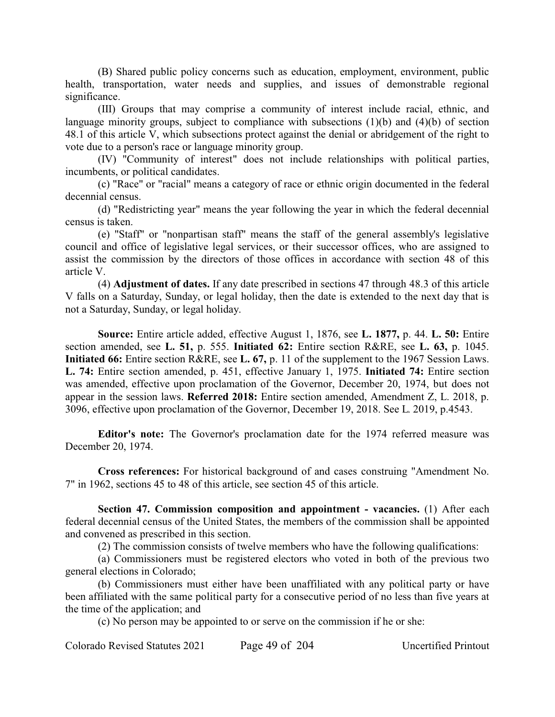(B) Shared public policy concerns such as education, employment, environment, public health, transportation, water needs and supplies, and issues of demonstrable regional significance.

(III) Groups that may comprise a community of interest include racial, ethnic, and language minority groups, subject to compliance with subsections (1)(b) and (4)(b) of section 48.1 of this article V, which subsections protect against the denial or abridgement of the right to vote due to a person's race or language minority group.

(IV) "Community of interest" does not include relationships with political parties, incumbents, or political candidates.

(c) "Race" or "racial" means a category of race or ethnic origin documented in the federal decennial census.

(d) "Redistricting year" means the year following the year in which the federal decennial census is taken.

(e) "Staff" or "nonpartisan staff" means the staff of the general assembly's legislative council and office of legislative legal services, or their successor offices, who are assigned to assist the commission by the directors of those offices in accordance with section 48 of this article V.

(4) **Adjustment of dates.** If any date prescribed in sections 47 through 48.3 of this article V falls on a Saturday, Sunday, or legal holiday, then the date is extended to the next day that is not a Saturday, Sunday, or legal holiday.

**Source:** Entire article added, effective August 1, 1876, see **L. 1877,** p. 44. **L. 50:** Entire section amended, see **L. 51,** p. 555. **Initiated 62:** Entire section R&RE, see **L. 63,** p. 1045. **Initiated 66:** Entire section R&RE, see **L. 67,** p. 11 of the supplement to the 1967 Session Laws. **L. 74:** Entire section amended, p. 451, effective January 1, 1975. **Initiated 74:** Entire section was amended, effective upon proclamation of the Governor, December 20, 1974, but does not appear in the session laws. **Referred 2018:** Entire section amended, Amendment Z, L. 2018, p. 3096, effective upon proclamation of the Governor, December 19, 2018. See L. 2019, p.4543.

**Editor's note:** The Governor's proclamation date for the 1974 referred measure was December 20, 1974.

**Cross references:** For historical background of and cases construing "Amendment No. 7" in 1962, sections 45 to 48 of this article, see section 45 of this article.

**Section 47. Commission composition and appointment - vacancies.** (1) After each federal decennial census of the United States, the members of the commission shall be appointed and convened as prescribed in this section.

(2) The commission consists of twelve members who have the following qualifications:

(a) Commissioners must be registered electors who voted in both of the previous two general elections in Colorado;

(b) Commissioners must either have been unaffiliated with any political party or have been affiliated with the same political party for a consecutive period of no less than five years at the time of the application; and

(c) No person may be appointed to or serve on the commission if he or she:

Colorado Revised Statutes 2021 Page 49 of 204 Uncertified Printout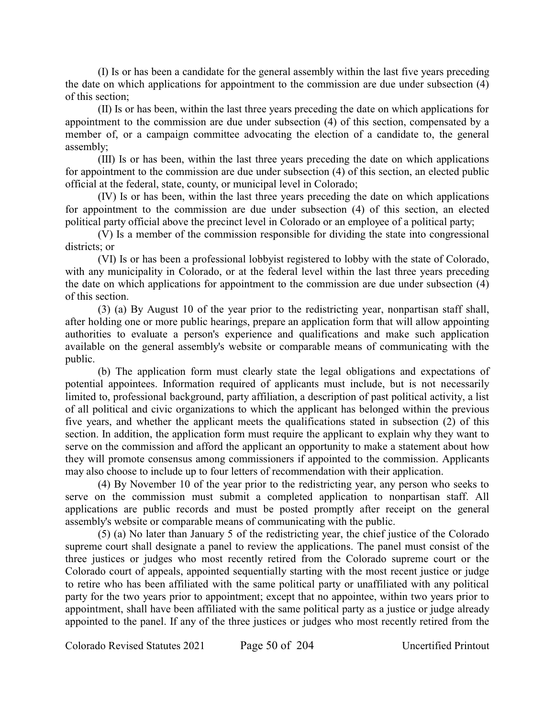(I) Is or has been a candidate for the general assembly within the last five years preceding the date on which applications for appointment to the commission are due under subsection (4) of this section;

(II) Is or has been, within the last three years preceding the date on which applications for appointment to the commission are due under subsection (4) of this section, compensated by a member of, or a campaign committee advocating the election of a candidate to, the general assembly;

(III) Is or has been, within the last three years preceding the date on which applications for appointment to the commission are due under subsection (4) of this section, an elected public official at the federal, state, county, or municipal level in Colorado;

(IV) Is or has been, within the last three years preceding the date on which applications for appointment to the commission are due under subsection (4) of this section, an elected political party official above the precinct level in Colorado or an employee of a political party;

(V) Is a member of the commission responsible for dividing the state into congressional districts; or

(VI) Is or has been a professional lobbyist registered to lobby with the state of Colorado, with any municipality in Colorado, or at the federal level within the last three years preceding the date on which applications for appointment to the commission are due under subsection (4) of this section.

(3) (a) By August 10 of the year prior to the redistricting year, nonpartisan staff shall, after holding one or more public hearings, prepare an application form that will allow appointing authorities to evaluate a person's experience and qualifications and make such application available on the general assembly's website or comparable means of communicating with the public.

(b) The application form must clearly state the legal obligations and expectations of potential appointees. Information required of applicants must include, but is not necessarily limited to, professional background, party affiliation, a description of past political activity, a list of all political and civic organizations to which the applicant has belonged within the previous five years, and whether the applicant meets the qualifications stated in subsection (2) of this section. In addition, the application form must require the applicant to explain why they want to serve on the commission and afford the applicant an opportunity to make a statement about how they will promote consensus among commissioners if appointed to the commission. Applicants may also choose to include up to four letters of recommendation with their application.

(4) By November 10 of the year prior to the redistricting year, any person who seeks to serve on the commission must submit a completed application to nonpartisan staff. All applications are public records and must be posted promptly after receipt on the general assembly's website or comparable means of communicating with the public.

(5) (a) No later than January 5 of the redistricting year, the chief justice of the Colorado supreme court shall designate a panel to review the applications. The panel must consist of the three justices or judges who most recently retired from the Colorado supreme court or the Colorado court of appeals, appointed sequentially starting with the most recent justice or judge to retire who has been affiliated with the same political party or unaffiliated with any political party for the two years prior to appointment; except that no appointee, within two years prior to appointment, shall have been affiliated with the same political party as a justice or judge already appointed to the panel. If any of the three justices or judges who most recently retired from the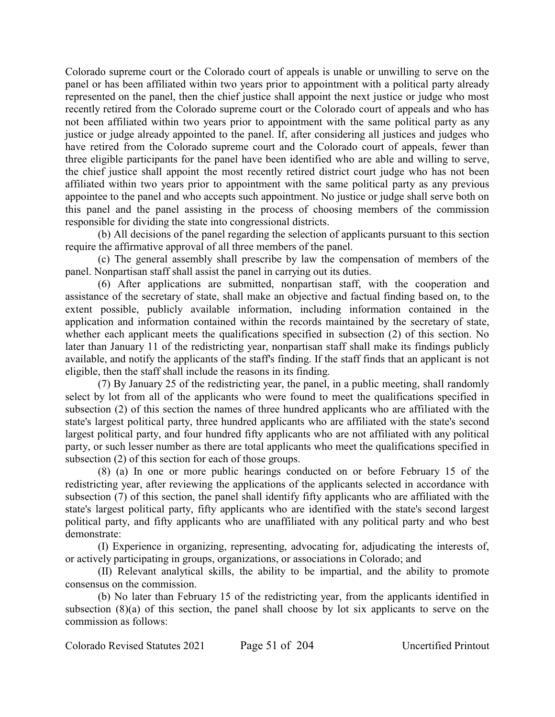Colorado supreme court or the Colorado court of appeals is unable or unwilling to serve on the panel or has been affiliated within two years prior to appointment with a political party already represented on the panel, then the chief justice shall appoint the next justice or judge who most recently retired from the Colorado supreme court or the Colorado court of appeals and who has not been affiliated within two years prior to appointment with the same political party as any justice or judge already appointed to the panel. If, after considering all justices and judges who have retired from the Colorado supreme court and the Colorado court of appeals, fewer than three eligible participants for the panel have been identified who are able and willing to serve, the chief justice shall appoint the most recently retired district court judge who has not been affiliated within two years prior to appointment with the same political party as any previous appointee to the panel and who accepts such appointment. No justice or judge shall serve both on this panel and the panel assisting in the process of choosing members of the commission responsible for dividing the state into congressional districts.

(b) All decisions of the panel regarding the selection of applicants pursuant to this section require the affirmative approval of all three members of the panel.

(c) The general assembly shall prescribe by law the compensation of members of the panel. Nonpartisan staff shall assist the panel in carrying out its duties.

(6) After applications are submitted, nonpartisan staff, with the cooperation and assistance of the secretary of state, shall make an objective and factual finding based on, to the extent possible, publicly available information, including information contained in the application and information contained within the records maintained by the secretary of state, whether each applicant meets the qualifications specified in subsection (2) of this section. No later than January 11 of the redistricting year, nonpartisan staff shall make its findings publicly available, and notify the applicants of the staff's finding. If the staff finds that an applicant is not eligible, then the staff shall include the reasons in its finding.

(7) By January 25 of the redistricting year, the panel, in a public meeting, shall randomly select by lot from all of the applicants who were found to meet the qualifications specified in subsection (2) of this section the names of three hundred applicants who are affiliated with the state's largest political party, three hundred applicants who are affiliated with the state's second largest political party, and four hundred fifty applicants who are not affiliated with any political party, or such lesser number as there are total applicants who meet the qualifications specified in subsection (2) of this section for each of those groups.

(8) (a) In one or more public hearings conducted on or before February 15 of the redistricting year, after reviewing the applications of the applicants selected in accordance with subsection (7) of this section, the panel shall identify fifty applicants who are affiliated with the state's largest political party, fifty applicants who are identified with the state's second largest political party, and fifty applicants who are unaffiliated with any political party and who best demonstrate:

(I) Experience in organizing, representing, advocating for, adjudicating the interests of, or actively participating in groups, organizations, or associations in Colorado; and

(II) Relevant analytical skills, the ability to be impartial, and the ability to promote consensus on the commission.

(b) No later than February 15 of the redistricting year, from the applicants identified in subsection (8)(a) of this section, the panel shall choose by lot six applicants to serve on the commission as follows: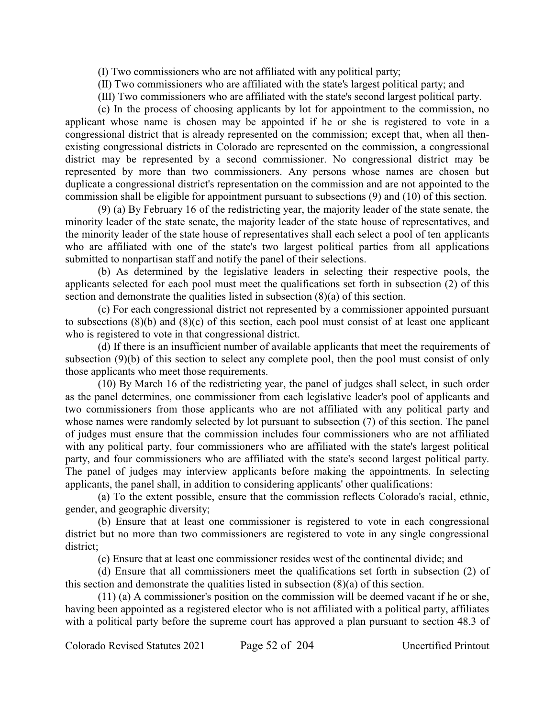(I) Two commissioners who are not affiliated with any political party;

(II) Two commissioners who are affiliated with the state's largest political party; and

(III) Two commissioners who are affiliated with the state's second largest political party.

(c) In the process of choosing applicants by lot for appointment to the commission, no applicant whose name is chosen may be appointed if he or she is registered to vote in a congressional district that is already represented on the commission; except that, when all thenexisting congressional districts in Colorado are represented on the commission, a congressional district may be represented by a second commissioner. No congressional district may be represented by more than two commissioners. Any persons whose names are chosen but duplicate a congressional district's representation on the commission and are not appointed to the commission shall be eligible for appointment pursuant to subsections (9) and (10) of this section.

(9) (a) By February 16 of the redistricting year, the majority leader of the state senate, the minority leader of the state senate, the majority leader of the state house of representatives, and the minority leader of the state house of representatives shall each select a pool of ten applicants who are affiliated with one of the state's two largest political parties from all applications submitted to nonpartisan staff and notify the panel of their selections.

(b) As determined by the legislative leaders in selecting their respective pools, the applicants selected for each pool must meet the qualifications set forth in subsection (2) of this section and demonstrate the qualities listed in subsection (8)(a) of this section.

(c) For each congressional district not represented by a commissioner appointed pursuant to subsections (8)(b) and (8)(c) of this section, each pool must consist of at least one applicant who is registered to vote in that congressional district.

(d) If there is an insufficient number of available applicants that meet the requirements of subsection (9)(b) of this section to select any complete pool, then the pool must consist of only those applicants who meet those requirements.

(10) By March 16 of the redistricting year, the panel of judges shall select, in such order as the panel determines, one commissioner from each legislative leader's pool of applicants and two commissioners from those applicants who are not affiliated with any political party and whose names were randomly selected by lot pursuant to subsection (7) of this section. The panel of judges must ensure that the commission includes four commissioners who are not affiliated with any political party, four commissioners who are affiliated with the state's largest political party, and four commissioners who are affiliated with the state's second largest political party. The panel of judges may interview applicants before making the appointments. In selecting applicants, the panel shall, in addition to considering applicants' other qualifications:

(a) To the extent possible, ensure that the commission reflects Colorado's racial, ethnic, gender, and geographic diversity;

(b) Ensure that at least one commissioner is registered to vote in each congressional district but no more than two commissioners are registered to vote in any single congressional district;

(c) Ensure that at least one commissioner resides west of the continental divide; and

(d) Ensure that all commissioners meet the qualifications set forth in subsection (2) of this section and demonstrate the qualities listed in subsection (8)(a) of this section.

(11) (a) A commissioner's position on the commission will be deemed vacant if he or she, having been appointed as a registered elector who is not affiliated with a political party, affiliates with a political party before the supreme court has approved a plan pursuant to section 48.3 of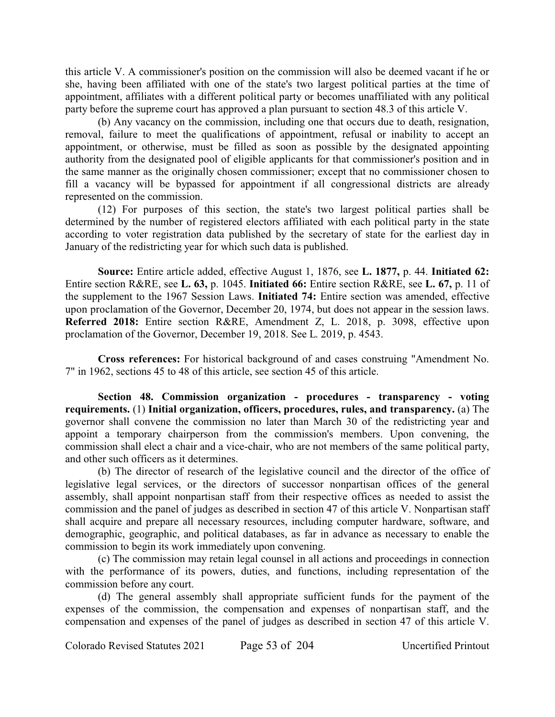this article V. A commissioner's position on the commission will also be deemed vacant if he or she, having been affiliated with one of the state's two largest political parties at the time of appointment, affiliates with a different political party or becomes unaffiliated with any political party before the supreme court has approved a plan pursuant to section 48.3 of this article V.

(b) Any vacancy on the commission, including one that occurs due to death, resignation, removal, failure to meet the qualifications of appointment, refusal or inability to accept an appointment, or otherwise, must be filled as soon as possible by the designated appointing authority from the designated pool of eligible applicants for that commissioner's position and in the same manner as the originally chosen commissioner; except that no commissioner chosen to fill a vacancy will be bypassed for appointment if all congressional districts are already represented on the commission.

(12) For purposes of this section, the state's two largest political parties shall be determined by the number of registered electors affiliated with each political party in the state according to voter registration data published by the secretary of state for the earliest day in January of the redistricting year for which such data is published.

**Source:** Entire article added, effective August 1, 1876, see **L. 1877,** p. 44. **Initiated 62:** Entire section R&RE, see **L. 63,** p. 1045. **Initiated 66:** Entire section R&RE, see **L. 67,** p. 11 of the supplement to the 1967 Session Laws. **Initiated 74:** Entire section was amended, effective upon proclamation of the Governor, December 20, 1974, but does not appear in the session laws. **Referred 2018:** Entire section R&RE, Amendment Z, L. 2018, p. 3098, effective upon proclamation of the Governor, December 19, 2018. See L. 2019, p. 4543.

**Cross references:** For historical background of and cases construing "Amendment No. 7" in 1962, sections 45 to 48 of this article, see section 45 of this article.

**Section 48. Commission organization - procedures - transparency - voting requirements.** (1) **Initial organization, officers, procedures, rules, and transparency.** (a) The governor shall convene the commission no later than March 30 of the redistricting year and appoint a temporary chairperson from the commission's members. Upon convening, the commission shall elect a chair and a vice-chair, who are not members of the same political party, and other such officers as it determines.

(b) The director of research of the legislative council and the director of the office of legislative legal services, or the directors of successor nonpartisan offices of the general assembly, shall appoint nonpartisan staff from their respective offices as needed to assist the commission and the panel of judges as described in section 47 of this article V. Nonpartisan staff shall acquire and prepare all necessary resources, including computer hardware, software, and demographic, geographic, and political databases, as far in advance as necessary to enable the commission to begin its work immediately upon convening.

(c) The commission may retain legal counsel in all actions and proceedings in connection with the performance of its powers, duties, and functions, including representation of the commission before any court.

(d) The general assembly shall appropriate sufficient funds for the payment of the expenses of the commission, the compensation and expenses of nonpartisan staff, and the compensation and expenses of the panel of judges as described in section 47 of this article V.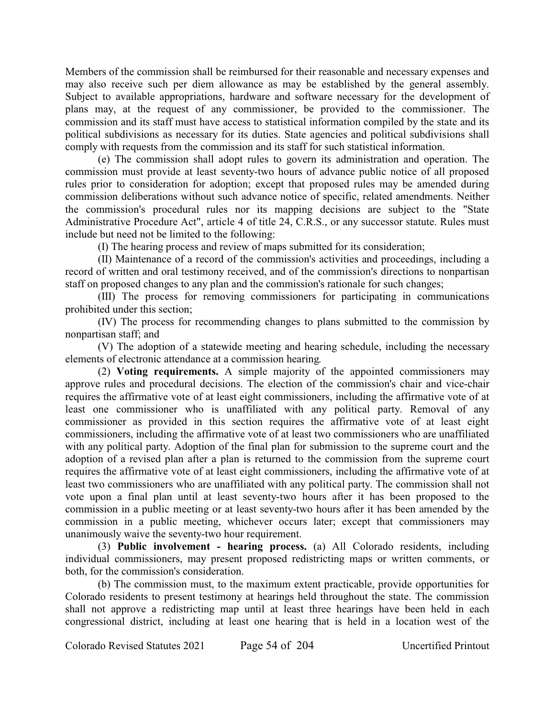Members of the commission shall be reimbursed for their reasonable and necessary expenses and may also receive such per diem allowance as may be established by the general assembly. Subject to available appropriations, hardware and software necessary for the development of plans may, at the request of any commissioner, be provided to the commissioner. The commission and its staff must have access to statistical information compiled by the state and its political subdivisions as necessary for its duties. State agencies and political subdivisions shall comply with requests from the commission and its staff for such statistical information.

(e) The commission shall adopt rules to govern its administration and operation. The commission must provide at least seventy-two hours of advance public notice of all proposed rules prior to consideration for adoption; except that proposed rules may be amended during commission deliberations without such advance notice of specific, related amendments. Neither the commission's procedural rules nor its mapping decisions are subject to the "State Administrative Procedure Act", article 4 of title 24, C.R.S., or any successor statute. Rules must include but need not be limited to the following:

(I) The hearing process and review of maps submitted for its consideration;

(II) Maintenance of a record of the commission's activities and proceedings, including a record of written and oral testimony received, and of the commission's directions to nonpartisan staff on proposed changes to any plan and the commission's rationale for such changes;

(III) The process for removing commissioners for participating in communications prohibited under this section;

(IV) The process for recommending changes to plans submitted to the commission by nonpartisan staff; and

(V) The adoption of a statewide meeting and hearing schedule, including the necessary elements of electronic attendance at a commission hearing.

(2) **Voting requirements.** A simple majority of the appointed commissioners may approve rules and procedural decisions. The election of the commission's chair and vice-chair requires the affirmative vote of at least eight commissioners, including the affirmative vote of at least one commissioner who is unaffiliated with any political party. Removal of any commissioner as provided in this section requires the affirmative vote of at least eight commissioners, including the affirmative vote of at least two commissioners who are unaffiliated with any political party. Adoption of the final plan for submission to the supreme court and the adoption of a revised plan after a plan is returned to the commission from the supreme court requires the affirmative vote of at least eight commissioners, including the affirmative vote of at least two commissioners who are unaffiliated with any political party. The commission shall not vote upon a final plan until at least seventy-two hours after it has been proposed to the commission in a public meeting or at least seventy-two hours after it has been amended by the commission in a public meeting, whichever occurs later; except that commissioners may unanimously waive the seventy-two hour requirement.

(3) **Public involvement - hearing process.** (a) All Colorado residents, including individual commissioners, may present proposed redistricting maps or written comments, or both, for the commission's consideration.

(b) The commission must, to the maximum extent practicable, provide opportunities for Colorado residents to present testimony at hearings held throughout the state. The commission shall not approve a redistricting map until at least three hearings have been held in each congressional district, including at least one hearing that is held in a location west of the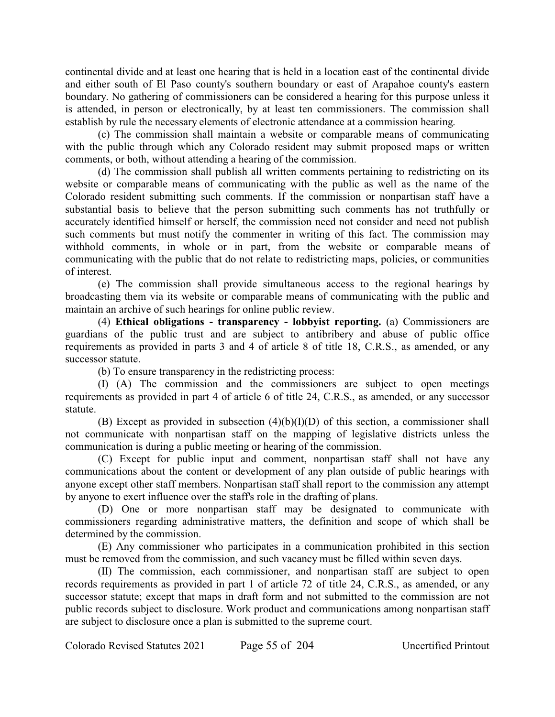continental divide and at least one hearing that is held in a location east of the continental divide and either south of El Paso county's southern boundary or east of Arapahoe county's eastern boundary. No gathering of commissioners can be considered a hearing for this purpose unless it is attended, in person or electronically, by at least ten commissioners. The commission shall establish by rule the necessary elements of electronic attendance at a commission hearing.

(c) The commission shall maintain a website or comparable means of communicating with the public through which any Colorado resident may submit proposed maps or written comments, or both, without attending a hearing of the commission.

(d) The commission shall publish all written comments pertaining to redistricting on its website or comparable means of communicating with the public as well as the name of the Colorado resident submitting such comments. If the commission or nonpartisan staff have a substantial basis to believe that the person submitting such comments has not truthfully or accurately identified himself or herself, the commission need not consider and need not publish such comments but must notify the commenter in writing of this fact. The commission may withhold comments, in whole or in part, from the website or comparable means of communicating with the public that do not relate to redistricting maps, policies, or communities of interest.

(e) The commission shall provide simultaneous access to the regional hearings by broadcasting them via its website or comparable means of communicating with the public and maintain an archive of such hearings for online public review.

(4) **Ethical obligations - transparency - lobbyist reporting.** (a) Commissioners are guardians of the public trust and are subject to antibribery and abuse of public office requirements as provided in parts 3 and 4 of article 8 of title 18, C.R.S., as amended, or any successor statute.

(b) To ensure transparency in the redistricting process:

(I) (A) The commission and the commissioners are subject to open meetings requirements as provided in part 4 of article 6 of title 24, C.R.S., as amended, or any successor statute.

(B) Except as provided in subsection  $(4)(b)(I)(D)$  of this section, a commissioner shall not communicate with nonpartisan staff on the mapping of legislative districts unless the communication is during a public meeting or hearing of the commission.

(C) Except for public input and comment, nonpartisan staff shall not have any communications about the content or development of any plan outside of public hearings with anyone except other staff members. Nonpartisan staff shall report to the commission any attempt by anyone to exert influence over the staff's role in the drafting of plans.

(D) One or more nonpartisan staff may be designated to communicate with commissioners regarding administrative matters, the definition and scope of which shall be determined by the commission.

(E) Any commissioner who participates in a communication prohibited in this section must be removed from the commission, and such vacancy must be filled within seven days.

(II) The commission, each commissioner, and nonpartisan staff are subject to open records requirements as provided in part 1 of article 72 of title 24, C.R.S., as amended, or any successor statute; except that maps in draft form and not submitted to the commission are not public records subject to disclosure. Work product and communications among nonpartisan staff are subject to disclosure once a plan is submitted to the supreme court.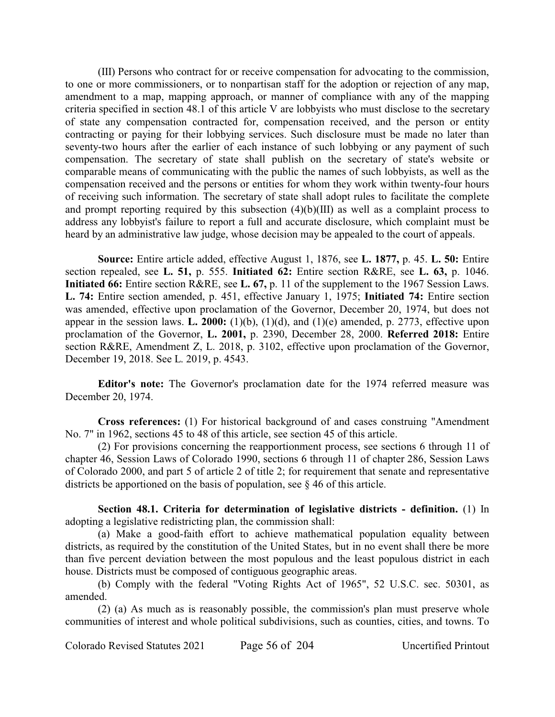(III) Persons who contract for or receive compensation for advocating to the commission, to one or more commissioners, or to nonpartisan staff for the adoption or rejection of any map, amendment to a map, mapping approach, or manner of compliance with any of the mapping criteria specified in section 48.1 of this article V are lobbyists who must disclose to the secretary of state any compensation contracted for, compensation received, and the person or entity contracting or paying for their lobbying services. Such disclosure must be made no later than seventy-two hours after the earlier of each instance of such lobbying or any payment of such compensation. The secretary of state shall publish on the secretary of state's website or comparable means of communicating with the public the names of such lobbyists, as well as the compensation received and the persons or entities for whom they work within twenty-four hours of receiving such information. The secretary of state shall adopt rules to facilitate the complete and prompt reporting required by this subsection  $(4)(b)(III)$  as well as a complaint process to address any lobbyist's failure to report a full and accurate disclosure, which complaint must be heard by an administrative law judge, whose decision may be appealed to the court of appeals.

**Source:** Entire article added, effective August 1, 1876, see **L. 1877,** p. 45. **L. 50:** Entire section repealed, see **L. 51,** p. 555. **Initiated 62:** Entire section R&RE, see **L. 63,** p. 1046. **Initiated 66:** Entire section R&RE, see **L. 67,** p. 11 of the supplement to the 1967 Session Laws. **L. 74:** Entire section amended, p. 451, effective January 1, 1975; **Initiated 74:** Entire section was amended, effective upon proclamation of the Governor, December 20, 1974, but does not appear in the session laws. **L. 2000:** (1)(b), (1)(d), and (1)(e) amended, p. 2773, effective upon proclamation of the Governor, **L. 2001,** p. 2390, December 28, 2000. **Referred 2018:** Entire section R&RE, Amendment Z, L. 2018, p. 3102, effective upon proclamation of the Governor, December 19, 2018. See L. 2019, p. 4543.

**Editor's note:** The Governor's proclamation date for the 1974 referred measure was December 20, 1974.

**Cross references:** (1) For historical background of and cases construing "Amendment No. 7" in 1962, sections 45 to 48 of this article, see section 45 of this article.

(2) For provisions concerning the reapportionment process, see sections 6 through 11 of chapter 46, Session Laws of Colorado 1990, sections 6 through 11 of chapter 286, Session Laws of Colorado 2000, and part 5 of article 2 of title 2; for requirement that senate and representative districts be apportioned on the basis of population, see § 46 of this article.

**Section 48.1. Criteria for determination of legislative districts - definition.** (1) In adopting a legislative redistricting plan, the commission shall:

(a) Make a good-faith effort to achieve mathematical population equality between districts, as required by the constitution of the United States, but in no event shall there be more than five percent deviation between the most populous and the least populous district in each house. Districts must be composed of contiguous geographic areas.

(b) Comply with the federal "Voting Rights Act of 1965", 52 U.S.C. sec. 50301, as amended.

(2) (a) As much as is reasonably possible, the commission's plan must preserve whole communities of interest and whole political subdivisions, such as counties, cities, and towns. To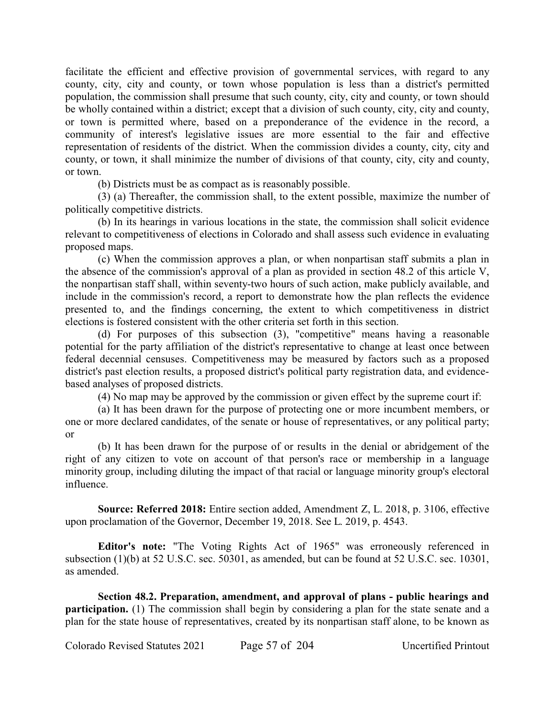facilitate the efficient and effective provision of governmental services, with regard to any county, city, city and county, or town whose population is less than a district's permitted population, the commission shall presume that such county, city, city and county, or town should be wholly contained within a district; except that a division of such county, city, city and county, or town is permitted where, based on a preponderance of the evidence in the record, a community of interest's legislative issues are more essential to the fair and effective representation of residents of the district. When the commission divides a county, city, city and county, or town, it shall minimize the number of divisions of that county, city, city and county, or town.

(b) Districts must be as compact as is reasonably possible.

(3) (a) Thereafter, the commission shall, to the extent possible, maximize the number of politically competitive districts.

(b) In its hearings in various locations in the state, the commission shall solicit evidence relevant to competitiveness of elections in Colorado and shall assess such evidence in evaluating proposed maps.

(c) When the commission approves a plan, or when nonpartisan staff submits a plan in the absence of the commission's approval of a plan as provided in section 48.2 of this article V, the nonpartisan staff shall, within seventy-two hours of such action, make publicly available, and include in the commission's record, a report to demonstrate how the plan reflects the evidence presented to, and the findings concerning, the extent to which competitiveness in district elections is fostered consistent with the other criteria set forth in this section.

(d) For purposes of this subsection (3), "competitive" means having a reasonable potential for the party affiliation of the district's representative to change at least once between federal decennial censuses. Competitiveness may be measured by factors such as a proposed district's past election results, a proposed district's political party registration data, and evidencebased analyses of proposed districts.

(4) No map may be approved by the commission or given effect by the supreme court if:

(a) It has been drawn for the purpose of protecting one or more incumbent members, or one or more declared candidates, of the senate or house of representatives, or any political party; or

(b) It has been drawn for the purpose of or results in the denial or abridgement of the right of any citizen to vote on account of that person's race or membership in a language minority group, including diluting the impact of that racial or language minority group's electoral influence.

**Source: Referred 2018:** Entire section added, Amendment Z, L. 2018, p. 3106, effective upon proclamation of the Governor, December 19, 2018. See L. 2019, p. 4543.

**Editor's note:** "The Voting Rights Act of 1965" was erroneously referenced in subsection (1)(b) at 52 U.S.C. sec. 50301, as amended, but can be found at 52 U.S.C. sec. 10301, as amended.

**Section 48.2. Preparation, amendment, and approval of plans - public hearings and participation.** (1) The commission shall begin by considering a plan for the state senate and a plan for the state house of representatives, created by its nonpartisan staff alone, to be known as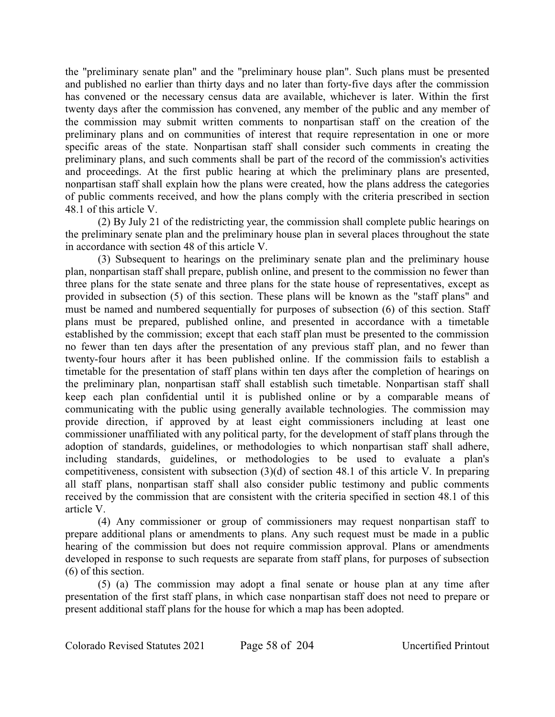the "preliminary senate plan" and the "preliminary house plan". Such plans must be presented and published no earlier than thirty days and no later than forty-five days after the commission has convened or the necessary census data are available, whichever is later. Within the first twenty days after the commission has convened, any member of the public and any member of the commission may submit written comments to nonpartisan staff on the creation of the preliminary plans and on communities of interest that require representation in one or more specific areas of the state. Nonpartisan staff shall consider such comments in creating the preliminary plans, and such comments shall be part of the record of the commission's activities and proceedings. At the first public hearing at which the preliminary plans are presented, nonpartisan staff shall explain how the plans were created, how the plans address the categories of public comments received, and how the plans comply with the criteria prescribed in section 48.1 of this article V.

(2) By July 21 of the redistricting year, the commission shall complete public hearings on the preliminary senate plan and the preliminary house plan in several places throughout the state in accordance with section 48 of this article V.

(3) Subsequent to hearings on the preliminary senate plan and the preliminary house plan, nonpartisan staff shall prepare, publish online, and present to the commission no fewer than three plans for the state senate and three plans for the state house of representatives, except as provided in subsection (5) of this section. These plans will be known as the "staff plans" and must be named and numbered sequentially for purposes of subsection (6) of this section. Staff plans must be prepared, published online, and presented in accordance with a timetable established by the commission; except that each staff plan must be presented to the commission no fewer than ten days after the presentation of any previous staff plan, and no fewer than twenty-four hours after it has been published online. If the commission fails to establish a timetable for the presentation of staff plans within ten days after the completion of hearings on the preliminary plan, nonpartisan staff shall establish such timetable. Nonpartisan staff shall keep each plan confidential until it is published online or by a comparable means of communicating with the public using generally available technologies. The commission may provide direction, if approved by at least eight commissioners including at least one commissioner unaffiliated with any political party, for the development of staff plans through the adoption of standards, guidelines, or methodologies to which nonpartisan staff shall adhere, including standards, guidelines, or methodologies to be used to evaluate a plan's competitiveness, consistent with subsection (3)(d) of section 48.1 of this article V. In preparing all staff plans, nonpartisan staff shall also consider public testimony and public comments received by the commission that are consistent with the criteria specified in section 48.1 of this article V.

(4) Any commissioner or group of commissioners may request nonpartisan staff to prepare additional plans or amendments to plans. Any such request must be made in a public hearing of the commission but does not require commission approval. Plans or amendments developed in response to such requests are separate from staff plans, for purposes of subsection (6) of this section.

(5) (a) The commission may adopt a final senate or house plan at any time after presentation of the first staff plans, in which case nonpartisan staff does not need to prepare or present additional staff plans for the house for which a map has been adopted.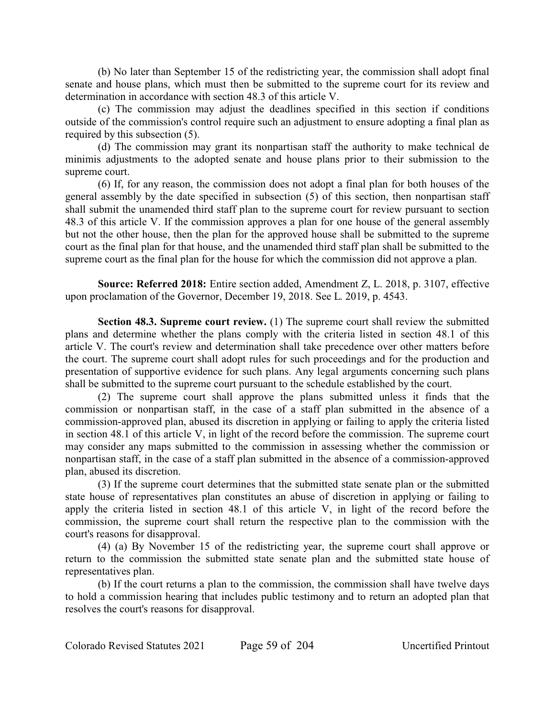(b) No later than September 15 of the redistricting year, the commission shall adopt final senate and house plans, which must then be submitted to the supreme court for its review and determination in accordance with section 48.3 of this article V.

(c) The commission may adjust the deadlines specified in this section if conditions outside of the commission's control require such an adjustment to ensure adopting a final plan as required by this subsection (5).

(d) The commission may grant its nonpartisan staff the authority to make technical de minimis adjustments to the adopted senate and house plans prior to their submission to the supreme court.

(6) If, for any reason, the commission does not adopt a final plan for both houses of the general assembly by the date specified in subsection (5) of this section, then nonpartisan staff shall submit the unamended third staff plan to the supreme court for review pursuant to section 48.3 of this article V. If the commission approves a plan for one house of the general assembly but not the other house, then the plan for the approved house shall be submitted to the supreme court as the final plan for that house, and the unamended third staff plan shall be submitted to the supreme court as the final plan for the house for which the commission did not approve a plan.

**Source: Referred 2018:** Entire section added, Amendment Z, L. 2018, p. 3107, effective upon proclamation of the Governor, December 19, 2018. See L. 2019, p. 4543.

**Section 48.3. Supreme court review.** (1) The supreme court shall review the submitted plans and determine whether the plans comply with the criteria listed in section 48.1 of this article V. The court's review and determination shall take precedence over other matters before the court. The supreme court shall adopt rules for such proceedings and for the production and presentation of supportive evidence for such plans. Any legal arguments concerning such plans shall be submitted to the supreme court pursuant to the schedule established by the court.

(2) The supreme court shall approve the plans submitted unless it finds that the commission or nonpartisan staff, in the case of a staff plan submitted in the absence of a commission-approved plan, abused its discretion in applying or failing to apply the criteria listed in section 48.1 of this article V, in light of the record before the commission. The supreme court may consider any maps submitted to the commission in assessing whether the commission or nonpartisan staff, in the case of a staff plan submitted in the absence of a commission-approved plan, abused its discretion.

(3) If the supreme court determines that the submitted state senate plan or the submitted state house of representatives plan constitutes an abuse of discretion in applying or failing to apply the criteria listed in section 48.1 of this article V, in light of the record before the commission, the supreme court shall return the respective plan to the commission with the court's reasons for disapproval.

(4) (a) By November 15 of the redistricting year, the supreme court shall approve or return to the commission the submitted state senate plan and the submitted state house of representatives plan.

(b) If the court returns a plan to the commission, the commission shall have twelve days to hold a commission hearing that includes public testimony and to return an adopted plan that resolves the court's reasons for disapproval.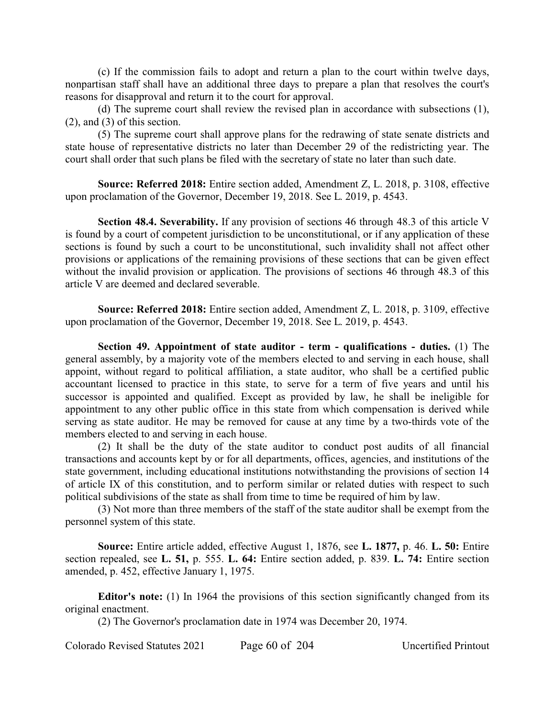(c) If the commission fails to adopt and return a plan to the court within twelve days, nonpartisan staff shall have an additional three days to prepare a plan that resolves the court's reasons for disapproval and return it to the court for approval.

(d) The supreme court shall review the revised plan in accordance with subsections (1), (2), and (3) of this section.

(5) The supreme court shall approve plans for the redrawing of state senate districts and state house of representative districts no later than December 29 of the redistricting year. The court shall order that such plans be filed with the secretary of state no later than such date.

**Source: Referred 2018:** Entire section added, Amendment Z, L. 2018, p. 3108, effective upon proclamation of the Governor, December 19, 2018. See L. 2019, p. 4543.

**Section 48.4. Severability.** If any provision of sections 46 through 48.3 of this article V is found by a court of competent jurisdiction to be unconstitutional, or if any application of these sections is found by such a court to be unconstitutional, such invalidity shall not affect other provisions or applications of the remaining provisions of these sections that can be given effect without the invalid provision or application. The provisions of sections 46 through 48.3 of this article V are deemed and declared severable.

**Source: Referred 2018:** Entire section added, Amendment Z, L. 2018, p. 3109, effective upon proclamation of the Governor, December 19, 2018. See L. 2019, p. 4543.

**Section 49. Appointment of state auditor - term - qualifications - duties.** (1) The general assembly, by a majority vote of the members elected to and serving in each house, shall appoint, without regard to political affiliation, a state auditor, who shall be a certified public accountant licensed to practice in this state, to serve for a term of five years and until his successor is appointed and qualified. Except as provided by law, he shall be ineligible for appointment to any other public office in this state from which compensation is derived while serving as state auditor. He may be removed for cause at any time by a two-thirds vote of the members elected to and serving in each house.

(2) It shall be the duty of the state auditor to conduct post audits of all financial transactions and accounts kept by or for all departments, offices, agencies, and institutions of the state government, including educational institutions notwithstanding the provisions of section 14 of article IX of this constitution, and to perform similar or related duties with respect to such political subdivisions of the state as shall from time to time be required of him by law.

(3) Not more than three members of the staff of the state auditor shall be exempt from the personnel system of this state.

**Source:** Entire article added, effective August 1, 1876, see **L. 1877,** p. 46. **L. 50:** Entire section repealed, see **L. 51,** p. 555. **L. 64:** Entire section added, p. 839. **L. 74:** Entire section amended, p. 452, effective January 1, 1975.

**Editor's note:** (1) In 1964 the provisions of this section significantly changed from its original enactment.

(2) The Governor's proclamation date in 1974 was December 20, 1974.

Colorado Revised Statutes 2021 Page 60 of 204 Uncertified Printout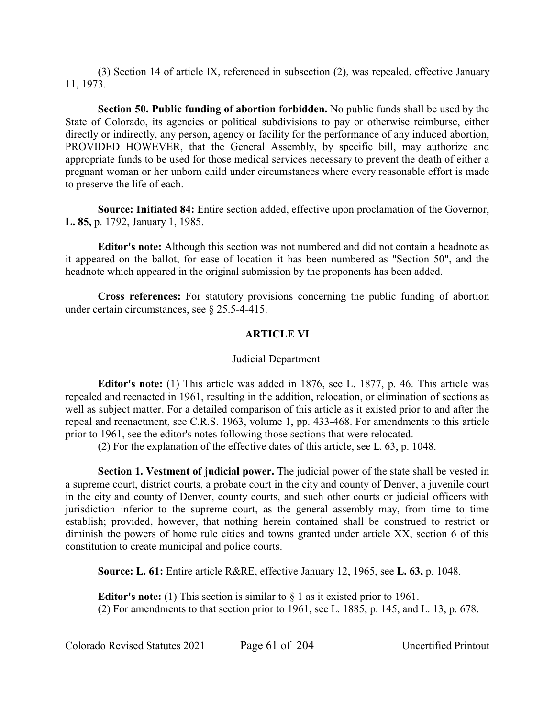(3) Section 14 of article IX, referenced in subsection (2), was repealed, effective January 11, 1973.

**Section 50. Public funding of abortion forbidden.** No public funds shall be used by the State of Colorado, its agencies or political subdivisions to pay or otherwise reimburse, either directly or indirectly, any person, agency or facility for the performance of any induced abortion, PROVIDED HOWEVER, that the General Assembly, by specific bill, may authorize and appropriate funds to be used for those medical services necessary to prevent the death of either a pregnant woman or her unborn child under circumstances where every reasonable effort is made to preserve the life of each.

**Source: Initiated 84:** Entire section added, effective upon proclamation of the Governor, **L. 85,** p. 1792, January 1, 1985.

**Editor's note:** Although this section was not numbered and did not contain a headnote as it appeared on the ballot, for ease of location it has been numbered as "Section 50", and the headnote which appeared in the original submission by the proponents has been added.

**Cross references:** For statutory provisions concerning the public funding of abortion under certain circumstances, see § 25.5-4-415.

# **ARTICLE VI**

### Judicial Department

**Editor's note:** (1) This article was added in 1876, see L. 1877, p. 46. This article was repealed and reenacted in 1961, resulting in the addition, relocation, or elimination of sections as well as subject matter. For a detailed comparison of this article as it existed prior to and after the repeal and reenactment, see C.R.S. 1963, volume 1, pp. 433-468. For amendments to this article prior to 1961, see the editor's notes following those sections that were relocated.

(2) For the explanation of the effective dates of this article, see L. 63, p. 1048.

**Section 1. Vestment of judicial power.** The judicial power of the state shall be vested in a supreme court, district courts, a probate court in the city and county of Denver, a juvenile court in the city and county of Denver, county courts, and such other courts or judicial officers with jurisdiction inferior to the supreme court, as the general assembly may, from time to time establish; provided, however, that nothing herein contained shall be construed to restrict or diminish the powers of home rule cities and towns granted under article XX, section 6 of this constitution to create municipal and police courts.

**Source: L. 61:** Entire article R&RE, effective January 12, 1965, see **L. 63,** p. 1048.

**Editor's note:** (1) This section is similar to  $\S$  1 as it existed prior to 1961. (2) For amendments to that section prior to 1961, see L. 1885, p. 145, and L. 13, p. 678.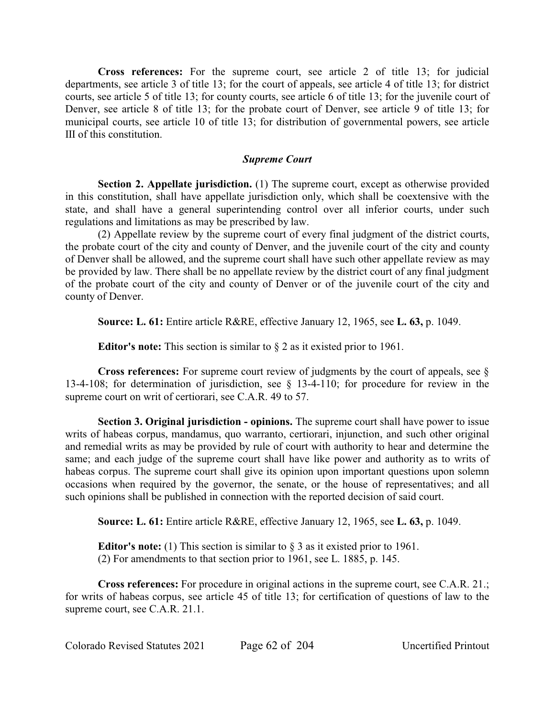**Cross references:** For the supreme court, see article 2 of title 13; for judicial departments, see article 3 of title 13; for the court of appeals, see article 4 of title 13; for district courts, see article 5 of title 13; for county courts, see article 6 of title 13; for the juvenile court of Denver, see article 8 of title 13; for the probate court of Denver, see article 9 of title 13; for municipal courts, see article 10 of title 13; for distribution of governmental powers, see article III of this constitution.

### *Supreme Court*

**Section 2. Appellate jurisdiction.** (1) The supreme court, except as otherwise provided in this constitution, shall have appellate jurisdiction only, which shall be coextensive with the state, and shall have a general superintending control over all inferior courts, under such regulations and limitations as may be prescribed by law.

(2) Appellate review by the supreme court of every final judgment of the district courts, the probate court of the city and county of Denver, and the juvenile court of the city and county of Denver shall be allowed, and the supreme court shall have such other appellate review as may be provided by law. There shall be no appellate review by the district court of any final judgment of the probate court of the city and county of Denver or of the juvenile court of the city and county of Denver.

**Source: L. 61:** Entire article R&RE, effective January 12, 1965, see **L. 63,** p. 1049.

**Editor's note:** This section is similar to § 2 as it existed prior to 1961.

**Cross references:** For supreme court review of judgments by the court of appeals, see § 13-4-108; for determination of jurisdiction, see § 13-4-110; for procedure for review in the supreme court on writ of certiorari, see C.A.R. 49 to 57.

**Section 3. Original jurisdiction - opinions.** The supreme court shall have power to issue writs of habeas corpus, mandamus, quo warranto, certiorari, injunction, and such other original and remedial writs as may be provided by rule of court with authority to hear and determine the same; and each judge of the supreme court shall have like power and authority as to writs of habeas corpus. The supreme court shall give its opinion upon important questions upon solemn occasions when required by the governor, the senate, or the house of representatives; and all such opinions shall be published in connection with the reported decision of said court.

**Source: L. 61:** Entire article R&RE, effective January 12, 1965, see **L. 63,** p. 1049.

**Editor's note:** (1) This section is similar to  $\S$  3 as it existed prior to 1961. (2) For amendments to that section prior to 1961, see L. 1885, p. 145.

**Cross references:** For procedure in original actions in the supreme court, see C.A.R. 21.; for writs of habeas corpus, see article 45 of title 13; for certification of questions of law to the supreme court, see C.A.R. 21.1.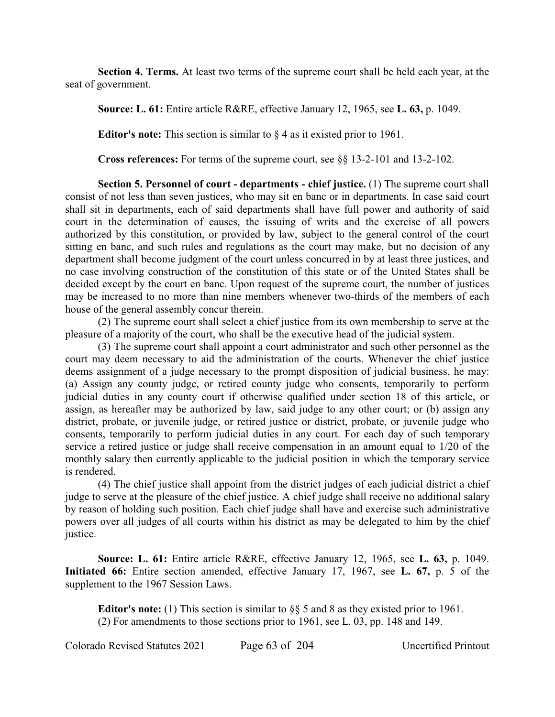**Section 4. Terms.** At least two terms of the supreme court shall be held each year, at the seat of government.

**Source: L. 61:** Entire article R&RE, effective January 12, 1965, see **L. 63,** p. 1049.

**Editor's note:** This section is similar to  $\S 4$  as it existed prior to 1961.

**Cross references:** For terms of the supreme court, see §§ 13-2-101 and 13-2-102.

**Section 5. Personnel of court - departments - chief justice.** (1) The supreme court shall consist of not less than seven justices, who may sit en banc or in departments. In case said court shall sit in departments, each of said departments shall have full power and authority of said court in the determination of causes, the issuing of writs and the exercise of all powers authorized by this constitution, or provided by law, subject to the general control of the court sitting en banc, and such rules and regulations as the court may make, but no decision of any department shall become judgment of the court unless concurred in by at least three justices, and no case involving construction of the constitution of this state or of the United States shall be decided except by the court en banc. Upon request of the supreme court, the number of justices may be increased to no more than nine members whenever two-thirds of the members of each house of the general assembly concur therein.

(2) The supreme court shall select a chief justice from its own membership to serve at the pleasure of a majority of the court, who shall be the executive head of the judicial system.

(3) The supreme court shall appoint a court administrator and such other personnel as the court may deem necessary to aid the administration of the courts. Whenever the chief justice deems assignment of a judge necessary to the prompt disposition of judicial business, he may: (a) Assign any county judge, or retired county judge who consents, temporarily to perform judicial duties in any county court if otherwise qualified under section 18 of this article, or assign, as hereafter may be authorized by law, said judge to any other court; or (b) assign any district, probate, or juvenile judge, or retired justice or district, probate, or juvenile judge who consents, temporarily to perform judicial duties in any court. For each day of such temporary service a retired justice or judge shall receive compensation in an amount equal to 1/20 of the monthly salary then currently applicable to the judicial position in which the temporary service is rendered.

(4) The chief justice shall appoint from the district judges of each judicial district a chief judge to serve at the pleasure of the chief justice. A chief judge shall receive no additional salary by reason of holding such position. Each chief judge shall have and exercise such administrative powers over all judges of all courts within his district as may be delegated to him by the chief justice.

**Source: L. 61:** Entire article R&RE, effective January 12, 1965, see **L. 63,** p. 1049. **Initiated 66:** Entire section amended, effective January 17, 1967, see **L. 67,** p. 5 of the supplement to the 1967 Session Laws.

**Editor's note:** (1) This section is similar to §§ 5 and 8 as they existed prior to 1961. (2) For amendments to those sections prior to 1961, see L. 03, pp. 148 and 149.

Colorado Revised Statutes 2021 Page 63 of 204 Uncertified Printout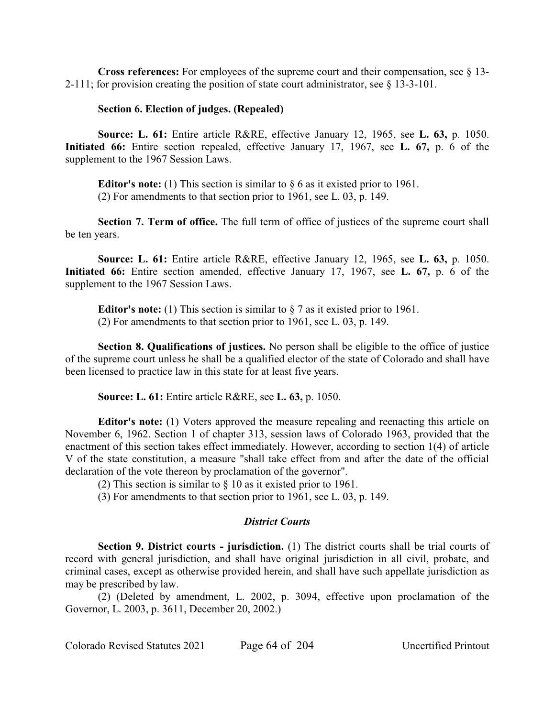**Cross references:** For employees of the supreme court and their compensation, see § 13- 2-111; for provision creating the position of state court administrator, see § 13-3-101.

#### **Section 6. Election of judges. (Repealed)**

**Source: L. 61:** Entire article R&RE, effective January 12, 1965, see **L. 63,** p. 1050. **Initiated 66:** Entire section repealed, effective January 17, 1967, see **L. 67,** p. 6 of the supplement to the 1967 Session Laws.

**Editor's note:** (1) This section is similar to  $\S$  6 as it existed prior to 1961. (2) For amendments to that section prior to 1961, see L. 03, p. 149.

**Section 7. Term of office.** The full term of office of justices of the supreme court shall be ten years.

**Source: L. 61:** Entire article R&RE, effective January 12, 1965, see **L. 63,** p. 1050. **Initiated 66:** Entire section amended, effective January 17, 1967, see **L. 67,** p. 6 of the supplement to the 1967 Session Laws.

**Editor's note:** (1) This section is similar to  $\S$  7 as it existed prior to 1961. (2) For amendments to that section prior to 1961, see L. 03, p. 149.

**Section 8. Qualifications of justices.** No person shall be eligible to the office of justice of the supreme court unless he shall be a qualified elector of the state of Colorado and shall have been licensed to practice law in this state for at least five years.

**Source: L. 61:** Entire article R&RE, see **L. 63,** p. 1050.

**Editor's note:** (1) Voters approved the measure repealing and reenacting this article on November 6, 1962. Section 1 of chapter 313, session laws of Colorado 1963, provided that the enactment of this section takes effect immediately. However, according to section 1(4) of article V of the state constitution, a measure "shall take effect from and after the date of the official declaration of the vote thereon by proclamation of the governor".

(2) This section is similar to § 10 as it existed prior to 1961.

(3) For amendments to that section prior to 1961, see L. 03, p. 149.

#### *District Courts*

**Section 9. District courts - jurisdiction.** (1) The district courts shall be trial courts of record with general jurisdiction, and shall have original jurisdiction in all civil, probate, and criminal cases, except as otherwise provided herein, and shall have such appellate jurisdiction as may be prescribed by law.

(2) (Deleted by amendment, L. 2002, p. 3094, effective upon proclamation of the Governor, L. 2003, p. 3611, December 20, 2002.)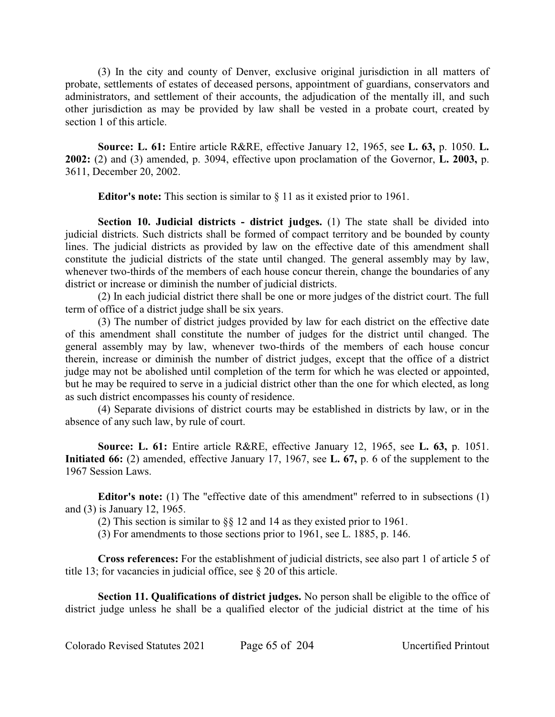(3) In the city and county of Denver, exclusive original jurisdiction in all matters of probate, settlements of estates of deceased persons, appointment of guardians, conservators and administrators, and settlement of their accounts, the adjudication of the mentally ill, and such other jurisdiction as may be provided by law shall be vested in a probate court, created by section 1 of this article.

**Source: L. 61:** Entire article R&RE, effective January 12, 1965, see **L. 63,** p. 1050. **L. 2002:** (2) and (3) amended, p. 3094, effective upon proclamation of the Governor, **L. 2003,** p. 3611, December 20, 2002.

**Editor's note:** This section is similar to  $\S$  11 as it existed prior to 1961.

**Section 10. Judicial districts - district judges.** (1) The state shall be divided into judicial districts. Such districts shall be formed of compact territory and be bounded by county lines. The judicial districts as provided by law on the effective date of this amendment shall constitute the judicial districts of the state until changed. The general assembly may by law, whenever two-thirds of the members of each house concur therein, change the boundaries of any district or increase or diminish the number of judicial districts.

(2) In each judicial district there shall be one or more judges of the district court. The full term of office of a district judge shall be six years.

(3) The number of district judges provided by law for each district on the effective date of this amendment shall constitute the number of judges for the district until changed. The general assembly may by law, whenever two-thirds of the members of each house concur therein, increase or diminish the number of district judges, except that the office of a district judge may not be abolished until completion of the term for which he was elected or appointed, but he may be required to serve in a judicial district other than the one for which elected, as long as such district encompasses his county of residence.

(4) Separate divisions of district courts may be established in districts by law, or in the absence of any such law, by rule of court.

**Source: L. 61:** Entire article R&RE, effective January 12, 1965, see **L. 63,** p. 1051. **Initiated 66:** (2) amended, effective January 17, 1967, see **L. 67,** p. 6 of the supplement to the 1967 Session Laws.

**Editor's note:** (1) The "effective date of this amendment" referred to in subsections (1) and (3) is January 12, 1965.

(2) This section is similar to §§ 12 and 14 as they existed prior to 1961.

(3) For amendments to those sections prior to 1961, see L. 1885, p. 146.

**Cross references:** For the establishment of judicial districts, see also part 1 of article 5 of title 13; for vacancies in judicial office, see § 20 of this article.

**Section 11. Qualifications of district judges.** No person shall be eligible to the office of district judge unless he shall be a qualified elector of the judicial district at the time of his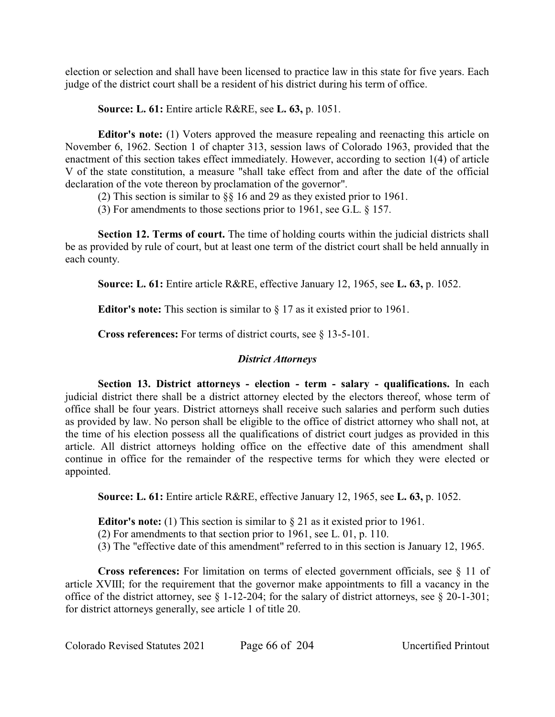election or selection and shall have been licensed to practice law in this state for five years. Each judge of the district court shall be a resident of his district during his term of office.

**Source: L. 61:** Entire article R&RE, see **L. 63,** p. 1051.

**Editor's note:** (1) Voters approved the measure repealing and reenacting this article on November 6, 1962. Section 1 of chapter 313, session laws of Colorado 1963, provided that the enactment of this section takes effect immediately. However, according to section 1(4) of article V of the state constitution, a measure "shall take effect from and after the date of the official declaration of the vote thereon by proclamation of the governor".

(2) This section is similar to §§ 16 and 29 as they existed prior to 1961.

(3) For amendments to those sections prior to 1961, see G.L. § 157.

**Section 12. Terms of court.** The time of holding courts within the judicial districts shall be as provided by rule of court, but at least one term of the district court shall be held annually in each county.

**Source: L. 61:** Entire article R&RE, effective January 12, 1965, see **L. 63,** p. 1052.

**Editor's note:** This section is similar to  $\S$  17 as it existed prior to 1961.

**Cross references:** For terms of district courts, see § 13-5-101.

## *District Attorneys*

**Section 13. District attorneys - election - term - salary - qualifications.** In each judicial district there shall be a district attorney elected by the electors thereof, whose term of office shall be four years. District attorneys shall receive such salaries and perform such duties as provided by law. No person shall be eligible to the office of district attorney who shall not, at the time of his election possess all the qualifications of district court judges as provided in this article. All district attorneys holding office on the effective date of this amendment shall continue in office for the remainder of the respective terms for which they were elected or appointed.

**Source: L. 61:** Entire article R&RE, effective January 12, 1965, see **L. 63,** p. 1052.

**Editor's note:** (1) This section is similar to  $\S 21$  as it existed prior to 1961.

(2) For amendments to that section prior to 1961, see L. 01, p. 110.

(3) The "effective date of this amendment" referred to in this section is January 12, 1965.

**Cross references:** For limitation on terms of elected government officials, see § 11 of article XVIII; for the requirement that the governor make appointments to fill a vacancy in the office of the district attorney, see § 1-12-204; for the salary of district attorneys, see § 20-1-301; for district attorneys generally, see article 1 of title 20.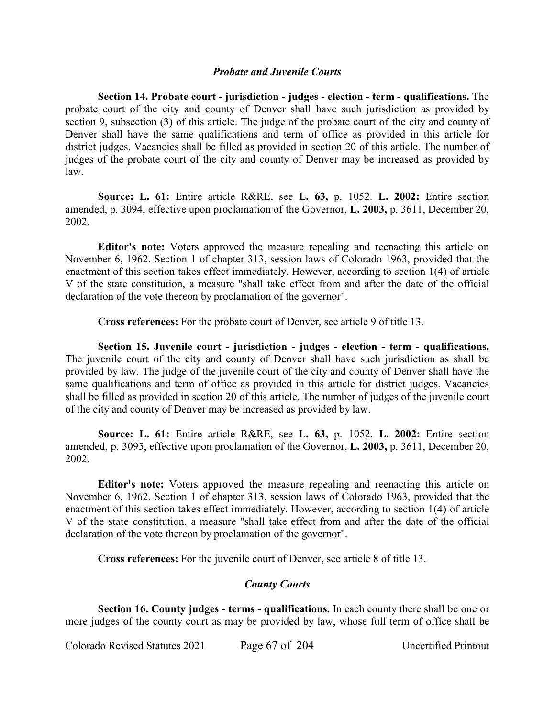### *Probate and Juvenile Courts*

**Section 14. Probate court - jurisdiction - judges - election - term - qualifications.** The probate court of the city and county of Denver shall have such jurisdiction as provided by section 9, subsection (3) of this article. The judge of the probate court of the city and county of Denver shall have the same qualifications and term of office as provided in this article for district judges. Vacancies shall be filled as provided in section 20 of this article. The number of judges of the probate court of the city and county of Denver may be increased as provided by law.

**Source: L. 61:** Entire article R&RE, see **L. 63,** p. 1052. **L. 2002:** Entire section amended, p. 3094, effective upon proclamation of the Governor, **L. 2003,** p. 3611, December 20, 2002.

**Editor's note:** Voters approved the measure repealing and reenacting this article on November 6, 1962. Section 1 of chapter 313, session laws of Colorado 1963, provided that the enactment of this section takes effect immediately. However, according to section 1(4) of article V of the state constitution, a measure "shall take effect from and after the date of the official declaration of the vote thereon by proclamation of the governor".

**Cross references:** For the probate court of Denver, see article 9 of title 13.

**Section 15. Juvenile court - jurisdiction - judges - election - term - qualifications.** The juvenile court of the city and county of Denver shall have such jurisdiction as shall be provided by law. The judge of the juvenile court of the city and county of Denver shall have the same qualifications and term of office as provided in this article for district judges. Vacancies shall be filled as provided in section 20 of this article. The number of judges of the juvenile court of the city and county of Denver may be increased as provided by law.

**Source: L. 61:** Entire article R&RE, see **L. 63,** p. 1052. **L. 2002:** Entire section amended, p. 3095, effective upon proclamation of the Governor, **L. 2003,** p. 3611, December 20, 2002.

**Editor's note:** Voters approved the measure repealing and reenacting this article on November 6, 1962. Section 1 of chapter 313, session laws of Colorado 1963, provided that the enactment of this section takes effect immediately. However, according to section 1(4) of article V of the state constitution, a measure "shall take effect from and after the date of the official declaration of the vote thereon by proclamation of the governor".

**Cross references:** For the juvenile court of Denver, see article 8 of title 13.

# *County Courts*

**Section 16. County judges - terms - qualifications.** In each county there shall be one or more judges of the county court as may be provided by law, whose full term of office shall be

Colorado Revised Statutes 2021 Page 67 of 204 Uncertified Printout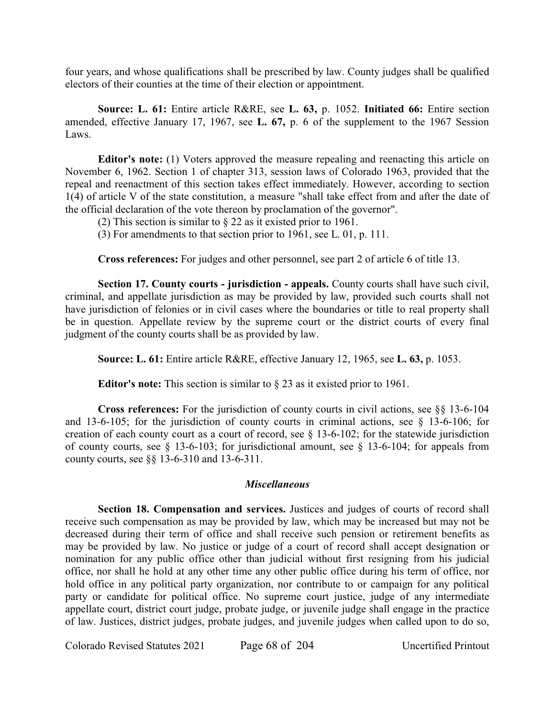four years, and whose qualifications shall be prescribed by law. County judges shall be qualified electors of their counties at the time of their election or appointment.

**Source: L. 61:** Entire article R&RE, see **L. 63,** p. 1052. **Initiated 66:** Entire section amended, effective January 17, 1967, see **L. 67,** p. 6 of the supplement to the 1967 Session Laws.

**Editor's note:** (1) Voters approved the measure repealing and reenacting this article on November 6, 1962. Section 1 of chapter 313, session laws of Colorado 1963, provided that the repeal and reenactment of this section takes effect immediately. However, according to section 1(4) of article V of the state constitution, a measure "shall take effect from and after the date of the official declaration of the vote thereon by proclamation of the governor".

(2) This section is similar to § 22 as it existed prior to 1961.

(3) For amendments to that section prior to 1961, see L. 01, p. 111.

**Cross references:** For judges and other personnel, see part 2 of article 6 of title 13.

**Section 17. County courts - jurisdiction - appeals.** County courts shall have such civil, criminal, and appellate jurisdiction as may be provided by law, provided such courts shall not have jurisdiction of felonies or in civil cases where the boundaries or title to real property shall be in question. Appellate review by the supreme court or the district courts of every final judgment of the county courts shall be as provided by law.

**Source: L. 61:** Entire article R&RE, effective January 12, 1965, see **L. 63,** p. 1053.

**Editor's note:** This section is similar to  $\S$  23 as it existed prior to 1961.

**Cross references:** For the jurisdiction of county courts in civil actions, see §§ 13-6-104 and 13-6-105; for the jurisdiction of county courts in criminal actions, see § 13-6-106; for creation of each county court as a court of record, see § 13-6-102; for the statewide jurisdiction of county courts, see  $\S$  13-6-103; for jurisdictional amount, see  $\S$  13-6-104; for appeals from county courts, see §§ 13-6-310 and 13-6-311.

### *Miscellaneous*

**Section 18. Compensation and services.** Justices and judges of courts of record shall receive such compensation as may be provided by law, which may be increased but may not be decreased during their term of office and shall receive such pension or retirement benefits as may be provided by law. No justice or judge of a court of record shall accept designation or nomination for any public office other than judicial without first resigning from his judicial office, nor shall he hold at any other time any other public office during his term of office, nor hold office in any political party organization, nor contribute to or campaign for any political party or candidate for political office. No supreme court justice, judge of any intermediate appellate court, district court judge, probate judge, or juvenile judge shall engage in the practice of law. Justices, district judges, probate judges, and juvenile judges when called upon to do so,

Colorado Revised Statutes 2021 Page 68 of 204 Uncertified Printout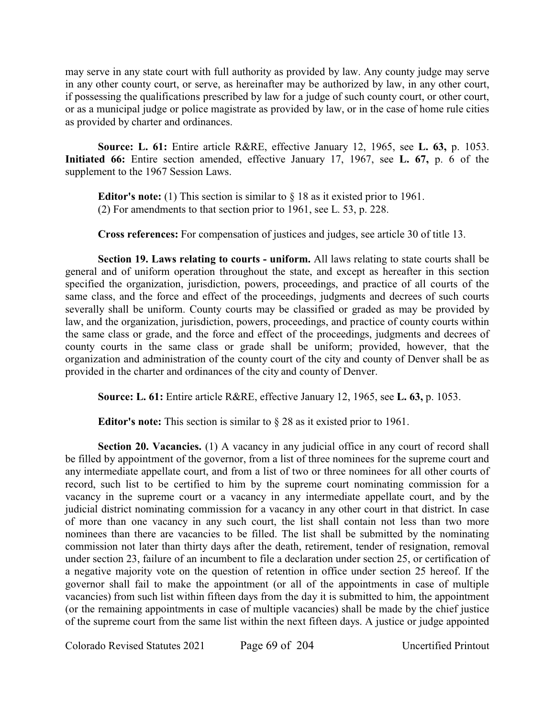may serve in any state court with full authority as provided by law. Any county judge may serve in any other county court, or serve, as hereinafter may be authorized by law, in any other court, if possessing the qualifications prescribed by law for a judge of such county court, or other court, or as a municipal judge or police magistrate as provided by law, or in the case of home rule cities as provided by charter and ordinances.

**Source: L. 61:** Entire article R&RE, effective January 12, 1965, see **L. 63,** p. 1053. **Initiated 66:** Entire section amended, effective January 17, 1967, see **L. 67,** p. 6 of the supplement to the 1967 Session Laws.

**Editor's note:** (1) This section is similar to  $\S$  18 as it existed prior to 1961. (2) For amendments to that section prior to 1961, see L. 53, p. 228.

**Cross references:** For compensation of justices and judges, see article 30 of title 13.

**Section 19. Laws relating to courts - uniform.** All laws relating to state courts shall be general and of uniform operation throughout the state, and except as hereafter in this section specified the organization, jurisdiction, powers, proceedings, and practice of all courts of the same class, and the force and effect of the proceedings, judgments and decrees of such courts severally shall be uniform. County courts may be classified or graded as may be provided by law, and the organization, jurisdiction, powers, proceedings, and practice of county courts within the same class or grade, and the force and effect of the proceedings, judgments and decrees of county courts in the same class or grade shall be uniform; provided, however, that the organization and administration of the county court of the city and county of Denver shall be as provided in the charter and ordinances of the city and county of Denver.

**Source: L. 61:** Entire article R&RE, effective January 12, 1965, see **L. 63,** p. 1053.

**Editor's note:** This section is similar to § 28 as it existed prior to 1961.

Section 20. Vacancies. (1) A vacancy in any judicial office in any court of record shall be filled by appointment of the governor, from a list of three nominees for the supreme court and any intermediate appellate court, and from a list of two or three nominees for all other courts of record, such list to be certified to him by the supreme court nominating commission for a vacancy in the supreme court or a vacancy in any intermediate appellate court, and by the judicial district nominating commission for a vacancy in any other court in that district. In case of more than one vacancy in any such court, the list shall contain not less than two more nominees than there are vacancies to be filled. The list shall be submitted by the nominating commission not later than thirty days after the death, retirement, tender of resignation, removal under section 23, failure of an incumbent to file a declaration under section 25, or certification of a negative majority vote on the question of retention in office under section 25 hereof. If the governor shall fail to make the appointment (or all of the appointments in case of multiple vacancies) from such list within fifteen days from the day it is submitted to him, the appointment (or the remaining appointments in case of multiple vacancies) shall be made by the chief justice of the supreme court from the same list within the next fifteen days. A justice or judge appointed

Colorado Revised Statutes 2021 Page 69 of 204 Uncertified Printout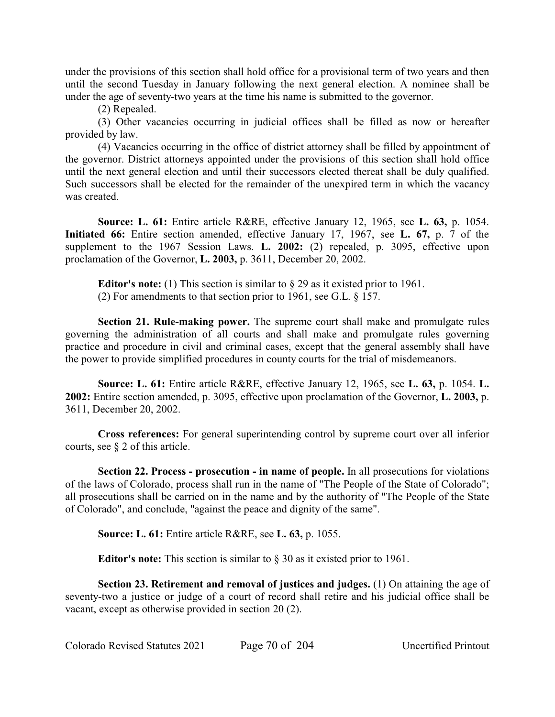under the provisions of this section shall hold office for a provisional term of two years and then until the second Tuesday in January following the next general election. A nominee shall be under the age of seventy-two years at the time his name is submitted to the governor.

(2) Repealed.

(3) Other vacancies occurring in judicial offices shall be filled as now or hereafter provided by law.

(4) Vacancies occurring in the office of district attorney shall be filled by appointment of the governor. District attorneys appointed under the provisions of this section shall hold office until the next general election and until their successors elected thereat shall be duly qualified. Such successors shall be elected for the remainder of the unexpired term in which the vacancy was created.

**Source: L. 61:** Entire article R&RE, effective January 12, 1965, see **L. 63,** p. 1054. **Initiated 66:** Entire section amended, effective January 17, 1967, see **L. 67,** p. 7 of the supplement to the 1967 Session Laws. **L. 2002:** (2) repealed, p. 3095, effective upon proclamation of the Governor, **L. 2003,** p. 3611, December 20, 2002.

**Editor's note:** (1) This section is similar to  $\S$  29 as it existed prior to 1961. (2) For amendments to that section prior to 1961, see G.L. § 157.

**Section 21. Rule-making power.** The supreme court shall make and promulgate rules governing the administration of all courts and shall make and promulgate rules governing practice and procedure in civil and criminal cases, except that the general assembly shall have the power to provide simplified procedures in county courts for the trial of misdemeanors.

**Source: L. 61:** Entire article R&RE, effective January 12, 1965, see **L. 63,** p. 1054. **L. 2002:** Entire section amended, p. 3095, effective upon proclamation of the Governor, **L. 2003,** p. 3611, December 20, 2002.

**Cross references:** For general superintending control by supreme court over all inferior courts, see § 2 of this article.

**Section 22. Process - prosecution - in name of people.** In all prosecutions for violations of the laws of Colorado, process shall run in the name of "The People of the State of Colorado"; all prosecutions shall be carried on in the name and by the authority of "The People of the State of Colorado", and conclude, "against the peace and dignity of the same".

**Source: L. 61:** Entire article R&RE, see **L. 63,** p. 1055.

**Editor's note:** This section is similar to § 30 as it existed prior to 1961.

**Section 23. Retirement and removal of justices and judges.** (1) On attaining the age of seventy-two a justice or judge of a court of record shall retire and his judicial office shall be vacant, except as otherwise provided in section 20 (2).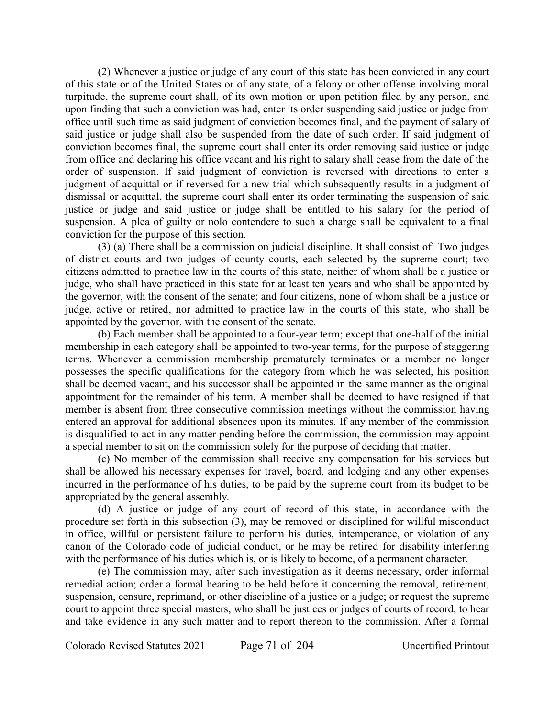(2) Whenever a justice or judge of any court of this state has been convicted in any court of this state or of the United States or of any state, of a felony or other offense involving moral turpitude, the supreme court shall, of its own motion or upon petition filed by any person, and upon finding that such a conviction was had, enter its order suspending said justice or judge from office until such time as said judgment of conviction becomes final, and the payment of salary of said justice or judge shall also be suspended from the date of such order. If said judgment of conviction becomes final, the supreme court shall enter its order removing said justice or judge from office and declaring his office vacant and his right to salary shall cease from the date of the order of suspension. If said judgment of conviction is reversed with directions to enter a judgment of acquittal or if reversed for a new trial which subsequently results in a judgment of dismissal or acquittal, the supreme court shall enter its order terminating the suspension of said justice or judge and said justice or judge shall be entitled to his salary for the period of suspension. A plea of guilty or nolo contendere to such a charge shall be equivalent to a final conviction for the purpose of this section.

(3) (a) There shall be a commission on judicial discipline. It shall consist of: Two judges of district courts and two judges of county courts, each selected by the supreme court; two citizens admitted to practice law in the courts of this state, neither of whom shall be a justice or judge, who shall have practiced in this state for at least ten years and who shall be appointed by the governor, with the consent of the senate; and four citizens, none of whom shall be a justice or judge, active or retired, nor admitted to practice law in the courts of this state, who shall be appointed by the governor, with the consent of the senate.

(b) Each member shall be appointed to a four-year term; except that one-half of the initial membership in each category shall be appointed to two-year terms, for the purpose of staggering terms. Whenever a commission membership prematurely terminates or a member no longer possesses the specific qualifications for the category from which he was selected, his position shall be deemed vacant, and his successor shall be appointed in the same manner as the original appointment for the remainder of his term. A member shall be deemed to have resigned if that member is absent from three consecutive commission meetings without the commission having entered an approval for additional absences upon its minutes. If any member of the commission is disqualified to act in any matter pending before the commission, the commission may appoint a special member to sit on the commission solely for the purpose of deciding that matter.

(c) No member of the commission shall receive any compensation for his services but shall be allowed his necessary expenses for travel, board, and lodging and any other expenses incurred in the performance of his duties, to be paid by the supreme court from its budget to be appropriated by the general assembly.

(d) A justice or judge of any court of record of this state, in accordance with the procedure set forth in this subsection (3), may be removed or disciplined for willful misconduct in office, willful or persistent failure to perform his duties, intemperance, or violation of any canon of the Colorado code of judicial conduct, or he may be retired for disability interfering with the performance of his duties which is, or is likely to become, of a permanent character.

(e) The commission may, after such investigation as it deems necessary, order informal remedial action; order a formal hearing to be held before it concerning the removal, retirement, suspension, censure, reprimand, or other discipline of a justice or a judge; or request the supreme court to appoint three special masters, who shall be justices or judges of courts of record, to hear and take evidence in any such matter and to report thereon to the commission. After a formal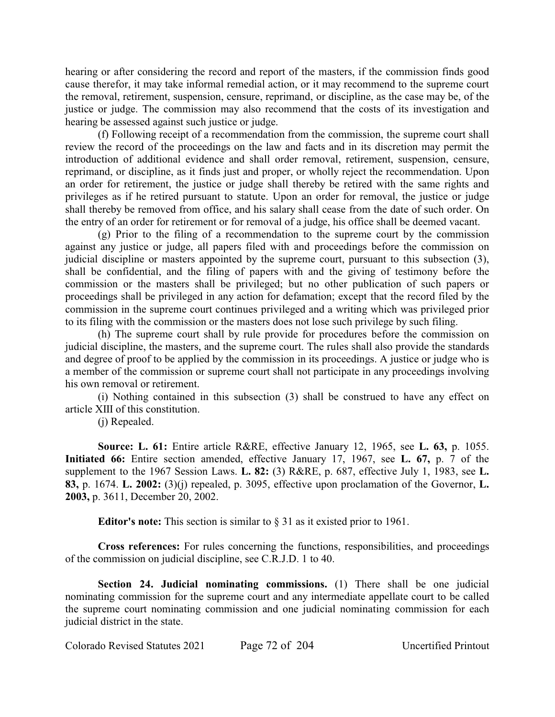hearing or after considering the record and report of the masters, if the commission finds good cause therefor, it may take informal remedial action, or it may recommend to the supreme court the removal, retirement, suspension, censure, reprimand, or discipline, as the case may be, of the justice or judge. The commission may also recommend that the costs of its investigation and hearing be assessed against such justice or judge.

(f) Following receipt of a recommendation from the commission, the supreme court shall review the record of the proceedings on the law and facts and in its discretion may permit the introduction of additional evidence and shall order removal, retirement, suspension, censure, reprimand, or discipline, as it finds just and proper, or wholly reject the recommendation. Upon an order for retirement, the justice or judge shall thereby be retired with the same rights and privileges as if he retired pursuant to statute. Upon an order for removal, the justice or judge shall thereby be removed from office, and his salary shall cease from the date of such order. On the entry of an order for retirement or for removal of a judge, his office shall be deemed vacant.

(g) Prior to the filing of a recommendation to the supreme court by the commission against any justice or judge, all papers filed with and proceedings before the commission on judicial discipline or masters appointed by the supreme court, pursuant to this subsection (3), shall be confidential, and the filing of papers with and the giving of testimony before the commission or the masters shall be privileged; but no other publication of such papers or proceedings shall be privileged in any action for defamation; except that the record filed by the commission in the supreme court continues privileged and a writing which was privileged prior to its filing with the commission or the masters does not lose such privilege by such filing.

(h) The supreme court shall by rule provide for procedures before the commission on judicial discipline, the masters, and the supreme court. The rules shall also provide the standards and degree of proof to be applied by the commission in its proceedings. A justice or judge who is a member of the commission or supreme court shall not participate in any proceedings involving his own removal or retirement.

(i) Nothing contained in this subsection (3) shall be construed to have any effect on article XIII of this constitution.

(j) Repealed.

**Source: L. 61:** Entire article R&RE, effective January 12, 1965, see **L. 63,** p. 1055. **Initiated 66:** Entire section amended, effective January 17, 1967, see **L. 67,** p. 7 of the supplement to the 1967 Session Laws. **L. 82:** (3) R&RE, p. 687, effective July 1, 1983, see **L. 83,** p. 1674. **L. 2002:** (3)(j) repealed, p. 3095, effective upon proclamation of the Governor, **L. 2003,** p. 3611, December 20, 2002.

**Editor's note:** This section is similar to  $\S 31$  as it existed prior to 1961.

**Cross references:** For rules concerning the functions, responsibilities, and proceedings of the commission on judicial discipline, see C.R.J.D. 1 to 40.

**Section 24. Judicial nominating commissions.** (1) There shall be one judicial nominating commission for the supreme court and any intermediate appellate court to be called the supreme court nominating commission and one judicial nominating commission for each judicial district in the state.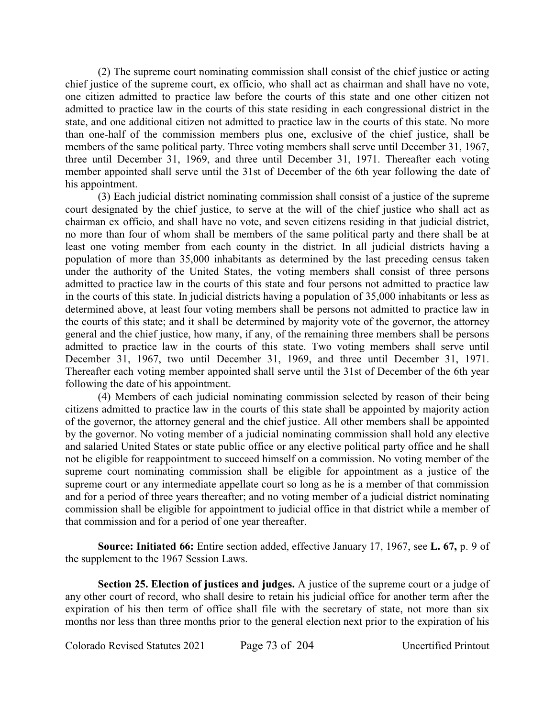(2) The supreme court nominating commission shall consist of the chief justice or acting chief justice of the supreme court, ex officio, who shall act as chairman and shall have no vote, one citizen admitted to practice law before the courts of this state and one other citizen not admitted to practice law in the courts of this state residing in each congressional district in the state, and one additional citizen not admitted to practice law in the courts of this state. No more than one-half of the commission members plus one, exclusive of the chief justice, shall be members of the same political party. Three voting members shall serve until December 31, 1967, three until December 31, 1969, and three until December 31, 1971. Thereafter each voting member appointed shall serve until the 31st of December of the 6th year following the date of his appointment.

(3) Each judicial district nominating commission shall consist of a justice of the supreme court designated by the chief justice, to serve at the will of the chief justice who shall act as chairman ex officio, and shall have no vote, and seven citizens residing in that judicial district, no more than four of whom shall be members of the same political party and there shall be at least one voting member from each county in the district. In all judicial districts having a population of more than 35,000 inhabitants as determined by the last preceding census taken under the authority of the United States, the voting members shall consist of three persons admitted to practice law in the courts of this state and four persons not admitted to practice law in the courts of this state. In judicial districts having a population of 35,000 inhabitants or less as determined above, at least four voting members shall be persons not admitted to practice law in the courts of this state; and it shall be determined by majority vote of the governor, the attorney general and the chief justice, how many, if any, of the remaining three members shall be persons admitted to practice law in the courts of this state. Two voting members shall serve until December 31, 1967, two until December 31, 1969, and three until December 31, 1971. Thereafter each voting member appointed shall serve until the 31st of December of the 6th year following the date of his appointment.

(4) Members of each judicial nominating commission selected by reason of their being citizens admitted to practice law in the courts of this state shall be appointed by majority action of the governor, the attorney general and the chief justice. All other members shall be appointed by the governor. No voting member of a judicial nominating commission shall hold any elective and salaried United States or state public office or any elective political party office and he shall not be eligible for reappointment to succeed himself on a commission. No voting member of the supreme court nominating commission shall be eligible for appointment as a justice of the supreme court or any intermediate appellate court so long as he is a member of that commission and for a period of three years thereafter; and no voting member of a judicial district nominating commission shall be eligible for appointment to judicial office in that district while a member of that commission and for a period of one year thereafter.

**Source: Initiated 66:** Entire section added, effective January 17, 1967, see **L. 67,** p. 9 of the supplement to the 1967 Session Laws.

**Section 25. Election of justices and judges.** A justice of the supreme court or a judge of any other court of record, who shall desire to retain his judicial office for another term after the expiration of his then term of office shall file with the secretary of state, not more than six months nor less than three months prior to the general election next prior to the expiration of his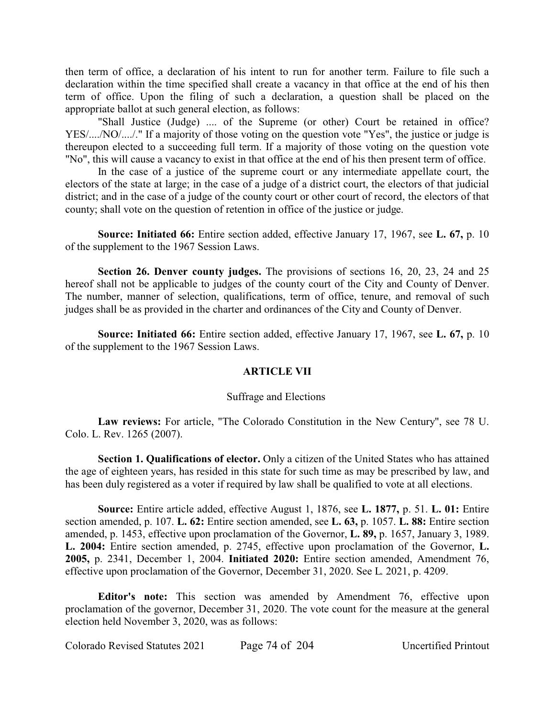then term of office, a declaration of his intent to run for another term. Failure to file such a declaration within the time specified shall create a vacancy in that office at the end of his then term of office. Upon the filing of such a declaration, a question shall be placed on the appropriate ballot at such general election, as follows:

"Shall Justice (Judge) .... of the Supreme (or other) Court be retained in office? YES/..../NO/..../." If a majority of those voting on the question vote "Yes", the justice or judge is thereupon elected to a succeeding full term. If a majority of those voting on the question vote "No", this will cause a vacancy to exist in that office at the end of his then present term of office.

In the case of a justice of the supreme court or any intermediate appellate court, the electors of the state at large; in the case of a judge of a district court, the electors of that judicial district; and in the case of a judge of the county court or other court of record, the electors of that county; shall vote on the question of retention in office of the justice or judge.

**Source: Initiated 66:** Entire section added, effective January 17, 1967, see **L. 67,** p. 10 of the supplement to the 1967 Session Laws.

**Section 26. Denver county judges.** The provisions of sections 16, 20, 23, 24 and 25 hereof shall not be applicable to judges of the county court of the City and County of Denver. The number, manner of selection, qualifications, term of office, tenure, and removal of such judges shall be as provided in the charter and ordinances of the City and County of Denver.

**Source: Initiated 66:** Entire section added, effective January 17, 1967, see **L. 67,** p. 10 of the supplement to the 1967 Session Laws.

## **ARTICLE VII**

## Suffrage and Elections

**Law reviews:** For article, "The Colorado Constitution in the New Century", see 78 U. Colo. L. Rev. 1265 (2007).

**Section 1. Qualifications of elector.** Only a citizen of the United States who has attained the age of eighteen years, has resided in this state for such time as may be prescribed by law, and has been duly registered as a voter if required by law shall be qualified to vote at all elections.

**Source:** Entire article added, effective August 1, 1876, see **L. 1877,** p. 51. **L. 01:** Entire section amended, p. 107. **L. 62:** Entire section amended, see **L. 63,** p. 1057. **L. 88:** Entire section amended, p. 1453, effective upon proclamation of the Governor, **L. 89,** p. 1657, January 3, 1989. **L. 2004:** Entire section amended, p. 2745, effective upon proclamation of the Governor, **L. 2005,** p. 2341, December 1, 2004. **Initiated 2020:** Entire section amended, Amendment 76, effective upon proclamation of the Governor, December 31, 2020. See L. 2021, p. 4209.

**Editor's note:** This section was amended by Amendment 76, effective upon proclamation of the governor, December 31, 2020. The vote count for the measure at the general election held November 3, 2020, was as follows:

Colorado Revised Statutes 2021 Page 74 of 204 Uncertified Printout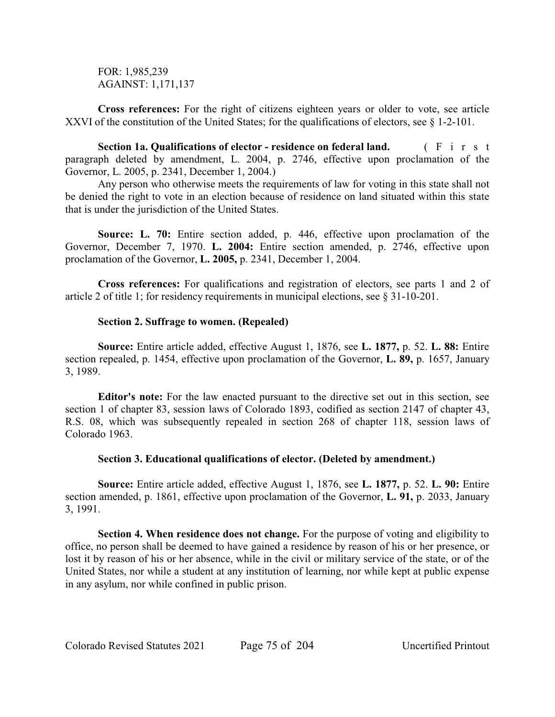FOR: 1,985,239 AGAINST: 1,171,137

**Cross references:** For the right of citizens eighteen years or older to vote, see article XXVI of the constitution of the United States; for the qualifications of electors, see § 1-2-101.

**Section 1a. Qualifications of elector - residence on federal land.** (First paragraph deleted by amendment, L. 2004, p. 2746, effective upon proclamation of the Governor, L. 2005, p. 2341, December 1, 2004.)

Any person who otherwise meets the requirements of law for voting in this state shall not be denied the right to vote in an election because of residence on land situated within this state that is under the jurisdiction of the United States.

**Source: L. 70:** Entire section added, p. 446, effective upon proclamation of the Governor, December 7, 1970. **L. 2004:** Entire section amended, p. 2746, effective upon proclamation of the Governor, **L. 2005,** p. 2341, December 1, 2004.

**Cross references:** For qualifications and registration of electors, see parts 1 and 2 of article 2 of title 1; for residency requirements in municipal elections, see § 31-10-201.

## **Section 2. Suffrage to women. (Repealed)**

**Source:** Entire article added, effective August 1, 1876, see **L. 1877,** p. 52. **L. 88:** Entire section repealed, p. 1454, effective upon proclamation of the Governor, **L. 89,** p. 1657, January 3, 1989.

**Editor's note:** For the law enacted pursuant to the directive set out in this section, see section 1 of chapter 83, session laws of Colorado 1893, codified as section 2147 of chapter 43, R.S. 08, which was subsequently repealed in section 268 of chapter 118, session laws of Colorado 1963.

## **Section 3. Educational qualifications of elector. (Deleted by amendment.)**

**Source:** Entire article added, effective August 1, 1876, see **L. 1877,** p. 52. **L. 90:** Entire section amended, p. 1861, effective upon proclamation of the Governor, **L. 91,** p. 2033, January 3, 1991.

**Section 4. When residence does not change.** For the purpose of voting and eligibility to office, no person shall be deemed to have gained a residence by reason of his or her presence, or lost it by reason of his or her absence, while in the civil or military service of the state, or of the United States, nor while a student at any institution of learning, nor while kept at public expense in any asylum, nor while confined in public prison.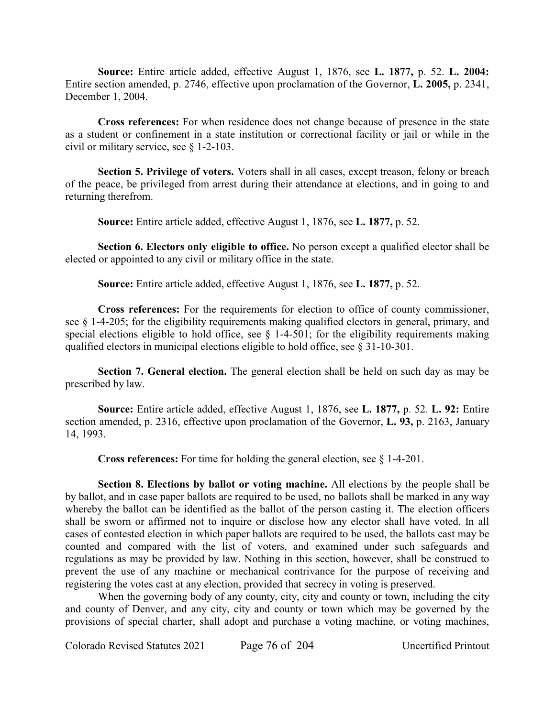**Source:** Entire article added, effective August 1, 1876, see **L. 1877,** p. 52. **L. 2004:** Entire section amended, p. 2746, effective upon proclamation of the Governor, **L. 2005,** p. 2341, December 1, 2004.

**Cross references:** For when residence does not change because of presence in the state as a student or confinement in a state institution or correctional facility or jail or while in the civil or military service, see § 1-2-103.

**Section 5. Privilege of voters.** Voters shall in all cases, except treason, felony or breach of the peace, be privileged from arrest during their attendance at elections, and in going to and returning therefrom.

**Source:** Entire article added, effective August 1, 1876, see **L. 1877,** p. 52.

**Section 6. Electors only eligible to office.** No person except a qualified elector shall be elected or appointed to any civil or military office in the state.

**Source:** Entire article added, effective August 1, 1876, see **L. 1877,** p. 52.

**Cross references:** For the requirements for election to office of county commissioner, see § 1-4-205; for the eligibility requirements making qualified electors in general, primary, and special elections eligible to hold office, see  $\S$  1-4-501; for the eligibility requirements making qualified electors in municipal elections eligible to hold office, see § 31-10-301.

**Section 7. General election.** The general election shall be held on such day as may be prescribed by law.

**Source:** Entire article added, effective August 1, 1876, see **L. 1877,** p. 52. **L. 92:** Entire section amended, p. 2316, effective upon proclamation of the Governor, **L. 93,** p. 2163, January 14, 1993.

**Cross references:** For time for holding the general election, see § 1-4-201.

**Section 8. Elections by ballot or voting machine.** All elections by the people shall be by ballot, and in case paper ballots are required to be used, no ballots shall be marked in any way whereby the ballot can be identified as the ballot of the person casting it. The election officers shall be sworn or affirmed not to inquire or disclose how any elector shall have voted. In all cases of contested election in which paper ballots are required to be used, the ballots cast may be counted and compared with the list of voters, and examined under such safeguards and regulations as may be provided by law. Nothing in this section, however, shall be construed to prevent the use of any machine or mechanical contrivance for the purpose of receiving and registering the votes cast at any election, provided that secrecy in voting is preserved.

When the governing body of any county, city, city and county or town, including the city and county of Denver, and any city, city and county or town which may be governed by the provisions of special charter, shall adopt and purchase a voting machine, or voting machines,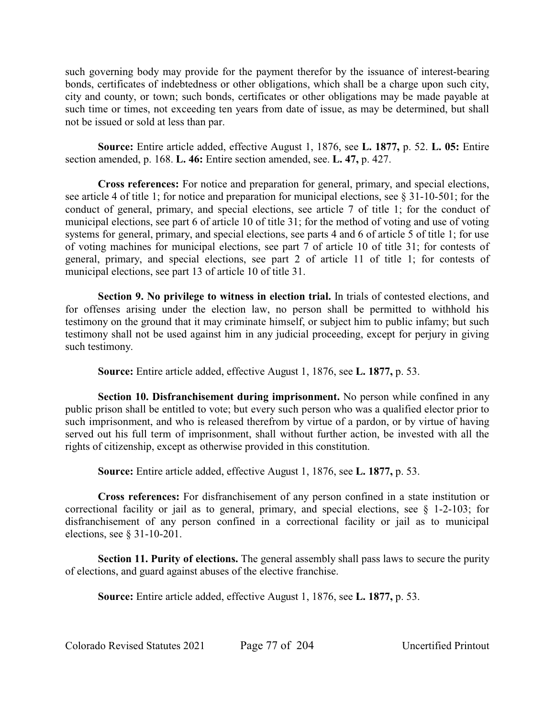such governing body may provide for the payment therefor by the issuance of interest-bearing bonds, certificates of indebtedness or other obligations, which shall be a charge upon such city, city and county, or town; such bonds, certificates or other obligations may be made payable at such time or times, not exceeding ten years from date of issue, as may be determined, but shall not be issued or sold at less than par.

**Source:** Entire article added, effective August 1, 1876, see **L. 1877,** p. 52. **L. 05:** Entire section amended, p. 168. **L. 46:** Entire section amended, see. **L. 47,** p. 427.

**Cross references:** For notice and preparation for general, primary, and special elections, see article 4 of title 1; for notice and preparation for municipal elections, see § 31-10-501; for the conduct of general, primary, and special elections, see article 7 of title 1; for the conduct of municipal elections, see part 6 of article 10 of title 31; for the method of voting and use of voting systems for general, primary, and special elections, see parts 4 and 6 of article 5 of title 1; for use of voting machines for municipal elections, see part 7 of article 10 of title 31; for contests of general, primary, and special elections, see part 2 of article 11 of title 1; for contests of municipal elections, see part 13 of article 10 of title 31.

**Section 9. No privilege to witness in election trial.** In trials of contested elections, and for offenses arising under the election law, no person shall be permitted to withhold his testimony on the ground that it may criminate himself, or subject him to public infamy; but such testimony shall not be used against him in any judicial proceeding, except for perjury in giving such testimony.

**Source:** Entire article added, effective August 1, 1876, see **L. 1877,** p. 53.

**Section 10. Disfranchisement during imprisonment.** No person while confined in any public prison shall be entitled to vote; but every such person who was a qualified elector prior to such imprisonment, and who is released therefrom by virtue of a pardon, or by virtue of having served out his full term of imprisonment, shall without further action, be invested with all the rights of citizenship, except as otherwise provided in this constitution.

**Source:** Entire article added, effective August 1, 1876, see **L. 1877,** p. 53.

**Cross references:** For disfranchisement of any person confined in a state institution or correctional facility or jail as to general, primary, and special elections, see § 1-2-103; for disfranchisement of any person confined in a correctional facility or jail as to municipal elections, see § 31-10-201.

**Section 11. Purity of elections.** The general assembly shall pass laws to secure the purity of elections, and guard against abuses of the elective franchise.

**Source:** Entire article added, effective August 1, 1876, see **L. 1877,** p. 53.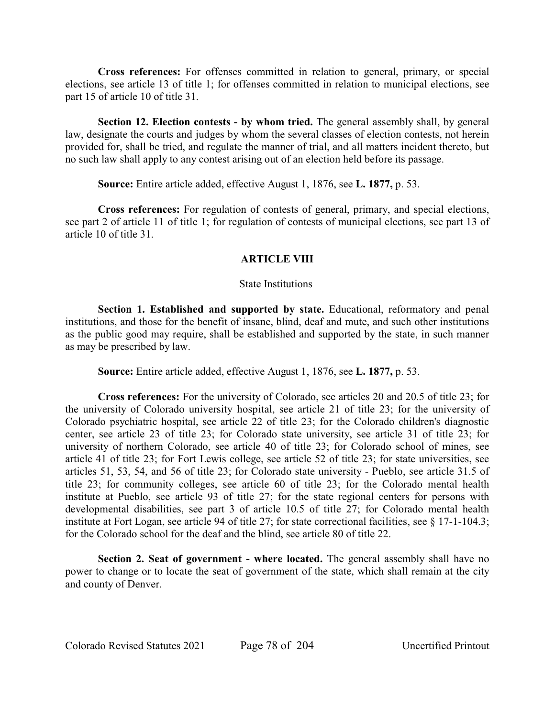**Cross references:** For offenses committed in relation to general, primary, or special elections, see article 13 of title 1; for offenses committed in relation to municipal elections, see part 15 of article 10 of title 31.

**Section 12. Election contests - by whom tried.** The general assembly shall, by general law, designate the courts and judges by whom the several classes of election contests, not herein provided for, shall be tried, and regulate the manner of trial, and all matters incident thereto, but no such law shall apply to any contest arising out of an election held before its passage.

**Source:** Entire article added, effective August 1, 1876, see **L. 1877,** p. 53.

**Cross references:** For regulation of contests of general, primary, and special elections, see part 2 of article 11 of title 1; for regulation of contests of municipal elections, see part 13 of article 10 of title 31.

# **ARTICLE VIII**

# State Institutions

**Section 1. Established and supported by state.** Educational, reformatory and penal institutions, and those for the benefit of insane, blind, deaf and mute, and such other institutions as the public good may require, shall be established and supported by the state, in such manner as may be prescribed by law.

**Source:** Entire article added, effective August 1, 1876, see **L. 1877,** p. 53.

**Cross references:** For the university of Colorado, see articles 20 and 20.5 of title 23; for the university of Colorado university hospital, see article 21 of title 23; for the university of Colorado psychiatric hospital, see article 22 of title 23; for the Colorado children's diagnostic center, see article 23 of title 23; for Colorado state university, see article 31 of title 23; for university of northern Colorado, see article 40 of title 23; for Colorado school of mines, see article 41 of title 23; for Fort Lewis college, see article 52 of title 23; for state universities, see articles 51, 53, 54, and 56 of title 23; for Colorado state university - Pueblo, see article 31.5 of title 23; for community colleges, see article 60 of title 23; for the Colorado mental health institute at Pueblo, see article 93 of title 27; for the state regional centers for persons with developmental disabilities, see part 3 of article 10.5 of title 27; for Colorado mental health institute at Fort Logan, see article 94 of title 27; for state correctional facilities, see § 17-1-104.3; for the Colorado school for the deaf and the blind, see article 80 of title 22.

**Section 2. Seat of government - where located.** The general assembly shall have no power to change or to locate the seat of government of the state, which shall remain at the city and county of Denver.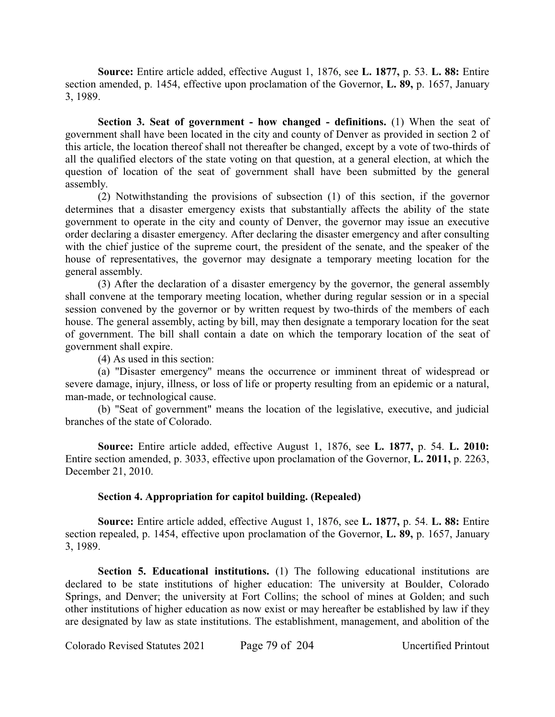**Source:** Entire article added, effective August 1, 1876, see **L. 1877,** p. 53. **L. 88:** Entire section amended, p. 1454, effective upon proclamation of the Governor, **L. 89,** p. 1657, January 3, 1989.

**Section 3. Seat of government - how changed - definitions.** (1) When the seat of government shall have been located in the city and county of Denver as provided in section 2 of this article, the location thereof shall not thereafter be changed, except by a vote of two-thirds of all the qualified electors of the state voting on that question, at a general election, at which the question of location of the seat of government shall have been submitted by the general assembly.

(2) Notwithstanding the provisions of subsection (1) of this section, if the governor determines that a disaster emergency exists that substantially affects the ability of the state government to operate in the city and county of Denver, the governor may issue an executive order declaring a disaster emergency. After declaring the disaster emergency and after consulting with the chief justice of the supreme court, the president of the senate, and the speaker of the house of representatives, the governor may designate a temporary meeting location for the general assembly.

(3) After the declaration of a disaster emergency by the governor, the general assembly shall convene at the temporary meeting location, whether during regular session or in a special session convened by the governor or by written request by two-thirds of the members of each house. The general assembly, acting by bill, may then designate a temporary location for the seat of government. The bill shall contain a date on which the temporary location of the seat of government shall expire.

(4) As used in this section:

(a) "Disaster emergency" means the occurrence or imminent threat of widespread or severe damage, injury, illness, or loss of life or property resulting from an epidemic or a natural, man-made, or technological cause.

(b) "Seat of government" means the location of the legislative, executive, and judicial branches of the state of Colorado.

**Source:** Entire article added, effective August 1, 1876, see **L. 1877,** p. 54. **L. 2010:** Entire section amended, p. 3033, effective upon proclamation of the Governor, **L. 2011,** p. 2263, December 21, 2010.

# **Section 4. Appropriation for capitol building. (Repealed)**

**Source:** Entire article added, effective August 1, 1876, see **L. 1877,** p. 54. **L. 88:** Entire section repealed, p. 1454, effective upon proclamation of the Governor, **L. 89,** p. 1657, January 3, 1989.

**Section 5. Educational institutions.** (1) The following educational institutions are declared to be state institutions of higher education: The university at Boulder, Colorado Springs, and Denver; the university at Fort Collins; the school of mines at Golden; and such other institutions of higher education as now exist or may hereafter be established by law if they are designated by law as state institutions. The establishment, management, and abolition of the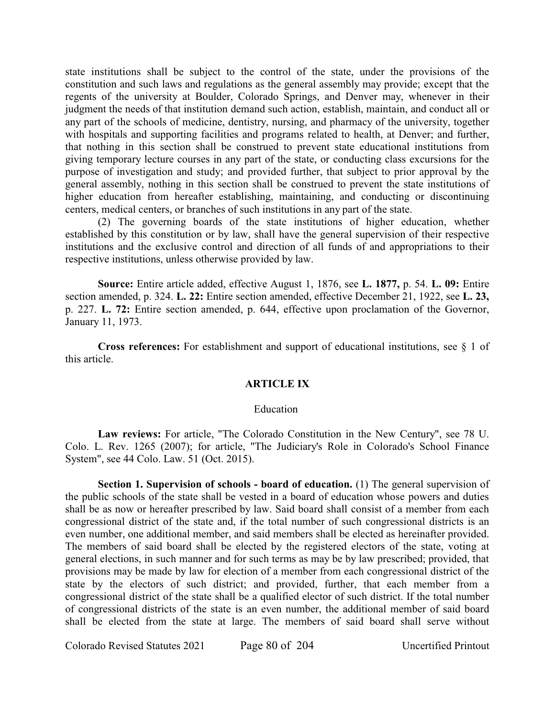state institutions shall be subject to the control of the state, under the provisions of the constitution and such laws and regulations as the general assembly may provide; except that the regents of the university at Boulder, Colorado Springs, and Denver may, whenever in their judgment the needs of that institution demand such action, establish, maintain, and conduct all or any part of the schools of medicine, dentistry, nursing, and pharmacy of the university, together with hospitals and supporting facilities and programs related to health, at Denver; and further, that nothing in this section shall be construed to prevent state educational institutions from giving temporary lecture courses in any part of the state, or conducting class excursions for the purpose of investigation and study; and provided further, that subject to prior approval by the general assembly, nothing in this section shall be construed to prevent the state institutions of higher education from hereafter establishing, maintaining, and conducting or discontinuing centers, medical centers, or branches of such institutions in any part of the state.

(2) The governing boards of the state institutions of higher education, whether established by this constitution or by law, shall have the general supervision of their respective institutions and the exclusive control and direction of all funds of and appropriations to their respective institutions, unless otherwise provided by law.

**Source:** Entire article added, effective August 1, 1876, see **L. 1877,** p. 54. **L. 09:** Entire section amended, p. 324. **L. 22:** Entire section amended, effective December 21, 1922, see **L. 23,** p. 227. **L. 72:** Entire section amended, p. 644, effective upon proclamation of the Governor, January 11, 1973.

**Cross references:** For establishment and support of educational institutions, see § 1 of this article.

## **ARTICLE IX**

### Education

**Law reviews:** For article, "The Colorado Constitution in the New Century", see 78 U. Colo. L. Rev. 1265 (2007); for article, "The Judiciary's Role in Colorado's School Finance System", see 44 Colo. Law. 51 (Oct. 2015).

**Section 1. Supervision of schools - board of education.** (1) The general supervision of the public schools of the state shall be vested in a board of education whose powers and duties shall be as now or hereafter prescribed by law. Said board shall consist of a member from each congressional district of the state and, if the total number of such congressional districts is an even number, one additional member, and said members shall be elected as hereinafter provided. The members of said board shall be elected by the registered electors of the state, voting at general elections, in such manner and for such terms as may be by law prescribed; provided, that provisions may be made by law for election of a member from each congressional district of the state by the electors of such district; and provided, further, that each member from a congressional district of the state shall be a qualified elector of such district. If the total number of congressional districts of the state is an even number, the additional member of said board shall be elected from the state at large. The members of said board shall serve without

Colorado Revised Statutes 2021 Page 80 of 204 Uncertified Printout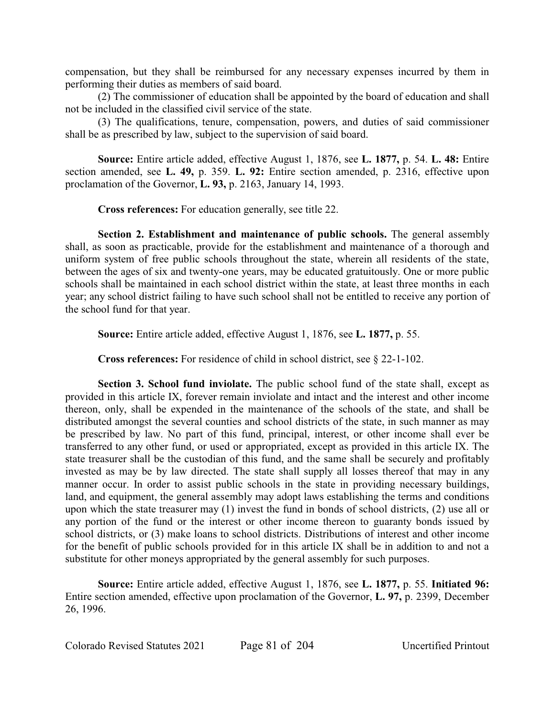compensation, but they shall be reimbursed for any necessary expenses incurred by them in performing their duties as members of said board.

(2) The commissioner of education shall be appointed by the board of education and shall not be included in the classified civil service of the state.

(3) The qualifications, tenure, compensation, powers, and duties of said commissioner shall be as prescribed by law, subject to the supervision of said board.

**Source:** Entire article added, effective August 1, 1876, see **L. 1877,** p. 54. **L. 48:** Entire section amended, see **L. 49,** p. 359. **L. 92:** Entire section amended, p. 2316, effective upon proclamation of the Governor, **L. 93,** p. 2163, January 14, 1993.

**Cross references:** For education generally, see title 22.

**Section 2. Establishment and maintenance of public schools.** The general assembly shall, as soon as practicable, provide for the establishment and maintenance of a thorough and uniform system of free public schools throughout the state, wherein all residents of the state, between the ages of six and twenty-one years, may be educated gratuitously. One or more public schools shall be maintained in each school district within the state, at least three months in each year; any school district failing to have such school shall not be entitled to receive any portion of the school fund for that year.

**Source:** Entire article added, effective August 1, 1876, see **L. 1877,** p. 55.

**Cross references:** For residence of child in school district, see § 22-1-102.

**Section 3. School fund inviolate.** The public school fund of the state shall, except as provided in this article IX, forever remain inviolate and intact and the interest and other income thereon, only, shall be expended in the maintenance of the schools of the state, and shall be distributed amongst the several counties and school districts of the state, in such manner as may be prescribed by law. No part of this fund, principal, interest, or other income shall ever be transferred to any other fund, or used or appropriated, except as provided in this article IX. The state treasurer shall be the custodian of this fund, and the same shall be securely and profitably invested as may be by law directed. The state shall supply all losses thereof that may in any manner occur. In order to assist public schools in the state in providing necessary buildings, land, and equipment, the general assembly may adopt laws establishing the terms and conditions upon which the state treasurer may (1) invest the fund in bonds of school districts, (2) use all or any portion of the fund or the interest or other income thereon to guaranty bonds issued by school districts, or (3) make loans to school districts. Distributions of interest and other income for the benefit of public schools provided for in this article IX shall be in addition to and not a substitute for other moneys appropriated by the general assembly for such purposes.

**Source:** Entire article added, effective August 1, 1876, see **L. 1877,** p. 55. **Initiated 96:** Entire section amended, effective upon proclamation of the Governor, **L. 97,** p. 2399, December 26, 1996.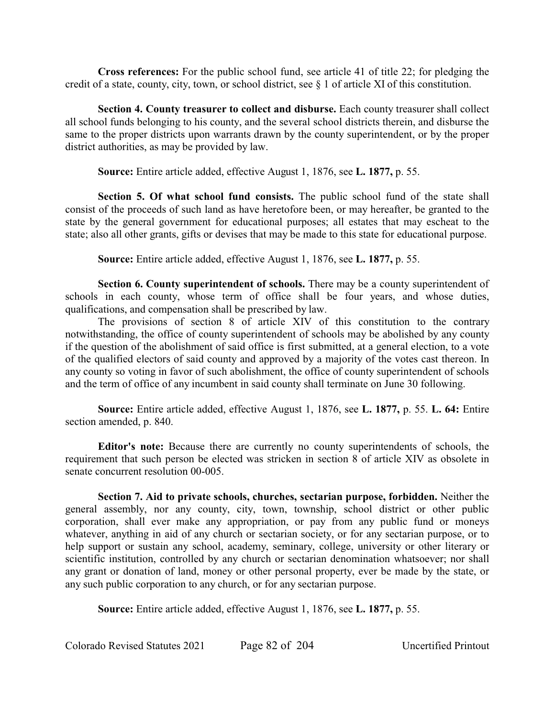**Cross references:** For the public school fund, see article 41 of title 22; for pledging the credit of a state, county, city, town, or school district, see § 1 of article XI of this constitution.

**Section 4. County treasurer to collect and disburse.** Each county treasurer shall collect all school funds belonging to his county, and the several school districts therein, and disburse the same to the proper districts upon warrants drawn by the county superintendent, or by the proper district authorities, as may be provided by law.

**Source:** Entire article added, effective August 1, 1876, see **L. 1877,** p. 55.

**Section 5. Of what school fund consists.** The public school fund of the state shall consist of the proceeds of such land as have heretofore been, or may hereafter, be granted to the state by the general government for educational purposes; all estates that may escheat to the state; also all other grants, gifts or devises that may be made to this state for educational purpose.

**Source:** Entire article added, effective August 1, 1876, see **L. 1877,** p. 55.

**Section 6. County superintendent of schools.** There may be a county superintendent of schools in each county, whose term of office shall be four years, and whose duties, qualifications, and compensation shall be prescribed by law.

The provisions of section 8 of article XIV of this constitution to the contrary notwithstanding, the office of county superintendent of schools may be abolished by any county if the question of the abolishment of said office is first submitted, at a general election, to a vote of the qualified electors of said county and approved by a majority of the votes cast thereon. In any county so voting in favor of such abolishment, the office of county superintendent of schools and the term of office of any incumbent in said county shall terminate on June 30 following.

**Source:** Entire article added, effective August 1, 1876, see **L. 1877,** p. 55. **L. 64:** Entire section amended, p. 840.

**Editor's note:** Because there are currently no county superintendents of schools, the requirement that such person be elected was stricken in section 8 of article XIV as obsolete in senate concurrent resolution 00-005.

**Section 7. Aid to private schools, churches, sectarian purpose, forbidden.** Neither the general assembly, nor any county, city, town, township, school district or other public corporation, shall ever make any appropriation, or pay from any public fund or moneys whatever, anything in aid of any church or sectarian society, or for any sectarian purpose, or to help support or sustain any school, academy, seminary, college, university or other literary or scientific institution, controlled by any church or sectarian denomination whatsoever; nor shall any grant or donation of land, money or other personal property, ever be made by the state, or any such public corporation to any church, or for any sectarian purpose.

**Source:** Entire article added, effective August 1, 1876, see **L. 1877,** p. 55.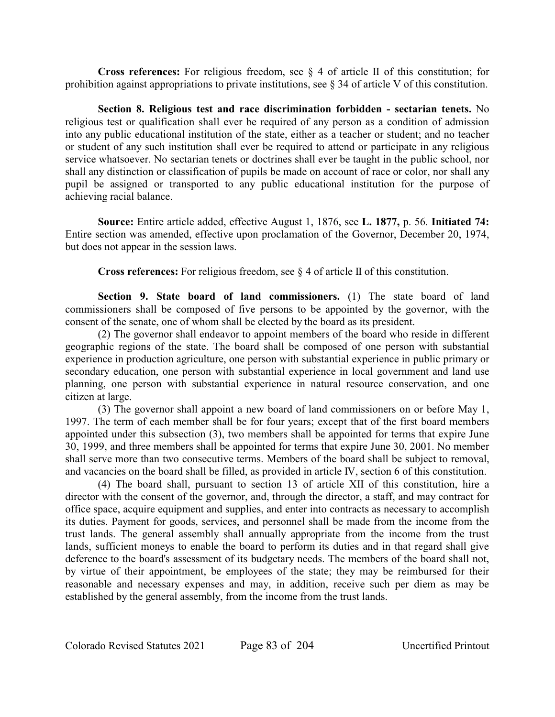**Cross references:** For religious freedom, see § 4 of article II of this constitution; for prohibition against appropriations to private institutions, see § 34 of article V of this constitution.

**Section 8. Religious test and race discrimination forbidden - sectarian tenets.** No religious test or qualification shall ever be required of any person as a condition of admission into any public educational institution of the state, either as a teacher or student; and no teacher or student of any such institution shall ever be required to attend or participate in any religious service whatsoever. No sectarian tenets or doctrines shall ever be taught in the public school, nor shall any distinction or classification of pupils be made on account of race or color, nor shall any pupil be assigned or transported to any public educational institution for the purpose of achieving racial balance.

**Source:** Entire article added, effective August 1, 1876, see **L. 1877,** p. 56. **Initiated 74:** Entire section was amended, effective upon proclamation of the Governor, December 20, 1974, but does not appear in the session laws.

**Cross references:** For religious freedom, see § 4 of article II of this constitution.

**Section 9. State board of land commissioners.** (1) The state board of land commissioners shall be composed of five persons to be appointed by the governor, with the consent of the senate, one of whom shall be elected by the board as its president.

(2) The governor shall endeavor to appoint members of the board who reside in different geographic regions of the state. The board shall be composed of one person with substantial experience in production agriculture, one person with substantial experience in public primary or secondary education, one person with substantial experience in local government and land use planning, one person with substantial experience in natural resource conservation, and one citizen at large.

(3) The governor shall appoint a new board of land commissioners on or before May 1, 1997. The term of each member shall be for four years; except that of the first board members appointed under this subsection (3), two members shall be appointed for terms that expire June 30, 1999, and three members shall be appointed for terms that expire June 30, 2001. No member shall serve more than two consecutive terms. Members of the board shall be subject to removal, and vacancies on the board shall be filled, as provided in article IV, section 6 of this constitution.

(4) The board shall, pursuant to section 13 of article XII of this constitution, hire a director with the consent of the governor, and, through the director, a staff, and may contract for office space, acquire equipment and supplies, and enter into contracts as necessary to accomplish its duties. Payment for goods, services, and personnel shall be made from the income from the trust lands. The general assembly shall annually appropriate from the income from the trust lands, sufficient moneys to enable the board to perform its duties and in that regard shall give deference to the board's assessment of its budgetary needs. The members of the board shall not, by virtue of their appointment, be employees of the state; they may be reimbursed for their reasonable and necessary expenses and may, in addition, receive such per diem as may be established by the general assembly, from the income from the trust lands.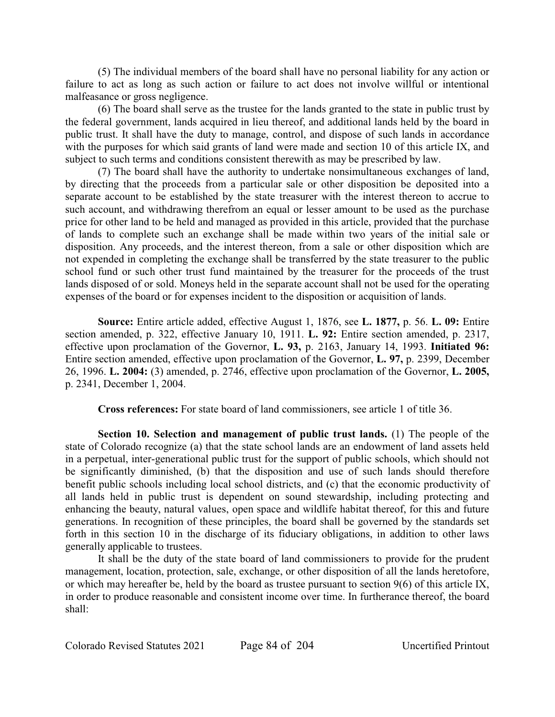(5) The individual members of the board shall have no personal liability for any action or failure to act as long as such action or failure to act does not involve willful or intentional malfeasance or gross negligence.

(6) The board shall serve as the trustee for the lands granted to the state in public trust by the federal government, lands acquired in lieu thereof, and additional lands held by the board in public trust. It shall have the duty to manage, control, and dispose of such lands in accordance with the purposes for which said grants of land were made and section 10 of this article IX, and subject to such terms and conditions consistent therewith as may be prescribed by law.

(7) The board shall have the authority to undertake nonsimultaneous exchanges of land, by directing that the proceeds from a particular sale or other disposition be deposited into a separate account to be established by the state treasurer with the interest thereon to accrue to such account, and withdrawing therefrom an equal or lesser amount to be used as the purchase price for other land to be held and managed as provided in this article, provided that the purchase of lands to complete such an exchange shall be made within two years of the initial sale or disposition. Any proceeds, and the interest thereon, from a sale or other disposition which are not expended in completing the exchange shall be transferred by the state treasurer to the public school fund or such other trust fund maintained by the treasurer for the proceeds of the trust lands disposed of or sold. Moneys held in the separate account shall not be used for the operating expenses of the board or for expenses incident to the disposition or acquisition of lands.

**Source:** Entire article added, effective August 1, 1876, see **L. 1877,** p. 56. **L. 09:** Entire section amended, p. 322, effective January 10, 1911. **L. 92:** Entire section amended, p. 2317, effective upon proclamation of the Governor, **L. 93,** p. 2163, January 14, 1993. **Initiated 96:** Entire section amended, effective upon proclamation of the Governor, **L. 97,** p. 2399, December 26, 1996. **L. 2004:** (3) amended, p. 2746, effective upon proclamation of the Governor, **L. 2005,** p. 2341, December 1, 2004.

**Cross references:** For state board of land commissioners, see article 1 of title 36.

**Section 10. Selection and management of public trust lands.** (1) The people of the state of Colorado recognize (a) that the state school lands are an endowment of land assets held in a perpetual, inter-generational public trust for the support of public schools, which should not be significantly diminished, (b) that the disposition and use of such lands should therefore benefit public schools including local school districts, and (c) that the economic productivity of all lands held in public trust is dependent on sound stewardship, including protecting and enhancing the beauty, natural values, open space and wildlife habitat thereof, for this and future generations. In recognition of these principles, the board shall be governed by the standards set forth in this section 10 in the discharge of its fiduciary obligations, in addition to other laws generally applicable to trustees.

It shall be the duty of the state board of land commissioners to provide for the prudent management, location, protection, sale, exchange, or other disposition of all the lands heretofore, or which may hereafter be, held by the board as trustee pursuant to section 9(6) of this article IX, in order to produce reasonable and consistent income over time. In furtherance thereof, the board shall: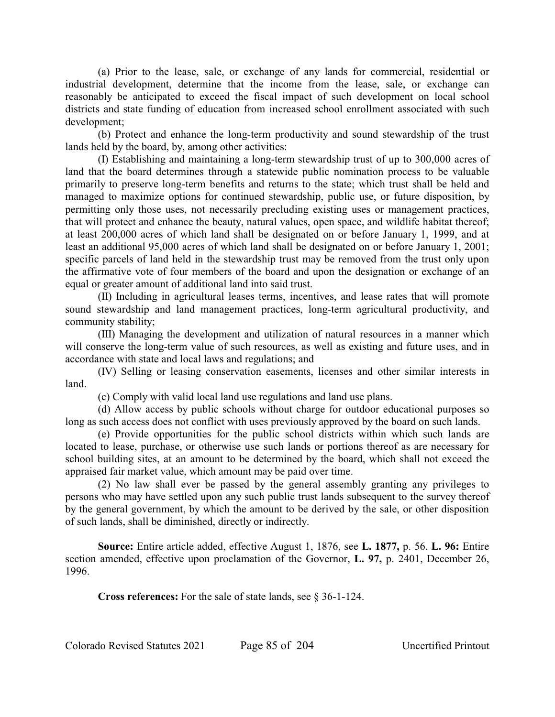(a) Prior to the lease, sale, or exchange of any lands for commercial, residential or industrial development, determine that the income from the lease, sale, or exchange can reasonably be anticipated to exceed the fiscal impact of such development on local school districts and state funding of education from increased school enrollment associated with such development;

(b) Protect and enhance the long-term productivity and sound stewardship of the trust lands held by the board, by, among other activities:

(I) Establishing and maintaining a long-term stewardship trust of up to 300,000 acres of land that the board determines through a statewide public nomination process to be valuable primarily to preserve long-term benefits and returns to the state; which trust shall be held and managed to maximize options for continued stewardship, public use, or future disposition, by permitting only those uses, not necessarily precluding existing uses or management practices, that will protect and enhance the beauty, natural values, open space, and wildlife habitat thereof; at least 200,000 acres of which land shall be designated on or before January 1, 1999, and at least an additional 95,000 acres of which land shall be designated on or before January 1, 2001; specific parcels of land held in the stewardship trust may be removed from the trust only upon the affirmative vote of four members of the board and upon the designation or exchange of an equal or greater amount of additional land into said trust.

(II) Including in agricultural leases terms, incentives, and lease rates that will promote sound stewardship and land management practices, long-term agricultural productivity, and community stability;

(III) Managing the development and utilization of natural resources in a manner which will conserve the long-term value of such resources, as well as existing and future uses, and in accordance with state and local laws and regulations; and

(IV) Selling or leasing conservation easements, licenses and other similar interests in land.

(c) Comply with valid local land use regulations and land use plans.

(d) Allow access by public schools without charge for outdoor educational purposes so long as such access does not conflict with uses previously approved by the board on such lands.

(e) Provide opportunities for the public school districts within which such lands are located to lease, purchase, or otherwise use such lands or portions thereof as are necessary for school building sites, at an amount to be determined by the board, which shall not exceed the appraised fair market value, which amount may be paid over time.

(2) No law shall ever be passed by the general assembly granting any privileges to persons who may have settled upon any such public trust lands subsequent to the survey thereof by the general government, by which the amount to be derived by the sale, or other disposition of such lands, shall be diminished, directly or indirectly.

**Source:** Entire article added, effective August 1, 1876, see **L. 1877,** p. 56. **L. 96:** Entire section amended, effective upon proclamation of the Governor, **L. 97,** p. 2401, December 26, 1996.

**Cross references:** For the sale of state lands, see § 36-1-124.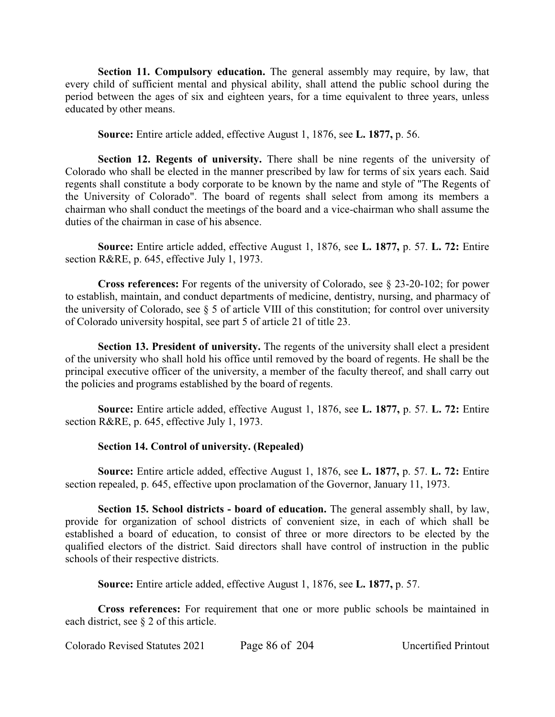**Section 11. Compulsory education.** The general assembly may require, by law, that every child of sufficient mental and physical ability, shall attend the public school during the period between the ages of six and eighteen years, for a time equivalent to three years, unless educated by other means.

**Source:** Entire article added, effective August 1, 1876, see **L. 1877,** p. 56.

**Section 12. Regents of university.** There shall be nine regents of the university of Colorado who shall be elected in the manner prescribed by law for terms of six years each. Said regents shall constitute a body corporate to be known by the name and style of "The Regents of the University of Colorado". The board of regents shall select from among its members a chairman who shall conduct the meetings of the board and a vice-chairman who shall assume the duties of the chairman in case of his absence.

**Source:** Entire article added, effective August 1, 1876, see **L. 1877,** p. 57. **L. 72:** Entire section R&RE, p. 645, effective July 1, 1973.

**Cross references:** For regents of the university of Colorado, see § 23-20-102; for power to establish, maintain, and conduct departments of medicine, dentistry, nursing, and pharmacy of the university of Colorado, see § 5 of article VIII of this constitution; for control over university of Colorado university hospital, see part 5 of article 21 of title 23.

**Section 13. President of university.** The regents of the university shall elect a president of the university who shall hold his office until removed by the board of regents. He shall be the principal executive officer of the university, a member of the faculty thereof, and shall carry out the policies and programs established by the board of regents.

**Source:** Entire article added, effective August 1, 1876, see **L. 1877,** p. 57. **L. 72:** Entire section R&RE, p. 645, effective July 1, 1973.

### **Section 14. Control of university. (Repealed)**

**Source:** Entire article added, effective August 1, 1876, see **L. 1877,** p. 57. **L. 72:** Entire section repealed, p. 645, effective upon proclamation of the Governor, January 11, 1973.

**Section 15. School districts - board of education.** The general assembly shall, by law, provide for organization of school districts of convenient size, in each of which shall be established a board of education, to consist of three or more directors to be elected by the qualified electors of the district. Said directors shall have control of instruction in the public schools of their respective districts.

**Source:** Entire article added, effective August 1, 1876, see **L. 1877,** p. 57.

**Cross references:** For requirement that one or more public schools be maintained in each district, see § 2 of this article.

Colorado Revised Statutes 2021 Page 86 of 204 Uncertified Printout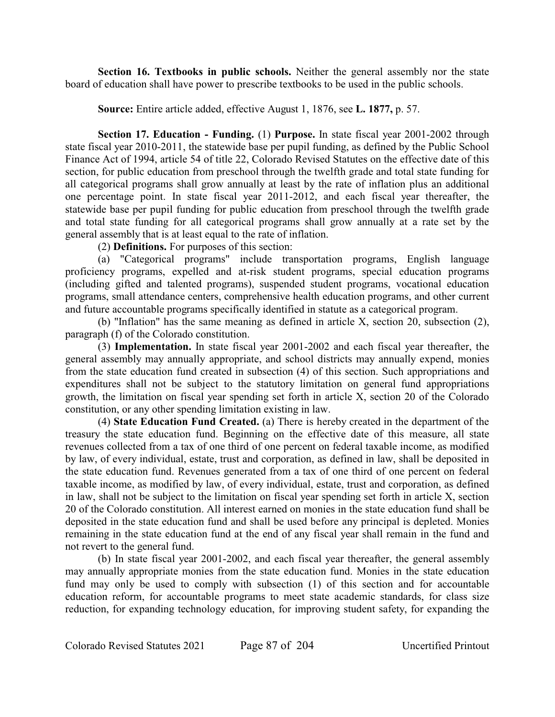**Section 16. Textbooks in public schools.** Neither the general assembly nor the state board of education shall have power to prescribe textbooks to be used in the public schools.

**Source:** Entire article added, effective August 1, 1876, see **L. 1877,** p. 57.

**Section 17. Education - Funding.** (1) **Purpose.** In state fiscal year 2001-2002 through state fiscal year 2010-2011, the statewide base per pupil funding, as defined by the Public School Finance Act of 1994, article 54 of title 22, Colorado Revised Statutes on the effective date of this section, for public education from preschool through the twelfth grade and total state funding for all categorical programs shall grow annually at least by the rate of inflation plus an additional one percentage point. In state fiscal year 2011-2012, and each fiscal year thereafter, the statewide base per pupil funding for public education from preschool through the twelfth grade and total state funding for all categorical programs shall grow annually at a rate set by the general assembly that is at least equal to the rate of inflation.

(2) **Definitions.** For purposes of this section:

(a) "Categorical programs" include transportation programs, English language proficiency programs, expelled and at-risk student programs, special education programs (including gifted and talented programs), suspended student programs, vocational education programs, small attendance centers, comprehensive health education programs, and other current and future accountable programs specifically identified in statute as a categorical program.

(b) "Inflation" has the same meaning as defined in article X, section 20, subsection (2), paragraph (f) of the Colorado constitution.

(3) **Implementation.** In state fiscal year 2001-2002 and each fiscal year thereafter, the general assembly may annually appropriate, and school districts may annually expend, monies from the state education fund created in subsection (4) of this section. Such appropriations and expenditures shall not be subject to the statutory limitation on general fund appropriations growth, the limitation on fiscal year spending set forth in article X, section 20 of the Colorado constitution, or any other spending limitation existing in law.

(4) **State Education Fund Created.** (a) There is hereby created in the department of the treasury the state education fund. Beginning on the effective date of this measure, all state revenues collected from a tax of one third of one percent on federal taxable income, as modified by law, of every individual, estate, trust and corporation, as defined in law, shall be deposited in the state education fund. Revenues generated from a tax of one third of one percent on federal taxable income, as modified by law, of every individual, estate, trust and corporation, as defined in law, shall not be subject to the limitation on fiscal year spending set forth in article X, section 20 of the Colorado constitution. All interest earned on monies in the state education fund shall be deposited in the state education fund and shall be used before any principal is depleted. Monies remaining in the state education fund at the end of any fiscal year shall remain in the fund and not revert to the general fund.

(b) In state fiscal year 2001-2002, and each fiscal year thereafter, the general assembly may annually appropriate monies from the state education fund. Monies in the state education fund may only be used to comply with subsection (1) of this section and for accountable education reform, for accountable programs to meet state academic standards, for class size reduction, for expanding technology education, for improving student safety, for expanding the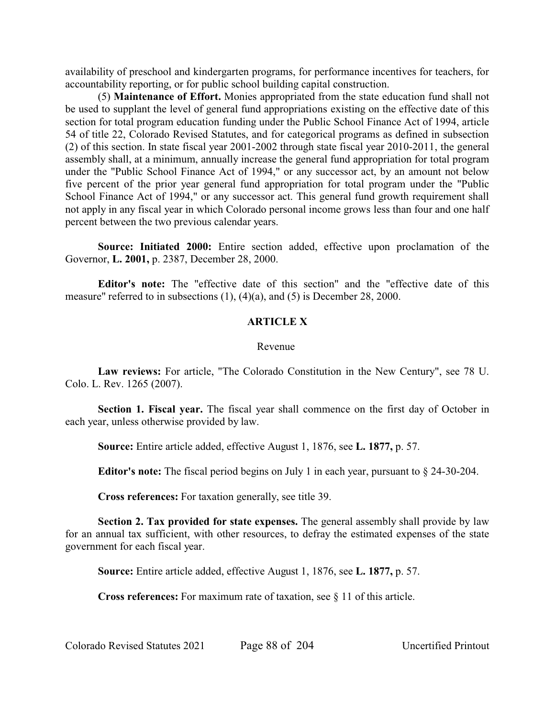availability of preschool and kindergarten programs, for performance incentives for teachers, for accountability reporting, or for public school building capital construction.

(5) **Maintenance of Effort.** Monies appropriated from the state education fund shall not be used to supplant the level of general fund appropriations existing on the effective date of this section for total program education funding under the Public School Finance Act of 1994, article 54 of title 22, Colorado Revised Statutes, and for categorical programs as defined in subsection (2) of this section. In state fiscal year 2001-2002 through state fiscal year 2010-2011, the general assembly shall, at a minimum, annually increase the general fund appropriation for total program under the "Public School Finance Act of 1994," or any successor act, by an amount not below five percent of the prior year general fund appropriation for total program under the "Public School Finance Act of 1994," or any successor act. This general fund growth requirement shall not apply in any fiscal year in which Colorado personal income grows less than four and one half percent between the two previous calendar years.

**Source: Initiated 2000:** Entire section added, effective upon proclamation of the Governor, **L. 2001,** p. 2387, December 28, 2000.

**Editor's note:** The "effective date of this section" and the "effective date of this measure" referred to in subsections (1), (4)(a), and (5) is December 28, 2000.

## **ARTICLE X**

### Revenue

**Law reviews:** For article, "The Colorado Constitution in the New Century", see 78 U. Colo. L. Rev. 1265 (2007).

**Section 1. Fiscal year.** The fiscal year shall commence on the first day of October in each year, unless otherwise provided by law.

**Source:** Entire article added, effective August 1, 1876, see **L. 1877,** p. 57.

**Editor's note:** The fiscal period begins on July 1 in each year, pursuant to § 24-30-204.

**Cross references:** For taxation generally, see title 39.

**Section 2. Tax provided for state expenses.** The general assembly shall provide by law for an annual tax sufficient, with other resources, to defray the estimated expenses of the state government for each fiscal year.

**Source:** Entire article added, effective August 1, 1876, see **L. 1877,** p. 57.

**Cross references:** For maximum rate of taxation, see § 11 of this article.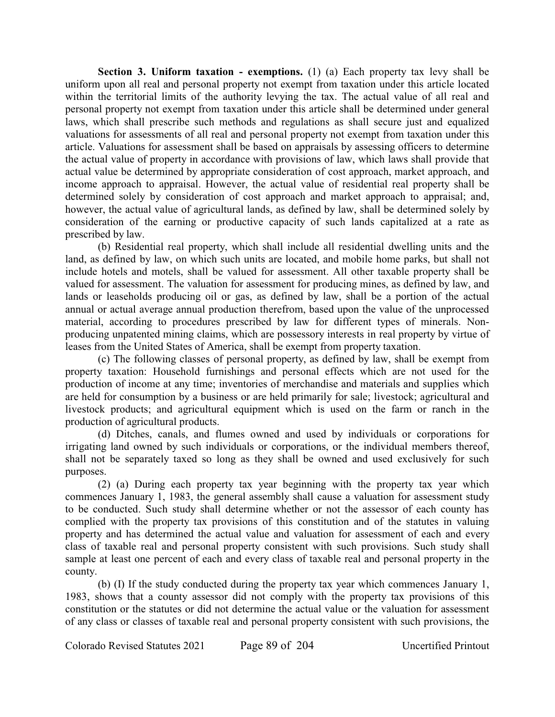**Section 3. Uniform taxation - exemptions.** (1) (a) Each property tax levy shall be uniform upon all real and personal property not exempt from taxation under this article located within the territorial limits of the authority levying the tax. The actual value of all real and personal property not exempt from taxation under this article shall be determined under general laws, which shall prescribe such methods and regulations as shall secure just and equalized valuations for assessments of all real and personal property not exempt from taxation under this article. Valuations for assessment shall be based on appraisals by assessing officers to determine the actual value of property in accordance with provisions of law, which laws shall provide that actual value be determined by appropriate consideration of cost approach, market approach, and income approach to appraisal. However, the actual value of residential real property shall be determined solely by consideration of cost approach and market approach to appraisal; and, however, the actual value of agricultural lands, as defined by law, shall be determined solely by consideration of the earning or productive capacity of such lands capitalized at a rate as prescribed by law.

(b) Residential real property, which shall include all residential dwelling units and the land, as defined by law, on which such units are located, and mobile home parks, but shall not include hotels and motels, shall be valued for assessment. All other taxable property shall be valued for assessment. The valuation for assessment for producing mines, as defined by law, and lands or leaseholds producing oil or gas, as defined by law, shall be a portion of the actual annual or actual average annual production therefrom, based upon the value of the unprocessed material, according to procedures prescribed by law for different types of minerals. Nonproducing unpatented mining claims, which are possessory interests in real property by virtue of leases from the United States of America, shall be exempt from property taxation.

(c) The following classes of personal property, as defined by law, shall be exempt from property taxation: Household furnishings and personal effects which are not used for the production of income at any time; inventories of merchandise and materials and supplies which are held for consumption by a business or are held primarily for sale; livestock; agricultural and livestock products; and agricultural equipment which is used on the farm or ranch in the production of agricultural products.

(d) Ditches, canals, and flumes owned and used by individuals or corporations for irrigating land owned by such individuals or corporations, or the individual members thereof, shall not be separately taxed so long as they shall be owned and used exclusively for such purposes.

(2) (a) During each property tax year beginning with the property tax year which commences January 1, 1983, the general assembly shall cause a valuation for assessment study to be conducted. Such study shall determine whether or not the assessor of each county has complied with the property tax provisions of this constitution and of the statutes in valuing property and has determined the actual value and valuation for assessment of each and every class of taxable real and personal property consistent with such provisions. Such study shall sample at least one percent of each and every class of taxable real and personal property in the county.

(b) (I) If the study conducted during the property tax year which commences January 1, 1983, shows that a county assessor did not comply with the property tax provisions of this constitution or the statutes or did not determine the actual value or the valuation for assessment of any class or classes of taxable real and personal property consistent with such provisions, the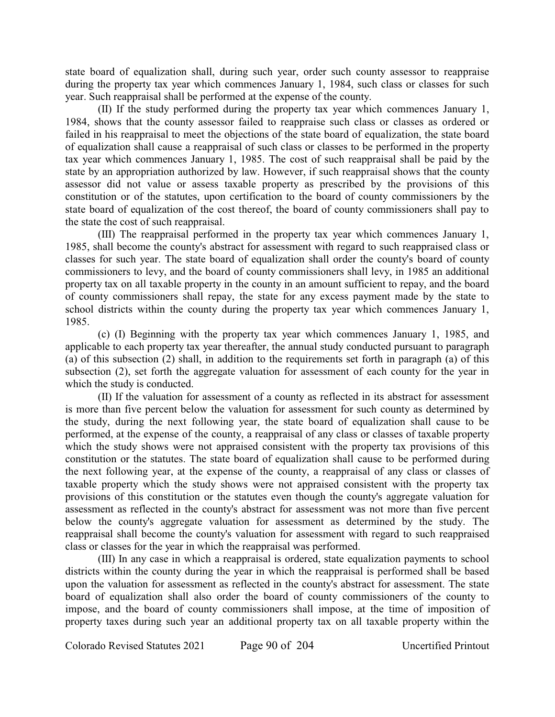state board of equalization shall, during such year, order such county assessor to reappraise during the property tax year which commences January 1, 1984, such class or classes for such year. Such reappraisal shall be performed at the expense of the county.

(II) If the study performed during the property tax year which commences January 1, 1984, shows that the county assessor failed to reappraise such class or classes as ordered or failed in his reappraisal to meet the objections of the state board of equalization, the state board of equalization shall cause a reappraisal of such class or classes to be performed in the property tax year which commences January 1, 1985. The cost of such reappraisal shall be paid by the state by an appropriation authorized by law. However, if such reappraisal shows that the county assessor did not value or assess taxable property as prescribed by the provisions of this constitution or of the statutes, upon certification to the board of county commissioners by the state board of equalization of the cost thereof, the board of county commissioners shall pay to the state the cost of such reappraisal.

(III) The reappraisal performed in the property tax year which commences January 1, 1985, shall become the county's abstract for assessment with regard to such reappraised class or classes for such year. The state board of equalization shall order the county's board of county commissioners to levy, and the board of county commissioners shall levy, in 1985 an additional property tax on all taxable property in the county in an amount sufficient to repay, and the board of county commissioners shall repay, the state for any excess payment made by the state to school districts within the county during the property tax year which commences January 1, 1985.

(c) (I) Beginning with the property tax year which commences January 1, 1985, and applicable to each property tax year thereafter, the annual study conducted pursuant to paragraph (a) of this subsection (2) shall, in addition to the requirements set forth in paragraph (a) of this subsection (2), set forth the aggregate valuation for assessment of each county for the year in which the study is conducted.

(II) If the valuation for assessment of a county as reflected in its abstract for assessment is more than five percent below the valuation for assessment for such county as determined by the study, during the next following year, the state board of equalization shall cause to be performed, at the expense of the county, a reappraisal of any class or classes of taxable property which the study shows were not appraised consistent with the property tax provisions of this constitution or the statutes. The state board of equalization shall cause to be performed during the next following year, at the expense of the county, a reappraisal of any class or classes of taxable property which the study shows were not appraised consistent with the property tax provisions of this constitution or the statutes even though the county's aggregate valuation for assessment as reflected in the county's abstract for assessment was not more than five percent below the county's aggregate valuation for assessment as determined by the study. The reappraisal shall become the county's valuation for assessment with regard to such reappraised class or classes for the year in which the reappraisal was performed.

(III) In any case in which a reappraisal is ordered, state equalization payments to school districts within the county during the year in which the reappraisal is performed shall be based upon the valuation for assessment as reflected in the county's abstract for assessment. The state board of equalization shall also order the board of county commissioners of the county to impose, and the board of county commissioners shall impose, at the time of imposition of property taxes during such year an additional property tax on all taxable property within the

Colorado Revised Statutes 2021 Page 90 of 204 Uncertified Printout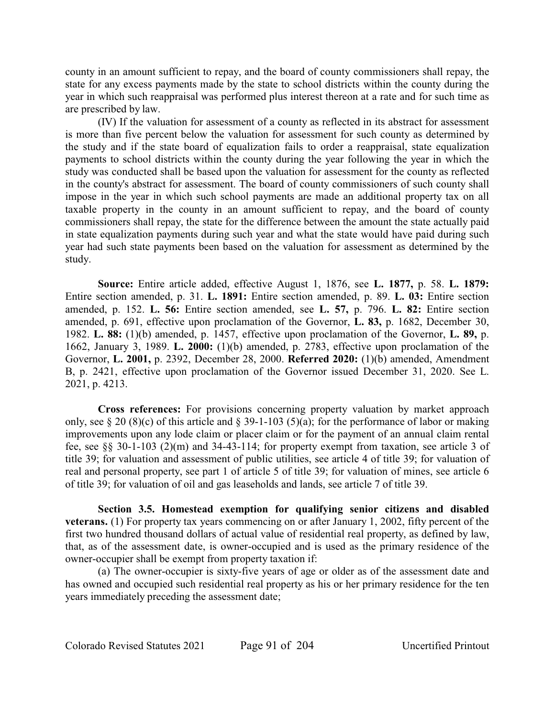county in an amount sufficient to repay, and the board of county commissioners shall repay, the state for any excess payments made by the state to school districts within the county during the year in which such reappraisal was performed plus interest thereon at a rate and for such time as are prescribed by law.

(IV) If the valuation for assessment of a county as reflected in its abstract for assessment is more than five percent below the valuation for assessment for such county as determined by the study and if the state board of equalization fails to order a reappraisal, state equalization payments to school districts within the county during the year following the year in which the study was conducted shall be based upon the valuation for assessment for the county as reflected in the county's abstract for assessment. The board of county commissioners of such county shall impose in the year in which such school payments are made an additional property tax on all taxable property in the county in an amount sufficient to repay, and the board of county commissioners shall repay, the state for the difference between the amount the state actually paid in state equalization payments during such year and what the state would have paid during such year had such state payments been based on the valuation for assessment as determined by the study.

**Source:** Entire article added, effective August 1, 1876, see **L. 1877,** p. 58. **L. 1879:** Entire section amended, p. 31. **L. 1891:** Entire section amended, p. 89. **L. 03:** Entire section amended, p. 152. **L. 56:** Entire section amended, see **L. 57,** p. 796. **L. 82:** Entire section amended, p. 691, effective upon proclamation of the Governor, **L. 83,** p. 1682, December 30, 1982. **L. 88:** (1)(b) amended, p. 1457, effective upon proclamation of the Governor, **L. 89,** p. 1662, January 3, 1989. **L. 2000:** (1)(b) amended, p. 2783, effective upon proclamation of the Governor, **L. 2001,** p. 2392, December 28, 2000. **Referred 2020:** (1)(b) amended, Amendment B, p. 2421, effective upon proclamation of the Governor issued December 31, 2020. See L. 2021, p. 4213.

**Cross references:** For provisions concerning property valuation by market approach only, see § 20 (8)(c) of this article and § 39-1-103 (5)(a); for the performance of labor or making improvements upon any lode claim or placer claim or for the payment of an annual claim rental fee, see §§ 30-1-103 (2)(m) and 34-43-114; for property exempt from taxation, see article 3 of title 39; for valuation and assessment of public utilities, see article 4 of title 39; for valuation of real and personal property, see part 1 of article 5 of title 39; for valuation of mines, see article 6 of title 39; for valuation of oil and gas leaseholds and lands, see article 7 of title 39.

**Section 3.5. Homestead exemption for qualifying senior citizens and disabled veterans.** (1) For property tax years commencing on or after January 1, 2002, fifty percent of the first two hundred thousand dollars of actual value of residential real property, as defined by law, that, as of the assessment date, is owner-occupied and is used as the primary residence of the owner-occupier shall be exempt from property taxation if:

(a) The owner-occupier is sixty-five years of age or older as of the assessment date and has owned and occupied such residential real property as his or her primary residence for the ten years immediately preceding the assessment date;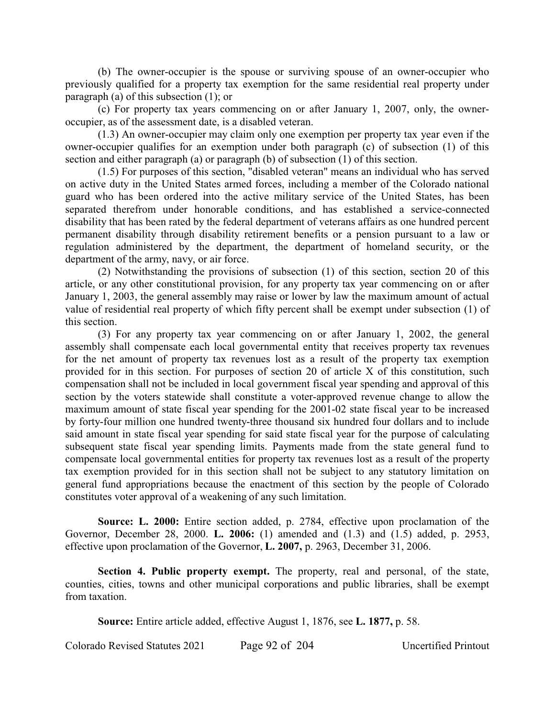(b) The owner-occupier is the spouse or surviving spouse of an owner-occupier who previously qualified for a property tax exemption for the same residential real property under paragraph (a) of this subsection (1); or

(c) For property tax years commencing on or after January 1, 2007, only, the owneroccupier, as of the assessment date, is a disabled veteran.

(1.3) An owner-occupier may claim only one exemption per property tax year even if the owner-occupier qualifies for an exemption under both paragraph (c) of subsection (1) of this section and either paragraph (a) or paragraph (b) of subsection (1) of this section.

(1.5) For purposes of this section, "disabled veteran" means an individual who has served on active duty in the United States armed forces, including a member of the Colorado national guard who has been ordered into the active military service of the United States, has been separated therefrom under honorable conditions, and has established a service-connected disability that has been rated by the federal department of veterans affairs as one hundred percent permanent disability through disability retirement benefits or a pension pursuant to a law or regulation administered by the department, the department of homeland security, or the department of the army, navy, or air force.

(2) Notwithstanding the provisions of subsection (1) of this section, section 20 of this article, or any other constitutional provision, for any property tax year commencing on or after January 1, 2003, the general assembly may raise or lower by law the maximum amount of actual value of residential real property of which fifty percent shall be exempt under subsection (1) of this section.

(3) For any property tax year commencing on or after January 1, 2002, the general assembly shall compensate each local governmental entity that receives property tax revenues for the net amount of property tax revenues lost as a result of the property tax exemption provided for in this section. For purposes of section 20 of article X of this constitution, such compensation shall not be included in local government fiscal year spending and approval of this section by the voters statewide shall constitute a voter-approved revenue change to allow the maximum amount of state fiscal year spending for the 2001-02 state fiscal year to be increased by forty-four million one hundred twenty-three thousand six hundred four dollars and to include said amount in state fiscal year spending for said state fiscal year for the purpose of calculating subsequent state fiscal year spending limits. Payments made from the state general fund to compensate local governmental entities for property tax revenues lost as a result of the property tax exemption provided for in this section shall not be subject to any statutory limitation on general fund appropriations because the enactment of this section by the people of Colorado constitutes voter approval of a weakening of any such limitation.

**Source: L. 2000:** Entire section added, p. 2784, effective upon proclamation of the Governor, December 28, 2000. **L. 2006:** (1) amended and (1.3) and (1.5) added, p. 2953, effective upon proclamation of the Governor, **L. 2007,** p. 2963, December 31, 2006.

**Section 4. Public property exempt.** The property, real and personal, of the state, counties, cities, towns and other municipal corporations and public libraries, shall be exempt from taxation.

**Source:** Entire article added, effective August 1, 1876, see **L. 1877,** p. 58.

Colorado Revised Statutes 2021 Page 92 of 204 Uncertified Printout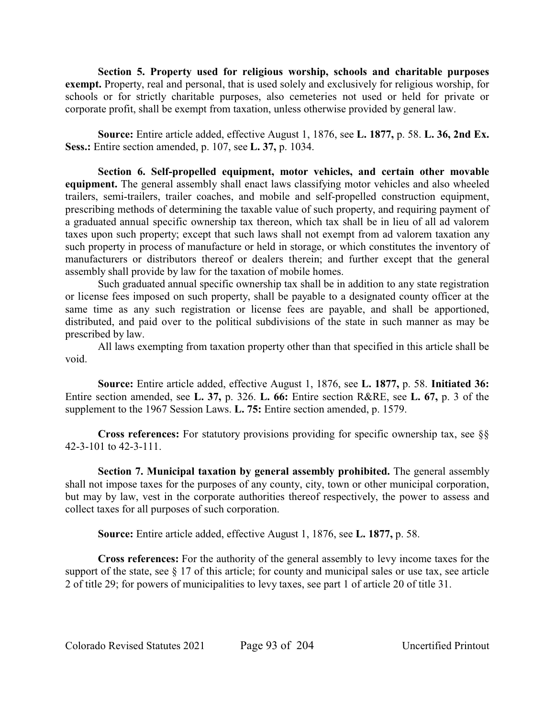**Section 5. Property used for religious worship, schools and charitable purposes exempt.** Property, real and personal, that is used solely and exclusively for religious worship, for schools or for strictly charitable purposes, also cemeteries not used or held for private or corporate profit, shall be exempt from taxation, unless otherwise provided by general law.

**Source:** Entire article added, effective August 1, 1876, see **L. 1877,** p. 58. **L. 36, 2nd Ex. Sess.:** Entire section amended, p. 107, see **L. 37,** p. 1034.

**Section 6. Self-propelled equipment, motor vehicles, and certain other movable equipment.** The general assembly shall enact laws classifying motor vehicles and also wheeled trailers, semi-trailers, trailer coaches, and mobile and self-propelled construction equipment, prescribing methods of determining the taxable value of such property, and requiring payment of a graduated annual specific ownership tax thereon, which tax shall be in lieu of all ad valorem taxes upon such property; except that such laws shall not exempt from ad valorem taxation any such property in process of manufacture or held in storage, or which constitutes the inventory of manufacturers or distributors thereof or dealers therein; and further except that the general assembly shall provide by law for the taxation of mobile homes.

Such graduated annual specific ownership tax shall be in addition to any state registration or license fees imposed on such property, shall be payable to a designated county officer at the same time as any such registration or license fees are payable, and shall be apportioned, distributed, and paid over to the political subdivisions of the state in such manner as may be prescribed by law.

All laws exempting from taxation property other than that specified in this article shall be void.

**Source:** Entire article added, effective August 1, 1876, see **L. 1877,** p. 58. **Initiated 36:** Entire section amended, see **L. 37,** p. 326. **L. 66:** Entire section R&RE, see **L. 67,** p. 3 of the supplement to the 1967 Session Laws. **L. 75:** Entire section amended, p. 1579.

**Cross references:** For statutory provisions providing for specific ownership tax, see §§ 42-3-101 to 42-3-111.

**Section 7. Municipal taxation by general assembly prohibited.** The general assembly shall not impose taxes for the purposes of any county, city, town or other municipal corporation, but may by law, vest in the corporate authorities thereof respectively, the power to assess and collect taxes for all purposes of such corporation.

**Source:** Entire article added, effective August 1, 1876, see **L. 1877,** p. 58.

**Cross references:** For the authority of the general assembly to levy income taxes for the support of the state, see  $\S 17$  of this article; for county and municipal sales or use tax, see article 2 of title 29; for powers of municipalities to levy taxes, see part 1 of article 20 of title 31.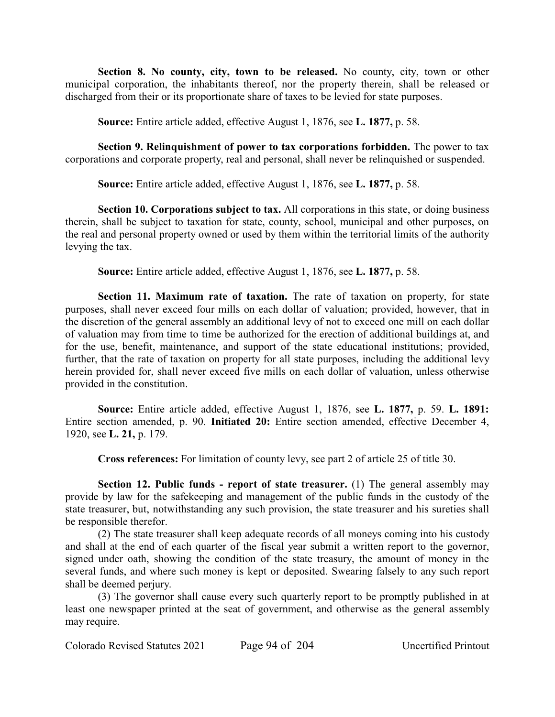**Section 8. No county, city, town to be released.** No county, city, town or other municipal corporation, the inhabitants thereof, nor the property therein, shall be released or discharged from their or its proportionate share of taxes to be levied for state purposes.

**Source:** Entire article added, effective August 1, 1876, see **L. 1877,** p. 58.

**Section 9. Relinquishment of power to tax corporations forbidden.** The power to tax corporations and corporate property, real and personal, shall never be relinquished or suspended.

**Source:** Entire article added, effective August 1, 1876, see **L. 1877,** p. 58.

**Section 10. Corporations subject to tax.** All corporations in this state, or doing business therein, shall be subject to taxation for state, county, school, municipal and other purposes, on the real and personal property owned or used by them within the territorial limits of the authority levying the tax.

**Source:** Entire article added, effective August 1, 1876, see **L. 1877,** p. 58.

**Section 11. Maximum rate of taxation.** The rate of taxation on property, for state purposes, shall never exceed four mills on each dollar of valuation; provided, however, that in the discretion of the general assembly an additional levy of not to exceed one mill on each dollar of valuation may from time to time be authorized for the erection of additional buildings at, and for the use, benefit, maintenance, and support of the state educational institutions; provided, further, that the rate of taxation on property for all state purposes, including the additional levy herein provided for, shall never exceed five mills on each dollar of valuation, unless otherwise provided in the constitution.

**Source:** Entire article added, effective August 1, 1876, see **L. 1877,** p. 59. **L. 1891:** Entire section amended, p. 90. **Initiated 20:** Entire section amended, effective December 4, 1920, see **L. 21,** p. 179.

**Cross references:** For limitation of county levy, see part 2 of article 25 of title 30.

**Section 12. Public funds - report of state treasurer.** (1) The general assembly may provide by law for the safekeeping and management of the public funds in the custody of the state treasurer, but, notwithstanding any such provision, the state treasurer and his sureties shall be responsible therefor.

(2) The state treasurer shall keep adequate records of all moneys coming into his custody and shall at the end of each quarter of the fiscal year submit a written report to the governor, signed under oath, showing the condition of the state treasury, the amount of money in the several funds, and where such money is kept or deposited. Swearing falsely to any such report shall be deemed perjury.

(3) The governor shall cause every such quarterly report to be promptly published in at least one newspaper printed at the seat of government, and otherwise as the general assembly may require.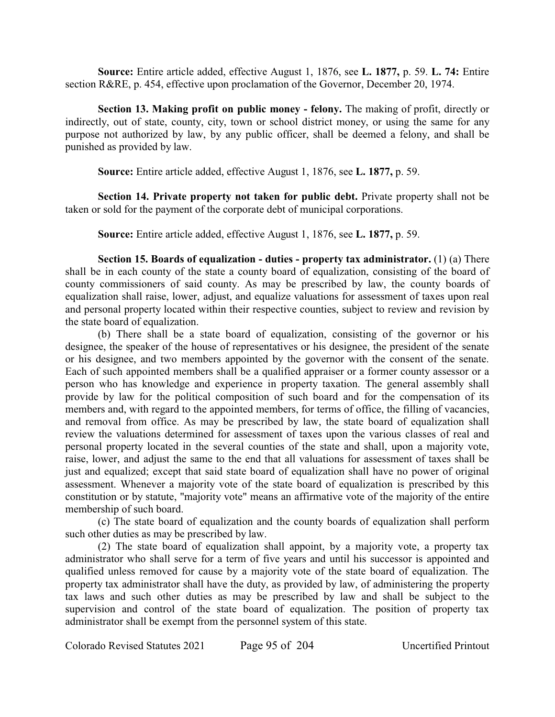**Source:** Entire article added, effective August 1, 1876, see **L. 1877,** p. 59. **L. 74:** Entire section R&RE, p. 454, effective upon proclamation of the Governor, December 20, 1974.

**Section 13. Making profit on public money - felony.** The making of profit, directly or indirectly, out of state, county, city, town or school district money, or using the same for any purpose not authorized by law, by any public officer, shall be deemed a felony, and shall be punished as provided by law.

**Source:** Entire article added, effective August 1, 1876, see **L. 1877,** p. 59.

**Section 14. Private property not taken for public debt.** Private property shall not be taken or sold for the payment of the corporate debt of municipal corporations.

**Source:** Entire article added, effective August 1, 1876, see **L. 1877,** p. 59.

**Section 15. Boards of equalization - duties - property tax administrator.** (1) (a) There shall be in each county of the state a county board of equalization, consisting of the board of county commissioners of said county. As may be prescribed by law, the county boards of equalization shall raise, lower, adjust, and equalize valuations for assessment of taxes upon real and personal property located within their respective counties, subject to review and revision by the state board of equalization.

(b) There shall be a state board of equalization, consisting of the governor or his designee, the speaker of the house of representatives or his designee, the president of the senate or his designee, and two members appointed by the governor with the consent of the senate. Each of such appointed members shall be a qualified appraiser or a former county assessor or a person who has knowledge and experience in property taxation. The general assembly shall provide by law for the political composition of such board and for the compensation of its members and, with regard to the appointed members, for terms of office, the filling of vacancies, and removal from office. As may be prescribed by law, the state board of equalization shall review the valuations determined for assessment of taxes upon the various classes of real and personal property located in the several counties of the state and shall, upon a majority vote, raise, lower, and adjust the same to the end that all valuations for assessment of taxes shall be just and equalized; except that said state board of equalization shall have no power of original assessment. Whenever a majority vote of the state board of equalization is prescribed by this constitution or by statute, "majority vote" means an affirmative vote of the majority of the entire membership of such board.

(c) The state board of equalization and the county boards of equalization shall perform such other duties as may be prescribed by law.

(2) The state board of equalization shall appoint, by a majority vote, a property tax administrator who shall serve for a term of five years and until his successor is appointed and qualified unless removed for cause by a majority vote of the state board of equalization. The property tax administrator shall have the duty, as provided by law, of administering the property tax laws and such other duties as may be prescribed by law and shall be subject to the supervision and control of the state board of equalization. The position of property tax administrator shall be exempt from the personnel system of this state.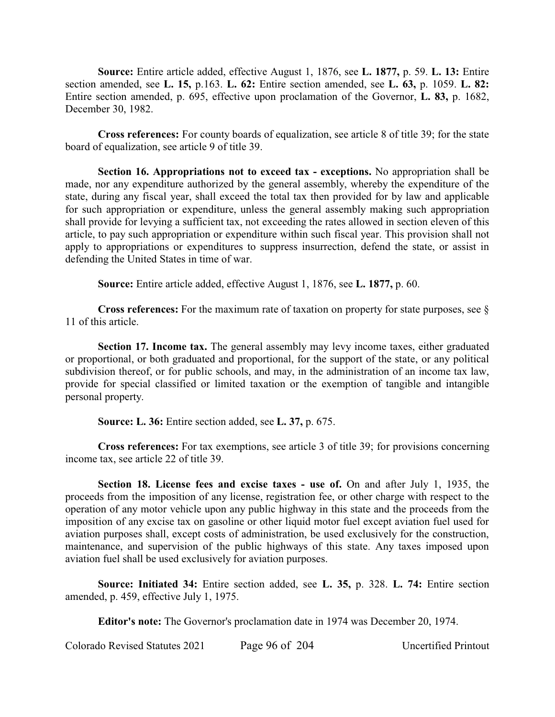**Source:** Entire article added, effective August 1, 1876, see **L. 1877,** p. 59. **L. 13:** Entire section amended, see **L. 15,** p.163. **L. 62:** Entire section amended, see **L. 63,** p. 1059. **L. 82:** Entire section amended, p. 695, effective upon proclamation of the Governor, **L. 83,** p. 1682, December 30, 1982.

**Cross references:** For county boards of equalization, see article 8 of title 39; for the state board of equalization, see article 9 of title 39.

**Section 16. Appropriations not to exceed tax - exceptions.** No appropriation shall be made, nor any expenditure authorized by the general assembly, whereby the expenditure of the state, during any fiscal year, shall exceed the total tax then provided for by law and applicable for such appropriation or expenditure, unless the general assembly making such appropriation shall provide for levying a sufficient tax, not exceeding the rates allowed in section eleven of this article, to pay such appropriation or expenditure within such fiscal year. This provision shall not apply to appropriations or expenditures to suppress insurrection, defend the state, or assist in defending the United States in time of war.

**Source:** Entire article added, effective August 1, 1876, see **L. 1877,** p. 60.

**Cross references:** For the maximum rate of taxation on property for state purposes, see § 11 of this article.

**Section 17. Income tax.** The general assembly may levy income taxes, either graduated or proportional, or both graduated and proportional, for the support of the state, or any political subdivision thereof, or for public schools, and may, in the administration of an income tax law, provide for special classified or limited taxation or the exemption of tangible and intangible personal property.

**Source: L. 36:** Entire section added, see **L. 37,** p. 675.

**Cross references:** For tax exemptions, see article 3 of title 39; for provisions concerning income tax, see article 22 of title 39.

**Section 18. License fees and excise taxes - use of.** On and after July 1, 1935, the proceeds from the imposition of any license, registration fee, or other charge with respect to the operation of any motor vehicle upon any public highway in this state and the proceeds from the imposition of any excise tax on gasoline or other liquid motor fuel except aviation fuel used for aviation purposes shall, except costs of administration, be used exclusively for the construction, maintenance, and supervision of the public highways of this state. Any taxes imposed upon aviation fuel shall be used exclusively for aviation purposes.

**Source: Initiated 34:** Entire section added, see **L. 35,** p. 328. **L. 74:** Entire section amended, p. 459, effective July 1, 1975.

**Editor's note:** The Governor's proclamation date in 1974 was December 20, 1974.

Colorado Revised Statutes 2021 Page 96 of 204 Uncertified Printout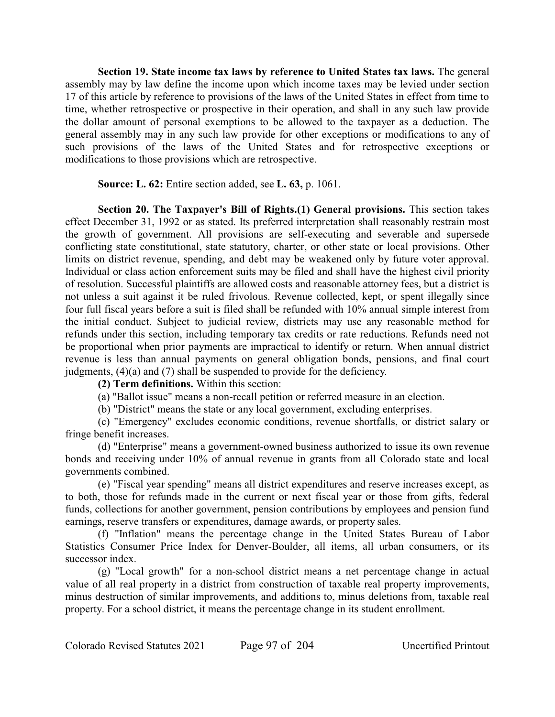**Section 19. State income tax laws by reference to United States tax laws.** The general assembly may by law define the income upon which income taxes may be levied under section 17 of this article by reference to provisions of the laws of the United States in effect from time to time, whether retrospective or prospective in their operation, and shall in any such law provide the dollar amount of personal exemptions to be allowed to the taxpayer as a deduction. The general assembly may in any such law provide for other exceptions or modifications to any of such provisions of the laws of the United States and for retrospective exceptions or modifications to those provisions which are retrospective.

**Source: L. 62:** Entire section added, see **L. 63,** p. 1061.

**Section 20. The Taxpayer's Bill of Rights.(1) General provisions.** This section takes effect December 31, 1992 or as stated. Its preferred interpretation shall reasonably restrain most the growth of government. All provisions are self-executing and severable and supersede conflicting state constitutional, state statutory, charter, or other state or local provisions. Other limits on district revenue, spending, and debt may be weakened only by future voter approval. Individual or class action enforcement suits may be filed and shall have the highest civil priority of resolution. Successful plaintiffs are allowed costs and reasonable attorney fees, but a district is not unless a suit against it be ruled frivolous. Revenue collected, kept, or spent illegally since four full fiscal years before a suit is filed shall be refunded with 10% annual simple interest from the initial conduct. Subject to judicial review, districts may use any reasonable method for refunds under this section, including temporary tax credits or rate reductions. Refunds need not be proportional when prior payments are impractical to identify or return. When annual district revenue is less than annual payments on general obligation bonds, pensions, and final court judgments, (4)(a) and (7) shall be suspended to provide for the deficiency.

**(2) Term definitions.** Within this section:

(a) "Ballot issue" means a non-recall petition or referred measure in an election.

(b) "District" means the state or any local government, excluding enterprises.

(c) "Emergency" excludes economic conditions, revenue shortfalls, or district salary or fringe benefit increases.

(d) "Enterprise" means a government-owned business authorized to issue its own revenue bonds and receiving under 10% of annual revenue in grants from all Colorado state and local governments combined.

(e) "Fiscal year spending" means all district expenditures and reserve increases except, as to both, those for refunds made in the current or next fiscal year or those from gifts, federal funds, collections for another government, pension contributions by employees and pension fund earnings, reserve transfers or expenditures, damage awards, or property sales.

(f) "Inflation" means the percentage change in the United States Bureau of Labor Statistics Consumer Price Index for Denver-Boulder, all items, all urban consumers, or its successor index.

(g) "Local growth" for a non-school district means a net percentage change in actual value of all real property in a district from construction of taxable real property improvements, minus destruction of similar improvements, and additions to, minus deletions from, taxable real property. For a school district, it means the percentage change in its student enrollment.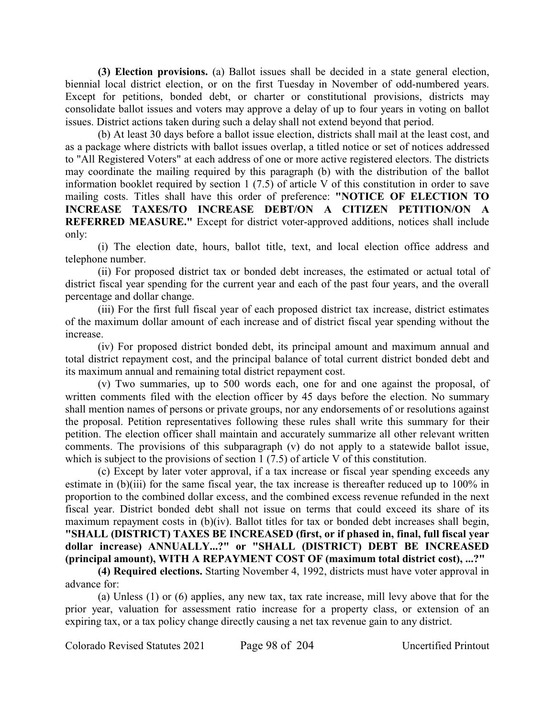**(3) Election provisions.** (a) Ballot issues shall be decided in a state general election, biennial local district election, or on the first Tuesday in November of odd-numbered years. Except for petitions, bonded debt, or charter or constitutional provisions, districts may consolidate ballot issues and voters may approve a delay of up to four years in voting on ballot issues. District actions taken during such a delay shall not extend beyond that period.

(b) At least 30 days before a ballot issue election, districts shall mail at the least cost, and as a package where districts with ballot issues overlap, a titled notice or set of notices addressed to "All Registered Voters" at each address of one or more active registered electors. The districts may coordinate the mailing required by this paragraph (b) with the distribution of the ballot information booklet required by section 1 (7.5) of article V of this constitution in order to save mailing costs. Titles shall have this order of preference: **"NOTICE OF ELECTION TO INCREASE TAXES/TO INCREASE DEBT/ON A CITIZEN PETITION/ON A REFERRED MEASURE."** Except for district voter-approved additions, notices shall include only:

(i) The election date, hours, ballot title, text, and local election office address and telephone number.

(ii) For proposed district tax or bonded debt increases, the estimated or actual total of district fiscal year spending for the current year and each of the past four years, and the overall percentage and dollar change.

(iii) For the first full fiscal year of each proposed district tax increase, district estimates of the maximum dollar amount of each increase and of district fiscal year spending without the increase.

(iv) For proposed district bonded debt, its principal amount and maximum annual and total district repayment cost, and the principal balance of total current district bonded debt and its maximum annual and remaining total district repayment cost.

(v) Two summaries, up to 500 words each, one for and one against the proposal, of written comments filed with the election officer by 45 days before the election. No summary shall mention names of persons or private groups, nor any endorsements of or resolutions against the proposal. Petition representatives following these rules shall write this summary for their petition. The election officer shall maintain and accurately summarize all other relevant written comments. The provisions of this subparagraph (v) do not apply to a statewide ballot issue, which is subject to the provisions of section  $1(7.5)$  of article V of this constitution.

(c) Except by later voter approval, if a tax increase or fiscal year spending exceeds any estimate in (b)(iii) for the same fiscal year, the tax increase is thereafter reduced up to 100% in proportion to the combined dollar excess, and the combined excess revenue refunded in the next fiscal year. District bonded debt shall not issue on terms that could exceed its share of its maximum repayment costs in (b)(iv). Ballot titles for tax or bonded debt increases shall begin, **"SHALL (DISTRICT) TAXES BE INCREASED (first, or if phased in, final, full fiscal year dollar increase) ANNUALLY...?" or "SHALL (DISTRICT) DEBT BE INCREASED (principal amount), WITH A REPAYMENT COST OF (maximum total district cost), ...?"**

**(4) Required elections.** Starting November 4, 1992, districts must have voter approval in advance for:

(a) Unless (1) or (6) applies, any new tax, tax rate increase, mill levy above that for the prior year, valuation for assessment ratio increase for a property class, or extension of an expiring tax, or a tax policy change directly causing a net tax revenue gain to any district.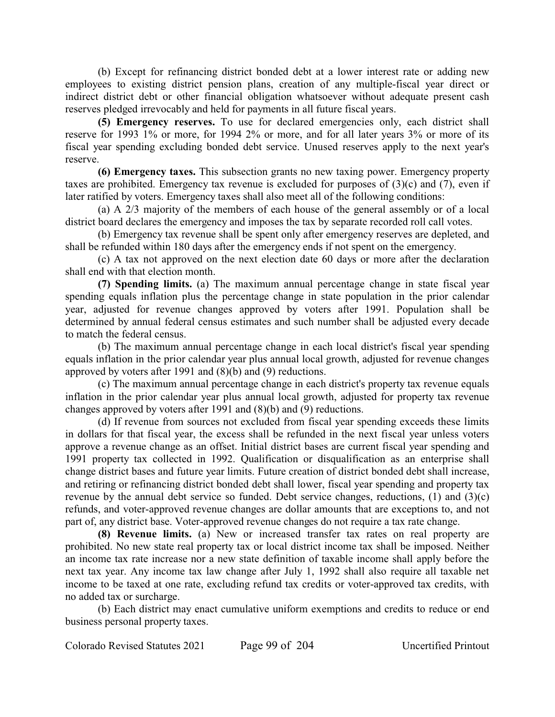(b) Except for refinancing district bonded debt at a lower interest rate or adding new employees to existing district pension plans, creation of any multiple-fiscal year direct or indirect district debt or other financial obligation whatsoever without adequate present cash reserves pledged irrevocably and held for payments in all future fiscal years.

**(5) Emergency reserves.** To use for declared emergencies only, each district shall reserve for 1993 1% or more, for 1994 2% or more, and for all later years 3% or more of its fiscal year spending excluding bonded debt service. Unused reserves apply to the next year's reserve.

**(6) Emergency taxes.** This subsection grants no new taxing power. Emergency property taxes are prohibited. Emergency tax revenue is excluded for purposes of  $(3)(c)$  and  $(7)$ , even if later ratified by voters. Emergency taxes shall also meet all of the following conditions:

(a) A 2/3 majority of the members of each house of the general assembly or of a local district board declares the emergency and imposes the tax by separate recorded roll call votes.

(b) Emergency tax revenue shall be spent only after emergency reserves are depleted, and shall be refunded within 180 days after the emergency ends if not spent on the emergency.

(c) A tax not approved on the next election date 60 days or more after the declaration shall end with that election month.

**(7) Spending limits.** (a) The maximum annual percentage change in state fiscal year spending equals inflation plus the percentage change in state population in the prior calendar year, adjusted for revenue changes approved by voters after 1991. Population shall be determined by annual federal census estimates and such number shall be adjusted every decade to match the federal census.

(b) The maximum annual percentage change in each local district's fiscal year spending equals inflation in the prior calendar year plus annual local growth, adjusted for revenue changes approved by voters after 1991 and (8)(b) and (9) reductions.

(c) The maximum annual percentage change in each district's property tax revenue equals inflation in the prior calendar year plus annual local growth, adjusted for property tax revenue changes approved by voters after 1991 and (8)(b) and (9) reductions.

(d) If revenue from sources not excluded from fiscal year spending exceeds these limits in dollars for that fiscal year, the excess shall be refunded in the next fiscal year unless voters approve a revenue change as an offset. Initial district bases are current fiscal year spending and 1991 property tax collected in 1992. Qualification or disqualification as an enterprise shall change district bases and future year limits. Future creation of district bonded debt shall increase, and retiring or refinancing district bonded debt shall lower, fiscal year spending and property tax revenue by the annual debt service so funded. Debt service changes, reductions, (1) and (3)(c) refunds, and voter-approved revenue changes are dollar amounts that are exceptions to, and not part of, any district base. Voter-approved revenue changes do not require a tax rate change.

**(8) Revenue limits.** (a) New or increased transfer tax rates on real property are prohibited. No new state real property tax or local district income tax shall be imposed. Neither an income tax rate increase nor a new state definition of taxable income shall apply before the next tax year. Any income tax law change after July 1, 1992 shall also require all taxable net income to be taxed at one rate, excluding refund tax credits or voter-approved tax credits, with no added tax or surcharge.

(b) Each district may enact cumulative uniform exemptions and credits to reduce or end business personal property taxes.

Colorado Revised Statutes 2021 Page 99 of 204 Uncertified Printout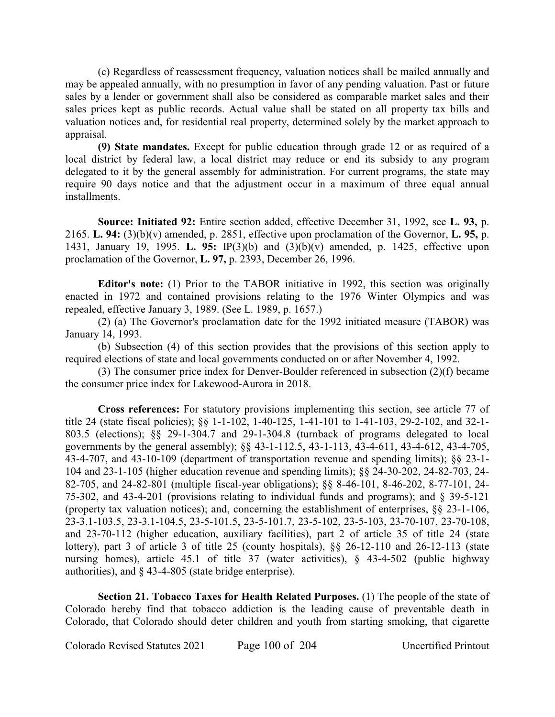(c) Regardless of reassessment frequency, valuation notices shall be mailed annually and may be appealed annually, with no presumption in favor of any pending valuation. Past or future sales by a lender or government shall also be considered as comparable market sales and their sales prices kept as public records. Actual value shall be stated on all property tax bills and valuation notices and, for residential real property, determined solely by the market approach to appraisal.

**(9) State mandates.** Except for public education through grade 12 or as required of a local district by federal law, a local district may reduce or end its subsidy to any program delegated to it by the general assembly for administration. For current programs, the state may require 90 days notice and that the adjustment occur in a maximum of three equal annual installments.

**Source: Initiated 92:** Entire section added, effective December 31, 1992, see **L. 93,** p. 2165. **L. 94:** (3)(b)(v) amended, p. 2851, effective upon proclamation of the Governor, **L. 95,** p. 1431, January 19, 1995. **L. 95:** IP(3)(b) and (3)(b)(v) amended, p. 1425, effective upon proclamation of the Governor, **L. 97,** p. 2393, December 26, 1996.

**Editor's note:** (1) Prior to the TABOR initiative in 1992, this section was originally enacted in 1972 and contained provisions relating to the 1976 Winter Olympics and was repealed, effective January 3, 1989. (See L. 1989, p. 1657.)

(2) (a) The Governor's proclamation date for the 1992 initiated measure (TABOR) was January 14, 1993.

(b) Subsection (4) of this section provides that the provisions of this section apply to required elections of state and local governments conducted on or after November 4, 1992.

(3) The consumer price index for Denver-Boulder referenced in subsection (2)(f) became the consumer price index for Lakewood-Aurora in 2018.

**Cross references:** For statutory provisions implementing this section, see article 77 of title 24 (state fiscal policies); §§ 1-1-102, 1-40-125, 1-41-101 to 1-41-103, 29-2-102, and 32-1- 803.5 (elections); §§ 29-1-304.7 and 29-1-304.8 (turnback of programs delegated to local governments by the general assembly); §§ 43-1-112.5, 43-1-113, 43-4-611, 43-4-612, 43-4-705, 43-4-707, and 43-10-109 (department of transportation revenue and spending limits); §§ 23-1- 104 and 23-1-105 (higher education revenue and spending limits); §§ 24-30-202, 24-82-703, 24- 82-705, and 24-82-801 (multiple fiscal-year obligations); §§ 8-46-101, 8-46-202, 8-77-101, 24- 75-302, and 43-4-201 (provisions relating to individual funds and programs); and § 39-5-121 (property tax valuation notices); and, concerning the establishment of enterprises, §§ 23-1-106, 23-3.1-103.5, 23-3.1-104.5, 23-5-101.5, 23-5-101.7, 23-5-102, 23-5-103, 23-70-107, 23-70-108, and 23-70-112 (higher education, auxiliary facilities), part 2 of article 35 of title 24 (state lottery), part 3 of article 3 of title 25 (county hospitals), §§ 26-12-110 and 26-12-113 (state nursing homes), article 45.1 of title 37 (water activities), § 43-4-502 (public highway authorities), and § 43-4-805 (state bridge enterprise).

**Section 21. Tobacco Taxes for Health Related Purposes.** (1) The people of the state of Colorado hereby find that tobacco addiction is the leading cause of preventable death in Colorado, that Colorado should deter children and youth from starting smoking, that cigarette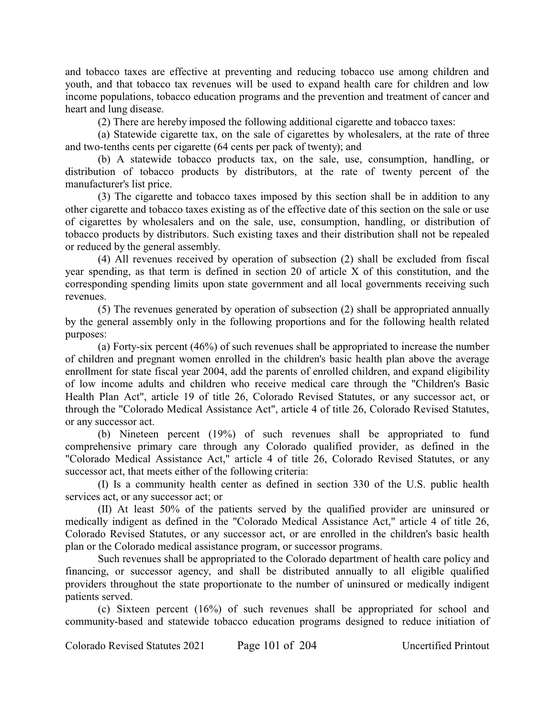and tobacco taxes are effective at preventing and reducing tobacco use among children and youth, and that tobacco tax revenues will be used to expand health care for children and low income populations, tobacco education programs and the prevention and treatment of cancer and heart and lung disease.

(2) There are hereby imposed the following additional cigarette and tobacco taxes:

(a) Statewide cigarette tax, on the sale of cigarettes by wholesalers, at the rate of three and two-tenths cents per cigarette (64 cents per pack of twenty); and

(b) A statewide tobacco products tax, on the sale, use, consumption, handling, or distribution of tobacco products by distributors, at the rate of twenty percent of the manufacturer's list price.

(3) The cigarette and tobacco taxes imposed by this section shall be in addition to any other cigarette and tobacco taxes existing as of the effective date of this section on the sale or use of cigarettes by wholesalers and on the sale, use, consumption, handling, or distribution of tobacco products by distributors. Such existing taxes and their distribution shall not be repealed or reduced by the general assembly.

(4) All revenues received by operation of subsection (2) shall be excluded from fiscal year spending, as that term is defined in section 20 of article X of this constitution, and the corresponding spending limits upon state government and all local governments receiving such revenues.

(5) The revenues generated by operation of subsection (2) shall be appropriated annually by the general assembly only in the following proportions and for the following health related purposes:

(a) Forty-six percent (46%) of such revenues shall be appropriated to increase the number of children and pregnant women enrolled in the children's basic health plan above the average enrollment for state fiscal year 2004, add the parents of enrolled children, and expand eligibility of low income adults and children who receive medical care through the "Children's Basic Health Plan Act", article 19 of title 26, Colorado Revised Statutes, or any successor act, or through the "Colorado Medical Assistance Act", article 4 of title 26, Colorado Revised Statutes, or any successor act.

(b) Nineteen percent (19%) of such revenues shall be appropriated to fund comprehensive primary care through any Colorado qualified provider, as defined in the "Colorado Medical Assistance Act," article 4 of title 26, Colorado Revised Statutes, or any successor act, that meets either of the following criteria:

(I) Is a community health center as defined in section 330 of the U.S. public health services act, or any successor act; or

(II) At least 50% of the patients served by the qualified provider are uninsured or medically indigent as defined in the "Colorado Medical Assistance Act," article 4 of title 26, Colorado Revised Statutes, or any successor act, or are enrolled in the children's basic health plan or the Colorado medical assistance program, or successor programs.

Such revenues shall be appropriated to the Colorado department of health care policy and financing, or successor agency, and shall be distributed annually to all eligible qualified providers throughout the state proportionate to the number of uninsured or medically indigent patients served.

(c) Sixteen percent (16%) of such revenues shall be appropriated for school and community-based and statewide tobacco education programs designed to reduce initiation of

Colorado Revised Statutes 2021 Page 101 of 204 Uncertified Printout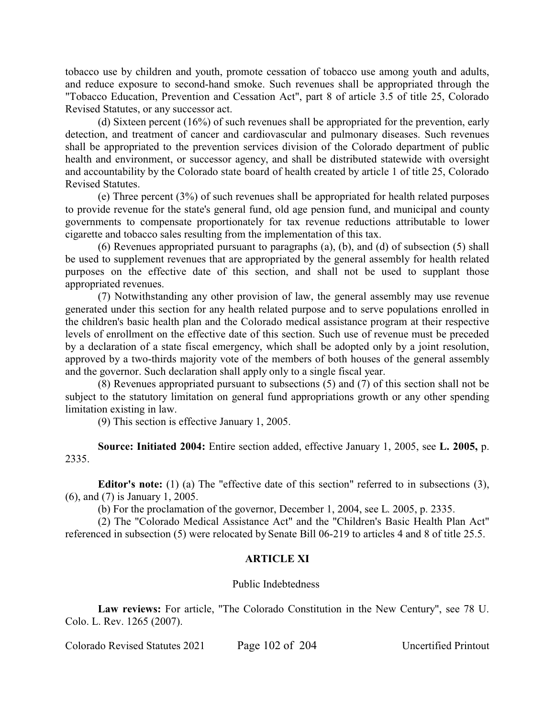tobacco use by children and youth, promote cessation of tobacco use among youth and adults, and reduce exposure to second-hand smoke. Such revenues shall be appropriated through the "Tobacco Education, Prevention and Cessation Act", part 8 of article 3.5 of title 25, Colorado Revised Statutes, or any successor act.

(d) Sixteen percent (16%) of such revenues shall be appropriated for the prevention, early detection, and treatment of cancer and cardiovascular and pulmonary diseases. Such revenues shall be appropriated to the prevention services division of the Colorado department of public health and environment, or successor agency, and shall be distributed statewide with oversight and accountability by the Colorado state board of health created by article 1 of title 25, Colorado Revised Statutes.

(e) Three percent (3%) of such revenues shall be appropriated for health related purposes to provide revenue for the state's general fund, old age pension fund, and municipal and county governments to compensate proportionately for tax revenue reductions attributable to lower cigarette and tobacco sales resulting from the implementation of this tax.

(6) Revenues appropriated pursuant to paragraphs (a), (b), and (d) of subsection (5) shall be used to supplement revenues that are appropriated by the general assembly for health related purposes on the effective date of this section, and shall not be used to supplant those appropriated revenues.

(7) Notwithstanding any other provision of law, the general assembly may use revenue generated under this section for any health related purpose and to serve populations enrolled in the children's basic health plan and the Colorado medical assistance program at their respective levels of enrollment on the effective date of this section. Such use of revenue must be preceded by a declaration of a state fiscal emergency, which shall be adopted only by a joint resolution, approved by a two-thirds majority vote of the members of both houses of the general assembly and the governor. Such declaration shall apply only to a single fiscal year.

(8) Revenues appropriated pursuant to subsections (5) and (7) of this section shall not be subject to the statutory limitation on general fund appropriations growth or any other spending limitation existing in law.

(9) This section is effective January 1, 2005.

**Source: Initiated 2004:** Entire section added, effective January 1, 2005, see **L. 2005,** p. 2335.

**Editor's note:** (1) (a) The "effective date of this section" referred to in subsections (3), (6), and (7) is January 1, 2005.

(b) For the proclamation of the governor, December 1, 2004, see L. 2005, p. 2335.

(2) The "Colorado Medical Assistance Act" and the "Children's Basic Health Plan Act" referenced in subsection (5) were relocated by Senate Bill 06-219 to articles 4 and 8 of title 25.5.

## **ARTICLE XI**

## Public Indebtedness

**Law reviews:** For article, "The Colorado Constitution in the New Century", see 78 U. Colo. L. Rev. 1265 (2007).

Colorado Revised Statutes 2021 Page 102 of 204 Uncertified Printout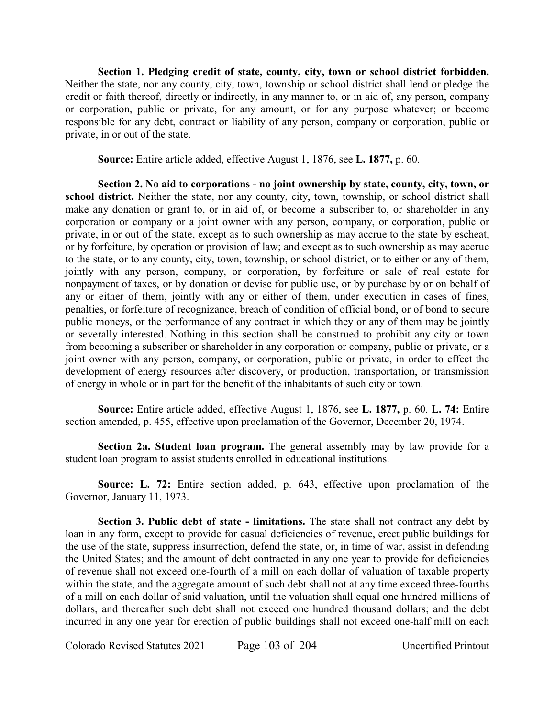**Section 1. Pledging credit of state, county, city, town or school district forbidden.** Neither the state, nor any county, city, town, township or school district shall lend or pledge the credit or faith thereof, directly or indirectly, in any manner to, or in aid of, any person, company or corporation, public or private, for any amount, or for any purpose whatever; or become responsible for any debt, contract or liability of any person, company or corporation, public or private, in or out of the state.

**Source:** Entire article added, effective August 1, 1876, see **L. 1877,** p. 60.

**Section 2. No aid to corporations - no joint ownership by state, county, city, town, or** school district. Neither the state, nor any county, city, town, township, or school district shall make any donation or grant to, or in aid of, or become a subscriber to, or shareholder in any corporation or company or a joint owner with any person, company, or corporation, public or private, in or out of the state, except as to such ownership as may accrue to the state by escheat, or by forfeiture, by operation or provision of law; and except as to such ownership as may accrue to the state, or to any county, city, town, township, or school district, or to either or any of them, jointly with any person, company, or corporation, by forfeiture or sale of real estate for nonpayment of taxes, or by donation or devise for public use, or by purchase by or on behalf of any or either of them, jointly with any or either of them, under execution in cases of fines, penalties, or forfeiture of recognizance, breach of condition of official bond, or of bond to secure public moneys, or the performance of any contract in which they or any of them may be jointly or severally interested. Nothing in this section shall be construed to prohibit any city or town from becoming a subscriber or shareholder in any corporation or company, public or private, or a joint owner with any person, company, or corporation, public or private, in order to effect the development of energy resources after discovery, or production, transportation, or transmission of energy in whole or in part for the benefit of the inhabitants of such city or town.

**Source:** Entire article added, effective August 1, 1876, see **L. 1877,** p. 60. **L. 74:** Entire section amended, p. 455, effective upon proclamation of the Governor, December 20, 1974.

**Section 2a. Student loan program.** The general assembly may by law provide for a student loan program to assist students enrolled in educational institutions.

**Source: L. 72:** Entire section added, p. 643, effective upon proclamation of the Governor, January 11, 1973.

**Section 3. Public debt of state - limitations.** The state shall not contract any debt by loan in any form, except to provide for casual deficiencies of revenue, erect public buildings for the use of the state, suppress insurrection, defend the state, or, in time of war, assist in defending the United States; and the amount of debt contracted in any one year to provide for deficiencies of revenue shall not exceed one-fourth of a mill on each dollar of valuation of taxable property within the state, and the aggregate amount of such debt shall not at any time exceed three-fourths of a mill on each dollar of said valuation, until the valuation shall equal one hundred millions of dollars, and thereafter such debt shall not exceed one hundred thousand dollars; and the debt incurred in any one year for erection of public buildings shall not exceed one-half mill on each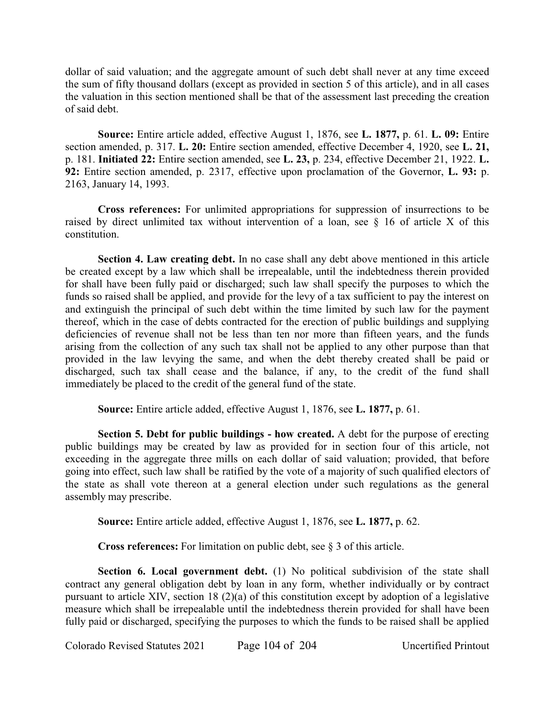dollar of said valuation; and the aggregate amount of such debt shall never at any time exceed the sum of fifty thousand dollars (except as provided in section 5 of this article), and in all cases the valuation in this section mentioned shall be that of the assessment last preceding the creation of said debt.

**Source:** Entire article added, effective August 1, 1876, see **L. 1877,** p. 61. **L. 09:** Entire section amended, p. 317. **L. 20:** Entire section amended, effective December 4, 1920, see **L. 21,** p. 181. **Initiated 22:** Entire section amended, see **L. 23,** p. 234, effective December 21, 1922. **L. 92:** Entire section amended, p. 2317, effective upon proclamation of the Governor, **L. 93:** p. 2163, January 14, 1993.

**Cross references:** For unlimited appropriations for suppression of insurrections to be raised by direct unlimited tax without intervention of a loan, see  $\S$  16 of article X of this constitution.

**Section 4. Law creating debt.** In no case shall any debt above mentioned in this article be created except by a law which shall be irrepealable, until the indebtedness therein provided for shall have been fully paid or discharged; such law shall specify the purposes to which the funds so raised shall be applied, and provide for the levy of a tax sufficient to pay the interest on and extinguish the principal of such debt within the time limited by such law for the payment thereof, which in the case of debts contracted for the erection of public buildings and supplying deficiencies of revenue shall not be less than ten nor more than fifteen years, and the funds arising from the collection of any such tax shall not be applied to any other purpose than that provided in the law levying the same, and when the debt thereby created shall be paid or discharged, such tax shall cease and the balance, if any, to the credit of the fund shall immediately be placed to the credit of the general fund of the state.

**Source:** Entire article added, effective August 1, 1876, see **L. 1877,** p. 61.

**Section 5. Debt for public buildings - how created.** A debt for the purpose of erecting public buildings may be created by law as provided for in section four of this article, not exceeding in the aggregate three mills on each dollar of said valuation; provided, that before going into effect, such law shall be ratified by the vote of a majority of such qualified electors of the state as shall vote thereon at a general election under such regulations as the general assembly may prescribe.

**Source:** Entire article added, effective August 1, 1876, see **L. 1877,** p. 62.

**Cross references:** For limitation on public debt, see § 3 of this article.

**Section 6. Local government debt.** (1) No political subdivision of the state shall contract any general obligation debt by loan in any form, whether individually or by contract pursuant to article XIV, section 18 (2)(a) of this constitution except by adoption of a legislative measure which shall be irrepealable until the indebtedness therein provided for shall have been fully paid or discharged, specifying the purposes to which the funds to be raised shall be applied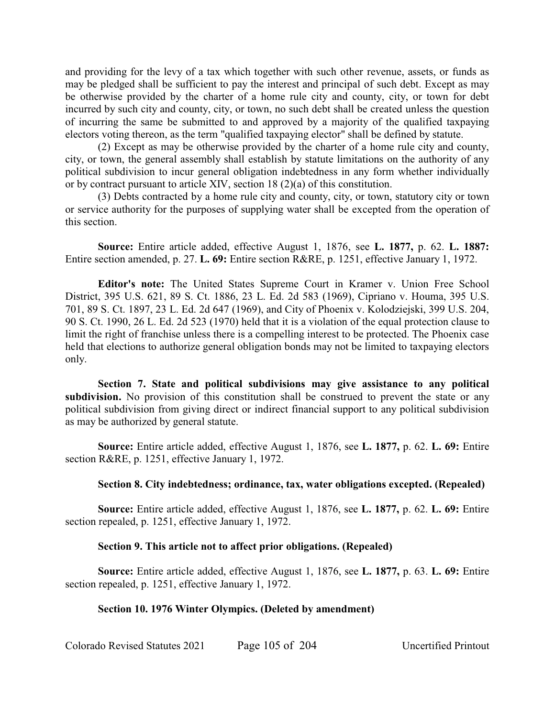and providing for the levy of a tax which together with such other revenue, assets, or funds as may be pledged shall be sufficient to pay the interest and principal of such debt. Except as may be otherwise provided by the charter of a home rule city and county, city, or town for debt incurred by such city and county, city, or town, no such debt shall be created unless the question of incurring the same be submitted to and approved by a majority of the qualified taxpaying electors voting thereon, as the term "qualified taxpaying elector" shall be defined by statute.

(2) Except as may be otherwise provided by the charter of a home rule city and county, city, or town, the general assembly shall establish by statute limitations on the authority of any political subdivision to incur general obligation indebtedness in any form whether individually or by contract pursuant to article XIV, section 18 (2)(a) of this constitution.

(3) Debts contracted by a home rule city and county, city, or town, statutory city or town or service authority for the purposes of supplying water shall be excepted from the operation of this section.

**Source:** Entire article added, effective August 1, 1876, see **L. 1877,** p. 62. **L. 1887:** Entire section amended, p. 27. **L. 69:** Entire section R&RE, p. 1251, effective January 1, 1972.

**Editor's note:** The United States Supreme Court in Kramer v. Union Free School District, 395 U.S. 621, 89 S. Ct. 1886, 23 L. Ed. 2d 583 (1969), Cipriano v. Houma, 395 U.S. 701, 89 S. Ct. 1897, 23 L. Ed. 2d 647 (1969), and City of Phoenix v. Kolodziejski, 399 U.S. 204, 90 S. Ct. 1990, 26 L. Ed. 2d 523 (1970) held that it is a violation of the equal protection clause to limit the right of franchise unless there is a compelling interest to be protected. The Phoenix case held that elections to authorize general obligation bonds may not be limited to taxpaying electors only.

**Section 7. State and political subdivisions may give assistance to any political** subdivision. No provision of this constitution shall be construed to prevent the state or any political subdivision from giving direct or indirect financial support to any political subdivision as may be authorized by general statute.

**Source:** Entire article added, effective August 1, 1876, see **L. 1877,** p. 62. **L. 69:** Entire section R&RE, p. 1251, effective January 1, 1972.

### **Section 8. City indebtedness; ordinance, tax, water obligations excepted. (Repealed)**

**Source:** Entire article added, effective August 1, 1876, see **L. 1877,** p. 62. **L. 69:** Entire section repealed, p. 1251, effective January 1, 1972.

### **Section 9. This article not to affect prior obligations. (Repealed)**

**Source:** Entire article added, effective August 1, 1876, see **L. 1877,** p. 63. **L. 69:** Entire section repealed, p. 1251, effective January 1, 1972.

### **Section 10. 1976 Winter Olympics. (Deleted by amendment)**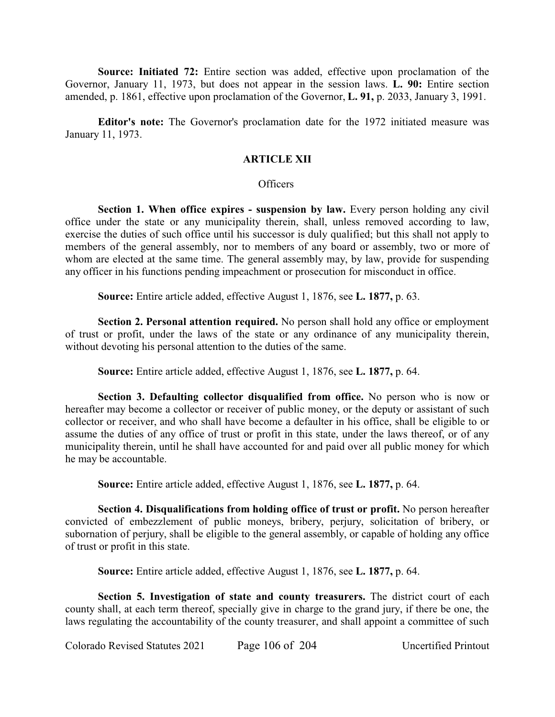**Source: Initiated 72:** Entire section was added, effective upon proclamation of the Governor, January 11, 1973, but does not appear in the session laws. **L. 90:** Entire section amended, p. 1861, effective upon proclamation of the Governor, **L. 91,** p. 2033, January 3, 1991.

**Editor's note:** The Governor's proclamation date for the 1972 initiated measure was January 11, 1973.

## **ARTICLE XII**

### Officers

**Section 1. When office expires - suspension by law.** Every person holding any civil office under the state or any municipality therein, shall, unless removed according to law, exercise the duties of such office until his successor is duly qualified; but this shall not apply to members of the general assembly, nor to members of any board or assembly, two or more of whom are elected at the same time. The general assembly may, by law, provide for suspending any officer in his functions pending impeachment or prosecution for misconduct in office.

**Source:** Entire article added, effective August 1, 1876, see **L. 1877,** p. 63.

**Section 2. Personal attention required.** No person shall hold any office or employment of trust or profit, under the laws of the state or any ordinance of any municipality therein, without devoting his personal attention to the duties of the same.

**Source:** Entire article added, effective August 1, 1876, see **L. 1877,** p. 64.

**Section 3. Defaulting collector disqualified from office.** No person who is now or hereafter may become a collector or receiver of public money, or the deputy or assistant of such collector or receiver, and who shall have become a defaulter in his office, shall be eligible to or assume the duties of any office of trust or profit in this state, under the laws thereof, or of any municipality therein, until he shall have accounted for and paid over all public money for which he may be accountable.

**Source:** Entire article added, effective August 1, 1876, see **L. 1877,** p. 64.

**Section 4. Disqualifications from holding office of trust or profit.** No person hereafter convicted of embezzlement of public moneys, bribery, perjury, solicitation of bribery, or subornation of perjury, shall be eligible to the general assembly, or capable of holding any office of trust or profit in this state.

**Source:** Entire article added, effective August 1, 1876, see **L. 1877,** p. 64.

**Section 5. Investigation of state and county treasurers.** The district court of each county shall, at each term thereof, specially give in charge to the grand jury, if there be one, the laws regulating the accountability of the county treasurer, and shall appoint a committee of such

Colorado Revised Statutes 2021 Page 106 of 204 Uncertified Printout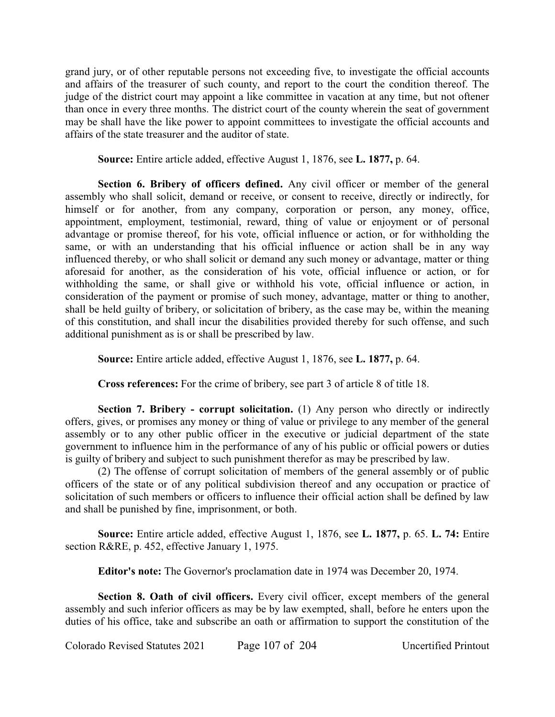grand jury, or of other reputable persons not exceeding five, to investigate the official accounts and affairs of the treasurer of such county, and report to the court the condition thereof. The judge of the district court may appoint a like committee in vacation at any time, but not oftener than once in every three months. The district court of the county wherein the seat of government may be shall have the like power to appoint committees to investigate the official accounts and affairs of the state treasurer and the auditor of state.

**Source:** Entire article added, effective August 1, 1876, see **L. 1877,** p. 64.

**Section 6. Bribery of officers defined.** Any civil officer or member of the general assembly who shall solicit, demand or receive, or consent to receive, directly or indirectly, for himself or for another, from any company, corporation or person, any money, office, appointment, employment, testimonial, reward, thing of value or enjoyment or of personal advantage or promise thereof, for his vote, official influence or action, or for withholding the same, or with an understanding that his official influence or action shall be in any way influenced thereby, or who shall solicit or demand any such money or advantage, matter or thing aforesaid for another, as the consideration of his vote, official influence or action, or for withholding the same, or shall give or withhold his vote, official influence or action, in consideration of the payment or promise of such money, advantage, matter or thing to another, shall be held guilty of bribery, or solicitation of bribery, as the case may be, within the meaning of this constitution, and shall incur the disabilities provided thereby for such offense, and such additional punishment as is or shall be prescribed by law.

**Source:** Entire article added, effective August 1, 1876, see **L. 1877,** p. 64.

**Cross references:** For the crime of bribery, see part 3 of article 8 of title 18.

**Section 7. Bribery - corrupt solicitation.** (1) Any person who directly or indirectly offers, gives, or promises any money or thing of value or privilege to any member of the general assembly or to any other public officer in the executive or judicial department of the state government to influence him in the performance of any of his public or official powers or duties is guilty of bribery and subject to such punishment therefor as may be prescribed by law.

(2) The offense of corrupt solicitation of members of the general assembly or of public officers of the state or of any political subdivision thereof and any occupation or practice of solicitation of such members or officers to influence their official action shall be defined by law and shall be punished by fine, imprisonment, or both.

**Source:** Entire article added, effective August 1, 1876, see **L. 1877,** p. 65. **L. 74:** Entire section R&RE, p. 452, effective January 1, 1975.

**Editor's note:** The Governor's proclamation date in 1974 was December 20, 1974.

**Section 8. Oath of civil officers.** Every civil officer, except members of the general assembly and such inferior officers as may be by law exempted, shall, before he enters upon the duties of his office, take and subscribe an oath or affirmation to support the constitution of the

Colorado Revised Statutes 2021 Page 107 of 204 Uncertified Printout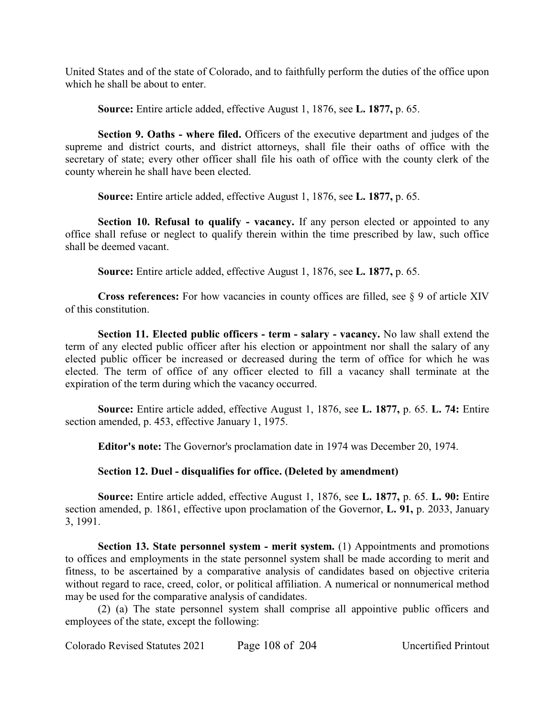United States and of the state of Colorado, and to faithfully perform the duties of the office upon which he shall be about to enter.

**Source:** Entire article added, effective August 1, 1876, see **L. 1877,** p. 65.

**Section 9. Oaths - where filed.** Officers of the executive department and judges of the supreme and district courts, and district attorneys, shall file their oaths of office with the secretary of state; every other officer shall file his oath of office with the county clerk of the county wherein he shall have been elected.

**Source:** Entire article added, effective August 1, 1876, see **L. 1877,** p. 65.

**Section 10. Refusal to qualify - vacancy.** If any person elected or appointed to any office shall refuse or neglect to qualify therein within the time prescribed by law, such office shall be deemed vacant.

**Source:** Entire article added, effective August 1, 1876, see **L. 1877,** p. 65.

**Cross references:** For how vacancies in county offices are filled, see § 9 of article XIV of this constitution.

**Section 11. Elected public officers - term - salary - vacancy.** No law shall extend the term of any elected public officer after his election or appointment nor shall the salary of any elected public officer be increased or decreased during the term of office for which he was elected. The term of office of any officer elected to fill a vacancy shall terminate at the expiration of the term during which the vacancy occurred.

**Source:** Entire article added, effective August 1, 1876, see **L. 1877,** p. 65. **L. 74:** Entire section amended, p. 453, effective January 1, 1975.

**Editor's note:** The Governor's proclamation date in 1974 was December 20, 1974.

# **Section 12. Duel - disqualifies for office. (Deleted by amendment)**

**Source:** Entire article added, effective August 1, 1876, see **L. 1877,** p. 65. **L. 90:** Entire section amended, p. 1861, effective upon proclamation of the Governor, **L. 91,** p. 2033, January 3, 1991.

**Section 13. State personnel system - merit system.** (1) Appointments and promotions to offices and employments in the state personnel system shall be made according to merit and fitness, to be ascertained by a comparative analysis of candidates based on objective criteria without regard to race, creed, color, or political affiliation. A numerical or nonnumerical method may be used for the comparative analysis of candidates.

(2) (a) The state personnel system shall comprise all appointive public officers and employees of the state, except the following: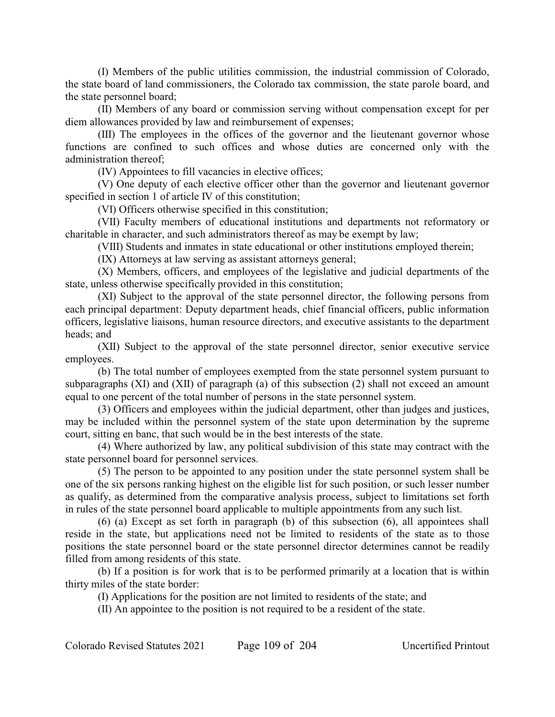(I) Members of the public utilities commission, the industrial commission of Colorado, the state board of land commissioners, the Colorado tax commission, the state parole board, and the state personnel board;

(II) Members of any board or commission serving without compensation except for per diem allowances provided by law and reimbursement of expenses;

(III) The employees in the offices of the governor and the lieutenant governor whose functions are confined to such offices and whose duties are concerned only with the administration thereof;

(IV) Appointees to fill vacancies in elective offices;

(V) One deputy of each elective officer other than the governor and lieutenant governor specified in section 1 of article IV of this constitution;

(VI) Officers otherwise specified in this constitution;

(VII) Faculty members of educational institutions and departments not reformatory or charitable in character, and such administrators thereof as may be exempt by law;

(VIII) Students and inmates in state educational or other institutions employed therein;

(IX) Attorneys at law serving as assistant attorneys general;

(X) Members, officers, and employees of the legislative and judicial departments of the state, unless otherwise specifically provided in this constitution;

(XI) Subject to the approval of the state personnel director, the following persons from each principal department: Deputy department heads, chief financial officers, public information officers, legislative liaisons, human resource directors, and executive assistants to the department heads; and

(XII) Subject to the approval of the state personnel director, senior executive service employees.

(b) The total number of employees exempted from the state personnel system pursuant to subparagraphs (XI) and (XII) of paragraph (a) of this subsection (2) shall not exceed an amount equal to one percent of the total number of persons in the state personnel system.

(3) Officers and employees within the judicial department, other than judges and justices, may be included within the personnel system of the state upon determination by the supreme court, sitting en banc, that such would be in the best interests of the state.

(4) Where authorized by law, any political subdivision of this state may contract with the state personnel board for personnel services.

(5) The person to be appointed to any position under the state personnel system shall be one of the six persons ranking highest on the eligible list for such position, or such lesser number as qualify, as determined from the comparative analysis process, subject to limitations set forth in rules of the state personnel board applicable to multiple appointments from any such list.

(6) (a) Except as set forth in paragraph (b) of this subsection (6), all appointees shall reside in the state, but applications need not be limited to residents of the state as to those positions the state personnel board or the state personnel director determines cannot be readily filled from among residents of this state.

(b) If a position is for work that is to be performed primarily at a location that is within thirty miles of the state border:

(I) Applications for the position are not limited to residents of the state; and

(II) An appointee to the position is not required to be a resident of the state.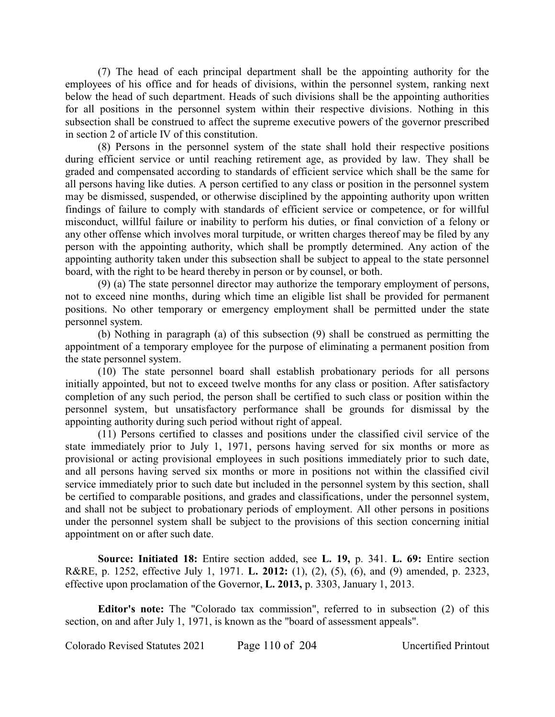(7) The head of each principal department shall be the appointing authority for the employees of his office and for heads of divisions, within the personnel system, ranking next below the head of such department. Heads of such divisions shall be the appointing authorities for all positions in the personnel system within their respective divisions. Nothing in this subsection shall be construed to affect the supreme executive powers of the governor prescribed in section 2 of article IV of this constitution.

(8) Persons in the personnel system of the state shall hold their respective positions during efficient service or until reaching retirement age, as provided by law. They shall be graded and compensated according to standards of efficient service which shall be the same for all persons having like duties. A person certified to any class or position in the personnel system may be dismissed, suspended, or otherwise disciplined by the appointing authority upon written findings of failure to comply with standards of efficient service or competence, or for willful misconduct, willful failure or inability to perform his duties, or final conviction of a felony or any other offense which involves moral turpitude, or written charges thereof may be filed by any person with the appointing authority, which shall be promptly determined. Any action of the appointing authority taken under this subsection shall be subject to appeal to the state personnel board, with the right to be heard thereby in person or by counsel, or both.

(9) (a) The state personnel director may authorize the temporary employment of persons, not to exceed nine months, during which time an eligible list shall be provided for permanent positions. No other temporary or emergency employment shall be permitted under the state personnel system.

(b) Nothing in paragraph (a) of this subsection (9) shall be construed as permitting the appointment of a temporary employee for the purpose of eliminating a permanent position from the state personnel system.

(10) The state personnel board shall establish probationary periods for all persons initially appointed, but not to exceed twelve months for any class or position. After satisfactory completion of any such period, the person shall be certified to such class or position within the personnel system, but unsatisfactory performance shall be grounds for dismissal by the appointing authority during such period without right of appeal.

(11) Persons certified to classes and positions under the classified civil service of the state immediately prior to July 1, 1971, persons having served for six months or more as provisional or acting provisional employees in such positions immediately prior to such date, and all persons having served six months or more in positions not within the classified civil service immediately prior to such date but included in the personnel system by this section, shall be certified to comparable positions, and grades and classifications, under the personnel system, and shall not be subject to probationary periods of employment. All other persons in positions under the personnel system shall be subject to the provisions of this section concerning initial appointment on or after such date.

**Source: Initiated 18:** Entire section added, see **L. 19,** p. 341. **L. 69:** Entire section R&RE, p. 1252, effective July 1, 1971. **L. 2012:** (1), (2), (5), (6), and (9) amended, p. 2323, effective upon proclamation of the Governor, **L. 2013,** p. 3303, January 1, 2013.

**Editor's note:** The "Colorado tax commission", referred to in subsection (2) of this section, on and after July 1, 1971, is known as the "board of assessment appeals".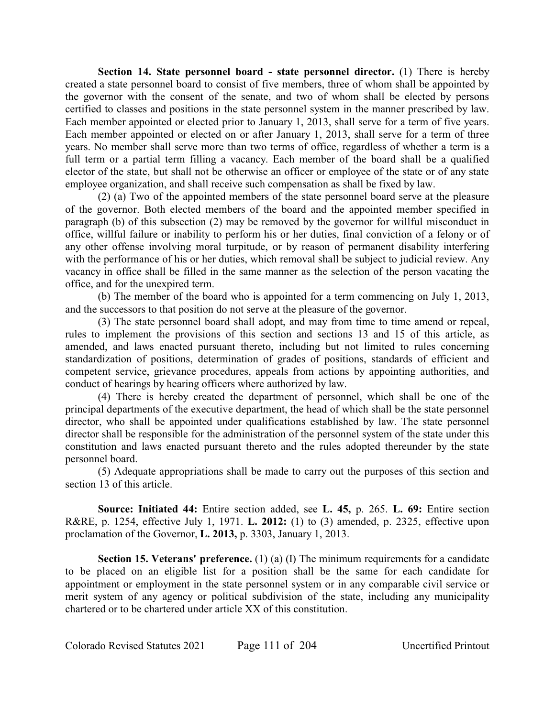**Section 14. State personnel board - state personnel director.** (1) There is hereby created a state personnel board to consist of five members, three of whom shall be appointed by the governor with the consent of the senate, and two of whom shall be elected by persons certified to classes and positions in the state personnel system in the manner prescribed by law. Each member appointed or elected prior to January 1, 2013, shall serve for a term of five years. Each member appointed or elected on or after January 1, 2013, shall serve for a term of three years. No member shall serve more than two terms of office, regardless of whether a term is a full term or a partial term filling a vacancy. Each member of the board shall be a qualified elector of the state, but shall not be otherwise an officer or employee of the state or of any state employee organization, and shall receive such compensation as shall be fixed by law.

(2) (a) Two of the appointed members of the state personnel board serve at the pleasure of the governor. Both elected members of the board and the appointed member specified in paragraph (b) of this subsection (2) may be removed by the governor for willful misconduct in office, willful failure or inability to perform his or her duties, final conviction of a felony or of any other offense involving moral turpitude, or by reason of permanent disability interfering with the performance of his or her duties, which removal shall be subject to judicial review. Any vacancy in office shall be filled in the same manner as the selection of the person vacating the office, and for the unexpired term.

(b) The member of the board who is appointed for a term commencing on July 1, 2013, and the successors to that position do not serve at the pleasure of the governor.

(3) The state personnel board shall adopt, and may from time to time amend or repeal, rules to implement the provisions of this section and sections 13 and 15 of this article, as amended, and laws enacted pursuant thereto, including but not limited to rules concerning standardization of positions, determination of grades of positions, standards of efficient and competent service, grievance procedures, appeals from actions by appointing authorities, and conduct of hearings by hearing officers where authorized by law.

(4) There is hereby created the department of personnel, which shall be one of the principal departments of the executive department, the head of which shall be the state personnel director, who shall be appointed under qualifications established by law. The state personnel director shall be responsible for the administration of the personnel system of the state under this constitution and laws enacted pursuant thereto and the rules adopted thereunder by the state personnel board.

(5) Adequate appropriations shall be made to carry out the purposes of this section and section 13 of this article.

**Source: Initiated 44:** Entire section added, see **L. 45,** p. 265. **L. 69:** Entire section R&RE, p. 1254, effective July 1, 1971. **L. 2012:** (1) to (3) amended, p. 2325, effective upon proclamation of the Governor, **L. 2013,** p. 3303, January 1, 2013.

**Section 15. Veterans' preference.** (1) (a) (I) The minimum requirements for a candidate to be placed on an eligible list for a position shall be the same for each candidate for appointment or employment in the state personnel system or in any comparable civil service or merit system of any agency or political subdivision of the state, including any municipality chartered or to be chartered under article XX of this constitution.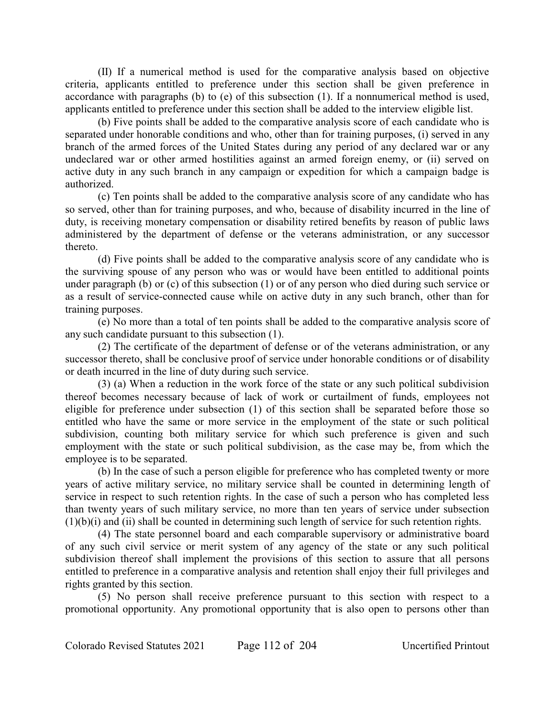(II) If a numerical method is used for the comparative analysis based on objective criteria, applicants entitled to preference under this section shall be given preference in accordance with paragraphs (b) to (e) of this subsection (1). If a nonnumerical method is used, applicants entitled to preference under this section shall be added to the interview eligible list.

(b) Five points shall be added to the comparative analysis score of each candidate who is separated under honorable conditions and who, other than for training purposes, (i) served in any branch of the armed forces of the United States during any period of any declared war or any undeclared war or other armed hostilities against an armed foreign enemy, or (ii) served on active duty in any such branch in any campaign or expedition for which a campaign badge is authorized.

(c) Ten points shall be added to the comparative analysis score of any candidate who has so served, other than for training purposes, and who, because of disability incurred in the line of duty, is receiving monetary compensation or disability retired benefits by reason of public laws administered by the department of defense or the veterans administration, or any successor thereto.

(d) Five points shall be added to the comparative analysis score of any candidate who is the surviving spouse of any person who was or would have been entitled to additional points under paragraph (b) or (c) of this subsection (1) or of any person who died during such service or as a result of service-connected cause while on active duty in any such branch, other than for training purposes.

(e) No more than a total of ten points shall be added to the comparative analysis score of any such candidate pursuant to this subsection (1).

(2) The certificate of the department of defense or of the veterans administration, or any successor thereto, shall be conclusive proof of service under honorable conditions or of disability or death incurred in the line of duty during such service.

(3) (a) When a reduction in the work force of the state or any such political subdivision thereof becomes necessary because of lack of work or curtailment of funds, employees not eligible for preference under subsection (1) of this section shall be separated before those so entitled who have the same or more service in the employment of the state or such political subdivision, counting both military service for which such preference is given and such employment with the state or such political subdivision, as the case may be, from which the employee is to be separated.

(b) In the case of such a person eligible for preference who has completed twenty or more years of active military service, no military service shall be counted in determining length of service in respect to such retention rights. In the case of such a person who has completed less than twenty years of such military service, no more than ten years of service under subsection  $(1)(b)(i)$  and  $(ii)$  shall be counted in determining such length of service for such retention rights.

(4) The state personnel board and each comparable supervisory or administrative board of any such civil service or merit system of any agency of the state or any such political subdivision thereof shall implement the provisions of this section to assure that all persons entitled to preference in a comparative analysis and retention shall enjoy their full privileges and rights granted by this section.

(5) No person shall receive preference pursuant to this section with respect to a promotional opportunity. Any promotional opportunity that is also open to persons other than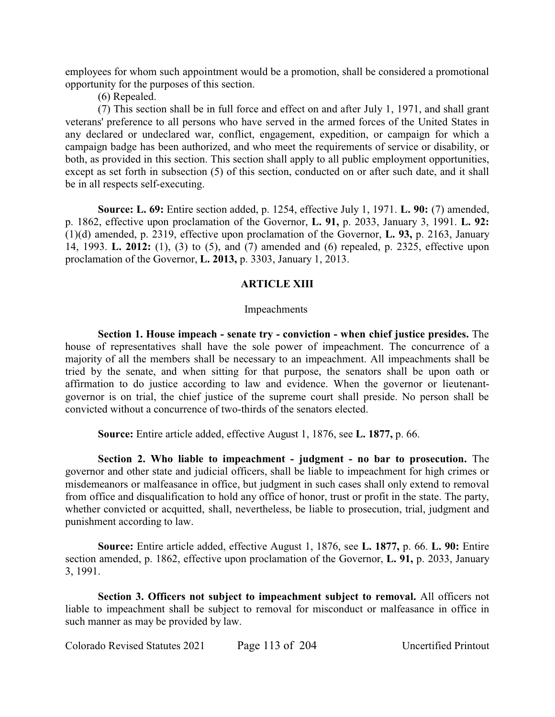employees for whom such appointment would be a promotion, shall be considered a promotional opportunity for the purposes of this section.

(6) Repealed.

(7) This section shall be in full force and effect on and after July 1, 1971, and shall grant veterans' preference to all persons who have served in the armed forces of the United States in any declared or undeclared war, conflict, engagement, expedition, or campaign for which a campaign badge has been authorized, and who meet the requirements of service or disability, or both, as provided in this section. This section shall apply to all public employment opportunities, except as set forth in subsection (5) of this section, conducted on or after such date, and it shall be in all respects self-executing.

**Source: L. 69:** Entire section added, p. 1254, effective July 1, 1971. **L. 90:** (7) amended, p. 1862, effective upon proclamation of the Governor, **L. 91,** p. 2033, January 3, 1991. **L. 92:** (1)(d) amended, p. 2319, effective upon proclamation of the Governor, **L. 93,** p. 2163, January 14, 1993. **L. 2012:** (1), (3) to (5), and (7) amended and (6) repealed, p. 2325, effective upon proclamation of the Governor, **L. 2013,** p. 3303, January 1, 2013.

### **ARTICLE XIII**

### Impeachments

**Section 1. House impeach - senate try - conviction - when chief justice presides.** The house of representatives shall have the sole power of impeachment. The concurrence of a majority of all the members shall be necessary to an impeachment. All impeachments shall be tried by the senate, and when sitting for that purpose, the senators shall be upon oath or affirmation to do justice according to law and evidence. When the governor or lieutenantgovernor is on trial, the chief justice of the supreme court shall preside. No person shall be convicted without a concurrence of two-thirds of the senators elected.

**Source:** Entire article added, effective August 1, 1876, see **L. 1877,** p. 66.

**Section 2. Who liable to impeachment - judgment - no bar to prosecution.** The governor and other state and judicial officers, shall be liable to impeachment for high crimes or misdemeanors or malfeasance in office, but judgment in such cases shall only extend to removal from office and disqualification to hold any office of honor, trust or profit in the state. The party, whether convicted or acquitted, shall, nevertheless, be liable to prosecution, trial, judgment and punishment according to law.

**Source:** Entire article added, effective August 1, 1876, see **L. 1877,** p. 66. **L. 90:** Entire section amended, p. 1862, effective upon proclamation of the Governor, **L. 91,** p. 2033, January 3, 1991.

**Section 3. Officers not subject to impeachment subject to removal.** All officers not liable to impeachment shall be subject to removal for misconduct or malfeasance in office in such manner as may be provided by law.

Colorado Revised Statutes 2021 Page 113 of 204 Uncertified Printout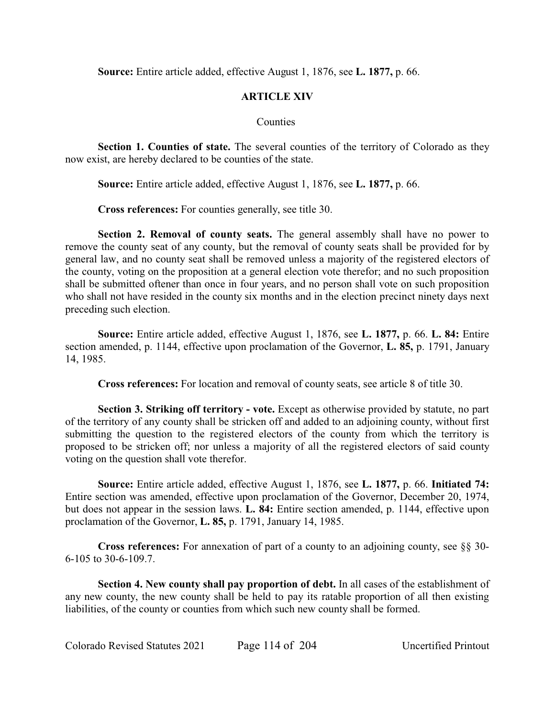**Source:** Entire article added, effective August 1, 1876, see **L. 1877,** p. 66.

# **ARTICLE XIV**

### **Counties**

**Section 1. Counties of state.** The several counties of the territory of Colorado as they now exist, are hereby declared to be counties of the state.

**Source:** Entire article added, effective August 1, 1876, see **L. 1877,** p. 66.

**Cross references:** For counties generally, see title 30.

**Section 2. Removal of county seats.** The general assembly shall have no power to remove the county seat of any county, but the removal of county seats shall be provided for by general law, and no county seat shall be removed unless a majority of the registered electors of the county, voting on the proposition at a general election vote therefor; and no such proposition shall be submitted oftener than once in four years, and no person shall vote on such proposition who shall not have resided in the county six months and in the election precinct ninety days next preceding such election.

**Source:** Entire article added, effective August 1, 1876, see **L. 1877,** p. 66. **L. 84:** Entire section amended, p. 1144, effective upon proclamation of the Governor, **L. 85,** p. 1791, January 14, 1985.

**Cross references:** For location and removal of county seats, see article 8 of title 30.

**Section 3. Striking off territory - vote.** Except as otherwise provided by statute, no part of the territory of any county shall be stricken off and added to an adjoining county, without first submitting the question to the registered electors of the county from which the territory is proposed to be stricken off; nor unless a majority of all the registered electors of said county voting on the question shall vote therefor.

**Source:** Entire article added, effective August 1, 1876, see **L. 1877,** p. 66. **Initiated 74:** Entire section was amended, effective upon proclamation of the Governor, December 20, 1974, but does not appear in the session laws. **L. 84:** Entire section amended, p. 1144, effective upon proclamation of the Governor, **L. 85,** p. 1791, January 14, 1985.

**Cross references:** For annexation of part of a county to an adjoining county, see §§ 30- 6-105 to 30-6-109.7.

**Section 4. New county shall pay proportion of debt.** In all cases of the establishment of any new county, the new county shall be held to pay its ratable proportion of all then existing liabilities, of the county or counties from which such new county shall be formed.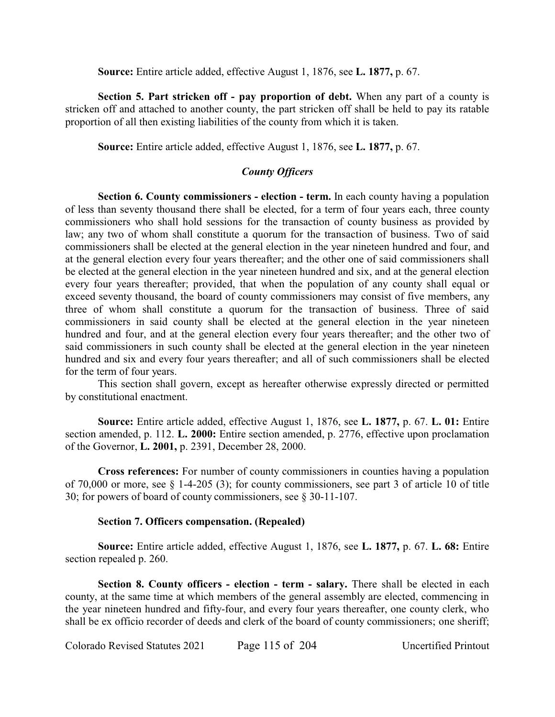**Source:** Entire article added, effective August 1, 1876, see **L. 1877,** p. 67.

**Section 5. Part stricken off - pay proportion of debt.** When any part of a county is stricken off and attached to another county, the part stricken off shall be held to pay its ratable proportion of all then existing liabilities of the county from which it is taken.

**Source:** Entire article added, effective August 1, 1876, see **L. 1877,** p. 67.

# *County Officers*

**Section 6. County commissioners - election - term.** In each county having a population of less than seventy thousand there shall be elected, for a term of four years each, three county commissioners who shall hold sessions for the transaction of county business as provided by law; any two of whom shall constitute a quorum for the transaction of business. Two of said commissioners shall be elected at the general election in the year nineteen hundred and four, and at the general election every four years thereafter; and the other one of said commissioners shall be elected at the general election in the year nineteen hundred and six, and at the general election every four years thereafter; provided, that when the population of any county shall equal or exceed seventy thousand, the board of county commissioners may consist of five members, any three of whom shall constitute a quorum for the transaction of business. Three of said commissioners in said county shall be elected at the general election in the year nineteen hundred and four, and at the general election every four years thereafter; and the other two of said commissioners in such county shall be elected at the general election in the year nineteen hundred and six and every four years thereafter; and all of such commissioners shall be elected for the term of four years.

This section shall govern, except as hereafter otherwise expressly directed or permitted by constitutional enactment.

**Source:** Entire article added, effective August 1, 1876, see **L. 1877,** p. 67. **L. 01:** Entire section amended, p. 112. **L. 2000:** Entire section amended, p. 2776, effective upon proclamation of the Governor, **L. 2001,** p. 2391, December 28, 2000.

**Cross references:** For number of county commissioners in counties having a population of 70,000 or more, see § 1-4-205 (3); for county commissioners, see part 3 of article 10 of title 30; for powers of board of county commissioners, see § 30-11-107.

#### **Section 7. Officers compensation. (Repealed)**

**Source:** Entire article added, effective August 1, 1876, see **L. 1877,** p. 67. **L. 68:** Entire section repealed p. 260.

**Section 8. County officers - election - term - salary.** There shall be elected in each county, at the same time at which members of the general assembly are elected, commencing in the year nineteen hundred and fifty-four, and every four years thereafter, one county clerk, who shall be ex officio recorder of deeds and clerk of the board of county commissioners; one sheriff;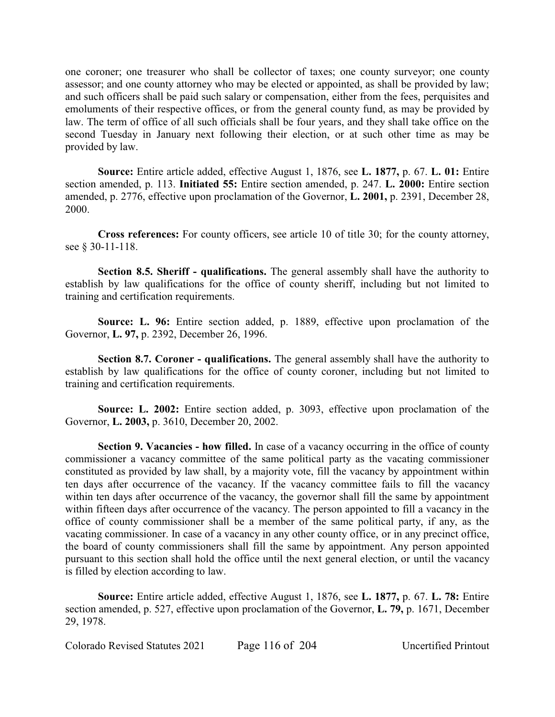one coroner; one treasurer who shall be collector of taxes; one county surveyor; one county assessor; and one county attorney who may be elected or appointed, as shall be provided by law; and such officers shall be paid such salary or compensation, either from the fees, perquisites and emoluments of their respective offices, or from the general county fund, as may be provided by law. The term of office of all such officials shall be four years, and they shall take office on the second Tuesday in January next following their election, or at such other time as may be provided by law.

**Source:** Entire article added, effective August 1, 1876, see **L. 1877,** p. 67. **L. 01:** Entire section amended, p. 113. **Initiated 55:** Entire section amended, p. 247. **L. 2000:** Entire section amended, p. 2776, effective upon proclamation of the Governor, **L. 2001,** p. 2391, December 28, 2000.

**Cross references:** For county officers, see article 10 of title 30; for the county attorney, see § 30-11-118.

**Section 8.5. Sheriff - qualifications.** The general assembly shall have the authority to establish by law qualifications for the office of county sheriff, including but not limited to training and certification requirements.

**Source: L. 96:** Entire section added, p. 1889, effective upon proclamation of the Governor, **L. 97,** p. 2392, December 26, 1996.

**Section 8.7. Coroner - qualifications.** The general assembly shall have the authority to establish by law qualifications for the office of county coroner, including but not limited to training and certification requirements.

**Source: L. 2002:** Entire section added, p. 3093, effective upon proclamation of the Governor, **L. 2003,** p. 3610, December 20, 2002.

**Section 9. Vacancies - how filled.** In case of a vacancy occurring in the office of county commissioner a vacancy committee of the same political party as the vacating commissioner constituted as provided by law shall, by a majority vote, fill the vacancy by appointment within ten days after occurrence of the vacancy. If the vacancy committee fails to fill the vacancy within ten days after occurrence of the vacancy, the governor shall fill the same by appointment within fifteen days after occurrence of the vacancy. The person appointed to fill a vacancy in the office of county commissioner shall be a member of the same political party, if any, as the vacating commissioner. In case of a vacancy in any other county office, or in any precinct office, the board of county commissioners shall fill the same by appointment. Any person appointed pursuant to this section shall hold the office until the next general election, or until the vacancy is filled by election according to law.

**Source:** Entire article added, effective August 1, 1876, see **L. 1877,** p. 67. **L. 78:** Entire section amended, p. 527, effective upon proclamation of the Governor, **L. 79,** p. 1671, December 29, 1978.

Colorado Revised Statutes 2021 Page 116 of 204 Uncertified Printout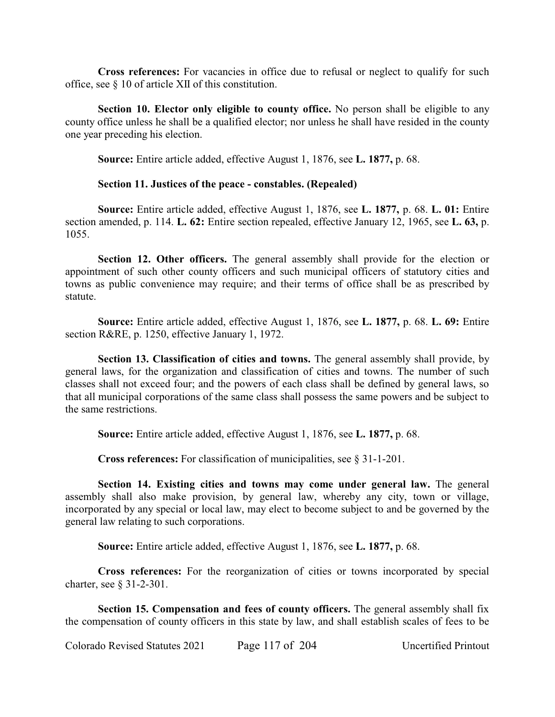**Cross references:** For vacancies in office due to refusal or neglect to qualify for such office, see § 10 of article XII of this constitution.

**Section 10. Elector only eligible to county office.** No person shall be eligible to any county office unless he shall be a qualified elector; nor unless he shall have resided in the county one year preceding his election.

**Source:** Entire article added, effective August 1, 1876, see **L. 1877,** p. 68.

#### **Section 11. Justices of the peace - constables. (Repealed)**

**Source:** Entire article added, effective August 1, 1876, see **L. 1877,** p. 68. **L. 01:** Entire section amended, p. 114. **L. 62:** Entire section repealed, effective January 12, 1965, see **L. 63,** p. 1055.

**Section 12. Other officers.** The general assembly shall provide for the election or appointment of such other county officers and such municipal officers of statutory cities and towns as public convenience may require; and their terms of office shall be as prescribed by statute.

**Source:** Entire article added, effective August 1, 1876, see **L. 1877,** p. 68. **L. 69:** Entire section R&RE, p. 1250, effective January 1, 1972.

**Section 13. Classification of cities and towns.** The general assembly shall provide, by general laws, for the organization and classification of cities and towns. The number of such classes shall not exceed four; and the powers of each class shall be defined by general laws, so that all municipal corporations of the same class shall possess the same powers and be subject to the same restrictions.

**Source:** Entire article added, effective August 1, 1876, see **L. 1877,** p. 68.

**Cross references:** For classification of municipalities, see § 31-1-201.

**Section 14. Existing cities and towns may come under general law.** The general assembly shall also make provision, by general law, whereby any city, town or village, incorporated by any special or local law, may elect to become subject to and be governed by the general law relating to such corporations.

**Source:** Entire article added, effective August 1, 1876, see **L. 1877,** p. 68.

**Cross references:** For the reorganization of cities or towns incorporated by special charter, see § 31-2-301.

**Section 15. Compensation and fees of county officers.** The general assembly shall fix the compensation of county officers in this state by law, and shall establish scales of fees to be

Colorado Revised Statutes 2021 Page 117 of 204 Uncertified Printout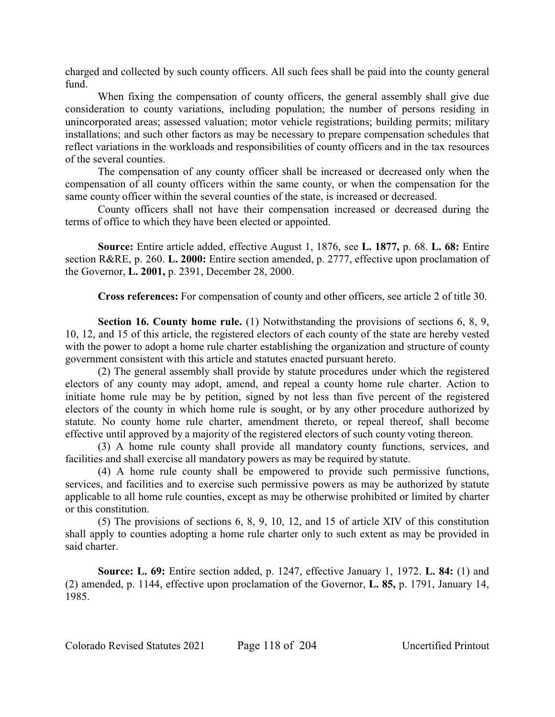charged and collected by such county officers. All such fees shall be paid into the county general fund.

When fixing the compensation of county officers, the general assembly shall give due consideration to county variations, including population; the number of persons residing in unincorporated areas; assessed valuation; motor vehicle registrations; building permits; military installations; and such other factors as may be necessary to prepare compensation schedules that reflect variations in the workloads and responsibilities of county officers and in the tax resources of the several counties.

The compensation of any county officer shall be increased or decreased only when the compensation of all county officers within the same county, or when the compensation for the same county officer within the several counties of the state, is increased or decreased.

County officers shall not have their compensation increased or decreased during the terms of office to which they have been elected or appointed.

**Source:** Entire article added, effective August 1, 1876, see **L. 1877,** p. 68. **L. 68:** Entire section R&RE, p. 260. **L. 2000:** Entire section amended, p. 2777, effective upon proclamation of the Governor, **L. 2001,** p. 2391, December 28, 2000.

**Cross references:** For compensation of county and other officers, see article 2 of title 30.

**Section 16. County home rule.** (1) Notwithstanding the provisions of sections 6, 8, 9, 10, 12, and 15 of this article, the registered electors of each county of the state are hereby vested with the power to adopt a home rule charter establishing the organization and structure of county government consistent with this article and statutes enacted pursuant hereto.

(2) The general assembly shall provide by statute procedures under which the registered electors of any county may adopt, amend, and repeal a county home rule charter. Action to initiate home rule may be by petition, signed by not less than five percent of the registered electors of the county in which home rule is sought, or by any other procedure authorized by statute. No county home rule charter, amendment thereto, or repeal thereof, shall become effective until approved by a majority of the registered electors of such county voting thereon.

(3) A home rule county shall provide all mandatory county functions, services, and facilities and shall exercise all mandatory powers as may be required by statute.

(4) A home rule county shall be empowered to provide such permissive functions, services, and facilities and to exercise such permissive powers as may be authorized by statute applicable to all home rule counties, except as may be otherwise prohibited or limited by charter or this constitution.

(5) The provisions of sections 6, 8, 9, 10, 12, and 15 of article XIV of this constitution shall apply to counties adopting a home rule charter only to such extent as may be provided in said charter.

**Source: L. 69:** Entire section added, p. 1247, effective January 1, 1972. **L. 84:** (1) and (2) amended, p. 1144, effective upon proclamation of the Governor, **L. 85,** p. 1791, January 14, 1985.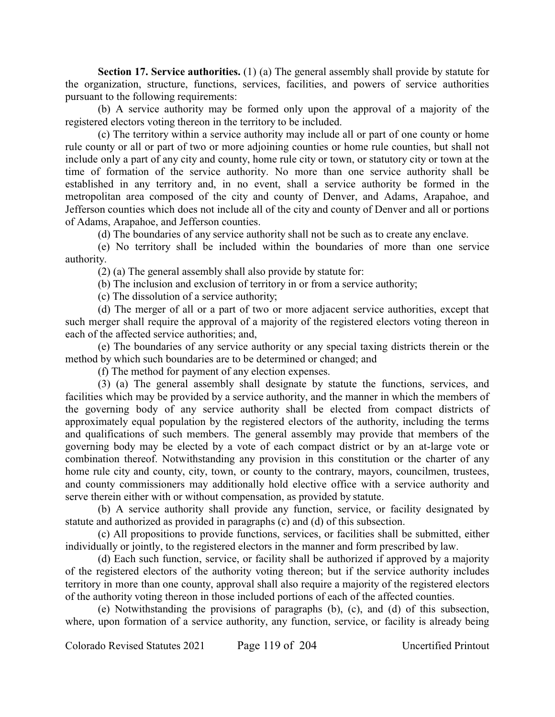**Section 17. Service authorities.** (1) (a) The general assembly shall provide by statute for the organization, structure, functions, services, facilities, and powers of service authorities pursuant to the following requirements:

(b) A service authority may be formed only upon the approval of a majority of the registered electors voting thereon in the territory to be included.

(c) The territory within a service authority may include all or part of one county or home rule county or all or part of two or more adjoining counties or home rule counties, but shall not include only a part of any city and county, home rule city or town, or statutory city or town at the time of formation of the service authority. No more than one service authority shall be established in any territory and, in no event, shall a service authority be formed in the metropolitan area composed of the city and county of Denver, and Adams, Arapahoe, and Jefferson counties which does not include all of the city and county of Denver and all or portions of Adams, Arapahoe, and Jefferson counties.

(d) The boundaries of any service authority shall not be such as to create any enclave.

(e) No territory shall be included within the boundaries of more than one service authority.

(2) (a) The general assembly shall also provide by statute for:

(b) The inclusion and exclusion of territory in or from a service authority;

(c) The dissolution of a service authority;

(d) The merger of all or a part of two or more adjacent service authorities, except that such merger shall require the approval of a majority of the registered electors voting thereon in each of the affected service authorities; and,

(e) The boundaries of any service authority or any special taxing districts therein or the method by which such boundaries are to be determined or changed; and

(f) The method for payment of any election expenses.

(3) (a) The general assembly shall designate by statute the functions, services, and facilities which may be provided by a service authority, and the manner in which the members of the governing body of any service authority shall be elected from compact districts of approximately equal population by the registered electors of the authority, including the terms and qualifications of such members. The general assembly may provide that members of the governing body may be elected by a vote of each compact district or by an at-large vote or combination thereof. Notwithstanding any provision in this constitution or the charter of any home rule city and county, city, town, or county to the contrary, mayors, councilmen, trustees, and county commissioners may additionally hold elective office with a service authority and serve therein either with or without compensation, as provided by statute.

(b) A service authority shall provide any function, service, or facility designated by statute and authorized as provided in paragraphs (c) and (d) of this subsection.

(c) All propositions to provide functions, services, or facilities shall be submitted, either individually or jointly, to the registered electors in the manner and form prescribed by law.

(d) Each such function, service, or facility shall be authorized if approved by a majority of the registered electors of the authority voting thereon; but if the service authority includes territory in more than one county, approval shall also require a majority of the registered electors of the authority voting thereon in those included portions of each of the affected counties.

(e) Notwithstanding the provisions of paragraphs (b), (c), and (d) of this subsection, where, upon formation of a service authority, any function, service, or facility is already being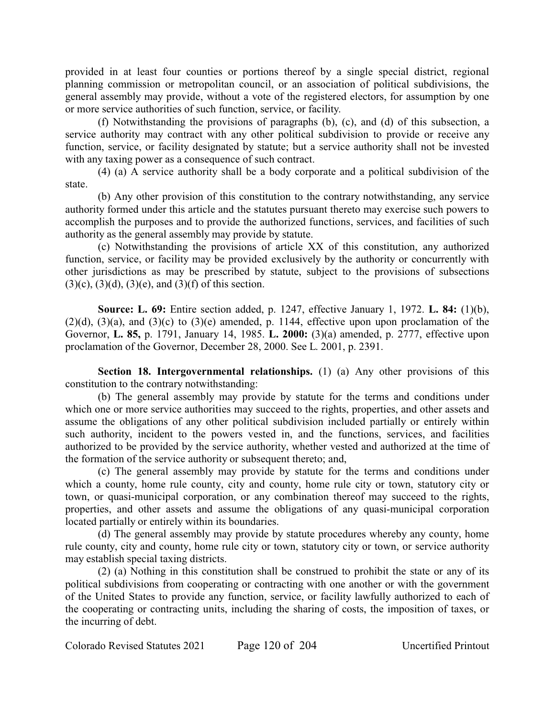provided in at least four counties or portions thereof by a single special district, regional planning commission or metropolitan council, or an association of political subdivisions, the general assembly may provide, without a vote of the registered electors, for assumption by one or more service authorities of such function, service, or facility.

(f) Notwithstanding the provisions of paragraphs (b), (c), and (d) of this subsection, a service authority may contract with any other political subdivision to provide or receive any function, service, or facility designated by statute; but a service authority shall not be invested with any taxing power as a consequence of such contract.

(4) (a) A service authority shall be a body corporate and a political subdivision of the state.

(b) Any other provision of this constitution to the contrary notwithstanding, any service authority formed under this article and the statutes pursuant thereto may exercise such powers to accomplish the purposes and to provide the authorized functions, services, and facilities of such authority as the general assembly may provide by statute.

(c) Notwithstanding the provisions of article XX of this constitution, any authorized function, service, or facility may be provided exclusively by the authority or concurrently with other jurisdictions as may be prescribed by statute, subject to the provisions of subsections  $(3)(c)$ ,  $(3)(d)$ ,  $(3)(e)$ , and  $(3)(f)$  of this section.

**Source: L. 69:** Entire section added, p. 1247, effective January 1, 1972. **L. 84:** (1)(b),  $(2)(d)$ ,  $(3)(a)$ , and  $(3)(c)$  to  $(3)(e)$  amended, p. 1144, effective upon upon proclamation of the Governor, **L. 85,** p. 1791, January 14, 1985. **L. 2000:** (3)(a) amended, p. 2777, effective upon proclamation of the Governor, December 28, 2000. See L. 2001, p. 2391.

**Section 18. Intergovernmental relationships.** (1) (a) Any other provisions of this constitution to the contrary notwithstanding:

(b) The general assembly may provide by statute for the terms and conditions under which one or more service authorities may succeed to the rights, properties, and other assets and assume the obligations of any other political subdivision included partially or entirely within such authority, incident to the powers vested in, and the functions, services, and facilities authorized to be provided by the service authority, whether vested and authorized at the time of the formation of the service authority or subsequent thereto; and,

(c) The general assembly may provide by statute for the terms and conditions under which a county, home rule county, city and county, home rule city or town, statutory city or town, or quasi-municipal corporation, or any combination thereof may succeed to the rights, properties, and other assets and assume the obligations of any quasi-municipal corporation located partially or entirely within its boundaries.

(d) The general assembly may provide by statute procedures whereby any county, home rule county, city and county, home rule city or town, statutory city or town, or service authority may establish special taxing districts.

(2) (a) Nothing in this constitution shall be construed to prohibit the state or any of its political subdivisions from cooperating or contracting with one another or with the government of the United States to provide any function, service, or facility lawfully authorized to each of the cooperating or contracting units, including the sharing of costs, the imposition of taxes, or the incurring of debt.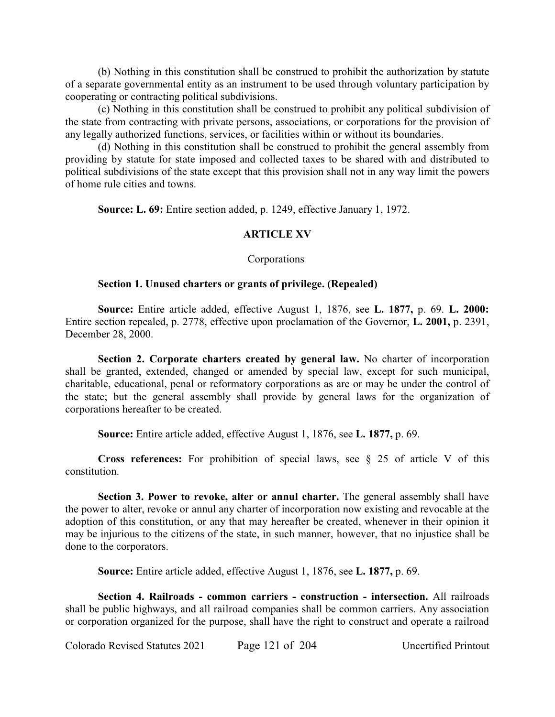(b) Nothing in this constitution shall be construed to prohibit the authorization by statute of a separate governmental entity as an instrument to be used through voluntary participation by cooperating or contracting political subdivisions.

(c) Nothing in this constitution shall be construed to prohibit any political subdivision of the state from contracting with private persons, associations, or corporations for the provision of any legally authorized functions, services, or facilities within or without its boundaries.

(d) Nothing in this constitution shall be construed to prohibit the general assembly from providing by statute for state imposed and collected taxes to be shared with and distributed to political subdivisions of the state except that this provision shall not in any way limit the powers of home rule cities and towns.

**Source: L. 69:** Entire section added, p. 1249, effective January 1, 1972.

### **ARTICLE XV**

#### Corporations

#### **Section 1. Unused charters or grants of privilege. (Repealed)**

**Source:** Entire article added, effective August 1, 1876, see **L. 1877,** p. 69. **L. 2000:** Entire section repealed, p. 2778, effective upon proclamation of the Governor, **L. 2001,** p. 2391, December 28, 2000.

**Section 2. Corporate charters created by general law.** No charter of incorporation shall be granted, extended, changed or amended by special law, except for such municipal, charitable, educational, penal or reformatory corporations as are or may be under the control of the state; but the general assembly shall provide by general laws for the organization of corporations hereafter to be created.

**Source:** Entire article added, effective August 1, 1876, see **L. 1877,** p. 69.

**Cross references:** For prohibition of special laws, see § 25 of article V of this constitution.

**Section 3. Power to revoke, alter or annul charter.** The general assembly shall have the power to alter, revoke or annul any charter of incorporation now existing and revocable at the adoption of this constitution, or any that may hereafter be created, whenever in their opinion it may be injurious to the citizens of the state, in such manner, however, that no injustice shall be done to the corporators.

**Source:** Entire article added, effective August 1, 1876, see **L. 1877,** p. 69.

**Section 4. Railroads - common carriers - construction - intersection.** All railroads shall be public highways, and all railroad companies shall be common carriers. Any association or corporation organized for the purpose, shall have the right to construct and operate a railroad

Colorado Revised Statutes 2021 Page 121 of 204 Uncertified Printout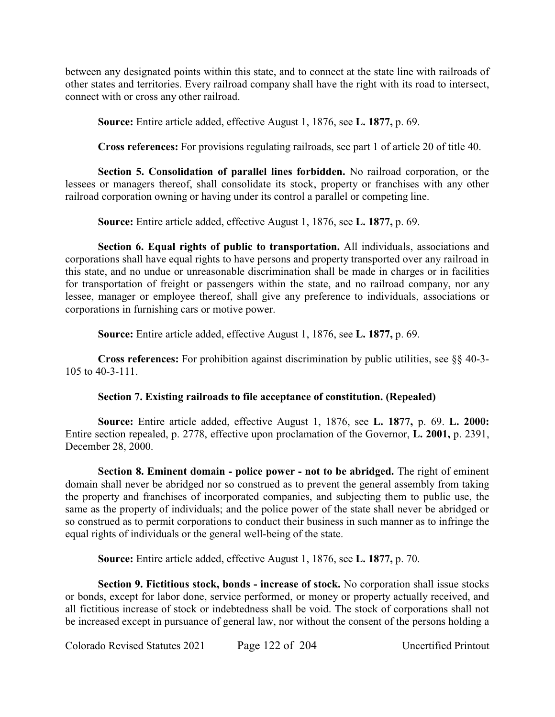between any designated points within this state, and to connect at the state line with railroads of other states and territories. Every railroad company shall have the right with its road to intersect, connect with or cross any other railroad.

**Source:** Entire article added, effective August 1, 1876, see **L. 1877,** p. 69.

**Cross references:** For provisions regulating railroads, see part 1 of article 20 of title 40.

**Section 5. Consolidation of parallel lines forbidden.** No railroad corporation, or the lessees or managers thereof, shall consolidate its stock, property or franchises with any other railroad corporation owning or having under its control a parallel or competing line.

**Source:** Entire article added, effective August 1, 1876, see **L. 1877,** p. 69.

**Section 6. Equal rights of public to transportation.** All individuals, associations and corporations shall have equal rights to have persons and property transported over any railroad in this state, and no undue or unreasonable discrimination shall be made in charges or in facilities for transportation of freight or passengers within the state, and no railroad company, nor any lessee, manager or employee thereof, shall give any preference to individuals, associations or corporations in furnishing cars or motive power.

**Source:** Entire article added, effective August 1, 1876, see **L. 1877,** p. 69.

**Cross references:** For prohibition against discrimination by public utilities, see §§ 40-3- 105 to 40-3-111.

# **Section 7. Existing railroads to file acceptance of constitution. (Repealed)**

**Source:** Entire article added, effective August 1, 1876, see **L. 1877,** p. 69. **L. 2000:** Entire section repealed, p. 2778, effective upon proclamation of the Governor, **L. 2001,** p. 2391, December 28, 2000.

**Section 8. Eminent domain - police power - not to be abridged.** The right of eminent domain shall never be abridged nor so construed as to prevent the general assembly from taking the property and franchises of incorporated companies, and subjecting them to public use, the same as the property of individuals; and the police power of the state shall never be abridged or so construed as to permit corporations to conduct their business in such manner as to infringe the equal rights of individuals or the general well-being of the state.

**Source:** Entire article added, effective August 1, 1876, see **L. 1877,** p. 70.

**Section 9. Fictitious stock, bonds - increase of stock.** No corporation shall issue stocks or bonds, except for labor done, service performed, or money or property actually received, and all fictitious increase of stock or indebtedness shall be void. The stock of corporations shall not be increased except in pursuance of general law, nor without the consent of the persons holding a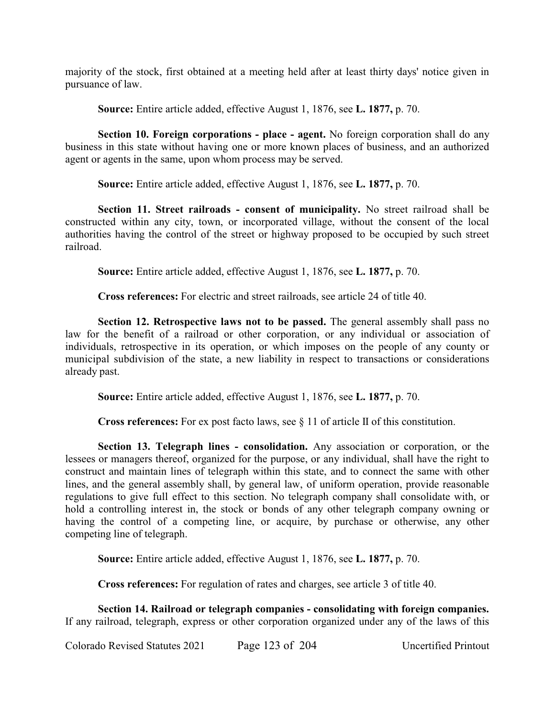majority of the stock, first obtained at a meeting held after at least thirty days' notice given in pursuance of law.

**Source:** Entire article added, effective August 1, 1876, see **L. 1877,** p. 70.

**Section 10. Foreign corporations - place - agent.** No foreign corporation shall do any business in this state without having one or more known places of business, and an authorized agent or agents in the same, upon whom process may be served.

**Source:** Entire article added, effective August 1, 1876, see **L. 1877,** p. 70.

**Section 11. Street railroads - consent of municipality.** No street railroad shall be constructed within any city, town, or incorporated village, without the consent of the local authorities having the control of the street or highway proposed to be occupied by such street railroad.

**Source:** Entire article added, effective August 1, 1876, see **L. 1877,** p. 70.

**Cross references:** For electric and street railroads, see article 24 of title 40.

**Section 12. Retrospective laws not to be passed.** The general assembly shall pass no law for the benefit of a railroad or other corporation, or any individual or association of individuals, retrospective in its operation, or which imposes on the people of any county or municipal subdivision of the state, a new liability in respect to transactions or considerations already past.

**Source:** Entire article added, effective August 1, 1876, see **L. 1877,** p. 70.

**Cross references:** For ex post facto laws, see § 11 of article II of this constitution.

**Section 13. Telegraph lines - consolidation.** Any association or corporation, or the lessees or managers thereof, organized for the purpose, or any individual, shall have the right to construct and maintain lines of telegraph within this state, and to connect the same with other lines, and the general assembly shall, by general law, of uniform operation, provide reasonable regulations to give full effect to this section. No telegraph company shall consolidate with, or hold a controlling interest in, the stock or bonds of any other telegraph company owning or having the control of a competing line, or acquire, by purchase or otherwise, any other competing line of telegraph.

**Source:** Entire article added, effective August 1, 1876, see **L. 1877,** p. 70.

**Cross references:** For regulation of rates and charges, see article 3 of title 40.

**Section 14. Railroad or telegraph companies - consolidating with foreign companies.** If any railroad, telegraph, express or other corporation organized under any of the laws of this

Colorado Revised Statutes 2021 Page 123 of 204 Uncertified Printout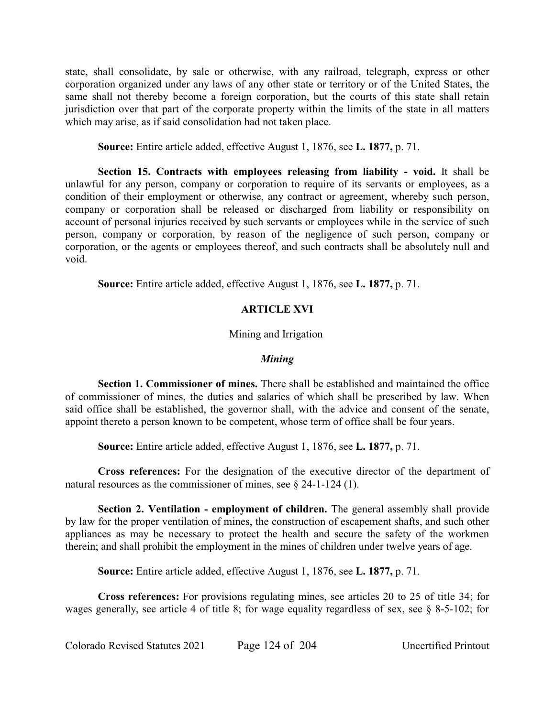state, shall consolidate, by sale or otherwise, with any railroad, telegraph, express or other corporation organized under any laws of any other state or territory or of the United States, the same shall not thereby become a foreign corporation, but the courts of this state shall retain jurisdiction over that part of the corporate property within the limits of the state in all matters which may arise, as if said consolidation had not taken place.

**Source:** Entire article added, effective August 1, 1876, see **L. 1877,** p. 71.

**Section 15. Contracts with employees releasing from liability - void.** It shall be unlawful for any person, company or corporation to require of its servants or employees, as a condition of their employment or otherwise, any contract or agreement, whereby such person, company or corporation shall be released or discharged from liability or responsibility on account of personal injuries received by such servants or employees while in the service of such person, company or corporation, by reason of the negligence of such person, company or corporation, or the agents or employees thereof, and such contracts shall be absolutely null and void.

**Source:** Entire article added, effective August 1, 1876, see **L. 1877,** p. 71.

# **ARTICLE XVI**

# Mining and Irrigation

#### *Mining*

**Section 1. Commissioner of mines.** There shall be established and maintained the office of commissioner of mines, the duties and salaries of which shall be prescribed by law. When said office shall be established, the governor shall, with the advice and consent of the senate, appoint thereto a person known to be competent, whose term of office shall be four years.

**Source:** Entire article added, effective August 1, 1876, see **L. 1877,** p. 71.

**Cross references:** For the designation of the executive director of the department of natural resources as the commissioner of mines, see § 24-1-124 (1).

**Section 2. Ventilation - employment of children.** The general assembly shall provide by law for the proper ventilation of mines, the construction of escapement shafts, and such other appliances as may be necessary to protect the health and secure the safety of the workmen therein; and shall prohibit the employment in the mines of children under twelve years of age.

**Source:** Entire article added, effective August 1, 1876, see **L. 1877,** p. 71.

**Cross references:** For provisions regulating mines, see articles 20 to 25 of title 34; for wages generally, see article 4 of title 8; for wage equality regardless of sex, see § 8-5-102; for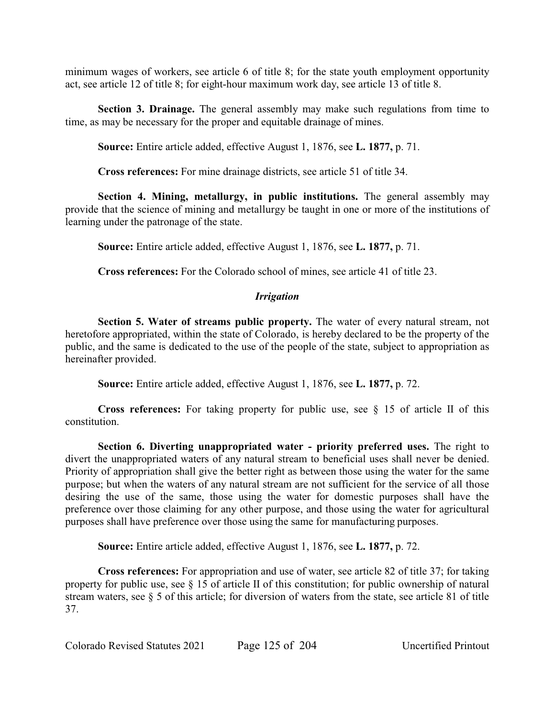minimum wages of workers, see article 6 of title 8; for the state youth employment opportunity act, see article 12 of title 8; for eight-hour maximum work day, see article 13 of title 8.

**Section 3. Drainage.** The general assembly may make such regulations from time to time, as may be necessary for the proper and equitable drainage of mines.

**Source:** Entire article added, effective August 1, 1876, see **L. 1877,** p. 71.

**Cross references:** For mine drainage districts, see article 51 of title 34.

**Section 4. Mining, metallurgy, in public institutions.** The general assembly may provide that the science of mining and metallurgy be taught in one or more of the institutions of learning under the patronage of the state.

**Source:** Entire article added, effective August 1, 1876, see **L. 1877,** p. 71.

**Cross references:** For the Colorado school of mines, see article 41 of title 23.

# *Irrigation*

**Section 5. Water of streams public property.** The water of every natural stream, not heretofore appropriated, within the state of Colorado, is hereby declared to be the property of the public, and the same is dedicated to the use of the people of the state, subject to appropriation as hereinafter provided.

**Source:** Entire article added, effective August 1, 1876, see **L. 1877,** p. 72.

**Cross references:** For taking property for public use, see § 15 of article II of this constitution.

**Section 6. Diverting unappropriated water - priority preferred uses.** The right to divert the unappropriated waters of any natural stream to beneficial uses shall never be denied. Priority of appropriation shall give the better right as between those using the water for the same purpose; but when the waters of any natural stream are not sufficient for the service of all those desiring the use of the same, those using the water for domestic purposes shall have the preference over those claiming for any other purpose, and those using the water for agricultural purposes shall have preference over those using the same for manufacturing purposes.

**Source:** Entire article added, effective August 1, 1876, see **L. 1877,** p. 72.

**Cross references:** For appropriation and use of water, see article 82 of title 37; for taking property for public use, see § 15 of article II of this constitution; for public ownership of natural stream waters, see § 5 of this article; for diversion of waters from the state, see article 81 of title 37.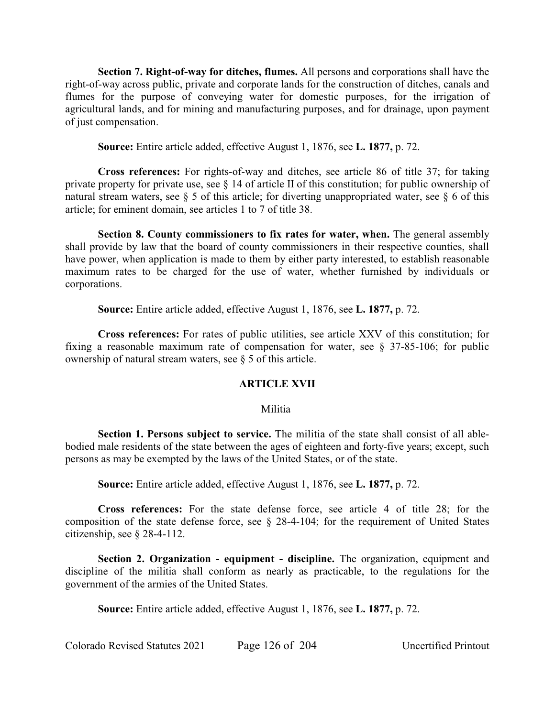**Section 7. Right-of-way for ditches, flumes.** All persons and corporations shall have the right-of-way across public, private and corporate lands for the construction of ditches, canals and flumes for the purpose of conveying water for domestic purposes, for the irrigation of agricultural lands, and for mining and manufacturing purposes, and for drainage, upon payment of just compensation.

**Source:** Entire article added, effective August 1, 1876, see **L. 1877,** p. 72.

**Cross references:** For rights-of-way and ditches, see article 86 of title 37; for taking private property for private use, see § 14 of article II of this constitution; for public ownership of natural stream waters, see  $\S$  5 of this article; for diverting unappropriated water, see  $\S$  6 of this article; for eminent domain, see articles 1 to 7 of title 38.

**Section 8. County commissioners to fix rates for water, when.** The general assembly shall provide by law that the board of county commissioners in their respective counties, shall have power, when application is made to them by either party interested, to establish reasonable maximum rates to be charged for the use of water, whether furnished by individuals or corporations.

**Source:** Entire article added, effective August 1, 1876, see **L. 1877,** p. 72.

**Cross references:** For rates of public utilities, see article XXV of this constitution; for fixing a reasonable maximum rate of compensation for water, see § 37-85-106; for public ownership of natural stream waters, see § 5 of this article.

#### **ARTICLE XVII**

#### Militia

**Section 1. Persons subject to service.** The militia of the state shall consist of all ablebodied male residents of the state between the ages of eighteen and forty-five years; except, such persons as may be exempted by the laws of the United States, or of the state.

**Source:** Entire article added, effective August 1, 1876, see **L. 1877,** p. 72.

**Cross references:** For the state defense force, see article 4 of title 28; for the composition of the state defense force, see § 28-4-104; for the requirement of United States citizenship, see § 28-4-112.

**Section 2. Organization - equipment - discipline.** The organization, equipment and discipline of the militia shall conform as nearly as practicable, to the regulations for the government of the armies of the United States.

**Source:** Entire article added, effective August 1, 1876, see **L. 1877,** p. 72.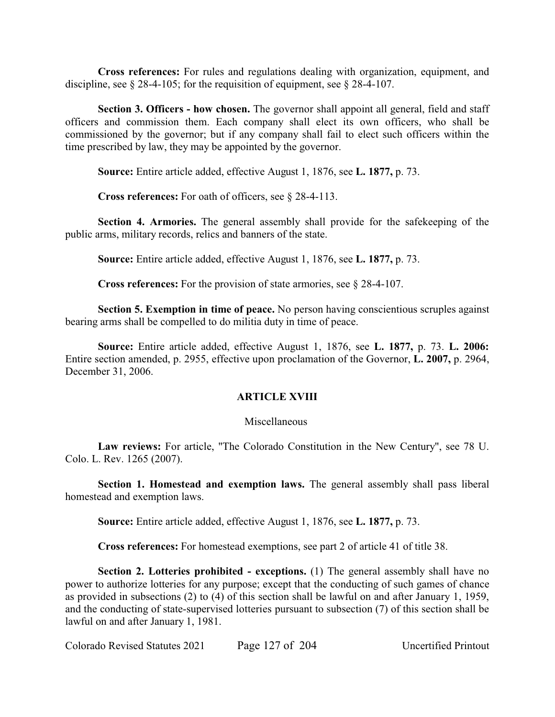**Cross references:** For rules and regulations dealing with organization, equipment, and discipline, see  $\S$  28-4-105; for the requisition of equipment, see  $\S$  28-4-107.

**Section 3. Officers - how chosen.** The governor shall appoint all general, field and staff officers and commission them. Each company shall elect its own officers, who shall be commissioned by the governor; but if any company shall fail to elect such officers within the time prescribed by law, they may be appointed by the governor.

**Source:** Entire article added, effective August 1, 1876, see **L. 1877,** p. 73.

**Cross references:** For oath of officers, see § 28-4-113.

**Section 4. Armories.** The general assembly shall provide for the safekeeping of the public arms, military records, relics and banners of the state.

**Source:** Entire article added, effective August 1, 1876, see **L. 1877,** p. 73.

**Cross references:** For the provision of state armories, see § 28-4-107.

**Section 5. Exemption in time of peace.** No person having conscientious scruples against bearing arms shall be compelled to do militia duty in time of peace.

**Source:** Entire article added, effective August 1, 1876, see **L. 1877,** p. 73. **L. 2006:** Entire section amended, p. 2955, effective upon proclamation of the Governor, **L. 2007,** p. 2964, December 31, 2006.

# **ARTICLE XVIII**

#### Miscellaneous

**Law reviews:** For article, "The Colorado Constitution in the New Century", see 78 U. Colo. L. Rev. 1265 (2007).

**Section 1. Homestead and exemption laws.** The general assembly shall pass liberal homestead and exemption laws.

**Source:** Entire article added, effective August 1, 1876, see **L. 1877,** p. 73.

**Cross references:** For homestead exemptions, see part 2 of article 41 of title 38.

**Section 2. Lotteries prohibited - exceptions.** (1) The general assembly shall have no power to authorize lotteries for any purpose; except that the conducting of such games of chance as provided in subsections (2) to (4) of this section shall be lawful on and after January 1, 1959, and the conducting of state-supervised lotteries pursuant to subsection (7) of this section shall be lawful on and after January 1, 1981.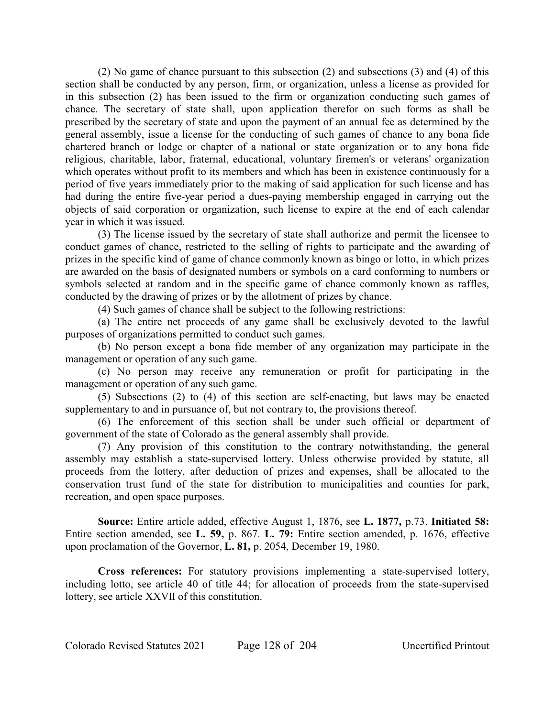(2) No game of chance pursuant to this subsection (2) and subsections (3) and (4) of this section shall be conducted by any person, firm, or organization, unless a license as provided for in this subsection (2) has been issued to the firm or organization conducting such games of chance. The secretary of state shall, upon application therefor on such forms as shall be prescribed by the secretary of state and upon the payment of an annual fee as determined by the general assembly, issue a license for the conducting of such games of chance to any bona fide chartered branch or lodge or chapter of a national or state organization or to any bona fide religious, charitable, labor, fraternal, educational, voluntary firemen's or veterans' organization which operates without profit to its members and which has been in existence continuously for a period of five years immediately prior to the making of said application for such license and has had during the entire five-year period a dues-paying membership engaged in carrying out the objects of said corporation or organization, such license to expire at the end of each calendar year in which it was issued.

(3) The license issued by the secretary of state shall authorize and permit the licensee to conduct games of chance, restricted to the selling of rights to participate and the awarding of prizes in the specific kind of game of chance commonly known as bingo or lotto, in which prizes are awarded on the basis of designated numbers or symbols on a card conforming to numbers or symbols selected at random and in the specific game of chance commonly known as raffles, conducted by the drawing of prizes or by the allotment of prizes by chance.

(4) Such games of chance shall be subject to the following restrictions:

(a) The entire net proceeds of any game shall be exclusively devoted to the lawful purposes of organizations permitted to conduct such games.

(b) No person except a bona fide member of any organization may participate in the management or operation of any such game.

(c) No person may receive any remuneration or profit for participating in the management or operation of any such game.

(5) Subsections (2) to (4) of this section are self-enacting, but laws may be enacted supplementary to and in pursuance of, but not contrary to, the provisions thereof.

(6) The enforcement of this section shall be under such official or department of government of the state of Colorado as the general assembly shall provide.

(7) Any provision of this constitution to the contrary notwithstanding, the general assembly may establish a state-supervised lottery. Unless otherwise provided by statute, all proceeds from the lottery, after deduction of prizes and expenses, shall be allocated to the conservation trust fund of the state for distribution to municipalities and counties for park, recreation, and open space purposes.

**Source:** Entire article added, effective August 1, 1876, see **L. 1877,** p.73. **Initiated 58:** Entire section amended, see **L. 59,** p. 867. **L. 79:** Entire section amended, p. 1676, effective upon proclamation of the Governor, **L. 81,** p. 2054, December 19, 1980.

**Cross references:** For statutory provisions implementing a state-supervised lottery, including lotto, see article 40 of title 44; for allocation of proceeds from the state-supervised lottery, see article XXVII of this constitution.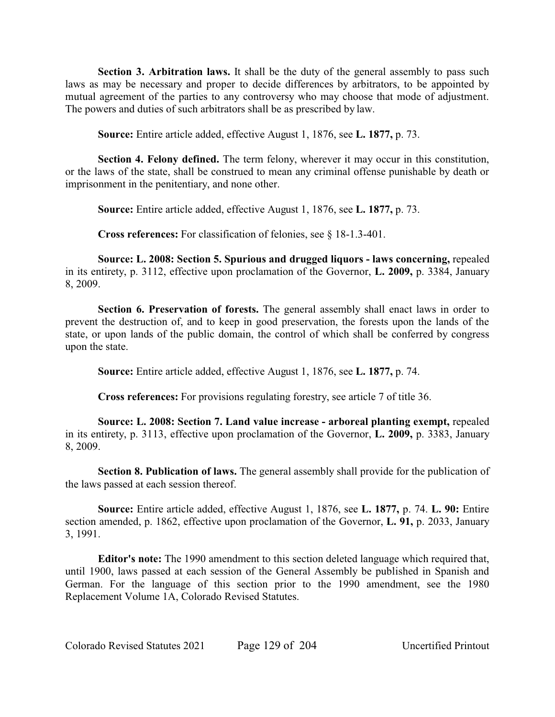**Section 3. Arbitration laws.** It shall be the duty of the general assembly to pass such laws as may be necessary and proper to decide differences by arbitrators, to be appointed by mutual agreement of the parties to any controversy who may choose that mode of adjustment. The powers and duties of such arbitrators shall be as prescribed by law.

**Source:** Entire article added, effective August 1, 1876, see **L. 1877,** p. 73.

**Section 4. Felony defined.** The term felony, wherever it may occur in this constitution, or the laws of the state, shall be construed to mean any criminal offense punishable by death or imprisonment in the penitentiary, and none other.

**Source:** Entire article added, effective August 1, 1876, see **L. 1877,** p. 73.

**Cross references:** For classification of felonies, see § 18-1.3-401.

**Source: L. 2008: Section 5. Spurious and drugged liquors - laws concerning,** repealed in its entirety, p. 3112, effective upon proclamation of the Governor, **L. 2009,** p. 3384, January 8, 2009.

**Section 6. Preservation of forests.** The general assembly shall enact laws in order to prevent the destruction of, and to keep in good preservation, the forests upon the lands of the state, or upon lands of the public domain, the control of which shall be conferred by congress upon the state.

**Source:** Entire article added, effective August 1, 1876, see **L. 1877,** p. 74.

**Cross references:** For provisions regulating forestry, see article 7 of title 36.

**Source: L. 2008: Section 7. Land value increase - arboreal planting exempt,** repealed in its entirety, p. 3113, effective upon proclamation of the Governor, **L. 2009,** p. 3383, January 8, 2009.

**Section 8. Publication of laws.** The general assembly shall provide for the publication of the laws passed at each session thereof.

**Source:** Entire article added, effective August 1, 1876, see **L. 1877,** p. 74. **L. 90:** Entire section amended, p. 1862, effective upon proclamation of the Governor, **L. 91,** p. 2033, January 3, 1991.

**Editor's note:** The 1990 amendment to this section deleted language which required that, until 1900, laws passed at each session of the General Assembly be published in Spanish and German. For the language of this section prior to the 1990 amendment, see the 1980 Replacement Volume 1A, Colorado Revised Statutes.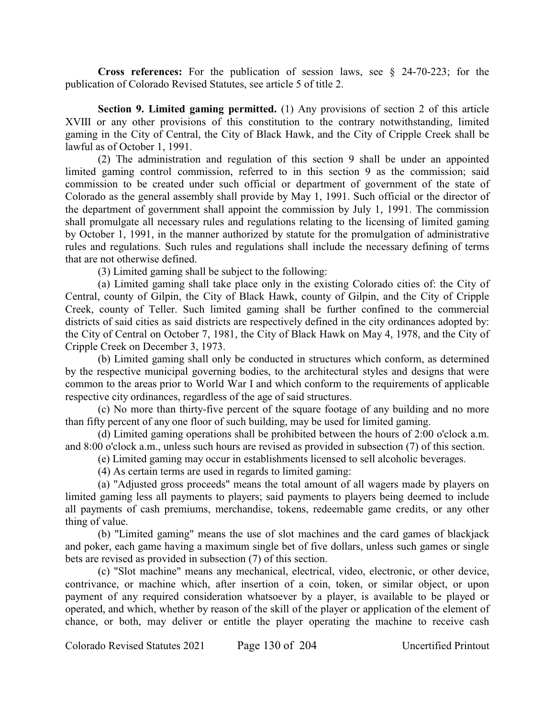**Cross references:** For the publication of session laws, see § 24-70-223; for the publication of Colorado Revised Statutes, see article 5 of title 2.

**Section 9. Limited gaming permitted.** (1) Any provisions of section 2 of this article XVIII or any other provisions of this constitution to the contrary notwithstanding, limited gaming in the City of Central, the City of Black Hawk, and the City of Cripple Creek shall be lawful as of October 1, 1991.

(2) The administration and regulation of this section 9 shall be under an appointed limited gaming control commission, referred to in this section 9 as the commission; said commission to be created under such official or department of government of the state of Colorado as the general assembly shall provide by May 1, 1991. Such official or the director of the department of government shall appoint the commission by July 1, 1991. The commission shall promulgate all necessary rules and regulations relating to the licensing of limited gaming by October 1, 1991, in the manner authorized by statute for the promulgation of administrative rules and regulations. Such rules and regulations shall include the necessary defining of terms that are not otherwise defined.

(3) Limited gaming shall be subject to the following:

(a) Limited gaming shall take place only in the existing Colorado cities of: the City of Central, county of Gilpin, the City of Black Hawk, county of Gilpin, and the City of Cripple Creek, county of Teller. Such limited gaming shall be further confined to the commercial districts of said cities as said districts are respectively defined in the city ordinances adopted by: the City of Central on October 7, 1981, the City of Black Hawk on May 4, 1978, and the City of Cripple Creek on December 3, 1973.

(b) Limited gaming shall only be conducted in structures which conform, as determined by the respective municipal governing bodies, to the architectural styles and designs that were common to the areas prior to World War I and which conform to the requirements of applicable respective city ordinances, regardless of the age of said structures.

(c) No more than thirty-five percent of the square footage of any building and no more than fifty percent of any one floor of such building, may be used for limited gaming.

(d) Limited gaming operations shall be prohibited between the hours of 2:00 o'clock a.m. and 8:00 o'clock a.m., unless such hours are revised as provided in subsection (7) of this section.

(e) Limited gaming may occur in establishments licensed to sell alcoholic beverages.

(4) As certain terms are used in regards to limited gaming:

(a) "Adjusted gross proceeds" means the total amount of all wagers made by players on limited gaming less all payments to players; said payments to players being deemed to include all payments of cash premiums, merchandise, tokens, redeemable game credits, or any other thing of value.

(b) "Limited gaming" means the use of slot machines and the card games of blackjack and poker, each game having a maximum single bet of five dollars, unless such games or single bets are revised as provided in subsection (7) of this section.

(c) "Slot machine" means any mechanical, electrical, video, electronic, or other device, contrivance, or machine which, after insertion of a coin, token, or similar object, or upon payment of any required consideration whatsoever by a player, is available to be played or operated, and which, whether by reason of the skill of the player or application of the element of chance, or both, may deliver or entitle the player operating the machine to receive cash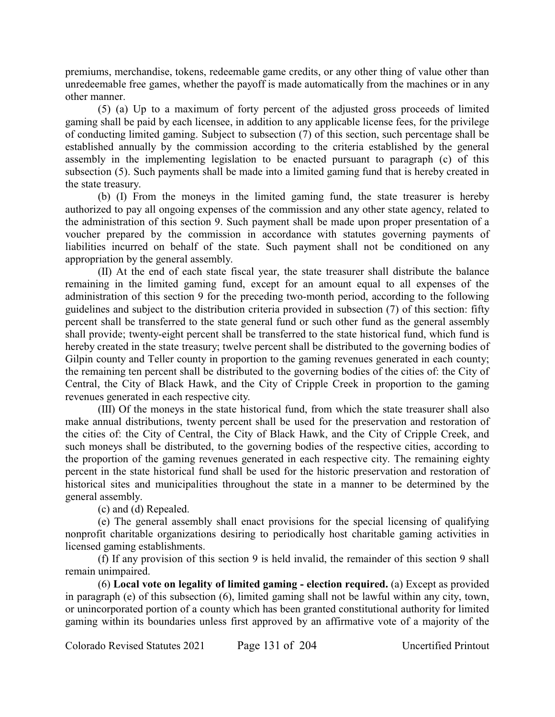premiums, merchandise, tokens, redeemable game credits, or any other thing of value other than unredeemable free games, whether the payoff is made automatically from the machines or in any other manner.

(5) (a) Up to a maximum of forty percent of the adjusted gross proceeds of limited gaming shall be paid by each licensee, in addition to any applicable license fees, for the privilege of conducting limited gaming. Subject to subsection (7) of this section, such percentage shall be established annually by the commission according to the criteria established by the general assembly in the implementing legislation to be enacted pursuant to paragraph (c) of this subsection (5). Such payments shall be made into a limited gaming fund that is hereby created in the state treasury.

(b) (I) From the moneys in the limited gaming fund, the state treasurer is hereby authorized to pay all ongoing expenses of the commission and any other state agency, related to the administration of this section 9. Such payment shall be made upon proper presentation of a voucher prepared by the commission in accordance with statutes governing payments of liabilities incurred on behalf of the state. Such payment shall not be conditioned on any appropriation by the general assembly.

(II) At the end of each state fiscal year, the state treasurer shall distribute the balance remaining in the limited gaming fund, except for an amount equal to all expenses of the administration of this section 9 for the preceding two-month period, according to the following guidelines and subject to the distribution criteria provided in subsection (7) of this section: fifty percent shall be transferred to the state general fund or such other fund as the general assembly shall provide; twenty-eight percent shall be transferred to the state historical fund, which fund is hereby created in the state treasury; twelve percent shall be distributed to the governing bodies of Gilpin county and Teller county in proportion to the gaming revenues generated in each county; the remaining ten percent shall be distributed to the governing bodies of the cities of: the City of Central, the City of Black Hawk, and the City of Cripple Creek in proportion to the gaming revenues generated in each respective city.

(III) Of the moneys in the state historical fund, from which the state treasurer shall also make annual distributions, twenty percent shall be used for the preservation and restoration of the cities of: the City of Central, the City of Black Hawk, and the City of Cripple Creek, and such moneys shall be distributed, to the governing bodies of the respective cities, according to the proportion of the gaming revenues generated in each respective city. The remaining eighty percent in the state historical fund shall be used for the historic preservation and restoration of historical sites and municipalities throughout the state in a manner to be determined by the general assembly.

(c) and (d) Repealed.

(e) The general assembly shall enact provisions for the special licensing of qualifying nonprofit charitable organizations desiring to periodically host charitable gaming activities in licensed gaming establishments.

(f) If any provision of this section 9 is held invalid, the remainder of this section 9 shall remain unimpaired.

(6) **Local vote on legality of limited gaming - election required.** (a) Except as provided in paragraph (e) of this subsection (6), limited gaming shall not be lawful within any city, town, or unincorporated portion of a county which has been granted constitutional authority for limited gaming within its boundaries unless first approved by an affirmative vote of a majority of the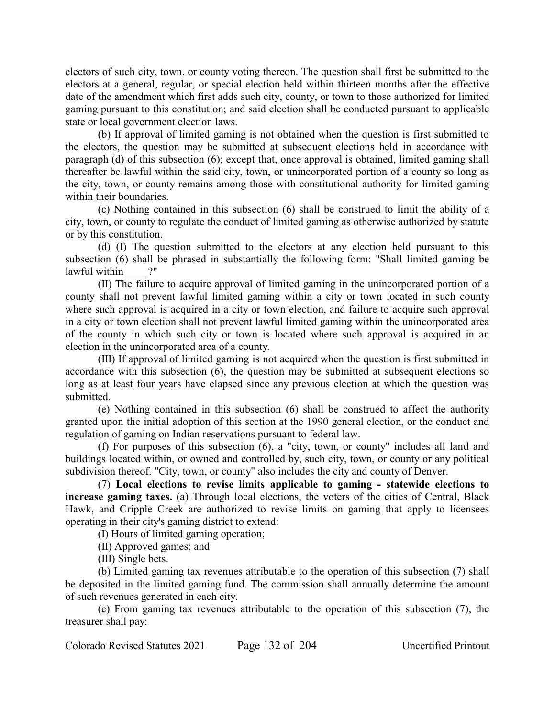electors of such city, town, or county voting thereon. The question shall first be submitted to the electors at a general, regular, or special election held within thirteen months after the effective date of the amendment which first adds such city, county, or town to those authorized for limited gaming pursuant to this constitution; and said election shall be conducted pursuant to applicable state or local government election laws.

(b) If approval of limited gaming is not obtained when the question is first submitted to the electors, the question may be submitted at subsequent elections held in accordance with paragraph (d) of this subsection (6); except that, once approval is obtained, limited gaming shall thereafter be lawful within the said city, town, or unincorporated portion of a county so long as the city, town, or county remains among those with constitutional authority for limited gaming within their boundaries.

(c) Nothing contained in this subsection (6) shall be construed to limit the ability of a city, town, or county to regulate the conduct of limited gaming as otherwise authorized by statute or by this constitution.

(d) (I) The question submitted to the electors at any election held pursuant to this subsection (6) shall be phrased in substantially the following form: "Shall limited gaming be lawful within ?"

(II) The failure to acquire approval of limited gaming in the unincorporated portion of a county shall not prevent lawful limited gaming within a city or town located in such county where such approval is acquired in a city or town election, and failure to acquire such approval in a city or town election shall not prevent lawful limited gaming within the unincorporated area of the county in which such city or town is located where such approval is acquired in an election in the unincorporated area of a county.

(III) If approval of limited gaming is not acquired when the question is first submitted in accordance with this subsection (6), the question may be submitted at subsequent elections so long as at least four years have elapsed since any previous election at which the question was submitted.

(e) Nothing contained in this subsection (6) shall be construed to affect the authority granted upon the initial adoption of this section at the 1990 general election, or the conduct and regulation of gaming on Indian reservations pursuant to federal law.

(f) For purposes of this subsection (6), a "city, town, or county" includes all land and buildings located within, or owned and controlled by, such city, town, or county or any political subdivision thereof. "City, town, or county" also includes the city and county of Denver.

(7) **Local elections to revise limits applicable to gaming - statewide elections to increase gaming taxes.** (a) Through local elections, the voters of the cities of Central, Black Hawk, and Cripple Creek are authorized to revise limits on gaming that apply to licensees operating in their city's gaming district to extend:

(I) Hours of limited gaming operation;

(II) Approved games; and

(III) Single bets.

(b) Limited gaming tax revenues attributable to the operation of this subsection (7) shall be deposited in the limited gaming fund. The commission shall annually determine the amount of such revenues generated in each city.

(c) From gaming tax revenues attributable to the operation of this subsection (7), the treasurer shall pay:

Colorado Revised Statutes 2021 Page 132 of 204 Uncertified Printout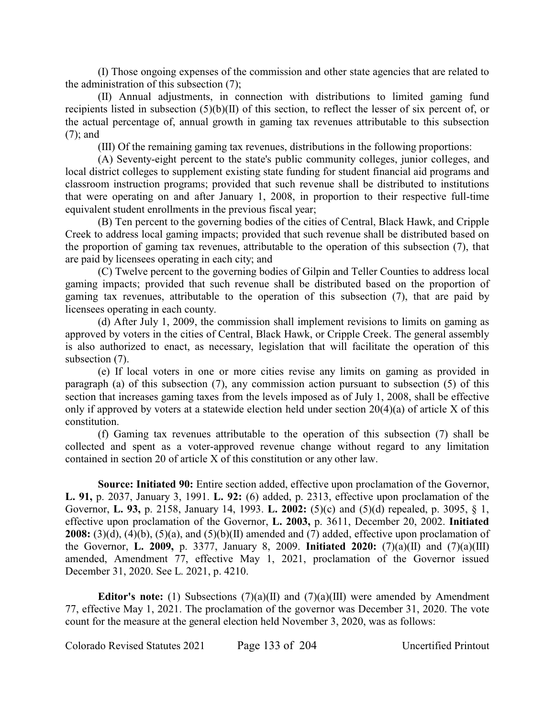(I) Those ongoing expenses of the commission and other state agencies that are related to the administration of this subsection (7);

(II) Annual adjustments, in connection with distributions to limited gaming fund recipients listed in subsection (5)(b)(II) of this section, to reflect the lesser of six percent of, or the actual percentage of, annual growth in gaming tax revenues attributable to this subsection (7); and

(III) Of the remaining gaming tax revenues, distributions in the following proportions:

(A) Seventy-eight percent to the state's public community colleges, junior colleges, and local district colleges to supplement existing state funding for student financial aid programs and classroom instruction programs; provided that such revenue shall be distributed to institutions that were operating on and after January 1, 2008, in proportion to their respective full-time equivalent student enrollments in the previous fiscal year;

(B) Ten percent to the governing bodies of the cities of Central, Black Hawk, and Cripple Creek to address local gaming impacts; provided that such revenue shall be distributed based on the proportion of gaming tax revenues, attributable to the operation of this subsection (7), that are paid by licensees operating in each city; and

(C) Twelve percent to the governing bodies of Gilpin and Teller Counties to address local gaming impacts; provided that such revenue shall be distributed based on the proportion of gaming tax revenues, attributable to the operation of this subsection (7), that are paid by licensees operating in each county.

(d) After July 1, 2009, the commission shall implement revisions to limits on gaming as approved by voters in the cities of Central, Black Hawk, or Cripple Creek. The general assembly is also authorized to enact, as necessary, legislation that will facilitate the operation of this subsection (7).

(e) If local voters in one or more cities revise any limits on gaming as provided in paragraph (a) of this subsection (7), any commission action pursuant to subsection (5) of this section that increases gaming taxes from the levels imposed as of July 1, 2008, shall be effective only if approved by voters at a statewide election held under section  $20(4)(a)$  of article X of this constitution.

(f) Gaming tax revenues attributable to the operation of this subsection (7) shall be collected and spent as a voter-approved revenue change without regard to any limitation contained in section 20 of article X of this constitution or any other law.

**Source: Initiated 90:** Entire section added, effective upon proclamation of the Governor, **L. 91,** p. 2037, January 3, 1991. **L. 92:** (6) added, p. 2313, effective upon proclamation of the Governor, **L. 93,** p. 2158, January 14, 1993. **L. 2002:** (5)(c) and (5)(d) repealed, p. 3095, § 1, effective upon proclamation of the Governor, **L. 2003,** p. 3611, December 20, 2002. **Initiated 2008:** (3)(d), (4)(b), (5)(a), and (5)(b)(II) amended and (7) added, effective upon proclamation of the Governor, **L. 2009,** p. 3377, January 8, 2009. **Initiated 2020:** (7)(a)(II) and (7)(a)(III) amended, Amendment 77, effective May 1, 2021, proclamation of the Governor issued December 31, 2020. See L. 2021, p. 4210.

**Editor's note:** (1) Subsections (7)(a)(II) and (7)(a)(III) were amended by Amendment 77, effective May 1, 2021. The proclamation of the governor was December 31, 2020. The vote count for the measure at the general election held November 3, 2020, was as follows: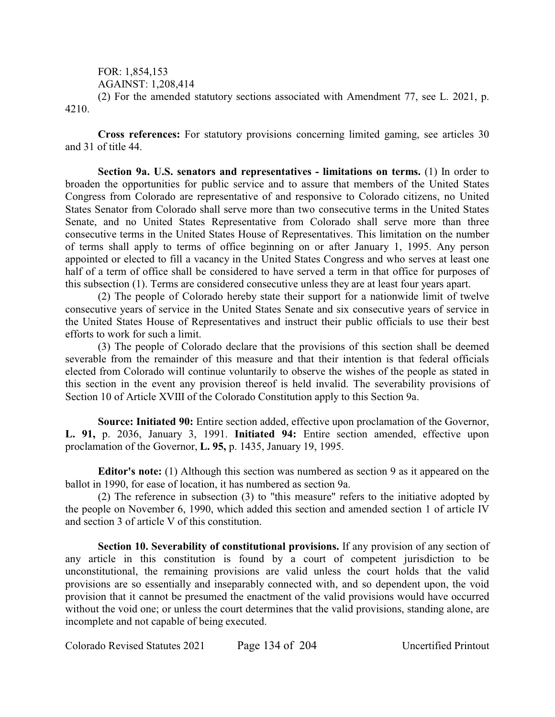FOR: 1,854,153 AGAINST: 1,208,414

(2) For the amended statutory sections associated with Amendment 77, see L. 2021, p. 4210.

**Cross references:** For statutory provisions concerning limited gaming, see articles 30 and 31 of title 44.

**Section 9a. U.S. senators and representatives - limitations on terms.** (1) In order to broaden the opportunities for public service and to assure that members of the United States Congress from Colorado are representative of and responsive to Colorado citizens, no United States Senator from Colorado shall serve more than two consecutive terms in the United States Senate, and no United States Representative from Colorado shall serve more than three consecutive terms in the United States House of Representatives. This limitation on the number of terms shall apply to terms of office beginning on or after January 1, 1995. Any person appointed or elected to fill a vacancy in the United States Congress and who serves at least one half of a term of office shall be considered to have served a term in that office for purposes of this subsection (1). Terms are considered consecutive unless they are at least four years apart.

(2) The people of Colorado hereby state their support for a nationwide limit of twelve consecutive years of service in the United States Senate and six consecutive years of service in the United States House of Representatives and instruct their public officials to use their best efforts to work for such a limit.

(3) The people of Colorado declare that the provisions of this section shall be deemed severable from the remainder of this measure and that their intention is that federal officials elected from Colorado will continue voluntarily to observe the wishes of the people as stated in this section in the event any provision thereof is held invalid. The severability provisions of Section 10 of Article XVIII of the Colorado Constitution apply to this Section 9a.

**Source: Initiated 90:** Entire section added, effective upon proclamation of the Governor, **L. 91,** p. 2036, January 3, 1991. **Initiated 94:** Entire section amended, effective upon proclamation of the Governor, **L. 95,** p. 1435, January 19, 1995.

**Editor's note:** (1) Although this section was numbered as section 9 as it appeared on the ballot in 1990, for ease of location, it has numbered as section 9a.

(2) The reference in subsection (3) to "this measure" refers to the initiative adopted by the people on November 6, 1990, which added this section and amended section 1 of article IV and section 3 of article V of this constitution.

**Section 10. Severability of constitutional provisions.** If any provision of any section of any article in this constitution is found by a court of competent jurisdiction to be unconstitutional, the remaining provisions are valid unless the court holds that the valid provisions are so essentially and inseparably connected with, and so dependent upon, the void provision that it cannot be presumed the enactment of the valid provisions would have occurred without the void one; or unless the court determines that the valid provisions, standing alone, are incomplete and not capable of being executed.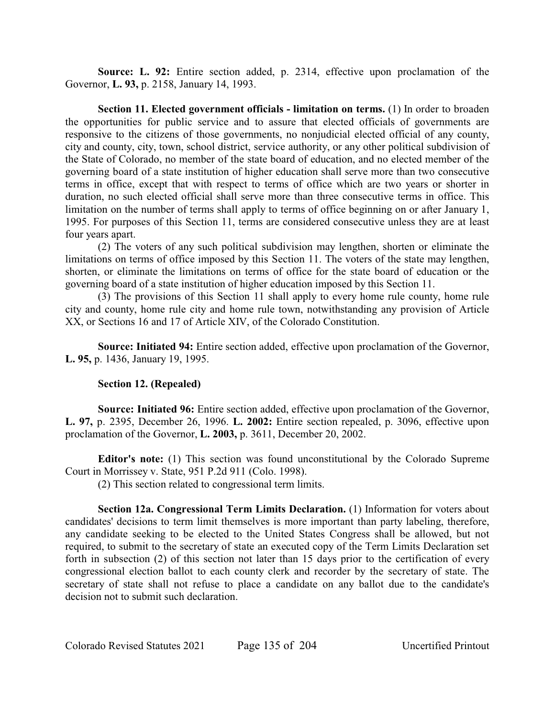**Source: L. 92:** Entire section added, p. 2314, effective upon proclamation of the Governor, **L. 93,** p. 2158, January 14, 1993.

**Section 11. Elected government officials - limitation on terms.** (1) In order to broaden the opportunities for public service and to assure that elected officials of governments are responsive to the citizens of those governments, no nonjudicial elected official of any county, city and county, city, town, school district, service authority, or any other political subdivision of the State of Colorado, no member of the state board of education, and no elected member of the governing board of a state institution of higher education shall serve more than two consecutive terms in office, except that with respect to terms of office which are two years or shorter in duration, no such elected official shall serve more than three consecutive terms in office. This limitation on the number of terms shall apply to terms of office beginning on or after January 1, 1995. For purposes of this Section 11, terms are considered consecutive unless they are at least four years apart.

(2) The voters of any such political subdivision may lengthen, shorten or eliminate the limitations on terms of office imposed by this Section 11. The voters of the state may lengthen, shorten, or eliminate the limitations on terms of office for the state board of education or the governing board of a state institution of higher education imposed by this Section 11.

(3) The provisions of this Section 11 shall apply to every home rule county, home rule city and county, home rule city and home rule town, notwithstanding any provision of Article XX, or Sections 16 and 17 of Article XIV, of the Colorado Constitution.

**Source: Initiated 94:** Entire section added, effective upon proclamation of the Governor, **L. 95,** p. 1436, January 19, 1995.

#### **Section 12. (Repealed)**

**Source: Initiated 96:** Entire section added, effective upon proclamation of the Governor, **L. 97,** p. 2395, December 26, 1996. **L. 2002:** Entire section repealed, p. 3096, effective upon proclamation of the Governor, **L. 2003,** p. 3611, December 20, 2002.

**Editor's note:** (1) This section was found unconstitutional by the Colorado Supreme Court in Morrissey v. State, 951 P.2d 911 (Colo. 1998).

(2) This section related to congressional term limits.

**Section 12a. Congressional Term Limits Declaration.** (1) Information for voters about candidates' decisions to term limit themselves is more important than party labeling, therefore, any candidate seeking to be elected to the United States Congress shall be allowed, but not required, to submit to the secretary of state an executed copy of the Term Limits Declaration set forth in subsection (2) of this section not later than 15 days prior to the certification of every congressional election ballot to each county clerk and recorder by the secretary of state. The secretary of state shall not refuse to place a candidate on any ballot due to the candidate's decision not to submit such declaration.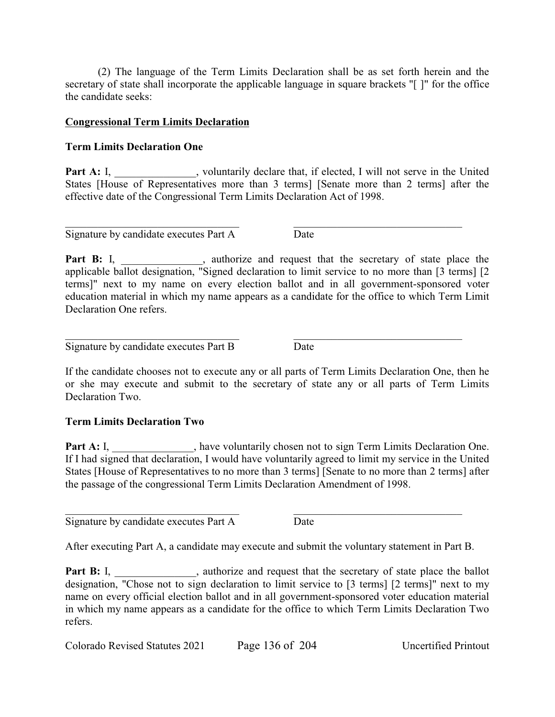(2) The language of the Term Limits Declaration shall be as set forth herein and the secretary of state shall incorporate the applicable language in square brackets "[]" for the office the candidate seeks:

#### **Congressional Term Limits Declaration**

## **Term Limits Declaration One**

**Part A:** I, \_\_\_\_\_\_\_\_\_\_\_\_, voluntarily declare that, if elected, I will not serve in the United States [House of Representatives more than 3 terms] [Senate more than 2 terms] after the effective date of the Congressional Term Limits Declaration Act of 1998.

 $\_$ Signature by candidate executes Part A Date

Part B: I, \_\_\_\_\_\_\_\_\_\_\_, authorize and request that the secretary of state place the applicable ballot designation, "Signed declaration to limit service to no more than [3 terms] [2] terms]" next to my name on every election ballot and in all government-sponsored voter education material in which my name appears as a candidate for the office to which Term Limit Declaration One refers.

 $\_$ Signature by candidate executes Part B Date

If the candidate chooses not to execute any or all parts of Term Limits Declaration One, then he or she may execute and submit to the secretary of state any or all parts of Term Limits Declaration Two.

# **Term Limits Declaration Two**

Part A: I, \_\_\_\_\_\_\_\_\_\_\_, have voluntarily chosen not to sign Term Limits Declaration One. If I had signed that declaration, I would have voluntarily agreed to limit my service in the United States [House of Representatives to no more than 3 terms] [Senate to no more than 2 terms] after the passage of the congressional Term Limits Declaration Amendment of 1998.

 $\_$ Signature by candidate executes Part A Date

After executing Part A, a candidate may execute and submit the voluntary statement in Part B.

**Part B:** I, \_\_\_\_\_\_\_\_\_\_\_\_, authorize and request that the secretary of state place the ballot designation, "Chose not to sign declaration to limit service to [3 terms] [2 terms]" next to my name on every official election ballot and in all government-sponsored voter education material in which my name appears as a candidate for the office to which Term Limits Declaration Two refers.

Colorado Revised Statutes 2021 Page 136 of 204 Uncertified Printout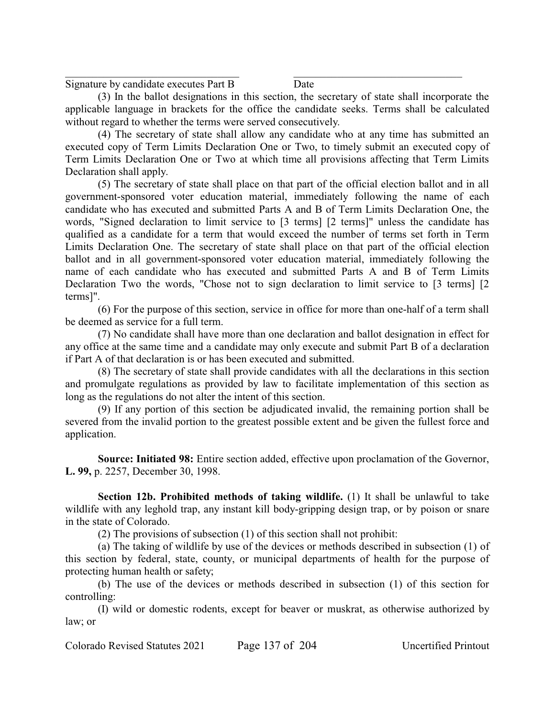Signature by candidate executes Part B Date

(3) In the ballot designations in this section, the secretary of state shall incorporate the applicable language in brackets for the office the candidate seeks. Terms shall be calculated without regard to whether the terms were served consecutively.

 $\_$ 

(4) The secretary of state shall allow any candidate who at any time has submitted an executed copy of Term Limits Declaration One or Two, to timely submit an executed copy of Term Limits Declaration One or Two at which time all provisions affecting that Term Limits Declaration shall apply.

(5) The secretary of state shall place on that part of the official election ballot and in all government-sponsored voter education material, immediately following the name of each candidate who has executed and submitted Parts A and B of Term Limits Declaration One, the words, "Signed declaration to limit service to [3 terms] [2 terms]" unless the candidate has qualified as a candidate for a term that would exceed the number of terms set forth in Term Limits Declaration One. The secretary of state shall place on that part of the official election ballot and in all government-sponsored voter education material, immediately following the name of each candidate who has executed and submitted Parts A and B of Term Limits Declaration Two the words, "Chose not to sign declaration to limit service to [3 terms] [2 terms]".

(6) For the purpose of this section, service in office for more than one-half of a term shall be deemed as service for a full term.

(7) No candidate shall have more than one declaration and ballot designation in effect for any office at the same time and a candidate may only execute and submit Part B of a declaration if Part A of that declaration is or has been executed and submitted.

(8) The secretary of state shall provide candidates with all the declarations in this section and promulgate regulations as provided by law to facilitate implementation of this section as long as the regulations do not alter the intent of this section.

(9) If any portion of this section be adjudicated invalid, the remaining portion shall be severed from the invalid portion to the greatest possible extent and be given the fullest force and application.

**Source: Initiated 98:** Entire section added, effective upon proclamation of the Governor, **L. 99,** p. 2257, December 30, 1998.

**Section 12b. Prohibited methods of taking wildlife.** (1) It shall be unlawful to take wildlife with any leghold trap, any instant kill body-gripping design trap, or by poison or snare in the state of Colorado.

(2) The provisions of subsection (1) of this section shall not prohibit:

(a) The taking of wildlife by use of the devices or methods described in subsection (1) of this section by federal, state, county, or municipal departments of health for the purpose of protecting human health or safety;

(b) The use of the devices or methods described in subsection (1) of this section for controlling:

(I) wild or domestic rodents, except for beaver or muskrat, as otherwise authorized by law; or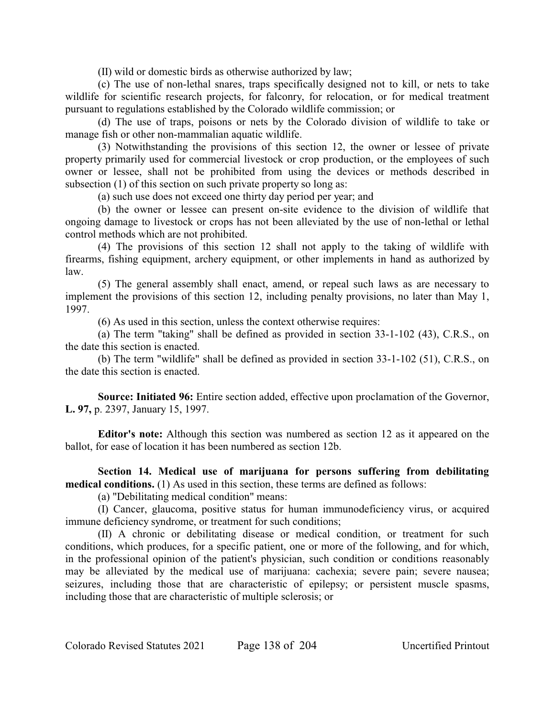(II) wild or domestic birds as otherwise authorized by law;

(c) The use of non-lethal snares, traps specifically designed not to kill, or nets to take wildlife for scientific research projects, for falconry, for relocation, or for medical treatment pursuant to regulations established by the Colorado wildlife commission; or

(d) The use of traps, poisons or nets by the Colorado division of wildlife to take or manage fish or other non-mammalian aquatic wildlife.

(3) Notwithstanding the provisions of this section 12, the owner or lessee of private property primarily used for commercial livestock or crop production, or the employees of such owner or lessee, shall not be prohibited from using the devices or methods described in subsection (1) of this section on such private property so long as:

(a) such use does not exceed one thirty day period per year; and

(b) the owner or lessee can present on-site evidence to the division of wildlife that ongoing damage to livestock or crops has not been alleviated by the use of non-lethal or lethal control methods which are not prohibited.

(4) The provisions of this section 12 shall not apply to the taking of wildlife with firearms, fishing equipment, archery equipment, or other implements in hand as authorized by law.

(5) The general assembly shall enact, amend, or repeal such laws as are necessary to implement the provisions of this section 12, including penalty provisions, no later than May 1, 1997.

(6) As used in this section, unless the context otherwise requires:

(a) The term "taking" shall be defined as provided in section 33-1-102 (43), C.R.S., on the date this section is enacted.

(b) The term "wildlife" shall be defined as provided in section 33-1-102 (51), C.R.S., on the date this section is enacted.

**Source: Initiated 96:** Entire section added, effective upon proclamation of the Governor, **L. 97,** p. 2397, January 15, 1997.

**Editor's note:** Although this section was numbered as section 12 as it appeared on the ballot, for ease of location it has been numbered as section 12b.

**Section 14. Medical use of marijuana for persons suffering from debilitating medical conditions.** (1) As used in this section, these terms are defined as follows:

(a) "Debilitating medical condition" means:

(I) Cancer, glaucoma, positive status for human immunodeficiency virus, or acquired immune deficiency syndrome, or treatment for such conditions;

(II) A chronic or debilitating disease or medical condition, or treatment for such conditions, which produces, for a specific patient, one or more of the following, and for which, in the professional opinion of the patient's physician, such condition or conditions reasonably may be alleviated by the medical use of marijuana: cachexia; severe pain; severe nausea; seizures, including those that are characteristic of epilepsy; or persistent muscle spasms, including those that are characteristic of multiple sclerosis; or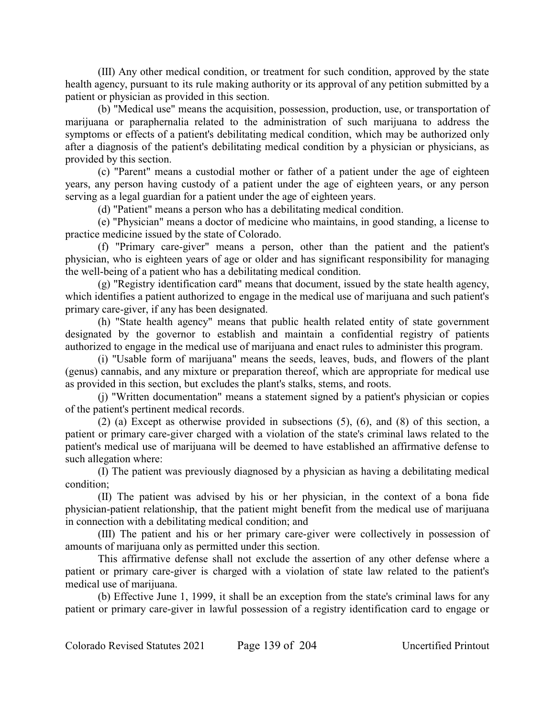(III) Any other medical condition, or treatment for such condition, approved by the state health agency, pursuant to its rule making authority or its approval of any petition submitted by a patient or physician as provided in this section.

(b) "Medical use" means the acquisition, possession, production, use, or transportation of marijuana or paraphernalia related to the administration of such marijuana to address the symptoms or effects of a patient's debilitating medical condition, which may be authorized only after a diagnosis of the patient's debilitating medical condition by a physician or physicians, as provided by this section.

(c) "Parent" means a custodial mother or father of a patient under the age of eighteen years, any person having custody of a patient under the age of eighteen years, or any person serving as a legal guardian for a patient under the age of eighteen years.

(d) "Patient" means a person who has a debilitating medical condition.

(e) "Physician" means a doctor of medicine who maintains, in good standing, a license to practice medicine issued by the state of Colorado.

(f) "Primary care-giver" means a person, other than the patient and the patient's physician, who is eighteen years of age or older and has significant responsibility for managing the well-being of a patient who has a debilitating medical condition.

(g) "Registry identification card" means that document, issued by the state health agency, which identifies a patient authorized to engage in the medical use of marijuana and such patient's primary care-giver, if any has been designated.

(h) "State health agency" means that public health related entity of state government designated by the governor to establish and maintain a confidential registry of patients authorized to engage in the medical use of marijuana and enact rules to administer this program.

(i) "Usable form of marijuana" means the seeds, leaves, buds, and flowers of the plant (genus) cannabis, and any mixture or preparation thereof, which are appropriate for medical use as provided in this section, but excludes the plant's stalks, stems, and roots.

(j) "Written documentation" means a statement signed by a patient's physician or copies of the patient's pertinent medical records.

(2) (a) Except as otherwise provided in subsections (5), (6), and (8) of this section, a patient or primary care-giver charged with a violation of the state's criminal laws related to the patient's medical use of marijuana will be deemed to have established an affirmative defense to such allegation where:

(I) The patient was previously diagnosed by a physician as having a debilitating medical condition;

(II) The patient was advised by his or her physician, in the context of a bona fide physician-patient relationship, that the patient might benefit from the medical use of marijuana in connection with a debilitating medical condition; and

(III) The patient and his or her primary care-giver were collectively in possession of amounts of marijuana only as permitted under this section.

This affirmative defense shall not exclude the assertion of any other defense where a patient or primary care-giver is charged with a violation of state law related to the patient's medical use of marijuana.

(b) Effective June 1, 1999, it shall be an exception from the state's criminal laws for any patient or primary care-giver in lawful possession of a registry identification card to engage or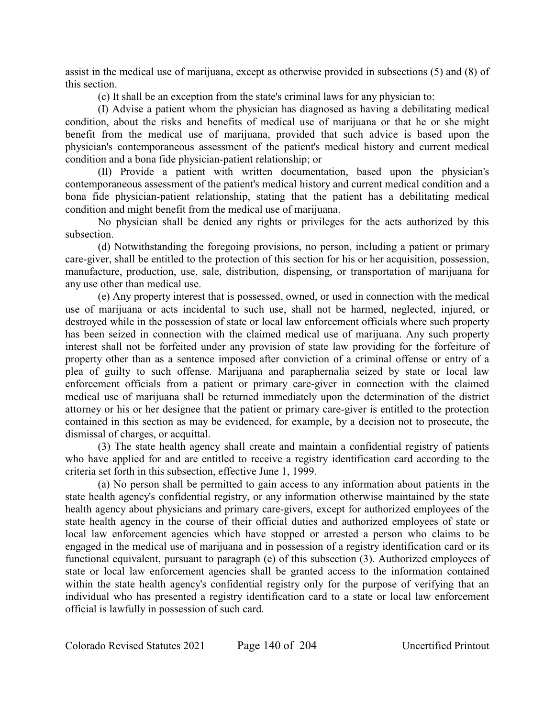assist in the medical use of marijuana, except as otherwise provided in subsections (5) and (8) of this section.

(c) It shall be an exception from the state's criminal laws for any physician to:

(I) Advise a patient whom the physician has diagnosed as having a debilitating medical condition, about the risks and benefits of medical use of marijuana or that he or she might benefit from the medical use of marijuana, provided that such advice is based upon the physician's contemporaneous assessment of the patient's medical history and current medical condition and a bona fide physician-patient relationship; or

(II) Provide a patient with written documentation, based upon the physician's contemporaneous assessment of the patient's medical history and current medical condition and a bona fide physician-patient relationship, stating that the patient has a debilitating medical condition and might benefit from the medical use of marijuana.

No physician shall be denied any rights or privileges for the acts authorized by this subsection.

(d) Notwithstanding the foregoing provisions, no person, including a patient or primary care-giver, shall be entitled to the protection of this section for his or her acquisition, possession, manufacture, production, use, sale, distribution, dispensing, or transportation of marijuana for any use other than medical use.

(e) Any property interest that is possessed, owned, or used in connection with the medical use of marijuana or acts incidental to such use, shall not be harmed, neglected, injured, or destroyed while in the possession of state or local law enforcement officials where such property has been seized in connection with the claimed medical use of marijuana. Any such property interest shall not be forfeited under any provision of state law providing for the forfeiture of property other than as a sentence imposed after conviction of a criminal offense or entry of a plea of guilty to such offense. Marijuana and paraphernalia seized by state or local law enforcement officials from a patient or primary care-giver in connection with the claimed medical use of marijuana shall be returned immediately upon the determination of the district attorney or his or her designee that the patient or primary care-giver is entitled to the protection contained in this section as may be evidenced, for example, by a decision not to prosecute, the dismissal of charges, or acquittal.

(3) The state health agency shall create and maintain a confidential registry of patients who have applied for and are entitled to receive a registry identification card according to the criteria set forth in this subsection, effective June 1, 1999.

(a) No person shall be permitted to gain access to any information about patients in the state health agency's confidential registry, or any information otherwise maintained by the state health agency about physicians and primary care-givers, except for authorized employees of the state health agency in the course of their official duties and authorized employees of state or local law enforcement agencies which have stopped or arrested a person who claims to be engaged in the medical use of marijuana and in possession of a registry identification card or its functional equivalent, pursuant to paragraph (e) of this subsection (3). Authorized employees of state or local law enforcement agencies shall be granted access to the information contained within the state health agency's confidential registry only for the purpose of verifying that an individual who has presented a registry identification card to a state or local law enforcement official is lawfully in possession of such card.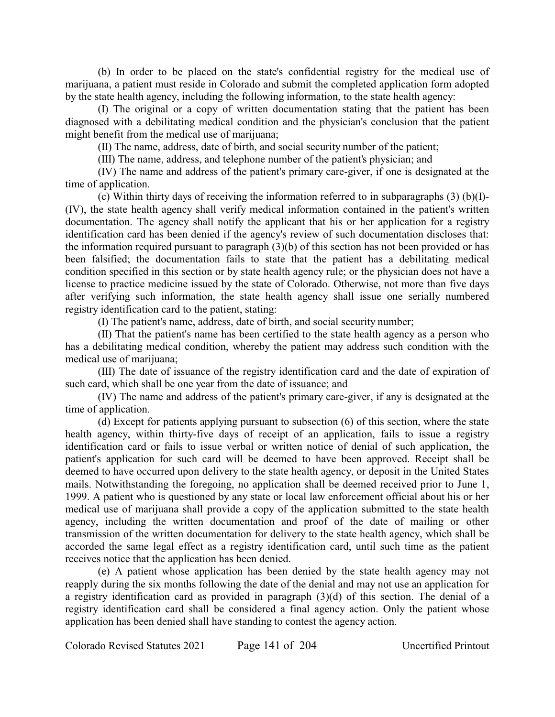(b) In order to be placed on the state's confidential registry for the medical use of marijuana, a patient must reside in Colorado and submit the completed application form adopted by the state health agency, including the following information, to the state health agency:

(I) The original or a copy of written documentation stating that the patient has been diagnosed with a debilitating medical condition and the physician's conclusion that the patient might benefit from the medical use of marijuana;

(II) The name, address, date of birth, and social security number of the patient;

(III) The name, address, and telephone number of the patient's physician; and

(IV) The name and address of the patient's primary care-giver, if one is designated at the time of application.

(c) Within thirty days of receiving the information referred to in subparagraphs (3) (b)(I)- (IV), the state health agency shall verify medical information contained in the patient's written documentation. The agency shall notify the applicant that his or her application for a registry identification card has been denied if the agency's review of such documentation discloses that: the information required pursuant to paragraph (3)(b) of this section has not been provided or has been falsified; the documentation fails to state that the patient has a debilitating medical condition specified in this section or by state health agency rule; or the physician does not have a license to practice medicine issued by the state of Colorado. Otherwise, not more than five days after verifying such information, the state health agency shall issue one serially numbered registry identification card to the patient, stating:

(I) The patient's name, address, date of birth, and social security number;

(II) That the patient's name has been certified to the state health agency as a person who has a debilitating medical condition, whereby the patient may address such condition with the medical use of marijuana;

(III) The date of issuance of the registry identification card and the date of expiration of such card, which shall be one year from the date of issuance; and

(IV) The name and address of the patient's primary care-giver, if any is designated at the time of application.

(d) Except for patients applying pursuant to subsection (6) of this section, where the state health agency, within thirty-five days of receipt of an application, fails to issue a registry identification card or fails to issue verbal or written notice of denial of such application, the patient's application for such card will be deemed to have been approved. Receipt shall be deemed to have occurred upon delivery to the state health agency, or deposit in the United States mails. Notwithstanding the foregoing, no application shall be deemed received prior to June 1, 1999. A patient who is questioned by any state or local law enforcement official about his or her medical use of marijuana shall provide a copy of the application submitted to the state health agency, including the written documentation and proof of the date of mailing or other transmission of the written documentation for delivery to the state health agency, which shall be accorded the same legal effect as a registry identification card, until such time as the patient receives notice that the application has been denied.

(e) A patient whose application has been denied by the state health agency may not reapply during the six months following the date of the denial and may not use an application for a registry identification card as provided in paragraph (3)(d) of this section. The denial of a registry identification card shall be considered a final agency action. Only the patient whose application has been denied shall have standing to contest the agency action.

Colorado Revised Statutes 2021 Page 141 of 204 Uncertified Printout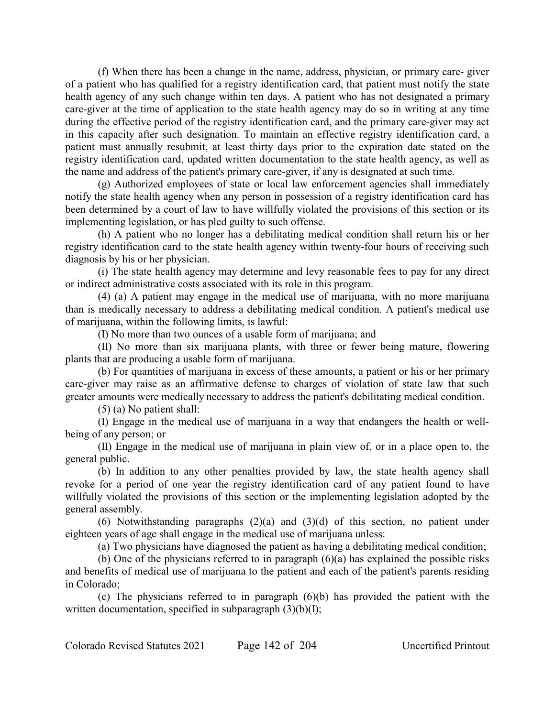(f) When there has been a change in the name, address, physician, or primary care- giver of a patient who has qualified for a registry identification card, that patient must notify the state health agency of any such change within ten days. A patient who has not designated a primary care-giver at the time of application to the state health agency may do so in writing at any time during the effective period of the registry identification card, and the primary care-giver may act in this capacity after such designation. To maintain an effective registry identification card, a patient must annually resubmit, at least thirty days prior to the expiration date stated on the registry identification card, updated written documentation to the state health agency, as well as the name and address of the patient's primary care-giver, if any is designated at such time.

(g) Authorized employees of state or local law enforcement agencies shall immediately notify the state health agency when any person in possession of a registry identification card has been determined by a court of law to have willfully violated the provisions of this section or its implementing legislation, or has pled guilty to such offense.

(h) A patient who no longer has a debilitating medical condition shall return his or her registry identification card to the state health agency within twenty-four hours of receiving such diagnosis by his or her physician.

(i) The state health agency may determine and levy reasonable fees to pay for any direct or indirect administrative costs associated with its role in this program.

(4) (a) A patient may engage in the medical use of marijuana, with no more marijuana than is medically necessary to address a debilitating medical condition. A patient's medical use of marijuana, within the following limits, is lawful:

(I) No more than two ounces of a usable form of marijuana; and

(II) No more than six marijuana plants, with three or fewer being mature, flowering plants that are producing a usable form of marijuana.

(b) For quantities of marijuana in excess of these amounts, a patient or his or her primary care-giver may raise as an affirmative defense to charges of violation of state law that such greater amounts were medically necessary to address the patient's debilitating medical condition.

(5) (a) No patient shall:

(I) Engage in the medical use of marijuana in a way that endangers the health or wellbeing of any person; or

(II) Engage in the medical use of marijuana in plain view of, or in a place open to, the general public.

(b) In addition to any other penalties provided by law, the state health agency shall revoke for a period of one year the registry identification card of any patient found to have willfully violated the provisions of this section or the implementing legislation adopted by the general assembly.

(6) Notwithstanding paragraphs (2)(a) and (3)(d) of this section, no patient under eighteen years of age shall engage in the medical use of marijuana unless:

(a) Two physicians have diagnosed the patient as having a debilitating medical condition;

(b) One of the physicians referred to in paragraph (6)(a) has explained the possible risks and benefits of medical use of marijuana to the patient and each of the patient's parents residing in Colorado;

(c) The physicians referred to in paragraph (6)(b) has provided the patient with the written documentation, specified in subparagraph  $(3)(b)(I)$ ;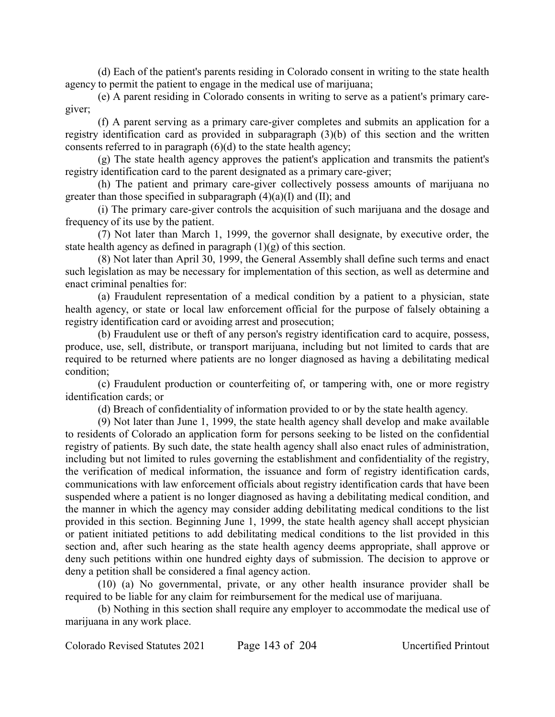(d) Each of the patient's parents residing in Colorado consent in writing to the state health agency to permit the patient to engage in the medical use of marijuana;

(e) A parent residing in Colorado consents in writing to serve as a patient's primary caregiver;

(f) A parent serving as a primary care-giver completes and submits an application for a registry identification card as provided in subparagraph (3)(b) of this section and the written consents referred to in paragraph  $(6)(d)$  to the state health agency;

(g) The state health agency approves the patient's application and transmits the patient's registry identification card to the parent designated as a primary care-giver;

(h) The patient and primary care-giver collectively possess amounts of marijuana no greater than those specified in subparagraph  $(4)(a)(I)$  and  $(II)$ ; and

(i) The primary care-giver controls the acquisition of such marijuana and the dosage and frequency of its use by the patient.

(7) Not later than March 1, 1999, the governor shall designate, by executive order, the state health agency as defined in paragraph  $(1)(g)$  of this section.

(8) Not later than April 30, 1999, the General Assembly shall define such terms and enact such legislation as may be necessary for implementation of this section, as well as determine and enact criminal penalties for:

(a) Fraudulent representation of a medical condition by a patient to a physician, state health agency, or state or local law enforcement official for the purpose of falsely obtaining a registry identification card or avoiding arrest and prosecution;

(b) Fraudulent use or theft of any person's registry identification card to acquire, possess, produce, use, sell, distribute, or transport marijuana, including but not limited to cards that are required to be returned where patients are no longer diagnosed as having a debilitating medical condition;

(c) Fraudulent production or counterfeiting of, or tampering with, one or more registry identification cards; or

(d) Breach of confidentiality of information provided to or by the state health agency.

(9) Not later than June 1, 1999, the state health agency shall develop and make available to residents of Colorado an application form for persons seeking to be listed on the confidential registry of patients. By such date, the state health agency shall also enact rules of administration, including but not limited to rules governing the establishment and confidentiality of the registry, the verification of medical information, the issuance and form of registry identification cards, communications with law enforcement officials about registry identification cards that have been suspended where a patient is no longer diagnosed as having a debilitating medical condition, and the manner in which the agency may consider adding debilitating medical conditions to the list provided in this section. Beginning June 1, 1999, the state health agency shall accept physician or patient initiated petitions to add debilitating medical conditions to the list provided in this section and, after such hearing as the state health agency deems appropriate, shall approve or deny such petitions within one hundred eighty days of submission. The decision to approve or deny a petition shall be considered a final agency action.

(10) (a) No governmental, private, or any other health insurance provider shall be required to be liable for any claim for reimbursement for the medical use of marijuana.

(b) Nothing in this section shall require any employer to accommodate the medical use of marijuana in any work place.

Colorado Revised Statutes 2021 Page 143 of 204 Uncertified Printout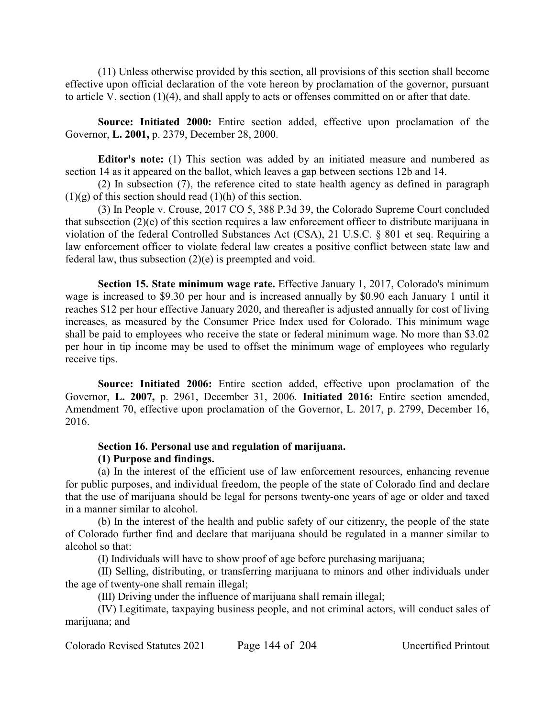(11) Unless otherwise provided by this section, all provisions of this section shall become effective upon official declaration of the vote hereon by proclamation of the governor, pursuant to article V, section (1)(4), and shall apply to acts or offenses committed on or after that date.

**Source: Initiated 2000:** Entire section added, effective upon proclamation of the Governor, **L. 2001,** p. 2379, December 28, 2000.

**Editor's note:** (1) This section was added by an initiated measure and numbered as section 14 as it appeared on the ballot, which leaves a gap between sections 12b and 14.

(2) In subsection (7), the reference cited to state health agency as defined in paragraph  $(1)(g)$  of this section should read  $(1)(h)$  of this section.

(3) In People v. Crouse, 2017 CO 5, 388 P.3d 39, the Colorado Supreme Court concluded that subsection (2)(e) of this section requires a law enforcement officer to distribute marijuana in violation of the federal Controlled Substances Act (CSA), 21 U.S.C. § 801 et seq. Requiring a law enforcement officer to violate federal law creates a positive conflict between state law and federal law, thus subsection (2)(e) is preempted and void.

**Section 15. State minimum wage rate.** Effective January 1, 2017, Colorado's minimum wage is increased to \$9.30 per hour and is increased annually by \$0.90 each January 1 until it reaches \$12 per hour effective January 2020, and thereafter is adjusted annually for cost of living increases, as measured by the Consumer Price Index used for Colorado. This minimum wage shall be paid to employees who receive the state or federal minimum wage. No more than \$3.02 per hour in tip income may be used to offset the minimum wage of employees who regularly receive tips.

**Source: Initiated 2006:** Entire section added, effective upon proclamation of the Governor, **L. 2007,** p. 2961, December 31, 2006. **Initiated 2016:** Entire section amended, Amendment 70, effective upon proclamation of the Governor, L. 2017, p. 2799, December 16, 2016.

# **Section 16. Personal use and regulation of marijuana.**

#### **(1) Purpose and findings.**

(a) In the interest of the efficient use of law enforcement resources, enhancing revenue for public purposes, and individual freedom, the people of the state of Colorado find and declare that the use of marijuana should be legal for persons twenty-one years of age or older and taxed in a manner similar to alcohol.

(b) In the interest of the health and public safety of our citizenry, the people of the state of Colorado further find and declare that marijuana should be regulated in a manner similar to alcohol so that:

(I) Individuals will have to show proof of age before purchasing marijuana;

(II) Selling, distributing, or transferring marijuana to minors and other individuals under the age of twenty-one shall remain illegal;

(III) Driving under the influence of marijuana shall remain illegal;

(IV) Legitimate, taxpaying business people, and not criminal actors, will conduct sales of marijuana; and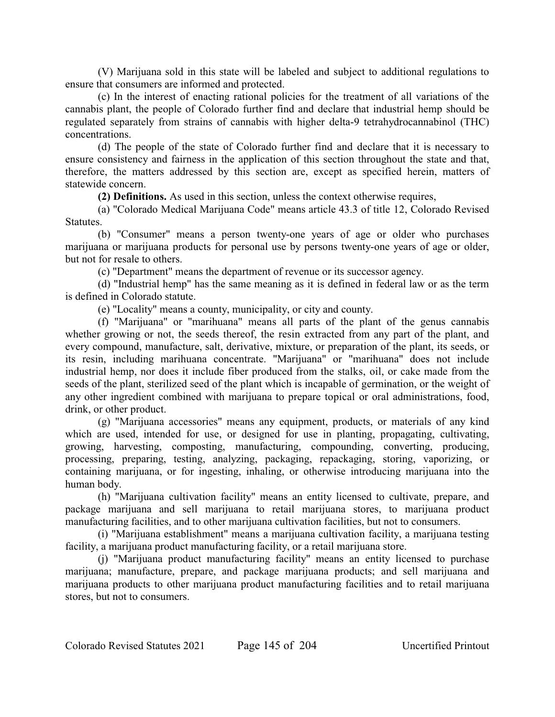(V) Marijuana sold in this state will be labeled and subject to additional regulations to ensure that consumers are informed and protected.

(c) In the interest of enacting rational policies for the treatment of all variations of the cannabis plant, the people of Colorado further find and declare that industrial hemp should be regulated separately from strains of cannabis with higher delta-9 tetrahydrocannabinol (THC) concentrations.

(d) The people of the state of Colorado further find and declare that it is necessary to ensure consistency and fairness in the application of this section throughout the state and that, therefore, the matters addressed by this section are, except as specified herein, matters of statewide concern.

**(2) Definitions.** As used in this section, unless the context otherwise requires,

(a) "Colorado Medical Marijuana Code" means article 43.3 of title 12, Colorado Revised Statutes.

(b) "Consumer" means a person twenty-one years of age or older who purchases marijuana or marijuana products for personal use by persons twenty-one years of age or older, but not for resale to others.

(c) "Department" means the department of revenue or its successor agency.

(d) "Industrial hemp" has the same meaning as it is defined in federal law or as the term is defined in Colorado statute.

(e) "Locality" means a county, municipality, or city and county.

(f) "Marijuana" or "marihuana" means all parts of the plant of the genus cannabis whether growing or not, the seeds thereof, the resin extracted from any part of the plant, and every compound, manufacture, salt, derivative, mixture, or preparation of the plant, its seeds, or its resin, including marihuana concentrate. "Marijuana" or "marihuana" does not include industrial hemp, nor does it include fiber produced from the stalks, oil, or cake made from the seeds of the plant, sterilized seed of the plant which is incapable of germination, or the weight of any other ingredient combined with marijuana to prepare topical or oral administrations, food, drink, or other product.

(g) "Marijuana accessories" means any equipment, products, or materials of any kind which are used, intended for use, or designed for use in planting, propagating, cultivating, growing, harvesting, composting, manufacturing, compounding, converting, producing, processing, preparing, testing, analyzing, packaging, repackaging, storing, vaporizing, or containing marijuana, or for ingesting, inhaling, or otherwise introducing marijuana into the human body.

(h) "Marijuana cultivation facility" means an entity licensed to cultivate, prepare, and package marijuana and sell marijuana to retail marijuana stores, to marijuana product manufacturing facilities, and to other marijuana cultivation facilities, but not to consumers.

(i) "Marijuana establishment" means a marijuana cultivation facility, a marijuana testing facility, a marijuana product manufacturing facility, or a retail marijuana store.

(j) "Marijuana product manufacturing facility" means an entity licensed to purchase marijuana; manufacture, prepare, and package marijuana products; and sell marijuana and marijuana products to other marijuana product manufacturing facilities and to retail marijuana stores, but not to consumers.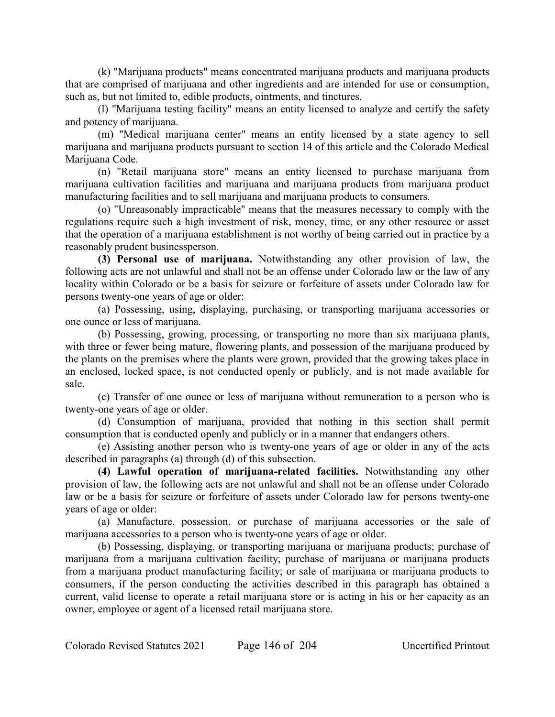(k) "Marijuana products" means concentrated marijuana products and marijuana products that are comprised of marijuana and other ingredients and are intended for use or consumption, such as, but not limited to, edible products, ointments, and tinctures.

(l) "Marijuana testing facility" means an entity licensed to analyze and certify the safety and potency of marijuana.

(m) "Medical marijuana center" means an entity licensed by a state agency to sell marijuana and marijuana products pursuant to section 14 of this article and the Colorado Medical Marijuana Code.

(n) "Retail marijuana store" means an entity licensed to purchase marijuana from marijuana cultivation facilities and marijuana and marijuana products from marijuana product manufacturing facilities and to sell marijuana and marijuana products to consumers.

(o) "Unreasonably impracticable" means that the measures necessary to comply with the regulations require such a high investment of risk, money, time, or any other resource or asset that the operation of a marijuana establishment is not worthy of being carried out in practice by a reasonably prudent businessperson.

**(3) Personal use of marijuana.** Notwithstanding any other provision of law, the following acts are not unlawful and shall not be an offense under Colorado law or the law of any locality within Colorado or be a basis for seizure or forfeiture of assets under Colorado law for persons twenty-one years of age or older:

(a) Possessing, using, displaying, purchasing, or transporting marijuana accessories or one ounce or less of marijuana.

(b) Possessing, growing, processing, or transporting no more than six marijuana plants, with three or fewer being mature, flowering plants, and possession of the marijuana produced by the plants on the premises where the plants were grown, provided that the growing takes place in an enclosed, locked space, is not conducted openly or publicly, and is not made available for sale.

(c) Transfer of one ounce or less of marijuana without remuneration to a person who is twenty-one years of age or older.

(d) Consumption of marijuana, provided that nothing in this section shall permit consumption that is conducted openly and publicly or in a manner that endangers others.

(e) Assisting another person who is twenty-one years of age or older in any of the acts described in paragraphs (a) through (d) of this subsection.

**(4) Lawful operation of marijuana-related facilities.** Notwithstanding any other provision of law, the following acts are not unlawful and shall not be an offense under Colorado law or be a basis for seizure or forfeiture of assets under Colorado law for persons twenty-one years of age or older:

(a) Manufacture, possession, or purchase of marijuana accessories or the sale of marijuana accessories to a person who is twenty-one years of age or older.

(b) Possessing, displaying, or transporting marijuana or marijuana products; purchase of marijuana from a marijuana cultivation facility; purchase of marijuana or marijuana products from a marijuana product manufacturing facility; or sale of marijuana or marijuana products to consumers, if the person conducting the activities described in this paragraph has obtained a current, valid license to operate a retail marijuana store or is acting in his or her capacity as an owner, employee or agent of a licensed retail marijuana store.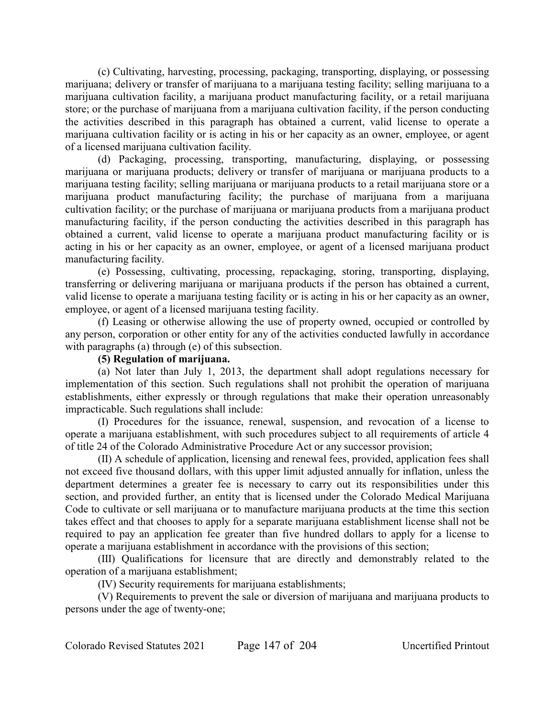(c) Cultivating, harvesting, processing, packaging, transporting, displaying, or possessing marijuana; delivery or transfer of marijuana to a marijuana testing facility; selling marijuana to a marijuana cultivation facility, a marijuana product manufacturing facility, or a retail marijuana store; or the purchase of marijuana from a marijuana cultivation facility, if the person conducting the activities described in this paragraph has obtained a current, valid license to operate a marijuana cultivation facility or is acting in his or her capacity as an owner, employee, or agent of a licensed marijuana cultivation facility.

(d) Packaging, processing, transporting, manufacturing, displaying, or possessing marijuana or marijuana products; delivery or transfer of marijuana or marijuana products to a marijuana testing facility; selling marijuana or marijuana products to a retail marijuana store or a marijuana product manufacturing facility; the purchase of marijuana from a marijuana cultivation facility; or the purchase of marijuana or marijuana products from a marijuana product manufacturing facility, if the person conducting the activities described in this paragraph has obtained a current, valid license to operate a marijuana product manufacturing facility or is acting in his or her capacity as an owner, employee, or agent of a licensed marijuana product manufacturing facility.

(e) Possessing, cultivating, processing, repackaging, storing, transporting, displaying, transferring or delivering marijuana or marijuana products if the person has obtained a current, valid license to operate a marijuana testing facility or is acting in his or her capacity as an owner, employee, or agent of a licensed marijuana testing facility.

(f) Leasing or otherwise allowing the use of property owned, occupied or controlled by any person, corporation or other entity for any of the activities conducted lawfully in accordance with paragraphs (a) through (e) of this subsection.

## **(5) Regulation of marijuana.**

(a) Not later than July 1, 2013, the department shall adopt regulations necessary for implementation of this section. Such regulations shall not prohibit the operation of marijuana establishments, either expressly or through regulations that make their operation unreasonably impracticable. Such regulations shall include:

(I) Procedures for the issuance, renewal, suspension, and revocation of a license to operate a marijuana establishment, with such procedures subject to all requirements of article 4 of title 24 of the Colorado Administrative Procedure Act or any successor provision;

(II) A schedule of application, licensing and renewal fees, provided, application fees shall not exceed five thousand dollars, with this upper limit adjusted annually for inflation, unless the department determines a greater fee is necessary to carry out its responsibilities under this section, and provided further, an entity that is licensed under the Colorado Medical Marijuana Code to cultivate or sell marijuana or to manufacture marijuana products at the time this section takes effect and that chooses to apply for a separate marijuana establishment license shall not be required to pay an application fee greater than five hundred dollars to apply for a license to operate a marijuana establishment in accordance with the provisions of this section;

(III) Qualifications for licensure that are directly and demonstrably related to the operation of a marijuana establishment;

(IV) Security requirements for marijuana establishments;

(V) Requirements to prevent the sale or diversion of marijuana and marijuana products to persons under the age of twenty-one;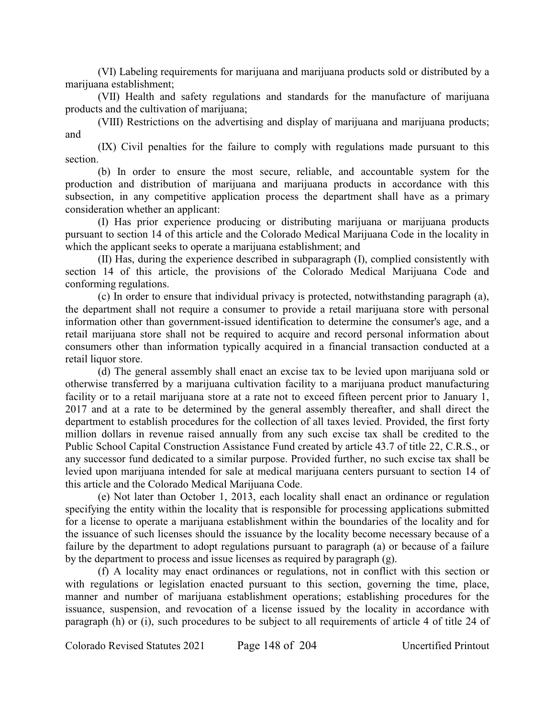(VI) Labeling requirements for marijuana and marijuana products sold or distributed by a marijuana establishment;

(VII) Health and safety regulations and standards for the manufacture of marijuana products and the cultivation of marijuana;

(VIII) Restrictions on the advertising and display of marijuana and marijuana products; and

(IX) Civil penalties for the failure to comply with regulations made pursuant to this section.

(b) In order to ensure the most secure, reliable, and accountable system for the production and distribution of marijuana and marijuana products in accordance with this subsection, in any competitive application process the department shall have as a primary consideration whether an applicant:

(I) Has prior experience producing or distributing marijuana or marijuana products pursuant to section 14 of this article and the Colorado Medical Marijuana Code in the locality in which the applicant seeks to operate a marijuana establishment; and

(II) Has, during the experience described in subparagraph (I), complied consistently with section 14 of this article, the provisions of the Colorado Medical Marijuana Code and conforming regulations.

(c) In order to ensure that individual privacy is protected, notwithstanding paragraph (a), the department shall not require a consumer to provide a retail marijuana store with personal information other than government-issued identification to determine the consumer's age, and a retail marijuana store shall not be required to acquire and record personal information about consumers other than information typically acquired in a financial transaction conducted at a retail liquor store.

(d) The general assembly shall enact an excise tax to be levied upon marijuana sold or otherwise transferred by a marijuana cultivation facility to a marijuana product manufacturing facility or to a retail marijuana store at a rate not to exceed fifteen percent prior to January 1, 2017 and at a rate to be determined by the general assembly thereafter, and shall direct the department to establish procedures for the collection of all taxes levied. Provided, the first forty million dollars in revenue raised annually from any such excise tax shall be credited to the Public School Capital Construction Assistance Fund created by article 43.7 of title 22, C.R.S., or any successor fund dedicated to a similar purpose. Provided further, no such excise tax shall be levied upon marijuana intended for sale at medical marijuana centers pursuant to section 14 of this article and the Colorado Medical Marijuana Code.

(e) Not later than October 1, 2013, each locality shall enact an ordinance or regulation specifying the entity within the locality that is responsible for processing applications submitted for a license to operate a marijuana establishment within the boundaries of the locality and for the issuance of such licenses should the issuance by the locality become necessary because of a failure by the department to adopt regulations pursuant to paragraph (a) or because of a failure by the department to process and issue licenses as required by paragraph (g).

(f) A locality may enact ordinances or regulations, not in conflict with this section or with regulations or legislation enacted pursuant to this section, governing the time, place, manner and number of marijuana establishment operations; establishing procedures for the issuance, suspension, and revocation of a license issued by the locality in accordance with paragraph (h) or (i), such procedures to be subject to all requirements of article 4 of title 24 of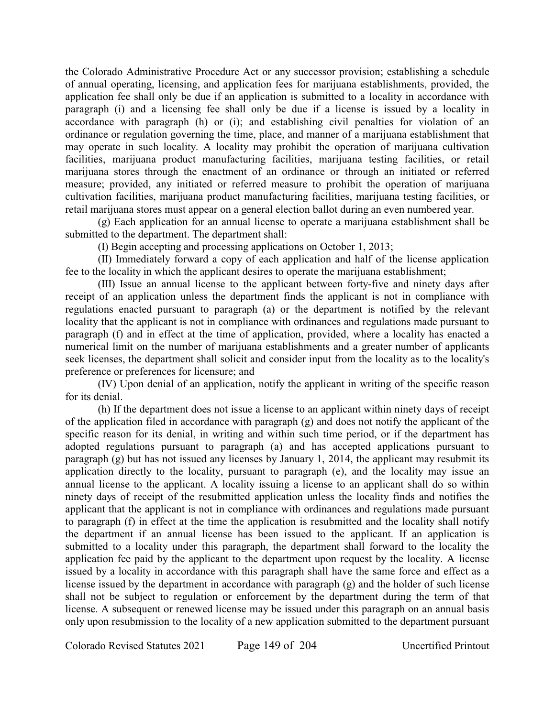the Colorado Administrative Procedure Act or any successor provision; establishing a schedule of annual operating, licensing, and application fees for marijuana establishments, provided, the application fee shall only be due if an application is submitted to a locality in accordance with paragraph (i) and a licensing fee shall only be due if a license is issued by a locality in accordance with paragraph (h) or (i); and establishing civil penalties for violation of an ordinance or regulation governing the time, place, and manner of a marijuana establishment that may operate in such locality. A locality may prohibit the operation of marijuana cultivation facilities, marijuana product manufacturing facilities, marijuana testing facilities, or retail marijuana stores through the enactment of an ordinance or through an initiated or referred measure; provided, any initiated or referred measure to prohibit the operation of marijuana cultivation facilities, marijuana product manufacturing facilities, marijuana testing facilities, or retail marijuana stores must appear on a general election ballot during an even numbered year.

(g) Each application for an annual license to operate a marijuana establishment shall be submitted to the department. The department shall:

(I) Begin accepting and processing applications on October 1, 2013;

(II) Immediately forward a copy of each application and half of the license application fee to the locality in which the applicant desires to operate the marijuana establishment;

(III) Issue an annual license to the applicant between forty-five and ninety days after receipt of an application unless the department finds the applicant is not in compliance with regulations enacted pursuant to paragraph (a) or the department is notified by the relevant locality that the applicant is not in compliance with ordinances and regulations made pursuant to paragraph (f) and in effect at the time of application, provided, where a locality has enacted a numerical limit on the number of marijuana establishments and a greater number of applicants seek licenses, the department shall solicit and consider input from the locality as to the locality's preference or preferences for licensure; and

(IV) Upon denial of an application, notify the applicant in writing of the specific reason for its denial.

(h) If the department does not issue a license to an applicant within ninety days of receipt of the application filed in accordance with paragraph (g) and does not notify the applicant of the specific reason for its denial, in writing and within such time period, or if the department has adopted regulations pursuant to paragraph (a) and has accepted applications pursuant to paragraph (g) but has not issued any licenses by January 1, 2014, the applicant may resubmit its application directly to the locality, pursuant to paragraph (e), and the locality may issue an annual license to the applicant. A locality issuing a license to an applicant shall do so within ninety days of receipt of the resubmitted application unless the locality finds and notifies the applicant that the applicant is not in compliance with ordinances and regulations made pursuant to paragraph (f) in effect at the time the application is resubmitted and the locality shall notify the department if an annual license has been issued to the applicant. If an application is submitted to a locality under this paragraph, the department shall forward to the locality the application fee paid by the applicant to the department upon request by the locality. A license issued by a locality in accordance with this paragraph shall have the same force and effect as a license issued by the department in accordance with paragraph (g) and the holder of such license shall not be subject to regulation or enforcement by the department during the term of that license. A subsequent or renewed license may be issued under this paragraph on an annual basis only upon resubmission to the locality of a new application submitted to the department pursuant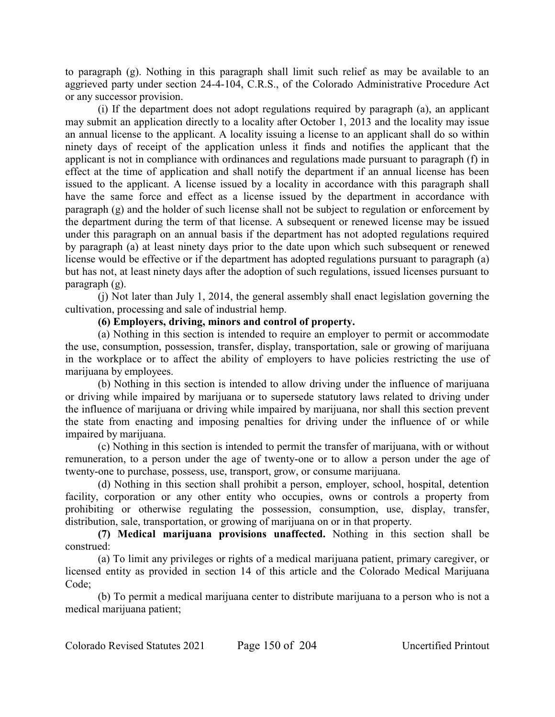to paragraph (g). Nothing in this paragraph shall limit such relief as may be available to an aggrieved party under section 24-4-104, C.R.S., of the Colorado Administrative Procedure Act or any successor provision.

(i) If the department does not adopt regulations required by paragraph (a), an applicant may submit an application directly to a locality after October 1, 2013 and the locality may issue an annual license to the applicant. A locality issuing a license to an applicant shall do so within ninety days of receipt of the application unless it finds and notifies the applicant that the applicant is not in compliance with ordinances and regulations made pursuant to paragraph (f) in effect at the time of application and shall notify the department if an annual license has been issued to the applicant. A license issued by a locality in accordance with this paragraph shall have the same force and effect as a license issued by the department in accordance with paragraph (g) and the holder of such license shall not be subject to regulation or enforcement by the department during the term of that license. A subsequent or renewed license may be issued under this paragraph on an annual basis if the department has not adopted regulations required by paragraph (a) at least ninety days prior to the date upon which such subsequent or renewed license would be effective or if the department has adopted regulations pursuant to paragraph (a) but has not, at least ninety days after the adoption of such regulations, issued licenses pursuant to paragraph (g).

(j) Not later than July 1, 2014, the general assembly shall enact legislation governing the cultivation, processing and sale of industrial hemp.

# **(6) Employers, driving, minors and control of property.**

(a) Nothing in this section is intended to require an employer to permit or accommodate the use, consumption, possession, transfer, display, transportation, sale or growing of marijuana in the workplace or to affect the ability of employers to have policies restricting the use of marijuana by employees.

(b) Nothing in this section is intended to allow driving under the influence of marijuana or driving while impaired by marijuana or to supersede statutory laws related to driving under the influence of marijuana or driving while impaired by marijuana, nor shall this section prevent the state from enacting and imposing penalties for driving under the influence of or while impaired by marijuana.

(c) Nothing in this section is intended to permit the transfer of marijuana, with or without remuneration, to a person under the age of twenty-one or to allow a person under the age of twenty-one to purchase, possess, use, transport, grow, or consume marijuana.

(d) Nothing in this section shall prohibit a person, employer, school, hospital, detention facility, corporation or any other entity who occupies, owns or controls a property from prohibiting or otherwise regulating the possession, consumption, use, display, transfer, distribution, sale, transportation, or growing of marijuana on or in that property.

**(7) Medical marijuana provisions unaffected.** Nothing in this section shall be construed:

(a) To limit any privileges or rights of a medical marijuana patient, primary caregiver, or licensed entity as provided in section 14 of this article and the Colorado Medical Marijuana Code;

(b) To permit a medical marijuana center to distribute marijuana to a person who is not a medical marijuana patient;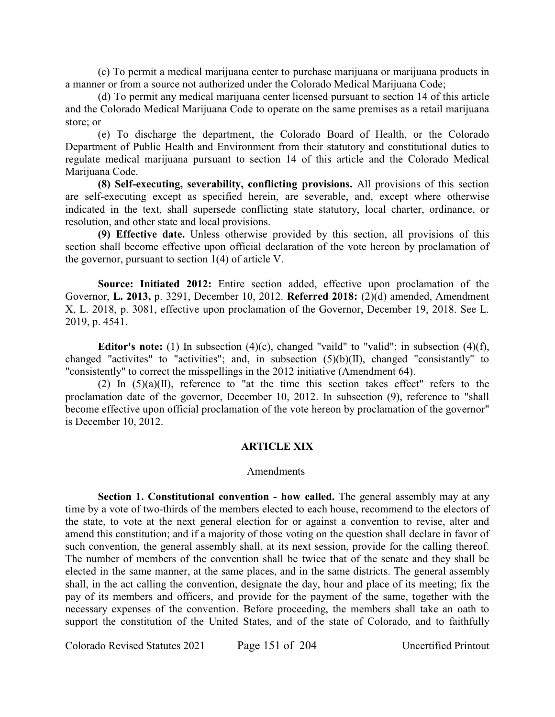(c) To permit a medical marijuana center to purchase marijuana or marijuana products in a manner or from a source not authorized under the Colorado Medical Marijuana Code;

(d) To permit any medical marijuana center licensed pursuant to section 14 of this article and the Colorado Medical Marijuana Code to operate on the same premises as a retail marijuana store; or

(e) To discharge the department, the Colorado Board of Health, or the Colorado Department of Public Health and Environment from their statutory and constitutional duties to regulate medical marijuana pursuant to section 14 of this article and the Colorado Medical Marijuana Code.

**(8) Self-executing, severability, conflicting provisions.** All provisions of this section are self-executing except as specified herein, are severable, and, except where otherwise indicated in the text, shall supersede conflicting state statutory, local charter, ordinance, or resolution, and other state and local provisions.

**(9) Effective date.** Unless otherwise provided by this section, all provisions of this section shall become effective upon official declaration of the vote hereon by proclamation of the governor, pursuant to section 1(4) of article V.

**Source: Initiated 2012:** Entire section added, effective upon proclamation of the Governor, **L. 2013,** p. 3291, December 10, 2012. **Referred 2018:** (2)(d) amended, Amendment X, L. 2018, p. 3081, effective upon proclamation of the Governor, December 19, 2018. See L. 2019, p. 4541.

**Editor's note:** (1) In subsection (4)(c), changed "vaild" to "valid"; in subsection (4)(f), changed "activites" to "activities"; and, in subsection (5)(b)(II), changed "consistantly" to "consistently" to correct the misspellings in the 2012 initiative (Amendment 64).

(2) In  $(5)(a)(II)$ , reference to "at the time this section takes effect" refers to the proclamation date of the governor, December 10, 2012. In subsection (9), reference to "shall become effective upon official proclamation of the vote hereon by proclamation of the governor" is December 10, 2012.

#### **ARTICLE XIX**

#### Amendments

**Section 1. Constitutional convention - how called.** The general assembly may at any time by a vote of two-thirds of the members elected to each house, recommend to the electors of the state, to vote at the next general election for or against a convention to revise, alter and amend this constitution; and if a majority of those voting on the question shall declare in favor of such convention, the general assembly shall, at its next session, provide for the calling thereof. The number of members of the convention shall be twice that of the senate and they shall be elected in the same manner, at the same places, and in the same districts. The general assembly shall, in the act calling the convention, designate the day, hour and place of its meeting; fix the pay of its members and officers, and provide for the payment of the same, together with the necessary expenses of the convention. Before proceeding, the members shall take an oath to support the constitution of the United States, and of the state of Colorado, and to faithfully

Colorado Revised Statutes 2021 Page 151 of 204 Uncertified Printout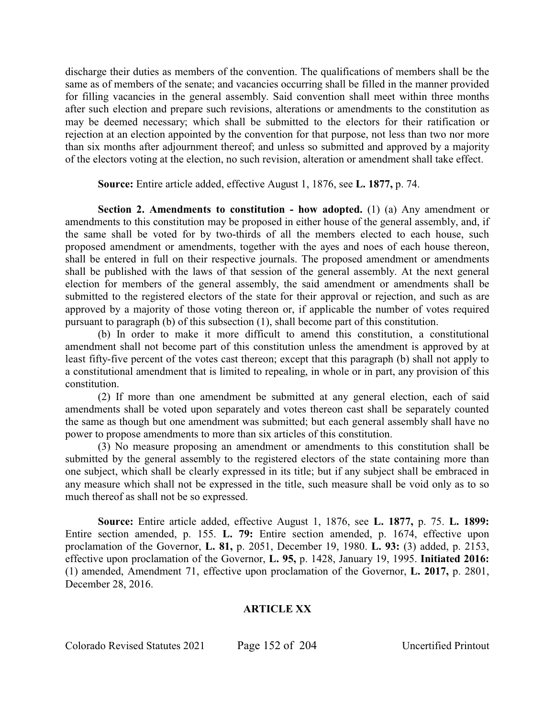discharge their duties as members of the convention. The qualifications of members shall be the same as of members of the senate; and vacancies occurring shall be filled in the manner provided for filling vacancies in the general assembly. Said convention shall meet within three months after such election and prepare such revisions, alterations or amendments to the constitution as may be deemed necessary; which shall be submitted to the electors for their ratification or rejection at an election appointed by the convention for that purpose, not less than two nor more than six months after adjournment thereof; and unless so submitted and approved by a majority of the electors voting at the election, no such revision, alteration or amendment shall take effect.

**Source:** Entire article added, effective August 1, 1876, see **L. 1877,** p. 74.

**Section 2. Amendments to constitution - how adopted.** (1) (a) Any amendment or amendments to this constitution may be proposed in either house of the general assembly, and, if the same shall be voted for by two-thirds of all the members elected to each house, such proposed amendment or amendments, together with the ayes and noes of each house thereon, shall be entered in full on their respective journals. The proposed amendment or amendments shall be published with the laws of that session of the general assembly. At the next general election for members of the general assembly, the said amendment or amendments shall be submitted to the registered electors of the state for their approval or rejection, and such as are approved by a majority of those voting thereon or, if applicable the number of votes required pursuant to paragraph (b) of this subsection (1), shall become part of this constitution.

(b) In order to make it more difficult to amend this constitution, a constitutional amendment shall not become part of this constitution unless the amendment is approved by at least fifty-five percent of the votes cast thereon; except that this paragraph (b) shall not apply to a constitutional amendment that is limited to repealing, in whole or in part, any provision of this constitution.

(2) If more than one amendment be submitted at any general election, each of said amendments shall be voted upon separately and votes thereon cast shall be separately counted the same as though but one amendment was submitted; but each general assembly shall have no power to propose amendments to more than six articles of this constitution.

(3) No measure proposing an amendment or amendments to this constitution shall be submitted by the general assembly to the registered electors of the state containing more than one subject, which shall be clearly expressed in its title; but if any subject shall be embraced in any measure which shall not be expressed in the title, such measure shall be void only as to so much thereof as shall not be so expressed.

**Source:** Entire article added, effective August 1, 1876, see **L. 1877,** p. 75. **L. 1899:** Entire section amended, p. 155. **L. 79:** Entire section amended, p. 1674, effective upon proclamation of the Governor, **L. 81,** p. 2051, December 19, 1980. **L. 93:** (3) added, p. 2153, effective upon proclamation of the Governor, **L. 95,** p. 1428, January 19, 1995. **Initiated 2016:** (1) amended, Amendment 71, effective upon proclamation of the Governor, **L. 2017,** p. 2801, December 28, 2016.

# **ARTICLE XX**

Colorado Revised Statutes 2021 Page 152 of 204 Uncertified Printout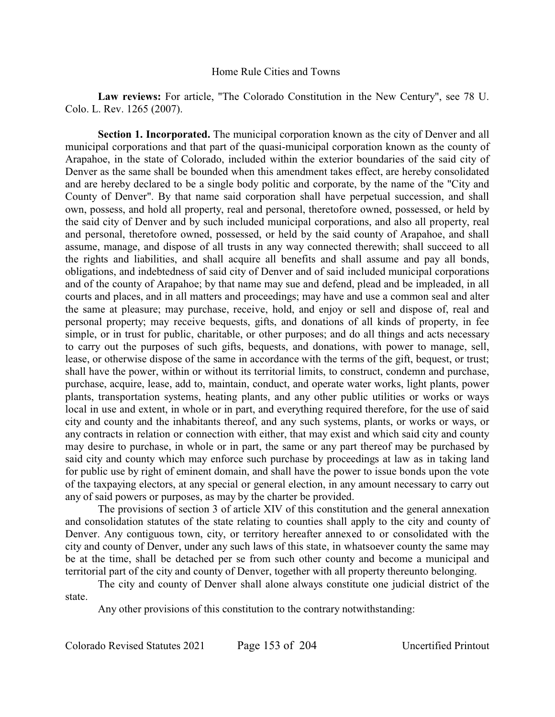### Home Rule Cities and Towns

**Law reviews:** For article, "The Colorado Constitution in the New Century", see 78 U. Colo. L. Rev. 1265 (2007).

**Section 1. Incorporated.** The municipal corporation known as the city of Denver and all municipal corporations and that part of the quasi-municipal corporation known as the county of Arapahoe, in the state of Colorado, included within the exterior boundaries of the said city of Denver as the same shall be bounded when this amendment takes effect, are hereby consolidated and are hereby declared to be a single body politic and corporate, by the name of the "City and County of Denver". By that name said corporation shall have perpetual succession, and shall own, possess, and hold all property, real and personal, theretofore owned, possessed, or held by the said city of Denver and by such included municipal corporations, and also all property, real and personal, theretofore owned, possessed, or held by the said county of Arapahoe, and shall assume, manage, and dispose of all trusts in any way connected therewith; shall succeed to all the rights and liabilities, and shall acquire all benefits and shall assume and pay all bonds, obligations, and indebtedness of said city of Denver and of said included municipal corporations and of the county of Arapahoe; by that name may sue and defend, plead and be impleaded, in all courts and places, and in all matters and proceedings; may have and use a common seal and alter the same at pleasure; may purchase, receive, hold, and enjoy or sell and dispose of, real and personal property; may receive bequests, gifts, and donations of all kinds of property, in fee simple, or in trust for public, charitable, or other purposes; and do all things and acts necessary to carry out the purposes of such gifts, bequests, and donations, with power to manage, sell, lease, or otherwise dispose of the same in accordance with the terms of the gift, bequest, or trust; shall have the power, within or without its territorial limits, to construct, condemn and purchase, purchase, acquire, lease, add to, maintain, conduct, and operate water works, light plants, power plants, transportation systems, heating plants, and any other public utilities or works or ways local in use and extent, in whole or in part, and everything required therefore, for the use of said city and county and the inhabitants thereof, and any such systems, plants, or works or ways, or any contracts in relation or connection with either, that may exist and which said city and county may desire to purchase, in whole or in part, the same or any part thereof may be purchased by said city and county which may enforce such purchase by proceedings at law as in taking land for public use by right of eminent domain, and shall have the power to issue bonds upon the vote of the taxpaying electors, at any special or general election, in any amount necessary to carry out any of said powers or purposes, as may by the charter be provided.

The provisions of section 3 of article XIV of this constitution and the general annexation and consolidation statutes of the state relating to counties shall apply to the city and county of Denver. Any contiguous town, city, or territory hereafter annexed to or consolidated with the city and county of Denver, under any such laws of this state, in whatsoever county the same may be at the time, shall be detached per se from such other county and become a municipal and territorial part of the city and county of Denver, together with all property thereunto belonging.

The city and county of Denver shall alone always constitute one judicial district of the state.

Any other provisions of this constitution to the contrary notwithstanding:

Colorado Revised Statutes 2021 Page 153 of 204 Uncertified Printout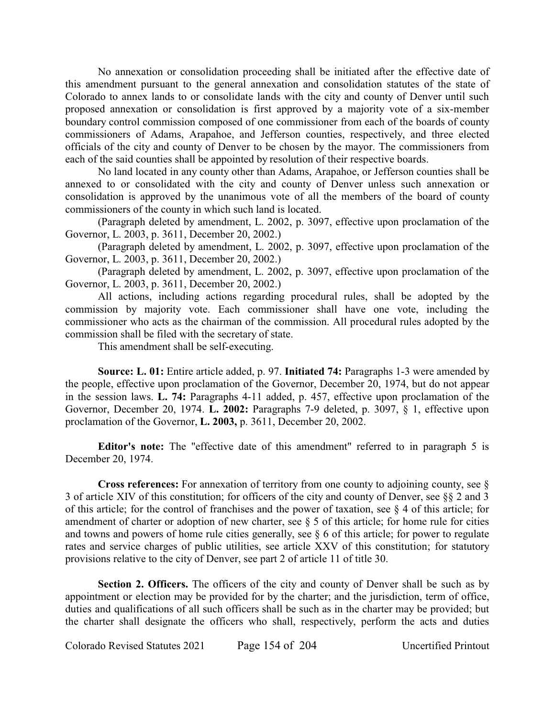No annexation or consolidation proceeding shall be initiated after the effective date of this amendment pursuant to the general annexation and consolidation statutes of the state of Colorado to annex lands to or consolidate lands with the city and county of Denver until such proposed annexation or consolidation is first approved by a majority vote of a six-member boundary control commission composed of one commissioner from each of the boards of county commissioners of Adams, Arapahoe, and Jefferson counties, respectively, and three elected officials of the city and county of Denver to be chosen by the mayor. The commissioners from each of the said counties shall be appointed by resolution of their respective boards.

No land located in any county other than Adams, Arapahoe, or Jefferson counties shall be annexed to or consolidated with the city and county of Denver unless such annexation or consolidation is approved by the unanimous vote of all the members of the board of county commissioners of the county in which such land is located.

(Paragraph deleted by amendment, L. 2002, p. 3097, effective upon proclamation of the Governor, L. 2003, p. 3611, December 20, 2002.)

(Paragraph deleted by amendment, L. 2002, p. 3097, effective upon proclamation of the Governor, L. 2003, p. 3611, December 20, 2002.)

(Paragraph deleted by amendment, L. 2002, p. 3097, effective upon proclamation of the Governor, L. 2003, p. 3611, December 20, 2002.)

All actions, including actions regarding procedural rules, shall be adopted by the commission by majority vote. Each commissioner shall have one vote, including the commissioner who acts as the chairman of the commission. All procedural rules adopted by the commission shall be filed with the secretary of state.

This amendment shall be self-executing.

**Source: L. 01:** Entire article added, p. 97. **Initiated 74:** Paragraphs 1-3 were amended by the people, effective upon proclamation of the Governor, December 20, 1974, but do not appear in the session laws. **L. 74:** Paragraphs 4-11 added, p. 457, effective upon proclamation of the Governor, December 20, 1974. **L. 2002:** Paragraphs 7-9 deleted, p. 3097, § 1, effective upon proclamation of the Governor, **L. 2003,** p. 3611, December 20, 2002.

**Editor's note:** The "effective date of this amendment" referred to in paragraph 5 is December 20, 1974.

**Cross references:** For annexation of territory from one county to adjoining county, see § 3 of article XIV of this constitution; for officers of the city and county of Denver, see §§ 2 and 3 of this article; for the control of franchises and the power of taxation, see § 4 of this article; for amendment of charter or adoption of new charter, see § 5 of this article; for home rule for cities and towns and powers of home rule cities generally, see § 6 of this article; for power to regulate rates and service charges of public utilities, see article XXV of this constitution; for statutory provisions relative to the city of Denver, see part 2 of article 11 of title 30.

Section 2. Officers. The officers of the city and county of Denver shall be such as by appointment or election may be provided for by the charter; and the jurisdiction, term of office, duties and qualifications of all such officers shall be such as in the charter may be provided; but the charter shall designate the officers who shall, respectively, perform the acts and duties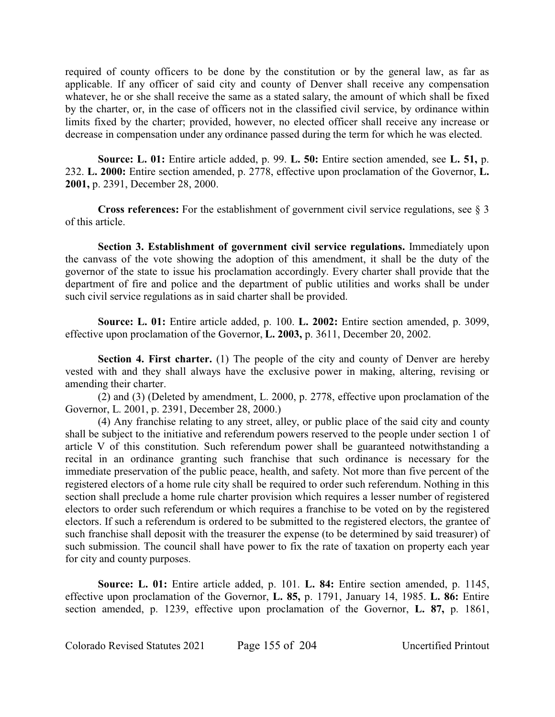required of county officers to be done by the constitution or by the general law, as far as applicable. If any officer of said city and county of Denver shall receive any compensation whatever, he or she shall receive the same as a stated salary, the amount of which shall be fixed by the charter, or, in the case of officers not in the classified civil service, by ordinance within limits fixed by the charter; provided, however, no elected officer shall receive any increase or decrease in compensation under any ordinance passed during the term for which he was elected.

**Source: L. 01:** Entire article added, p. 99. **L. 50:** Entire section amended, see **L. 51,** p. 232. **L. 2000:** Entire section amended, p. 2778, effective upon proclamation of the Governor, **L. 2001,** p. 2391, December 28, 2000.

**Cross references:** For the establishment of government civil service regulations, see § 3 of this article.

**Section 3. Establishment of government civil service regulations.** Immediately upon the canvass of the vote showing the adoption of this amendment, it shall be the duty of the governor of the state to issue his proclamation accordingly. Every charter shall provide that the department of fire and police and the department of public utilities and works shall be under such civil service regulations as in said charter shall be provided.

**Source: L. 01:** Entire article added, p. 100. **L. 2002:** Entire section amended, p. 3099, effective upon proclamation of the Governor, **L. 2003,** p. 3611, December 20, 2002.

**Section 4. First charter.** (1) The people of the city and county of Denver are hereby vested with and they shall always have the exclusive power in making, altering, revising or amending their charter.

(2) and (3) (Deleted by amendment, L. 2000, p. 2778, effective upon proclamation of the Governor, L. 2001, p. 2391, December 28, 2000.)

(4) Any franchise relating to any street, alley, or public place of the said city and county shall be subject to the initiative and referendum powers reserved to the people under section 1 of article V of this constitution. Such referendum power shall be guaranteed notwithstanding a recital in an ordinance granting such franchise that such ordinance is necessary for the immediate preservation of the public peace, health, and safety. Not more than five percent of the registered electors of a home rule city shall be required to order such referendum. Nothing in this section shall preclude a home rule charter provision which requires a lesser number of registered electors to order such referendum or which requires a franchise to be voted on by the registered electors. If such a referendum is ordered to be submitted to the registered electors, the grantee of such franchise shall deposit with the treasurer the expense (to be determined by said treasurer) of such submission. The council shall have power to fix the rate of taxation on property each year for city and county purposes.

**Source: L. 01:** Entire article added, p. 101. **L. 84:** Entire section amended, p. 1145, effective upon proclamation of the Governor, **L. 85,** p. 1791, January 14, 1985. **L. 86:** Entire section amended, p. 1239, effective upon proclamation of the Governor, **L. 87,** p. 1861,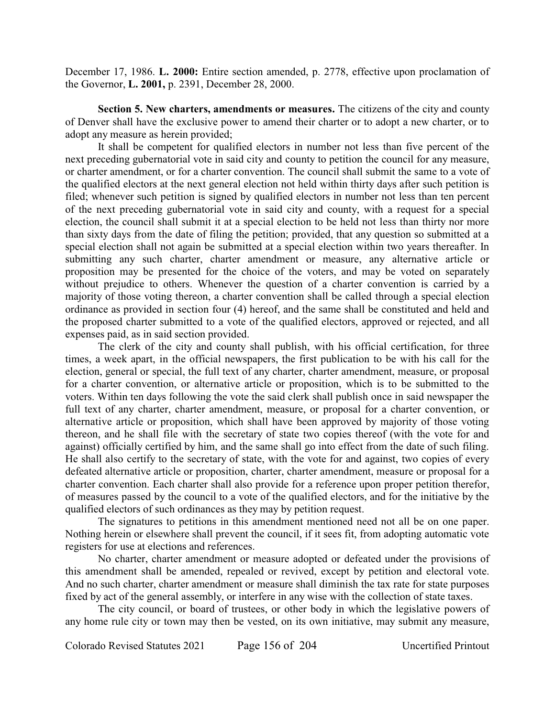December 17, 1986. **L. 2000:** Entire section amended, p. 2778, effective upon proclamation of the Governor, **L. 2001,** p. 2391, December 28, 2000.

**Section 5. New charters, amendments or measures.** The citizens of the city and county of Denver shall have the exclusive power to amend their charter or to adopt a new charter, or to adopt any measure as herein provided;

It shall be competent for qualified electors in number not less than five percent of the next preceding gubernatorial vote in said city and county to petition the council for any measure, or charter amendment, or for a charter convention. The council shall submit the same to a vote of the qualified electors at the next general election not held within thirty days after such petition is filed; whenever such petition is signed by qualified electors in number not less than ten percent of the next preceding gubernatorial vote in said city and county, with a request for a special election, the council shall submit it at a special election to be held not less than thirty nor more than sixty days from the date of filing the petition; provided, that any question so submitted at a special election shall not again be submitted at a special election within two years thereafter. In submitting any such charter, charter amendment or measure, any alternative article or proposition may be presented for the choice of the voters, and may be voted on separately without prejudice to others. Whenever the question of a charter convention is carried by a majority of those voting thereon, a charter convention shall be called through a special election ordinance as provided in section four (4) hereof, and the same shall be constituted and held and the proposed charter submitted to a vote of the qualified electors, approved or rejected, and all expenses paid, as in said section provided.

The clerk of the city and county shall publish, with his official certification, for three times, a week apart, in the official newspapers, the first publication to be with his call for the election, general or special, the full text of any charter, charter amendment, measure, or proposal for a charter convention, or alternative article or proposition, which is to be submitted to the voters. Within ten days following the vote the said clerk shall publish once in said newspaper the full text of any charter, charter amendment, measure, or proposal for a charter convention, or alternative article or proposition, which shall have been approved by majority of those voting thereon, and he shall file with the secretary of state two copies thereof (with the vote for and against) officially certified by him, and the same shall go into effect from the date of such filing. He shall also certify to the secretary of state, with the vote for and against, two copies of every defeated alternative article or proposition, charter, charter amendment, measure or proposal for a charter convention. Each charter shall also provide for a reference upon proper petition therefor, of measures passed by the council to a vote of the qualified electors, and for the initiative by the qualified electors of such ordinances as they may by petition request.

The signatures to petitions in this amendment mentioned need not all be on one paper. Nothing herein or elsewhere shall prevent the council, if it sees fit, from adopting automatic vote registers for use at elections and references.

No charter, charter amendment or measure adopted or defeated under the provisions of this amendment shall be amended, repealed or revived, except by petition and electoral vote. And no such charter, charter amendment or measure shall diminish the tax rate for state purposes fixed by act of the general assembly, or interfere in any wise with the collection of state taxes.

The city council, or board of trustees, or other body in which the legislative powers of any home rule city or town may then be vested, on its own initiative, may submit any measure,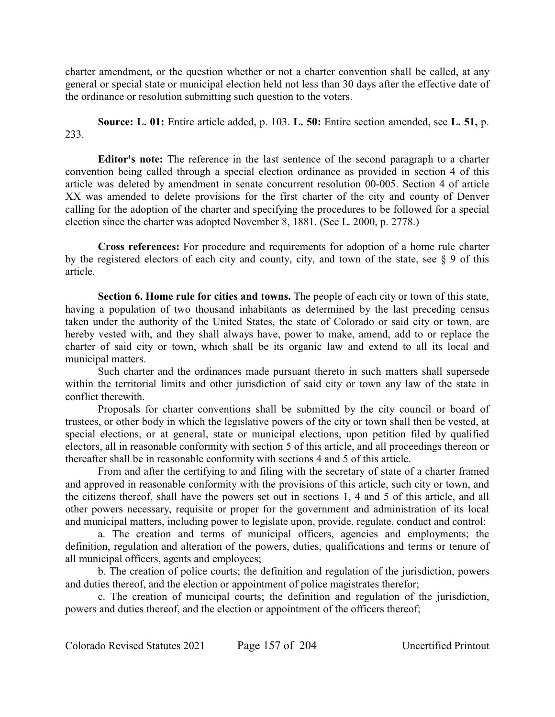charter amendment, or the question whether or not a charter convention shall be called, at any general or special state or municipal election held not less than 30 days after the effective date of the ordinance or resolution submitting such question to the voters.

**Source: L. 01:** Entire article added, p. 103. **L. 50:** Entire section amended, see **L. 51,** p. 233.

**Editor's note:** The reference in the last sentence of the second paragraph to a charter convention being called through a special election ordinance as provided in section 4 of this article was deleted by amendment in senate concurrent resolution 00-005. Section 4 of article XX was amended to delete provisions for the first charter of the city and county of Denver calling for the adoption of the charter and specifying the procedures to be followed for a special election since the charter was adopted November 8, 1881. (See L. 2000, p. 2778.)

**Cross references:** For procedure and requirements for adoption of a home rule charter by the registered electors of each city and county, city, and town of the state, see § 9 of this article.

**Section 6. Home rule for cities and towns.** The people of each city or town of this state, having a population of two thousand inhabitants as determined by the last preceding census taken under the authority of the United States, the state of Colorado or said city or town, are hereby vested with, and they shall always have, power to make, amend, add to or replace the charter of said city or town, which shall be its organic law and extend to all its local and municipal matters.

Such charter and the ordinances made pursuant thereto in such matters shall supersede within the territorial limits and other jurisdiction of said city or town any law of the state in conflict therewith.

Proposals for charter conventions shall be submitted by the city council or board of trustees, or other body in which the legislative powers of the city or town shall then be vested, at special elections, or at general, state or municipal elections, upon petition filed by qualified electors, all in reasonable conformity with section 5 of this article, and all proceedings thereon or thereafter shall be in reasonable conformity with sections 4 and 5 of this article.

From and after the certifying to and filing with the secretary of state of a charter framed and approved in reasonable conformity with the provisions of this article, such city or town, and the citizens thereof, shall have the powers set out in sections 1, 4 and 5 of this article, and all other powers necessary, requisite or proper for the government and administration of its local and municipal matters, including power to legislate upon, provide, regulate, conduct and control:

a. The creation and terms of municipal officers, agencies and employments; the definition, regulation and alteration of the powers, duties, qualifications and terms or tenure of all municipal officers, agents and employees;

b. The creation of police courts; the definition and regulation of the jurisdiction, powers and duties thereof, and the election or appointment of police magistrates therefor;

c. The creation of municipal courts; the definition and regulation of the jurisdiction, powers and duties thereof, and the election or appointment of the officers thereof;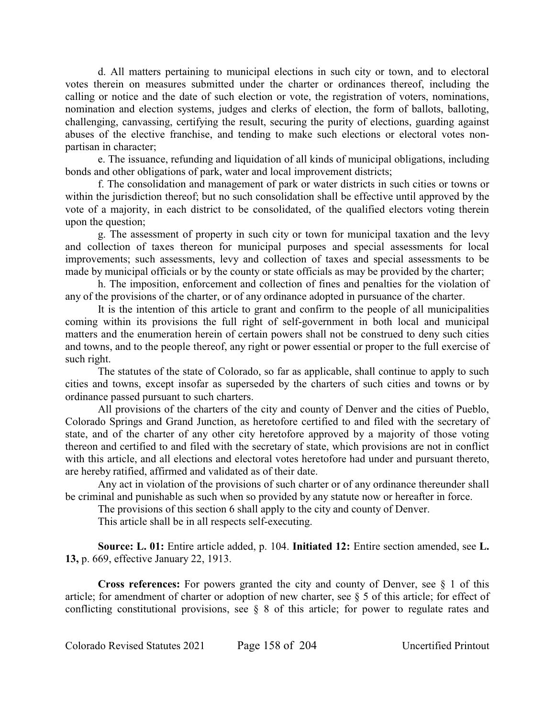d. All matters pertaining to municipal elections in such city or town, and to electoral votes therein on measures submitted under the charter or ordinances thereof, including the calling or notice and the date of such election or vote, the registration of voters, nominations, nomination and election systems, judges and clerks of election, the form of ballots, balloting, challenging, canvassing, certifying the result, securing the purity of elections, guarding against abuses of the elective franchise, and tending to make such elections or electoral votes nonpartisan in character;

e. The issuance, refunding and liquidation of all kinds of municipal obligations, including bonds and other obligations of park, water and local improvement districts;

f. The consolidation and management of park or water districts in such cities or towns or within the jurisdiction thereof; but no such consolidation shall be effective until approved by the vote of a majority, in each district to be consolidated, of the qualified electors voting therein upon the question;

g. The assessment of property in such city or town for municipal taxation and the levy and collection of taxes thereon for municipal purposes and special assessments for local improvements; such assessments, levy and collection of taxes and special assessments to be made by municipal officials or by the county or state officials as may be provided by the charter;

h. The imposition, enforcement and collection of fines and penalties for the violation of any of the provisions of the charter, or of any ordinance adopted in pursuance of the charter.

It is the intention of this article to grant and confirm to the people of all municipalities coming within its provisions the full right of self-government in both local and municipal matters and the enumeration herein of certain powers shall not be construed to deny such cities and towns, and to the people thereof, any right or power essential or proper to the full exercise of such right.

The statutes of the state of Colorado, so far as applicable, shall continue to apply to such cities and towns, except insofar as superseded by the charters of such cities and towns or by ordinance passed pursuant to such charters.

All provisions of the charters of the city and county of Denver and the cities of Pueblo, Colorado Springs and Grand Junction, as heretofore certified to and filed with the secretary of state, and of the charter of any other city heretofore approved by a majority of those voting thereon and certified to and filed with the secretary of state, which provisions are not in conflict with this article, and all elections and electoral votes heretofore had under and pursuant thereto, are hereby ratified, affirmed and validated as of their date.

Any act in violation of the provisions of such charter or of any ordinance thereunder shall be criminal and punishable as such when so provided by any statute now or hereafter in force.

The provisions of this section 6 shall apply to the city and county of Denver.

This article shall be in all respects self-executing.

**Source: L. 01:** Entire article added, p. 104. **Initiated 12:** Entire section amended, see **L. 13,** p. 669, effective January 22, 1913.

**Cross references:** For powers granted the city and county of Denver, see § 1 of this article; for amendment of charter or adoption of new charter, see § 5 of this article; for effect of conflicting constitutional provisions, see § 8 of this article; for power to regulate rates and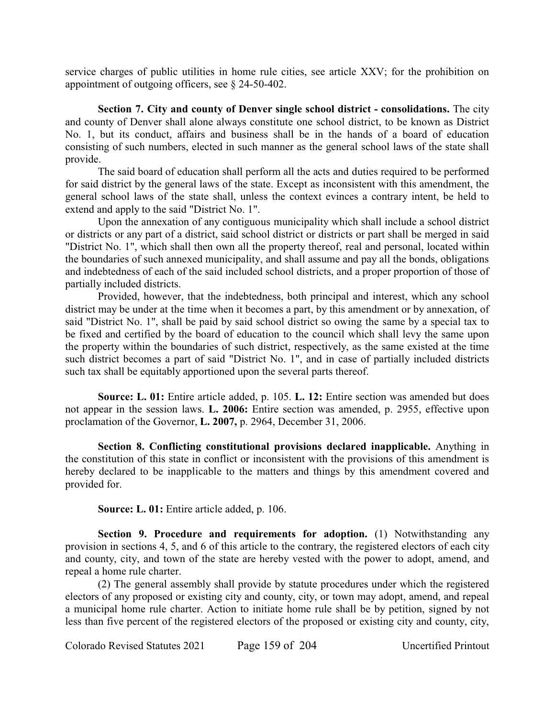service charges of public utilities in home rule cities, see article XXV; for the prohibition on appointment of outgoing officers, see § 24-50-402.

**Section 7. City and county of Denver single school district - consolidations.** The city and county of Denver shall alone always constitute one school district, to be known as District No. 1, but its conduct, affairs and business shall be in the hands of a board of education consisting of such numbers, elected in such manner as the general school laws of the state shall provide.

The said board of education shall perform all the acts and duties required to be performed for said district by the general laws of the state. Except as inconsistent with this amendment, the general school laws of the state shall, unless the context evinces a contrary intent, be held to extend and apply to the said "District No. 1".

Upon the annexation of any contiguous municipality which shall include a school district or districts or any part of a district, said school district or districts or part shall be merged in said "District No. 1", which shall then own all the property thereof, real and personal, located within the boundaries of such annexed municipality, and shall assume and pay all the bonds, obligations and indebtedness of each of the said included school districts, and a proper proportion of those of partially included districts.

Provided, however, that the indebtedness, both principal and interest, which any school district may be under at the time when it becomes a part, by this amendment or by annexation, of said "District No. 1", shall be paid by said school district so owing the same by a special tax to be fixed and certified by the board of education to the council which shall levy the same upon the property within the boundaries of such district, respectively, as the same existed at the time such district becomes a part of said "District No. 1", and in case of partially included districts such tax shall be equitably apportioned upon the several parts thereof.

**Source: L. 01:** Entire article added, p. 105. **L. 12:** Entire section was amended but does not appear in the session laws. **L. 2006:** Entire section was amended, p. 2955, effective upon proclamation of the Governor, **L. 2007,** p. 2964, December 31, 2006.

**Section 8. Conflicting constitutional provisions declared inapplicable.** Anything in the constitution of this state in conflict or inconsistent with the provisions of this amendment is hereby declared to be inapplicable to the matters and things by this amendment covered and provided for.

**Source: L. 01:** Entire article added, p. 106.

**Section 9. Procedure and requirements for adoption.** (1) Notwithstanding any provision in sections 4, 5, and 6 of this article to the contrary, the registered electors of each city and county, city, and town of the state are hereby vested with the power to adopt, amend, and repeal a home rule charter.

(2) The general assembly shall provide by statute procedures under which the registered electors of any proposed or existing city and county, city, or town may adopt, amend, and repeal a municipal home rule charter. Action to initiate home rule shall be by petition, signed by not less than five percent of the registered electors of the proposed or existing city and county, city,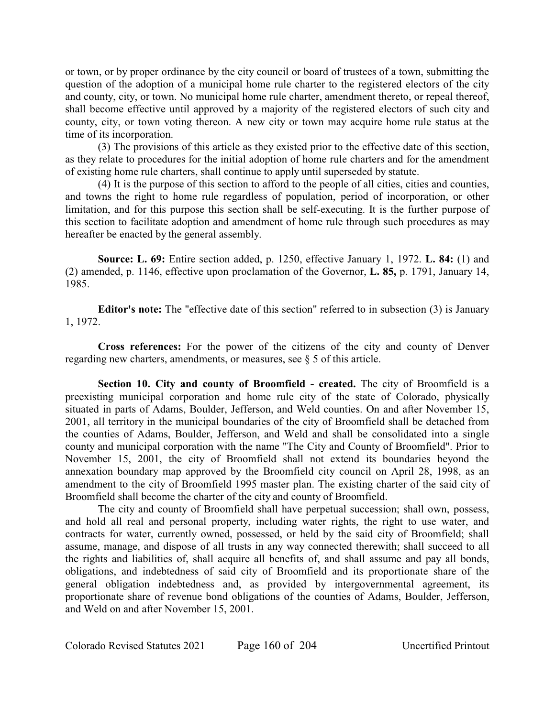or town, or by proper ordinance by the city council or board of trustees of a town, submitting the question of the adoption of a municipal home rule charter to the registered electors of the city and county, city, or town. No municipal home rule charter, amendment thereto, or repeal thereof, shall become effective until approved by a majority of the registered electors of such city and county, city, or town voting thereon. A new city or town may acquire home rule status at the time of its incorporation.

(3) The provisions of this article as they existed prior to the effective date of this section, as they relate to procedures for the initial adoption of home rule charters and for the amendment of existing home rule charters, shall continue to apply until superseded by statute.

(4) It is the purpose of this section to afford to the people of all cities, cities and counties, and towns the right to home rule regardless of population, period of incorporation, or other limitation, and for this purpose this section shall be self-executing. It is the further purpose of this section to facilitate adoption and amendment of home rule through such procedures as may hereafter be enacted by the general assembly.

**Source: L. 69:** Entire section added, p. 1250, effective January 1, 1972. **L. 84:** (1) and (2) amended, p. 1146, effective upon proclamation of the Governor, **L. 85,** p. 1791, January 14, 1985.

**Editor's note:** The "effective date of this section" referred to in subsection (3) is January 1, 1972.

**Cross references:** For the power of the citizens of the city and county of Denver regarding new charters, amendments, or measures, see § 5 of this article.

**Section 10. City and county of Broomfield - created.** The city of Broomfield is a preexisting municipal corporation and home rule city of the state of Colorado, physically situated in parts of Adams, Boulder, Jefferson, and Weld counties. On and after November 15, 2001, all territory in the municipal boundaries of the city of Broomfield shall be detached from the counties of Adams, Boulder, Jefferson, and Weld and shall be consolidated into a single county and municipal corporation with the name "The City and County of Broomfield". Prior to November 15, 2001, the city of Broomfield shall not extend its boundaries beyond the annexation boundary map approved by the Broomfield city council on April 28, 1998, as an amendment to the city of Broomfield 1995 master plan. The existing charter of the said city of Broomfield shall become the charter of the city and county of Broomfield.

The city and county of Broomfield shall have perpetual succession; shall own, possess, and hold all real and personal property, including water rights, the right to use water, and contracts for water, currently owned, possessed, or held by the said city of Broomfield; shall assume, manage, and dispose of all trusts in any way connected therewith; shall succeed to all the rights and liabilities of, shall acquire all benefits of, and shall assume and pay all bonds, obligations, and indebtedness of said city of Broomfield and its proportionate share of the general obligation indebtedness and, as provided by intergovernmental agreement, its proportionate share of revenue bond obligations of the counties of Adams, Boulder, Jefferson, and Weld on and after November 15, 2001.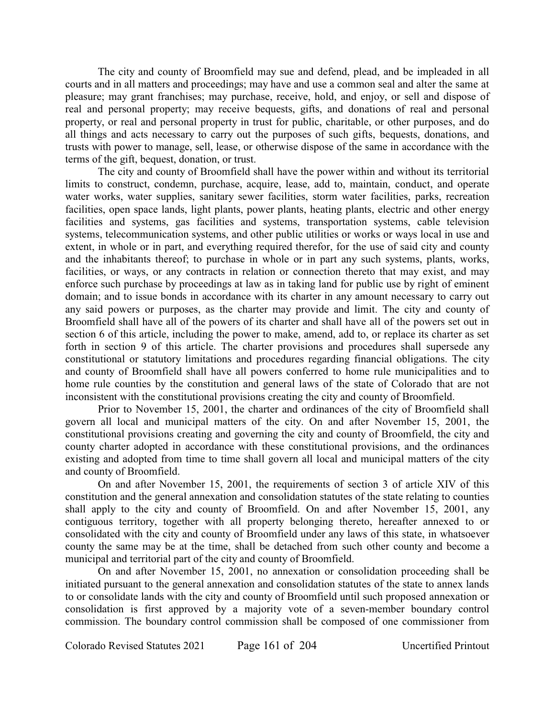The city and county of Broomfield may sue and defend, plead, and be impleaded in all courts and in all matters and proceedings; may have and use a common seal and alter the same at pleasure; may grant franchises; may purchase, receive, hold, and enjoy, or sell and dispose of real and personal property; may receive bequests, gifts, and donations of real and personal property, or real and personal property in trust for public, charitable, or other purposes, and do all things and acts necessary to carry out the purposes of such gifts, bequests, donations, and trusts with power to manage, sell, lease, or otherwise dispose of the same in accordance with the terms of the gift, bequest, donation, or trust.

The city and county of Broomfield shall have the power within and without its territorial limits to construct, condemn, purchase, acquire, lease, add to, maintain, conduct, and operate water works, water supplies, sanitary sewer facilities, storm water facilities, parks, recreation facilities, open space lands, light plants, power plants, heating plants, electric and other energy facilities and systems, gas facilities and systems, transportation systems, cable television systems, telecommunication systems, and other public utilities or works or ways local in use and extent, in whole or in part, and everything required therefor, for the use of said city and county and the inhabitants thereof; to purchase in whole or in part any such systems, plants, works, facilities, or ways, or any contracts in relation or connection thereto that may exist, and may enforce such purchase by proceedings at law as in taking land for public use by right of eminent domain; and to issue bonds in accordance with its charter in any amount necessary to carry out any said powers or purposes, as the charter may provide and limit. The city and county of Broomfield shall have all of the powers of its charter and shall have all of the powers set out in section 6 of this article, including the power to make, amend, add to, or replace its charter as set forth in section 9 of this article. The charter provisions and procedures shall supersede any constitutional or statutory limitations and procedures regarding financial obligations. The city and county of Broomfield shall have all powers conferred to home rule municipalities and to home rule counties by the constitution and general laws of the state of Colorado that are not inconsistent with the constitutional provisions creating the city and county of Broomfield.

Prior to November 15, 2001, the charter and ordinances of the city of Broomfield shall govern all local and municipal matters of the city. On and after November 15, 2001, the constitutional provisions creating and governing the city and county of Broomfield, the city and county charter adopted in accordance with these constitutional provisions, and the ordinances existing and adopted from time to time shall govern all local and municipal matters of the city and county of Broomfield.

On and after November 15, 2001, the requirements of section 3 of article XIV of this constitution and the general annexation and consolidation statutes of the state relating to counties shall apply to the city and county of Broomfield. On and after November 15, 2001, any contiguous territory, together with all property belonging thereto, hereafter annexed to or consolidated with the city and county of Broomfield under any laws of this state, in whatsoever county the same may be at the time, shall be detached from such other county and become a municipal and territorial part of the city and county of Broomfield.

On and after November 15, 2001, no annexation or consolidation proceeding shall be initiated pursuant to the general annexation and consolidation statutes of the state to annex lands to or consolidate lands with the city and county of Broomfield until such proposed annexation or consolidation is first approved by a majority vote of a seven-member boundary control commission. The boundary control commission shall be composed of one commissioner from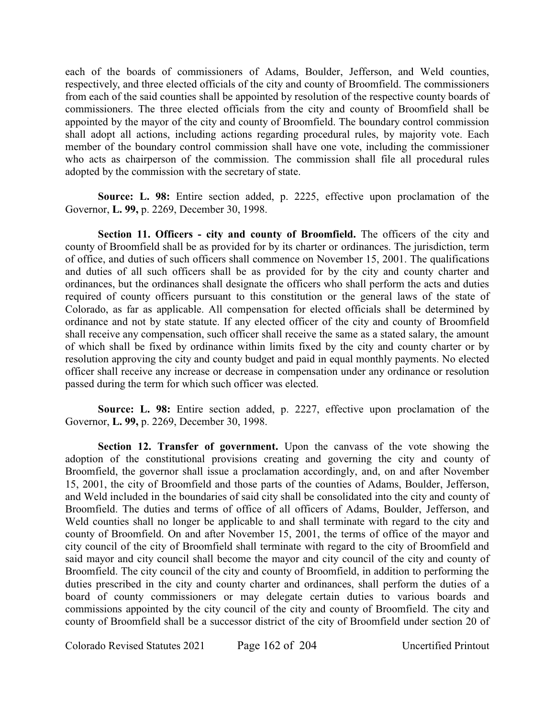each of the boards of commissioners of Adams, Boulder, Jefferson, and Weld counties, respectively, and three elected officials of the city and county of Broomfield. The commissioners from each of the said counties shall be appointed by resolution of the respective county boards of commissioners. The three elected officials from the city and county of Broomfield shall be appointed by the mayor of the city and county of Broomfield. The boundary control commission shall adopt all actions, including actions regarding procedural rules, by majority vote. Each member of the boundary control commission shall have one vote, including the commissioner who acts as chairperson of the commission. The commission shall file all procedural rules adopted by the commission with the secretary of state.

**Source: L. 98:** Entire section added, p. 2225, effective upon proclamation of the Governor, **L. 99,** p. 2269, December 30, 1998.

**Section 11. Officers - city and county of Broomfield.** The officers of the city and county of Broomfield shall be as provided for by its charter or ordinances. The jurisdiction, term of office, and duties of such officers shall commence on November 15, 2001. The qualifications and duties of all such officers shall be as provided for by the city and county charter and ordinances, but the ordinances shall designate the officers who shall perform the acts and duties required of county officers pursuant to this constitution or the general laws of the state of Colorado, as far as applicable. All compensation for elected officials shall be determined by ordinance and not by state statute. If any elected officer of the city and county of Broomfield shall receive any compensation, such officer shall receive the same as a stated salary, the amount of which shall be fixed by ordinance within limits fixed by the city and county charter or by resolution approving the city and county budget and paid in equal monthly payments. No elected officer shall receive any increase or decrease in compensation under any ordinance or resolution passed during the term for which such officer was elected.

**Source: L. 98:** Entire section added, p. 2227, effective upon proclamation of the Governor, **L. 99,** p. 2269, December 30, 1998.

**Section 12. Transfer of government.** Upon the canvass of the vote showing the adoption of the constitutional provisions creating and governing the city and county of Broomfield, the governor shall issue a proclamation accordingly, and, on and after November 15, 2001, the city of Broomfield and those parts of the counties of Adams, Boulder, Jefferson, and Weld included in the boundaries of said city shall be consolidated into the city and county of Broomfield. The duties and terms of office of all officers of Adams, Boulder, Jefferson, and Weld counties shall no longer be applicable to and shall terminate with regard to the city and county of Broomfield. On and after November 15, 2001, the terms of office of the mayor and city council of the city of Broomfield shall terminate with regard to the city of Broomfield and said mayor and city council shall become the mayor and city council of the city and county of Broomfield. The city council of the city and county of Broomfield, in addition to performing the duties prescribed in the city and county charter and ordinances, shall perform the duties of a board of county commissioners or may delegate certain duties to various boards and commissions appointed by the city council of the city and county of Broomfield. The city and county of Broomfield shall be a successor district of the city of Broomfield under section 20 of

Colorado Revised Statutes 2021 Page 162 of 204 Uncertified Printout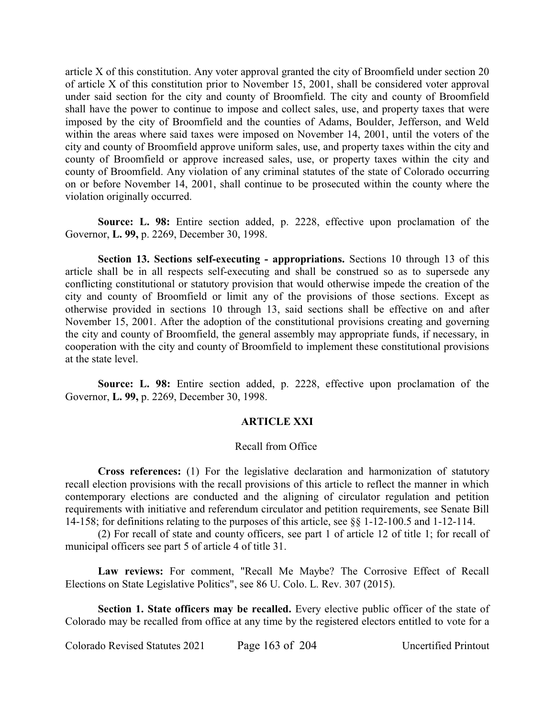article X of this constitution. Any voter approval granted the city of Broomfield under section 20 of article X of this constitution prior to November 15, 2001, shall be considered voter approval under said section for the city and county of Broomfield. The city and county of Broomfield shall have the power to continue to impose and collect sales, use, and property taxes that were imposed by the city of Broomfield and the counties of Adams, Boulder, Jefferson, and Weld within the areas where said taxes were imposed on November 14, 2001, until the voters of the city and county of Broomfield approve uniform sales, use, and property taxes within the city and county of Broomfield or approve increased sales, use, or property taxes within the city and county of Broomfield. Any violation of any criminal statutes of the state of Colorado occurring on or before November 14, 2001, shall continue to be prosecuted within the county where the violation originally occurred.

**Source: L. 98:** Entire section added, p. 2228, effective upon proclamation of the Governor, **L. 99,** p. 2269, December 30, 1998.

**Section 13. Sections self-executing - appropriations.** Sections 10 through 13 of this article shall be in all respects self-executing and shall be construed so as to supersede any conflicting constitutional or statutory provision that would otherwise impede the creation of the city and county of Broomfield or limit any of the provisions of those sections. Except as otherwise provided in sections 10 through 13, said sections shall be effective on and after November 15, 2001. After the adoption of the constitutional provisions creating and governing the city and county of Broomfield, the general assembly may appropriate funds, if necessary, in cooperation with the city and county of Broomfield to implement these constitutional provisions at the state level.

**Source: L. 98:** Entire section added, p. 2228, effective upon proclamation of the Governor, **L. 99,** p. 2269, December 30, 1998.

#### **ARTICLE XXI**

#### Recall from Office

**Cross references:** (1) For the legislative declaration and harmonization of statutory recall election provisions with the recall provisions of this article to reflect the manner in which contemporary elections are conducted and the aligning of circulator regulation and petition requirements with initiative and referendum circulator and petition requirements, see Senate Bill 14-158; for definitions relating to the purposes of this article, see §§ 1-12-100.5 and 1-12-114.

(2) For recall of state and county officers, see part 1 of article 12 of title 1; for recall of municipal officers see part 5 of article 4 of title 31.

**Law reviews:** For comment, "Recall Me Maybe? The Corrosive Effect of Recall Elections on State Legislative Politics", see 86 U. Colo. L. Rev. 307 (2015).

**Section 1. State officers may be recalled.** Every elective public officer of the state of Colorado may be recalled from office at any time by the registered electors entitled to vote for a

Colorado Revised Statutes 2021 Page 163 of 204 Uncertified Printout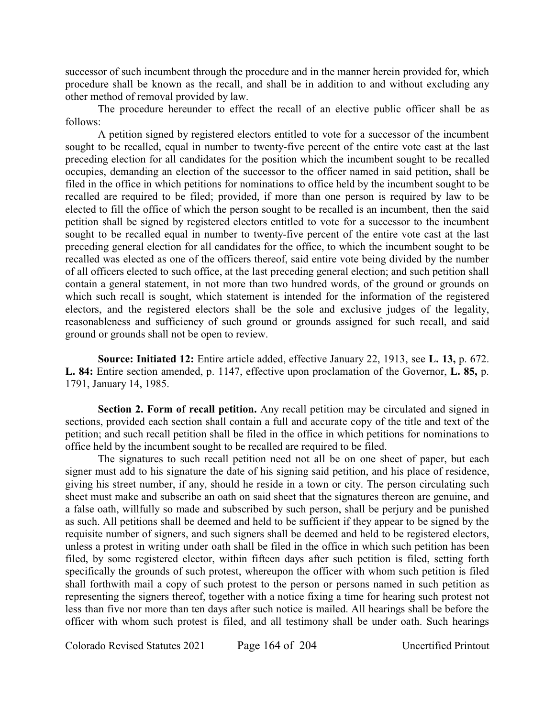successor of such incumbent through the procedure and in the manner herein provided for, which procedure shall be known as the recall, and shall be in addition to and without excluding any other method of removal provided by law.

The procedure hereunder to effect the recall of an elective public officer shall be as follows:

A petition signed by registered electors entitled to vote for a successor of the incumbent sought to be recalled, equal in number to twenty-five percent of the entire vote cast at the last preceding election for all candidates for the position which the incumbent sought to be recalled occupies, demanding an election of the successor to the officer named in said petition, shall be filed in the office in which petitions for nominations to office held by the incumbent sought to be recalled are required to be filed; provided, if more than one person is required by law to be elected to fill the office of which the person sought to be recalled is an incumbent, then the said petition shall be signed by registered electors entitled to vote for a successor to the incumbent sought to be recalled equal in number to twenty-five percent of the entire vote cast at the last preceding general election for all candidates for the office, to which the incumbent sought to be recalled was elected as one of the officers thereof, said entire vote being divided by the number of all officers elected to such office, at the last preceding general election; and such petition shall contain a general statement, in not more than two hundred words, of the ground or grounds on which such recall is sought, which statement is intended for the information of the registered electors, and the registered electors shall be the sole and exclusive judges of the legality, reasonableness and sufficiency of such ground or grounds assigned for such recall, and said ground or grounds shall not be open to review.

**Source: Initiated 12:** Entire article added, effective January 22, 1913, see **L. 13,** p. 672. **L. 84:** Entire section amended, p. 1147, effective upon proclamation of the Governor, **L. 85,** p. 1791, January 14, 1985.

**Section 2. Form of recall petition.** Any recall petition may be circulated and signed in sections, provided each section shall contain a full and accurate copy of the title and text of the petition; and such recall petition shall be filed in the office in which petitions for nominations to office held by the incumbent sought to be recalled are required to be filed.

The signatures to such recall petition need not all be on one sheet of paper, but each signer must add to his signature the date of his signing said petition, and his place of residence, giving his street number, if any, should he reside in a town or city. The person circulating such sheet must make and subscribe an oath on said sheet that the signatures thereon are genuine, and a false oath, willfully so made and subscribed by such person, shall be perjury and be punished as such. All petitions shall be deemed and held to be sufficient if they appear to be signed by the requisite number of signers, and such signers shall be deemed and held to be registered electors, unless a protest in writing under oath shall be filed in the office in which such petition has been filed, by some registered elector, within fifteen days after such petition is filed, setting forth specifically the grounds of such protest, whereupon the officer with whom such petition is filed shall forthwith mail a copy of such protest to the person or persons named in such petition as representing the signers thereof, together with a notice fixing a time for hearing such protest not less than five nor more than ten days after such notice is mailed. All hearings shall be before the officer with whom such protest is filed, and all testimony shall be under oath. Such hearings

Colorado Revised Statutes 2021 Page 164 of 204 Uncertified Printout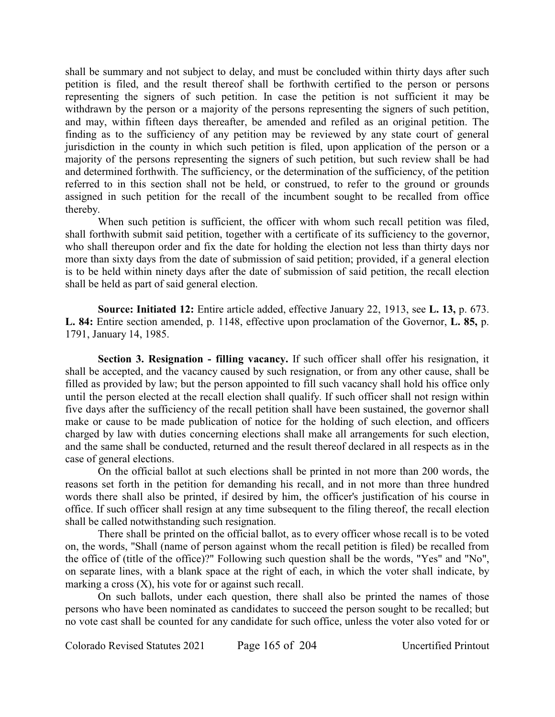shall be summary and not subject to delay, and must be concluded within thirty days after such petition is filed, and the result thereof shall be forthwith certified to the person or persons representing the signers of such petition. In case the petition is not sufficient it may be withdrawn by the person or a majority of the persons representing the signers of such petition, and may, within fifteen days thereafter, be amended and refiled as an original petition. The finding as to the sufficiency of any petition may be reviewed by any state court of general jurisdiction in the county in which such petition is filed, upon application of the person or a majority of the persons representing the signers of such petition, but such review shall be had and determined forthwith. The sufficiency, or the determination of the sufficiency, of the petition referred to in this section shall not be held, or construed, to refer to the ground or grounds assigned in such petition for the recall of the incumbent sought to be recalled from office thereby.

When such petition is sufficient, the officer with whom such recall petition was filed, shall forthwith submit said petition, together with a certificate of its sufficiency to the governor, who shall thereupon order and fix the date for holding the election not less than thirty days nor more than sixty days from the date of submission of said petition; provided, if a general election is to be held within ninety days after the date of submission of said petition, the recall election shall be held as part of said general election.

**Source: Initiated 12:** Entire article added, effective January 22, 1913, see **L. 13,** p. 673. **L. 84:** Entire section amended, p. 1148, effective upon proclamation of the Governor, **L. 85,** p. 1791, January 14, 1985.

**Section 3. Resignation - filling vacancy.** If such officer shall offer his resignation, it shall be accepted, and the vacancy caused by such resignation, or from any other cause, shall be filled as provided by law; but the person appointed to fill such vacancy shall hold his office only until the person elected at the recall election shall qualify. If such officer shall not resign within five days after the sufficiency of the recall petition shall have been sustained, the governor shall make or cause to be made publication of notice for the holding of such election, and officers charged by law with duties concerning elections shall make all arrangements for such election, and the same shall be conducted, returned and the result thereof declared in all respects as in the case of general elections.

On the official ballot at such elections shall be printed in not more than 200 words, the reasons set forth in the petition for demanding his recall, and in not more than three hundred words there shall also be printed, if desired by him, the officer's justification of his course in office. If such officer shall resign at any time subsequent to the filing thereof, the recall election shall be called notwithstanding such resignation.

There shall be printed on the official ballot, as to every officer whose recall is to be voted on, the words, "Shall (name of person against whom the recall petition is filed) be recalled from the office of (title of the office)?" Following such question shall be the words, "Yes" and "No", on separate lines, with a blank space at the right of each, in which the voter shall indicate, by marking a cross  $(X)$ , his vote for or against such recall.

On such ballots, under each question, there shall also be printed the names of those persons who have been nominated as candidates to succeed the person sought to be recalled; but no vote cast shall be counted for any candidate for such office, unless the voter also voted for or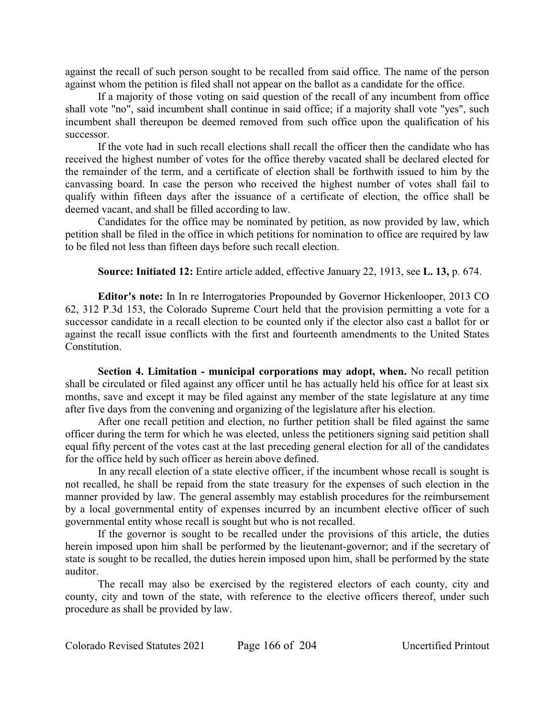against the recall of such person sought to be recalled from said office. The name of the person against whom the petition is filed shall not appear on the ballot as a candidate for the office.

If a majority of those voting on said question of the recall of any incumbent from office shall vote "no", said incumbent shall continue in said office; if a majority shall vote "yes", such incumbent shall thereupon be deemed removed from such office upon the qualification of his successor.

If the vote had in such recall elections shall recall the officer then the candidate who has received the highest number of votes for the office thereby vacated shall be declared elected for the remainder of the term, and a certificate of election shall be forthwith issued to him by the canvassing board. In case the person who received the highest number of votes shall fail to qualify within fifteen days after the issuance of a certificate of election, the office shall be deemed vacant, and shall be filled according to law.

Candidates for the office may be nominated by petition, as now provided by law, which petition shall be filed in the office in which petitions for nomination to office are required by law to be filed not less than fifteen days before such recall election.

**Source: Initiated 12:** Entire article added, effective January 22, 1913, see **L. 13,** p. 674.

**Editor's note:** In In re Interrogatories Propounded by Governor Hickenlooper, 2013 CO 62, 312 P.3d 153, the Colorado Supreme Court held that the provision permitting a vote for a successor candidate in a recall election to be counted only if the elector also cast a ballot for or against the recall issue conflicts with the first and fourteenth amendments to the United States Constitution.

**Section 4. Limitation - municipal corporations may adopt, when.** No recall petition shall be circulated or filed against any officer until he has actually held his office for at least six months, save and except it may be filed against any member of the state legislature at any time after five days from the convening and organizing of the legislature after his election.

After one recall petition and election, no further petition shall be filed against the same officer during the term for which he was elected, unless the petitioners signing said petition shall equal fifty percent of the votes cast at the last preceding general election for all of the candidates for the office held by such officer as herein above defined.

In any recall election of a state elective officer, if the incumbent whose recall is sought is not recalled, he shall be repaid from the state treasury for the expenses of such election in the manner provided by law. The general assembly may establish procedures for the reimbursement by a local governmental entity of expenses incurred by an incumbent elective officer of such governmental entity whose recall is sought but who is not recalled.

If the governor is sought to be recalled under the provisions of this article, the duties herein imposed upon him shall be performed by the lieutenant-governor; and if the secretary of state is sought to be recalled, the duties herein imposed upon him, shall be performed by the state auditor.

The recall may also be exercised by the registered electors of each county, city and county, city and town of the state, with reference to the elective officers thereof, under such procedure as shall be provided by law.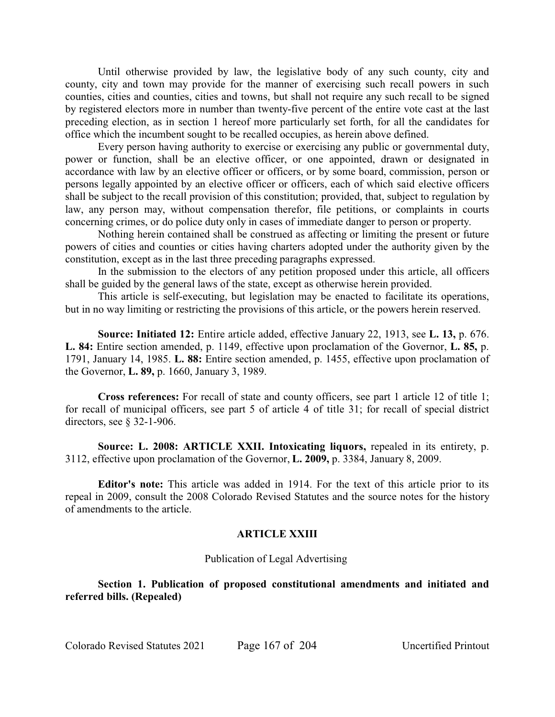Until otherwise provided by law, the legislative body of any such county, city and county, city and town may provide for the manner of exercising such recall powers in such counties, cities and counties, cities and towns, but shall not require any such recall to be signed by registered electors more in number than twenty-five percent of the entire vote cast at the last preceding election, as in section 1 hereof more particularly set forth, for all the candidates for office which the incumbent sought to be recalled occupies, as herein above defined.

Every person having authority to exercise or exercising any public or governmental duty, power or function, shall be an elective officer, or one appointed, drawn or designated in accordance with law by an elective officer or officers, or by some board, commission, person or persons legally appointed by an elective officer or officers, each of which said elective officers shall be subject to the recall provision of this constitution; provided, that, subject to regulation by law, any person may, without compensation therefor, file petitions, or complaints in courts concerning crimes, or do police duty only in cases of immediate danger to person or property.

Nothing herein contained shall be construed as affecting or limiting the present or future powers of cities and counties or cities having charters adopted under the authority given by the constitution, except as in the last three preceding paragraphs expressed.

In the submission to the electors of any petition proposed under this article, all officers shall be guided by the general laws of the state, except as otherwise herein provided.

This article is self-executing, but legislation may be enacted to facilitate its operations, but in no way limiting or restricting the provisions of this article, or the powers herein reserved.

**Source: Initiated 12:** Entire article added, effective January 22, 1913, see **L. 13,** p. 676. **L. 84:** Entire section amended, p. 1149, effective upon proclamation of the Governor, **L. 85,** p. 1791, January 14, 1985. **L. 88:** Entire section amended, p. 1455, effective upon proclamation of the Governor, **L. 89,** p. 1660, January 3, 1989.

**Cross references:** For recall of state and county officers, see part 1 article 12 of title 1; for recall of municipal officers, see part 5 of article 4 of title 31; for recall of special district directors, see § 32-1-906.

**Source: L. 2008: ARTICLE XXII. Intoxicating liquors,** repealed in its entirety, p. 3112, effective upon proclamation of the Governor, **L. 2009,** p. 3384, January 8, 2009.

**Editor's note:** This article was added in 1914. For the text of this article prior to its repeal in 2009, consult the 2008 Colorado Revised Statutes and the source notes for the history of amendments to the article.

# **ARTICLE XXIII**

# Publication of Legal Advertising

# **Section 1. Publication of proposed constitutional amendments and initiated and referred bills. (Repealed)**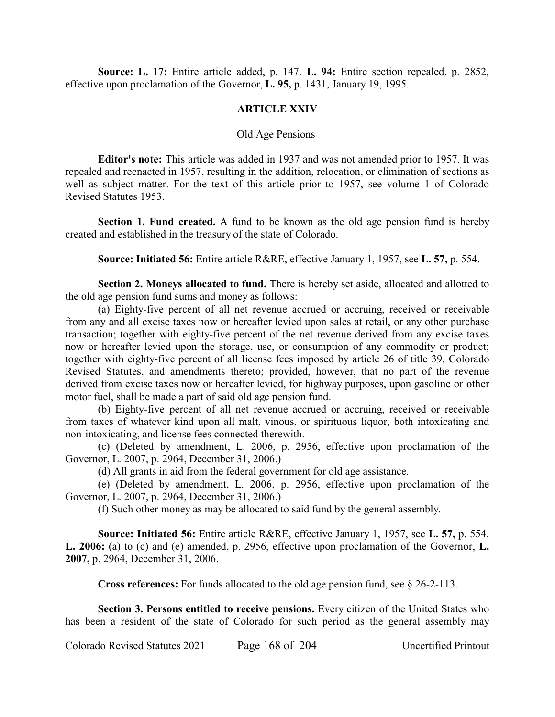**Source: L. 17:** Entire article added, p. 147. **L. 94:** Entire section repealed, p. 2852, effective upon proclamation of the Governor, **L. 95,** p. 1431, January 19, 1995.

#### **ARTICLE XXIV**

#### Old Age Pensions

**Editor's note:** This article was added in 1937 and was not amended prior to 1957. It was repealed and reenacted in 1957, resulting in the addition, relocation, or elimination of sections as well as subject matter. For the text of this article prior to 1957, see volume 1 of Colorado Revised Statutes 1953.

**Section 1. Fund created.** A fund to be known as the old age pension fund is hereby created and established in the treasury of the state of Colorado.

**Source: Initiated 56:** Entire article R&RE, effective January 1, 1957, see **L. 57,** p. 554.

**Section 2. Moneys allocated to fund.** There is hereby set aside, allocated and allotted to the old age pension fund sums and money as follows:

(a) Eighty-five percent of all net revenue accrued or accruing, received or receivable from any and all excise taxes now or hereafter levied upon sales at retail, or any other purchase transaction; together with eighty-five percent of the net revenue derived from any excise taxes now or hereafter levied upon the storage, use, or consumption of any commodity or product; together with eighty-five percent of all license fees imposed by article 26 of title 39, Colorado Revised Statutes, and amendments thereto; provided, however, that no part of the revenue derived from excise taxes now or hereafter levied, for highway purposes, upon gasoline or other motor fuel, shall be made a part of said old age pension fund.

(b) Eighty-five percent of all net revenue accrued or accruing, received or receivable from taxes of whatever kind upon all malt, vinous, or spirituous liquor, both intoxicating and non-intoxicating, and license fees connected therewith.

(c) (Deleted by amendment, L. 2006, p. 2956, effective upon proclamation of the Governor, L. 2007, p. 2964, December 31, 2006.)

(d) All grants in aid from the federal government for old age assistance.

(e) (Deleted by amendment, L. 2006, p. 2956, effective upon proclamation of the Governor, L. 2007, p. 2964, December 31, 2006.)

(f) Such other money as may be allocated to said fund by the general assembly.

**Source: Initiated 56:** Entire article R&RE, effective January 1, 1957, see **L. 57,** p. 554. **L. 2006:** (a) to (c) and (e) amended, p. 2956, effective upon proclamation of the Governor, **L. 2007,** p. 2964, December 31, 2006.

**Cross references:** For funds allocated to the old age pension fund, see § 26-2-113.

**Section 3. Persons entitled to receive pensions.** Every citizen of the United States who has been a resident of the state of Colorado for such period as the general assembly may

Colorado Revised Statutes 2021 Page 168 of 204 Uncertified Printout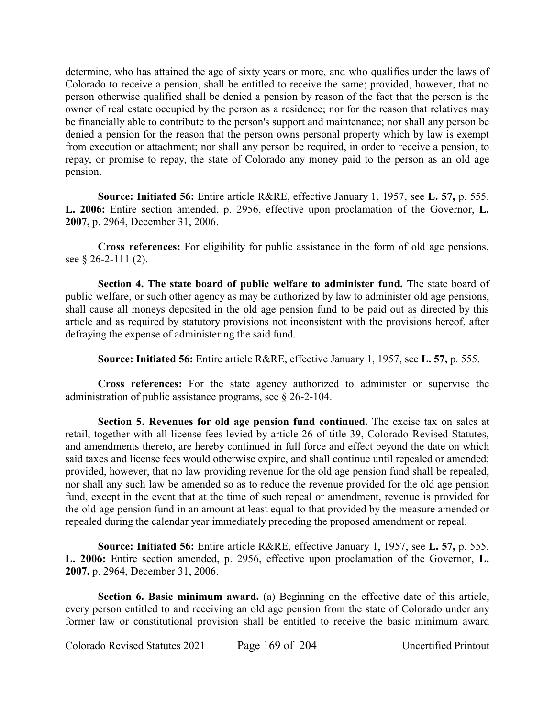determine, who has attained the age of sixty years or more, and who qualifies under the laws of Colorado to receive a pension, shall be entitled to receive the same; provided, however, that no person otherwise qualified shall be denied a pension by reason of the fact that the person is the owner of real estate occupied by the person as a residence; nor for the reason that relatives may be financially able to contribute to the person's support and maintenance; nor shall any person be denied a pension for the reason that the person owns personal property which by law is exempt from execution or attachment; nor shall any person be required, in order to receive a pension, to repay, or promise to repay, the state of Colorado any money paid to the person as an old age pension.

**Source: Initiated 56:** Entire article R&RE, effective January 1, 1957, see **L. 57,** p. 555. **L. 2006:** Entire section amended, p. 2956, effective upon proclamation of the Governor, **L. 2007,** p. 2964, December 31, 2006.

**Cross references:** For eligibility for public assistance in the form of old age pensions, see  $\S 26-2-111(2)$ .

**Section 4. The state board of public welfare to administer fund.** The state board of public welfare, or such other agency as may be authorized by law to administer old age pensions, shall cause all moneys deposited in the old age pension fund to be paid out as directed by this article and as required by statutory provisions not inconsistent with the provisions hereof, after defraying the expense of administering the said fund.

**Source: Initiated 56:** Entire article R&RE, effective January 1, 1957, see **L. 57,** p. 555.

**Cross references:** For the state agency authorized to administer or supervise the administration of public assistance programs, see § 26-2-104.

**Section 5. Revenues for old age pension fund continued.** The excise tax on sales at retail, together with all license fees levied by article 26 of title 39, Colorado Revised Statutes, and amendments thereto, are hereby continued in full force and effect beyond the date on which said taxes and license fees would otherwise expire, and shall continue until repealed or amended; provided, however, that no law providing revenue for the old age pension fund shall be repealed, nor shall any such law be amended so as to reduce the revenue provided for the old age pension fund, except in the event that at the time of such repeal or amendment, revenue is provided for the old age pension fund in an amount at least equal to that provided by the measure amended or repealed during the calendar year immediately preceding the proposed amendment or repeal.

**Source: Initiated 56:** Entire article R&RE, effective January 1, 1957, see **L. 57,** p. 555. **L. 2006:** Entire section amended, p. 2956, effective upon proclamation of the Governor, **L. 2007,** p. 2964, December 31, 2006.

**Section 6. Basic minimum award.** (a) Beginning on the effective date of this article, every person entitled to and receiving an old age pension from the state of Colorado under any former law or constitutional provision shall be entitled to receive the basic minimum award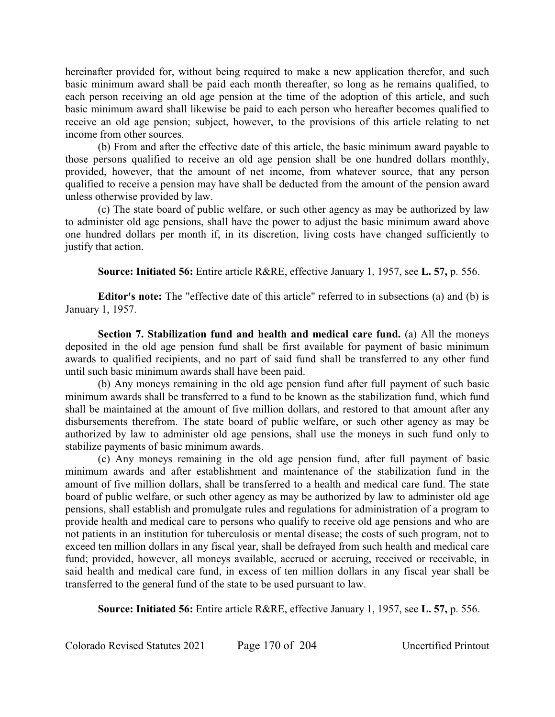hereinafter provided for, without being required to make a new application therefor, and such basic minimum award shall be paid each month thereafter, so long as he remains qualified, to each person receiving an old age pension at the time of the adoption of this article, and such basic minimum award shall likewise be paid to each person who hereafter becomes qualified to receive an old age pension; subject, however, to the provisions of this article relating to net income from other sources.

(b) From and after the effective date of this article, the basic minimum award payable to those persons qualified to receive an old age pension shall be one hundred dollars monthly, provided, however, that the amount of net income, from whatever source, that any person qualified to receive a pension may have shall be deducted from the amount of the pension award unless otherwise provided by law.

(c) The state board of public welfare, or such other agency as may be authorized by law to administer old age pensions, shall have the power to adjust the basic minimum award above one hundred dollars per month if, in its discretion, living costs have changed sufficiently to justify that action.

**Source: Initiated 56:** Entire article R&RE, effective January 1, 1957, see **L. 57,** p. 556.

**Editor's note:** The "effective date of this article" referred to in subsections (a) and (b) is January 1, 1957.

**Section 7. Stabilization fund and health and medical care fund.** (a) All the moneys deposited in the old age pension fund shall be first available for payment of basic minimum awards to qualified recipients, and no part of said fund shall be transferred to any other fund until such basic minimum awards shall have been paid.

(b) Any moneys remaining in the old age pension fund after full payment of such basic minimum awards shall be transferred to a fund to be known as the stabilization fund, which fund shall be maintained at the amount of five million dollars, and restored to that amount after any disbursements therefrom. The state board of public welfare, or such other agency as may be authorized by law to administer old age pensions, shall use the moneys in such fund only to stabilize payments of basic minimum awards.

(c) Any moneys remaining in the old age pension fund, after full payment of basic minimum awards and after establishment and maintenance of the stabilization fund in the amount of five million dollars, shall be transferred to a health and medical care fund. The state board of public welfare, or such other agency as may be authorized by law to administer old age pensions, shall establish and promulgate rules and regulations for administration of a program to provide health and medical care to persons who qualify to receive old age pensions and who are not patients in an institution for tuberculosis or mental disease; the costs of such program, not to exceed ten million dollars in any fiscal year, shall be defrayed from such health and medical care fund; provided, however, all moneys available, accrued or accruing, received or receivable, in said health and medical care fund, in excess of ten million dollars in any fiscal year shall be transferred to the general fund of the state to be used pursuant to law.

**Source: Initiated 56:** Entire article R&RE, effective January 1, 1957, see **L. 57,** p. 556.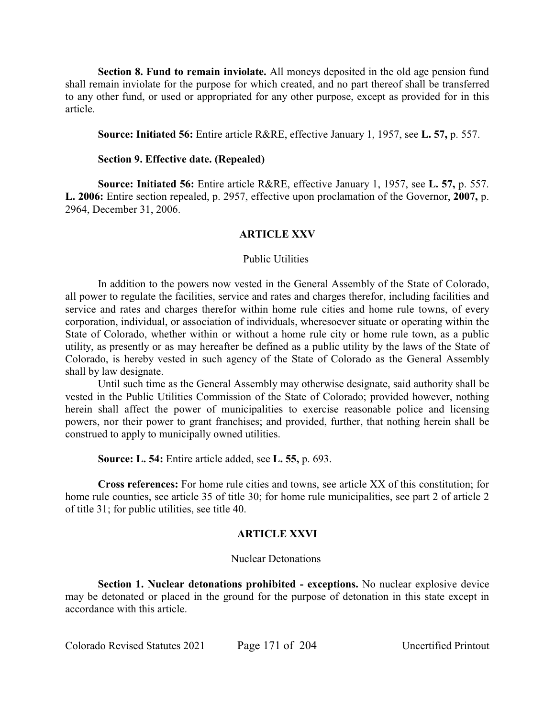**Section 8. Fund to remain inviolate.** All moneys deposited in the old age pension fund shall remain inviolate for the purpose for which created, and no part thereof shall be transferred to any other fund, or used or appropriated for any other purpose, except as provided for in this article.

**Source: Initiated 56:** Entire article R&RE, effective January 1, 1957, see **L. 57,** p. 557.

#### **Section 9. Effective date. (Repealed)**

**Source: Initiated 56:** Entire article R&RE, effective January 1, 1957, see **L. 57,** p. 557. **L. 2006:** Entire section repealed, p. 2957, effective upon proclamation of the Governor, **2007,** p. 2964, December 31, 2006.

# **ARTICLE XXV**

### Public Utilities

In addition to the powers now vested in the General Assembly of the State of Colorado, all power to regulate the facilities, service and rates and charges therefor, including facilities and service and rates and charges therefor within home rule cities and home rule towns, of every corporation, individual, or association of individuals, wheresoever situate or operating within the State of Colorado, whether within or without a home rule city or home rule town, as a public utility, as presently or as may hereafter be defined as a public utility by the laws of the State of Colorado, is hereby vested in such agency of the State of Colorado as the General Assembly shall by law designate.

Until such time as the General Assembly may otherwise designate, said authority shall be vested in the Public Utilities Commission of the State of Colorado; provided however, nothing herein shall affect the power of municipalities to exercise reasonable police and licensing powers, nor their power to grant franchises; and provided, further, that nothing herein shall be construed to apply to municipally owned utilities.

**Source: L. 54:** Entire article added, see **L. 55,** p. 693.

**Cross references:** For home rule cities and towns, see article XX of this constitution; for home rule counties, see article 35 of title 30; for home rule municipalities, see part 2 of article 2 of title 31; for public utilities, see title 40.

# **ARTICLE XXVI**

## Nuclear Detonations

**Section 1. Nuclear detonations prohibited - exceptions.** No nuclear explosive device may be detonated or placed in the ground for the purpose of detonation in this state except in accordance with this article.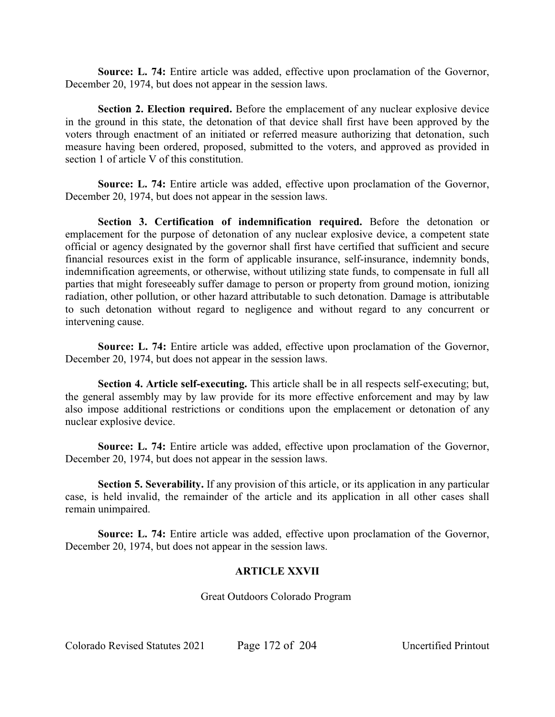**Source: L. 74:** Entire article was added, effective upon proclamation of the Governor, December 20, 1974, but does not appear in the session laws.

**Section 2. Election required.** Before the emplacement of any nuclear explosive device in the ground in this state, the detonation of that device shall first have been approved by the voters through enactment of an initiated or referred measure authorizing that detonation, such measure having been ordered, proposed, submitted to the voters, and approved as provided in section 1 of article V of this constitution.

**Source: L. 74:** Entire article was added, effective upon proclamation of the Governor, December 20, 1974, but does not appear in the session laws.

**Section 3. Certification of indemnification required.** Before the detonation or emplacement for the purpose of detonation of any nuclear explosive device, a competent state official or agency designated by the governor shall first have certified that sufficient and secure financial resources exist in the form of applicable insurance, self-insurance, indemnity bonds, indemnification agreements, or otherwise, without utilizing state funds, to compensate in full all parties that might foreseeably suffer damage to person or property from ground motion, ionizing radiation, other pollution, or other hazard attributable to such detonation. Damage is attributable to such detonation without regard to negligence and without regard to any concurrent or intervening cause.

**Source: L. 74:** Entire article was added, effective upon proclamation of the Governor, December 20, 1974, but does not appear in the session laws.

**Section 4. Article self-executing.** This article shall be in all respects self-executing; but, the general assembly may by law provide for its more effective enforcement and may by law also impose additional restrictions or conditions upon the emplacement or detonation of any nuclear explosive device.

**Source: L. 74:** Entire article was added, effective upon proclamation of the Governor, December 20, 1974, but does not appear in the session laws.

**Section 5. Severability.** If any provision of this article, or its application in any particular case, is held invalid, the remainder of the article and its application in all other cases shall remain unimpaired.

**Source: L. 74:** Entire article was added, effective upon proclamation of the Governor, December 20, 1974, but does not appear in the session laws.

# **ARTICLE XXVII**

Great Outdoors Colorado Program

Colorado Revised Statutes 2021 Page 172 of 204 Uncertified Printout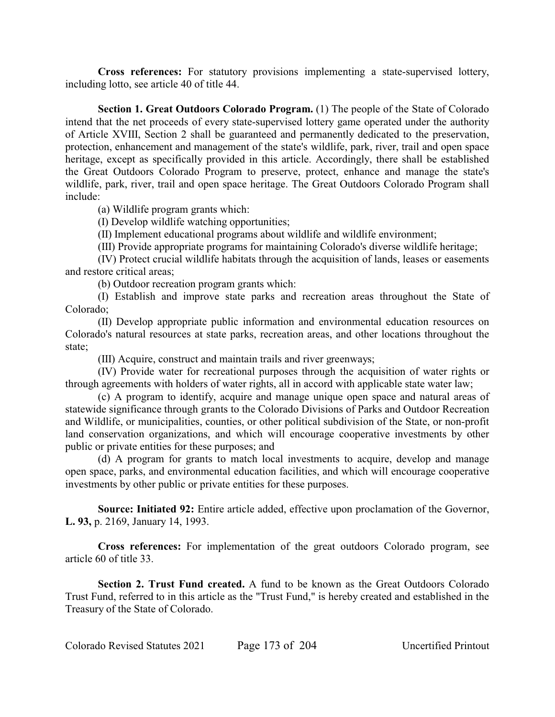**Cross references:** For statutory provisions implementing a state-supervised lottery, including lotto, see article 40 of title 44.

**Section 1. Great Outdoors Colorado Program.** (1) The people of the State of Colorado intend that the net proceeds of every state-supervised lottery game operated under the authority of Article XVIII, Section 2 shall be guaranteed and permanently dedicated to the preservation, protection, enhancement and management of the state's wildlife, park, river, trail and open space heritage, except as specifically provided in this article. Accordingly, there shall be established the Great Outdoors Colorado Program to preserve, protect, enhance and manage the state's wildlife, park, river, trail and open space heritage. The Great Outdoors Colorado Program shall include:

(a) Wildlife program grants which:

(I) Develop wildlife watching opportunities;

(II) Implement educational programs about wildlife and wildlife environment;

(III) Provide appropriate programs for maintaining Colorado's diverse wildlife heritage;

(IV) Protect crucial wildlife habitats through the acquisition of lands, leases or easements and restore critical areas;

(b) Outdoor recreation program grants which:

(I) Establish and improve state parks and recreation areas throughout the State of Colorado;

(II) Develop appropriate public information and environmental education resources on Colorado's natural resources at state parks, recreation areas, and other locations throughout the state;

(III) Acquire, construct and maintain trails and river greenways;

(IV) Provide water for recreational purposes through the acquisition of water rights or through agreements with holders of water rights, all in accord with applicable state water law;

(c) A program to identify, acquire and manage unique open space and natural areas of statewide significance through grants to the Colorado Divisions of Parks and Outdoor Recreation and Wildlife, or municipalities, counties, or other political subdivision of the State, or non-profit land conservation organizations, and which will encourage cooperative investments by other public or private entities for these purposes; and

(d) A program for grants to match local investments to acquire, develop and manage open space, parks, and environmental education facilities, and which will encourage cooperative investments by other public or private entities for these purposes.

**Source: Initiated 92:** Entire article added, effective upon proclamation of the Governor, **L. 93,** p. 2169, January 14, 1993.

**Cross references:** For implementation of the great outdoors Colorado program, see article 60 of title 33.

**Section 2. Trust Fund created.** A fund to be known as the Great Outdoors Colorado Trust Fund, referred to in this article as the "Trust Fund," is hereby created and established in the Treasury of the State of Colorado.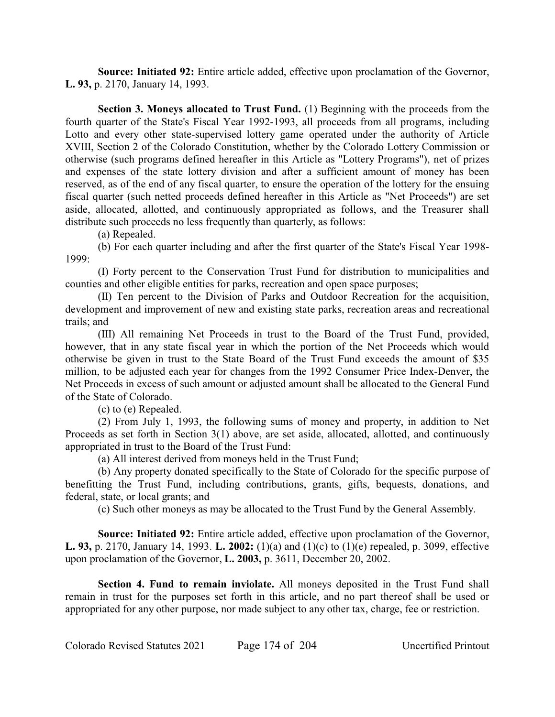**Source: Initiated 92:** Entire article added, effective upon proclamation of the Governor, **L. 93,** p. 2170, January 14, 1993.

**Section 3. Moneys allocated to Trust Fund.** (1) Beginning with the proceeds from the fourth quarter of the State's Fiscal Year 1992-1993, all proceeds from all programs, including Lotto and every other state-supervised lottery game operated under the authority of Article XVIII, Section 2 of the Colorado Constitution, whether by the Colorado Lottery Commission or otherwise (such programs defined hereafter in this Article as "Lottery Programs"), net of prizes and expenses of the state lottery division and after a sufficient amount of money has been reserved, as of the end of any fiscal quarter, to ensure the operation of the lottery for the ensuing fiscal quarter (such netted proceeds defined hereafter in this Article as "Net Proceeds") are set aside, allocated, allotted, and continuously appropriated as follows, and the Treasurer shall distribute such proceeds no less frequently than quarterly, as follows:

(a) Repealed.

(b) For each quarter including and after the first quarter of the State's Fiscal Year 1998- 1999:

(I) Forty percent to the Conservation Trust Fund for distribution to municipalities and counties and other eligible entities for parks, recreation and open space purposes;

(II) Ten percent to the Division of Parks and Outdoor Recreation for the acquisition, development and improvement of new and existing state parks, recreation areas and recreational trails; and

(III) All remaining Net Proceeds in trust to the Board of the Trust Fund, provided, however, that in any state fiscal year in which the portion of the Net Proceeds which would otherwise be given in trust to the State Board of the Trust Fund exceeds the amount of \$35 million, to be adjusted each year for changes from the 1992 Consumer Price Index-Denver, the Net Proceeds in excess of such amount or adjusted amount shall be allocated to the General Fund of the State of Colorado.

(c) to (e) Repealed.

(2) From July 1, 1993, the following sums of money and property, in addition to Net Proceeds as set forth in Section 3(1) above, are set aside, allocated, allotted, and continuously appropriated in trust to the Board of the Trust Fund:

(a) All interest derived from moneys held in the Trust Fund;

(b) Any property donated specifically to the State of Colorado for the specific purpose of benefitting the Trust Fund, including contributions, grants, gifts, bequests, donations, and federal, state, or local grants; and

(c) Such other moneys as may be allocated to the Trust Fund by the General Assembly.

**Source: Initiated 92:** Entire article added, effective upon proclamation of the Governor, **L. 93,** p. 2170, January 14, 1993. **L. 2002:** (1)(a) and (1)(c) to (1)(e) repealed, p. 3099, effective upon proclamation of the Governor, **L. 2003,** p. 3611, December 20, 2002.

**Section 4. Fund to remain inviolate.** All moneys deposited in the Trust Fund shall remain in trust for the purposes set forth in this article, and no part thereof shall be used or appropriated for any other purpose, nor made subject to any other tax, charge, fee or restriction.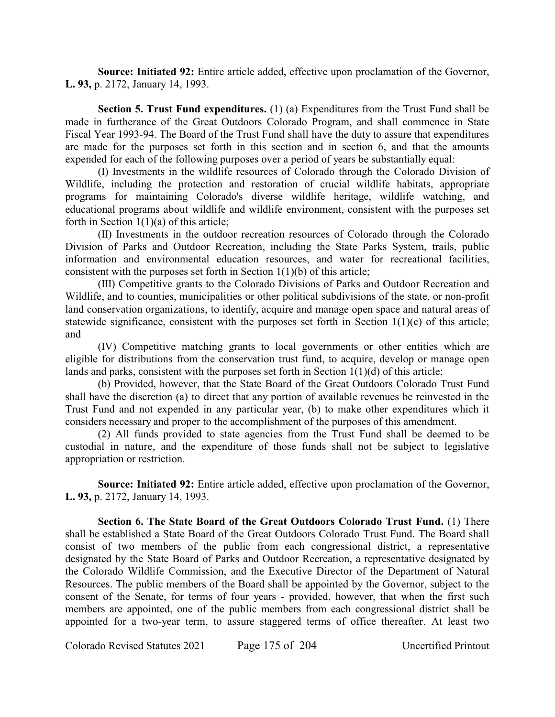**Source: Initiated 92:** Entire article added, effective upon proclamation of the Governor, **L. 93,** p. 2172, January 14, 1993.

**Section 5. Trust Fund expenditures.** (1) (a) Expenditures from the Trust Fund shall be made in furtherance of the Great Outdoors Colorado Program, and shall commence in State Fiscal Year 1993-94. The Board of the Trust Fund shall have the duty to assure that expenditures are made for the purposes set forth in this section and in section 6, and that the amounts expended for each of the following purposes over a period of years be substantially equal:

(I) Investments in the wildlife resources of Colorado through the Colorado Division of Wildlife, including the protection and restoration of crucial wildlife habitats, appropriate programs for maintaining Colorado's diverse wildlife heritage, wildlife watching, and educational programs about wildlife and wildlife environment, consistent with the purposes set forth in Section 1(1)(a) of this article;

(II) Investments in the outdoor recreation resources of Colorado through the Colorado Division of Parks and Outdoor Recreation, including the State Parks System, trails, public information and environmental education resources, and water for recreational facilities, consistent with the purposes set forth in Section 1(1)(b) of this article;

(III) Competitive grants to the Colorado Divisions of Parks and Outdoor Recreation and Wildlife, and to counties, municipalities or other political subdivisions of the state, or non-profit land conservation organizations, to identify, acquire and manage open space and natural areas of statewide significance, consistent with the purposes set forth in Section 1(1)(c) of this article; and

(IV) Competitive matching grants to local governments or other entities which are eligible for distributions from the conservation trust fund, to acquire, develop or manage open lands and parks, consistent with the purposes set forth in Section 1(1)(d) of this article;

(b) Provided, however, that the State Board of the Great Outdoors Colorado Trust Fund shall have the discretion (a) to direct that any portion of available revenues be reinvested in the Trust Fund and not expended in any particular year, (b) to make other expenditures which it considers necessary and proper to the accomplishment of the purposes of this amendment.

(2) All funds provided to state agencies from the Trust Fund shall be deemed to be custodial in nature, and the expenditure of those funds shall not be subject to legislative appropriation or restriction.

**Source: Initiated 92:** Entire article added, effective upon proclamation of the Governor, **L. 93,** p. 2172, January 14, 1993.

**Section 6. The State Board of the Great Outdoors Colorado Trust Fund.** (1) There shall be established a State Board of the Great Outdoors Colorado Trust Fund. The Board shall consist of two members of the public from each congressional district, a representative designated by the State Board of Parks and Outdoor Recreation, a representative designated by the Colorado Wildlife Commission, and the Executive Director of the Department of Natural Resources. The public members of the Board shall be appointed by the Governor, subject to the consent of the Senate, for terms of four years - provided, however, that when the first such members are appointed, one of the public members from each congressional district shall be appointed for a two-year term, to assure staggered terms of office thereafter. At least two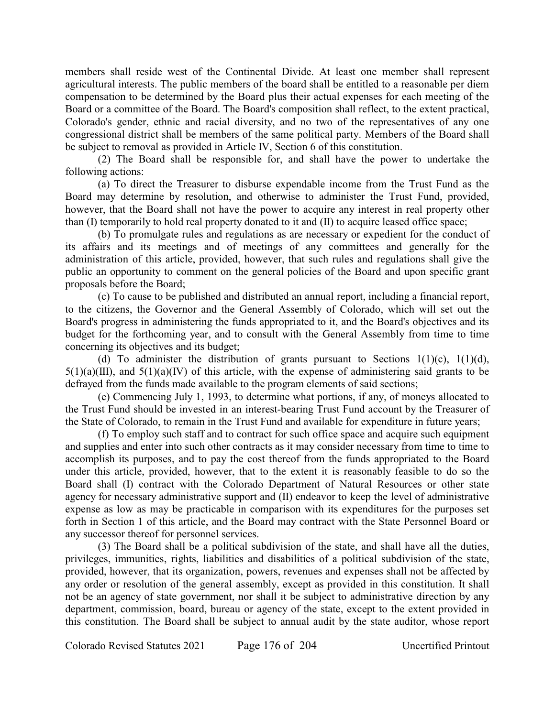members shall reside west of the Continental Divide. At least one member shall represent agricultural interests. The public members of the board shall be entitled to a reasonable per diem compensation to be determined by the Board plus their actual expenses for each meeting of the Board or a committee of the Board. The Board's composition shall reflect, to the extent practical, Colorado's gender, ethnic and racial diversity, and no two of the representatives of any one congressional district shall be members of the same political party. Members of the Board shall be subject to removal as provided in Article IV, Section 6 of this constitution.

(2) The Board shall be responsible for, and shall have the power to undertake the following actions:

(a) To direct the Treasurer to disburse expendable income from the Trust Fund as the Board may determine by resolution, and otherwise to administer the Trust Fund, provided, however, that the Board shall not have the power to acquire any interest in real property other than (I) temporarily to hold real property donated to it and (II) to acquire leased office space;

(b) To promulgate rules and regulations as are necessary or expedient for the conduct of its affairs and its meetings and of meetings of any committees and generally for the administration of this article, provided, however, that such rules and regulations shall give the public an opportunity to comment on the general policies of the Board and upon specific grant proposals before the Board;

(c) To cause to be published and distributed an annual report, including a financial report, to the citizens, the Governor and the General Assembly of Colorado, which will set out the Board's progress in administering the funds appropriated to it, and the Board's objectives and its budget for the forthcoming year, and to consult with the General Assembly from time to time concerning its objectives and its budget;

(d) To administer the distribution of grants pursuant to Sections  $1(1)(c)$ ,  $1(1)(d)$ ,  $5(1)(a)(III)$ , and  $5(1)(a)(IV)$  of this article, with the expense of administering said grants to be defrayed from the funds made available to the program elements of said sections;

(e) Commencing July 1, 1993, to determine what portions, if any, of moneys allocated to the Trust Fund should be invested in an interest-bearing Trust Fund account by the Treasurer of the State of Colorado, to remain in the Trust Fund and available for expenditure in future years;

(f) To employ such staff and to contract for such office space and acquire such equipment and supplies and enter into such other contracts as it may consider necessary from time to time to accomplish its purposes, and to pay the cost thereof from the funds appropriated to the Board under this article, provided, however, that to the extent it is reasonably feasible to do so the Board shall (I) contract with the Colorado Department of Natural Resources or other state agency for necessary administrative support and (II) endeavor to keep the level of administrative expense as low as may be practicable in comparison with its expenditures for the purposes set forth in Section 1 of this article, and the Board may contract with the State Personnel Board or any successor thereof for personnel services.

(3) The Board shall be a political subdivision of the state, and shall have all the duties, privileges, immunities, rights, liabilities and disabilities of a political subdivision of the state, provided, however, that its organization, powers, revenues and expenses shall not be affected by any order or resolution of the general assembly, except as provided in this constitution. It shall not be an agency of state government, nor shall it be subject to administrative direction by any department, commission, board, bureau or agency of the state, except to the extent provided in this constitution. The Board shall be subject to annual audit by the state auditor, whose report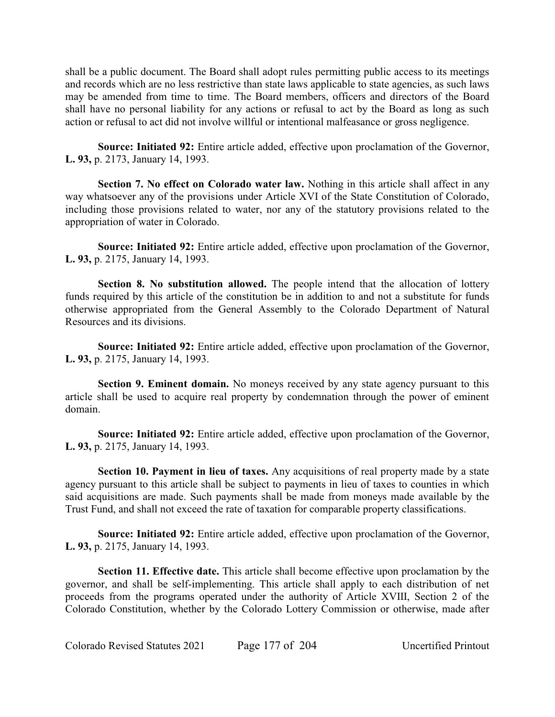shall be a public document. The Board shall adopt rules permitting public access to its meetings and records which are no less restrictive than state laws applicable to state agencies, as such laws may be amended from time to time. The Board members, officers and directors of the Board shall have no personal liability for any actions or refusal to act by the Board as long as such action or refusal to act did not involve willful or intentional malfeasance or gross negligence.

**Source: Initiated 92:** Entire article added, effective upon proclamation of the Governor, **L. 93,** p. 2173, January 14, 1993.

**Section 7. No effect on Colorado water law.** Nothing in this article shall affect in any way whatsoever any of the provisions under Article XVI of the State Constitution of Colorado, including those provisions related to water, nor any of the statutory provisions related to the appropriation of water in Colorado.

**Source: Initiated 92:** Entire article added, effective upon proclamation of the Governor, **L. 93,** p. 2175, January 14, 1993.

**Section 8. No substitution allowed.** The people intend that the allocation of lottery funds required by this article of the constitution be in addition to and not a substitute for funds otherwise appropriated from the General Assembly to the Colorado Department of Natural Resources and its divisions.

**Source: Initiated 92:** Entire article added, effective upon proclamation of the Governor, **L. 93,** p. 2175, January 14, 1993.

**Section 9. Eminent domain.** No moneys received by any state agency pursuant to this article shall be used to acquire real property by condemnation through the power of eminent domain.

**Source: Initiated 92:** Entire article added, effective upon proclamation of the Governor, **L. 93,** p. 2175, January 14, 1993.

**Section 10. Payment in lieu of taxes.** Any acquisitions of real property made by a state agency pursuant to this article shall be subject to payments in lieu of taxes to counties in which said acquisitions are made. Such payments shall be made from moneys made available by the Trust Fund, and shall not exceed the rate of taxation for comparable property classifications.

**Source: Initiated 92:** Entire article added, effective upon proclamation of the Governor, **L. 93,** p. 2175, January 14, 1993.

**Section 11. Effective date.** This article shall become effective upon proclamation by the governor, and shall be self-implementing. This article shall apply to each distribution of net proceeds from the programs operated under the authority of Article XVIII, Section 2 of the Colorado Constitution, whether by the Colorado Lottery Commission or otherwise, made after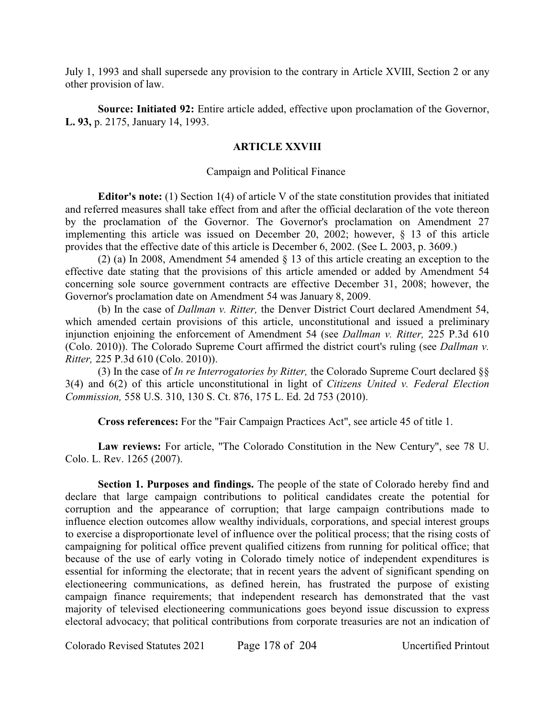July 1, 1993 and shall supersede any provision to the contrary in Article XVIII, Section 2 or any other provision of law.

**Source: Initiated 92:** Entire article added, effective upon proclamation of the Governor, **L. 93,** p. 2175, January 14, 1993.

# **ARTICLE XXVIII**

### Campaign and Political Finance

**Editor's note:** (1) Section 1(4) of article V of the state constitution provides that initiated and referred measures shall take effect from and after the official declaration of the vote thereon by the proclamation of the Governor. The Governor's proclamation on Amendment 27 implementing this article was issued on December 20, 2002; however, § 13 of this article provides that the effective date of this article is December 6, 2002. (See L. 2003, p. 3609.)

(2) (a) In 2008, Amendment 54 amended § 13 of this article creating an exception to the effective date stating that the provisions of this article amended or added by Amendment 54 concerning sole source government contracts are effective December 31, 2008; however, the Governor's proclamation date on Amendment 54 was January 8, 2009.

(b) In the case of *Dallman v. Ritter,* the Denver District Court declared Amendment 54, which amended certain provisions of this article, unconstitutional and issued a preliminary injunction enjoining the enforcement of Amendment 54 (see *Dallman v. Ritter,* 225 P.3d 610 (Colo. 2010)). The Colorado Supreme Court affirmed the district court's ruling (see *Dallman v. Ritter,* 225 P.3d 610 (Colo. 2010)).

(3) In the case of *In re Interrogatories by Ritter,* the Colorado Supreme Court declared §§ 3(4) and 6(2) of this article unconstitutional in light of *Citizens United v. Federal Election Commission,* 558 U.S. 310, 130 S. Ct. 876, 175 L. Ed. 2d 753 (2010).

**Cross references:** For the "Fair Campaign Practices Act", see article 45 of title 1.

**Law reviews:** For article, "The Colorado Constitution in the New Century", see 78 U. Colo. L. Rev. 1265 (2007).

**Section 1. Purposes and findings.** The people of the state of Colorado hereby find and declare that large campaign contributions to political candidates create the potential for corruption and the appearance of corruption; that large campaign contributions made to influence election outcomes allow wealthy individuals, corporations, and special interest groups to exercise a disproportionate level of influence over the political process; that the rising costs of campaigning for political office prevent qualified citizens from running for political office; that because of the use of early voting in Colorado timely notice of independent expenditures is essential for informing the electorate; that in recent years the advent of significant spending on electioneering communications, as defined herein, has frustrated the purpose of existing campaign finance requirements; that independent research has demonstrated that the vast majority of televised electioneering communications goes beyond issue discussion to express electoral advocacy; that political contributions from corporate treasuries are not an indication of

Colorado Revised Statutes 2021 Page 178 of 204 Uncertified Printout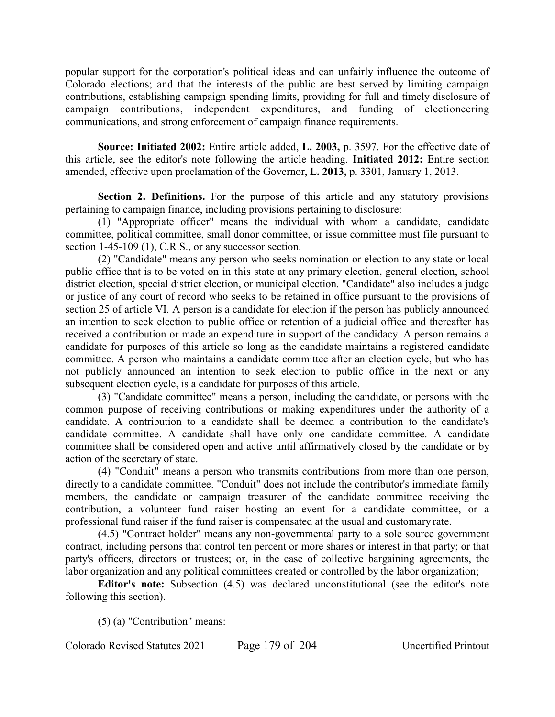popular support for the corporation's political ideas and can unfairly influence the outcome of Colorado elections; and that the interests of the public are best served by limiting campaign contributions, establishing campaign spending limits, providing for full and timely disclosure of campaign contributions, independent expenditures, and funding of electioneering communications, and strong enforcement of campaign finance requirements.

**Source: Initiated 2002:** Entire article added, **L. 2003,** p. 3597. For the effective date of this article, see the editor's note following the article heading. **Initiated 2012:** Entire section amended, effective upon proclamation of the Governor, **L. 2013,** p. 3301, January 1, 2013.

**Section 2. Definitions.** For the purpose of this article and any statutory provisions pertaining to campaign finance, including provisions pertaining to disclosure:

(1) "Appropriate officer" means the individual with whom a candidate, candidate committee, political committee, small donor committee, or issue committee must file pursuant to section 1-45-109 (1), C.R.S., or any successor section.

(2) "Candidate" means any person who seeks nomination or election to any state or local public office that is to be voted on in this state at any primary election, general election, school district election, special district election, or municipal election. "Candidate" also includes a judge or justice of any court of record who seeks to be retained in office pursuant to the provisions of section 25 of article VI. A person is a candidate for election if the person has publicly announced an intention to seek election to public office or retention of a judicial office and thereafter has received a contribution or made an expenditure in support of the candidacy. A person remains a candidate for purposes of this article so long as the candidate maintains a registered candidate committee. A person who maintains a candidate committee after an election cycle, but who has not publicly announced an intention to seek election to public office in the next or any subsequent election cycle, is a candidate for purposes of this article.

(3) "Candidate committee" means a person, including the candidate, or persons with the common purpose of receiving contributions or making expenditures under the authority of a candidate. A contribution to a candidate shall be deemed a contribution to the candidate's candidate committee. A candidate shall have only one candidate committee. A candidate committee shall be considered open and active until affirmatively closed by the candidate or by action of the secretary of state.

(4) "Conduit" means a person who transmits contributions from more than one person, directly to a candidate committee. "Conduit" does not include the contributor's immediate family members, the candidate or campaign treasurer of the candidate committee receiving the contribution, a volunteer fund raiser hosting an event for a candidate committee, or a professional fund raiser if the fund raiser is compensated at the usual and customary rate.

(4.5) "Contract holder" means any non-governmental party to a sole source government contract, including persons that control ten percent or more shares or interest in that party; or that party's officers, directors or trustees; or, in the case of collective bargaining agreements, the labor organization and any political committees created or controlled by the labor organization;

**Editor's note:** Subsection (4.5) was declared unconstitutional (see the editor's note following this section).

(5) (a) "Contribution" means: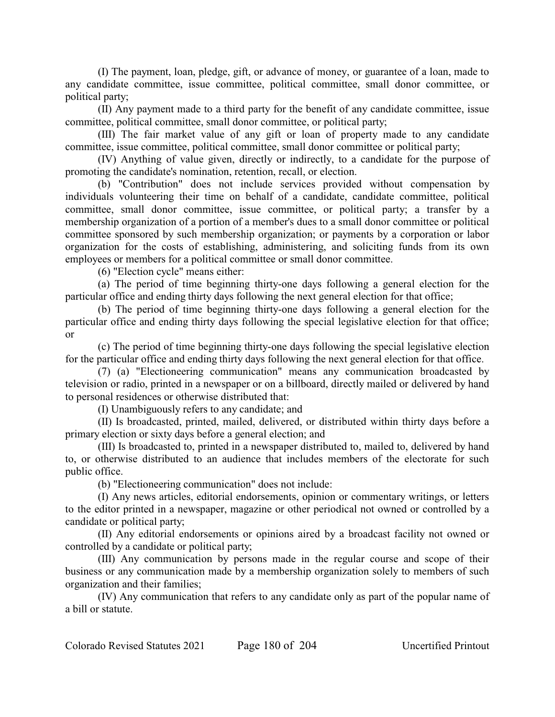(I) The payment, loan, pledge, gift, or advance of money, or guarantee of a loan, made to any candidate committee, issue committee, political committee, small donor committee, or political party;

(II) Any payment made to a third party for the benefit of any candidate committee, issue committee, political committee, small donor committee, or political party;

(III) The fair market value of any gift or loan of property made to any candidate committee, issue committee, political committee, small donor committee or political party;

(IV) Anything of value given, directly or indirectly, to a candidate for the purpose of promoting the candidate's nomination, retention, recall, or election.

(b) "Contribution" does not include services provided without compensation by individuals volunteering their time on behalf of a candidate, candidate committee, political committee, small donor committee, issue committee, or political party; a transfer by a membership organization of a portion of a member's dues to a small donor committee or political committee sponsored by such membership organization; or payments by a corporation or labor organization for the costs of establishing, administering, and soliciting funds from its own employees or members for a political committee or small donor committee.

(6) "Election cycle" means either:

(a) The period of time beginning thirty-one days following a general election for the particular office and ending thirty days following the next general election for that office;

(b) The period of time beginning thirty-one days following a general election for the particular office and ending thirty days following the special legislative election for that office; or

(c) The period of time beginning thirty-one days following the special legislative election for the particular office and ending thirty days following the next general election for that office.

(7) (a) "Electioneering communication" means any communication broadcasted by television or radio, printed in a newspaper or on a billboard, directly mailed or delivered by hand to personal residences or otherwise distributed that:

(I) Unambiguously refers to any candidate; and

(II) Is broadcasted, printed, mailed, delivered, or distributed within thirty days before a primary election or sixty days before a general election; and

(III) Is broadcasted to, printed in a newspaper distributed to, mailed to, delivered by hand to, or otherwise distributed to an audience that includes members of the electorate for such public office.

(b) "Electioneering communication" does not include:

(I) Any news articles, editorial endorsements, opinion or commentary writings, or letters to the editor printed in a newspaper, magazine or other periodical not owned or controlled by a candidate or political party;

(II) Any editorial endorsements or opinions aired by a broadcast facility not owned or controlled by a candidate or political party;

(III) Any communication by persons made in the regular course and scope of their business or any communication made by a membership organization solely to members of such organization and their families;

(IV) Any communication that refers to any candidate only as part of the popular name of a bill or statute.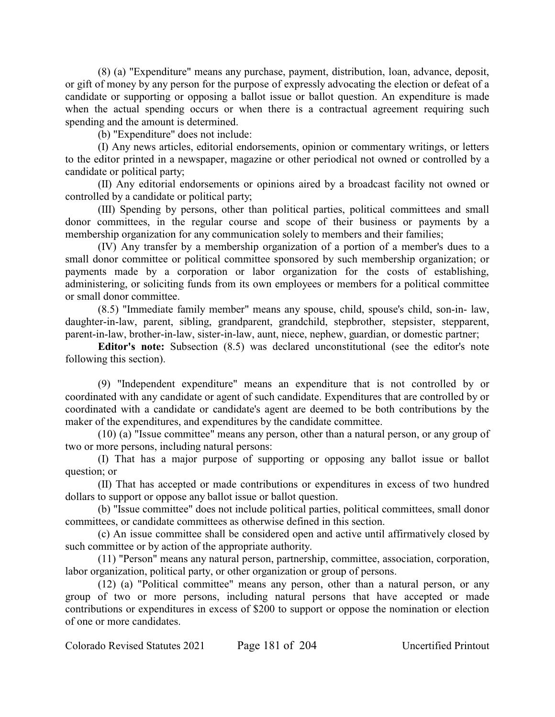(8) (a) "Expenditure" means any purchase, payment, distribution, loan, advance, deposit, or gift of money by any person for the purpose of expressly advocating the election or defeat of a candidate or supporting or opposing a ballot issue or ballot question. An expenditure is made when the actual spending occurs or when there is a contractual agreement requiring such spending and the amount is determined.

(b) "Expenditure" does not include:

(I) Any news articles, editorial endorsements, opinion or commentary writings, or letters to the editor printed in a newspaper, magazine or other periodical not owned or controlled by a candidate or political party;

(II) Any editorial endorsements or opinions aired by a broadcast facility not owned or controlled by a candidate or political party;

(III) Spending by persons, other than political parties, political committees and small donor committees, in the regular course and scope of their business or payments by a membership organization for any communication solely to members and their families;

(IV) Any transfer by a membership organization of a portion of a member's dues to a small donor committee or political committee sponsored by such membership organization; or payments made by a corporation or labor organization for the costs of establishing, administering, or soliciting funds from its own employees or members for a political committee or small donor committee.

(8.5) "Immediate family member" means any spouse, child, spouse's child, son-in- law, daughter-in-law, parent, sibling, grandparent, grandchild, stepbrother, stepsister, stepparent, parent-in-law, brother-in-law, sister-in-law, aunt, niece, nephew, guardian, or domestic partner;

**Editor's note:** Subsection (8.5) was declared unconstitutional (see the editor's note following this section).

(9) "Independent expenditure" means an expenditure that is not controlled by or coordinated with any candidate or agent of such candidate. Expenditures that are controlled by or coordinated with a candidate or candidate's agent are deemed to be both contributions by the maker of the expenditures, and expenditures by the candidate committee.

(10) (a) "Issue committee" means any person, other than a natural person, or any group of two or more persons, including natural persons:

(I) That has a major purpose of supporting or opposing any ballot issue or ballot question; or

(II) That has accepted or made contributions or expenditures in excess of two hundred dollars to support or oppose any ballot issue or ballot question.

(b) "Issue committee" does not include political parties, political committees, small donor committees, or candidate committees as otherwise defined in this section.

(c) An issue committee shall be considered open and active until affirmatively closed by such committee or by action of the appropriate authority.

(11) "Person" means any natural person, partnership, committee, association, corporation, labor organization, political party, or other organization or group of persons.

(12) (a) "Political committee" means any person, other than a natural person, or any group of two or more persons, including natural persons that have accepted or made contributions or expenditures in excess of \$200 to support or oppose the nomination or election of one or more candidates.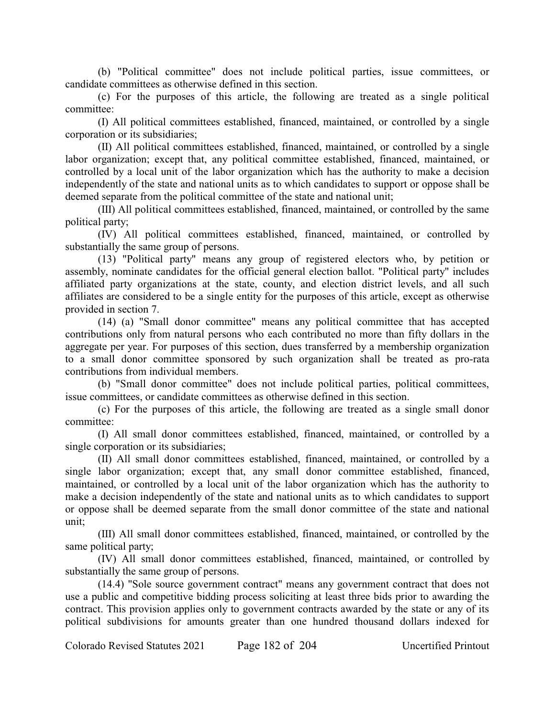(b) "Political committee" does not include political parties, issue committees, or candidate committees as otherwise defined in this section.

(c) For the purposes of this article, the following are treated as a single political committee:

(I) All political committees established, financed, maintained, or controlled by a single corporation or its subsidiaries;

(II) All political committees established, financed, maintained, or controlled by a single labor organization; except that, any political committee established, financed, maintained, or controlled by a local unit of the labor organization which has the authority to make a decision independently of the state and national units as to which candidates to support or oppose shall be deemed separate from the political committee of the state and national unit;

(III) All political committees established, financed, maintained, or controlled by the same political party;

(IV) All political committees established, financed, maintained, or controlled by substantially the same group of persons.

(13) "Political party" means any group of registered electors who, by petition or assembly, nominate candidates for the official general election ballot. "Political party" includes affiliated party organizations at the state, county, and election district levels, and all such affiliates are considered to be a single entity for the purposes of this article, except as otherwise provided in section 7.

(14) (a) "Small donor committee" means any political committee that has accepted contributions only from natural persons who each contributed no more than fifty dollars in the aggregate per year. For purposes of this section, dues transferred by a membership organization to a small donor committee sponsored by such organization shall be treated as pro-rata contributions from individual members.

(b) "Small donor committee" does not include political parties, political committees, issue committees, or candidate committees as otherwise defined in this section.

(c) For the purposes of this article, the following are treated as a single small donor committee:

(I) All small donor committees established, financed, maintained, or controlled by a single corporation or its subsidiaries;

(II) All small donor committees established, financed, maintained, or controlled by a single labor organization; except that, any small donor committee established, financed, maintained, or controlled by a local unit of the labor organization which has the authority to make a decision independently of the state and national units as to which candidates to support or oppose shall be deemed separate from the small donor committee of the state and national unit;

(III) All small donor committees established, financed, maintained, or controlled by the same political party;

(IV) All small donor committees established, financed, maintained, or controlled by substantially the same group of persons.

(14.4) "Sole source government contract" means any government contract that does not use a public and competitive bidding process soliciting at least three bids prior to awarding the contract. This provision applies only to government contracts awarded by the state or any of its political subdivisions for amounts greater than one hundred thousand dollars indexed for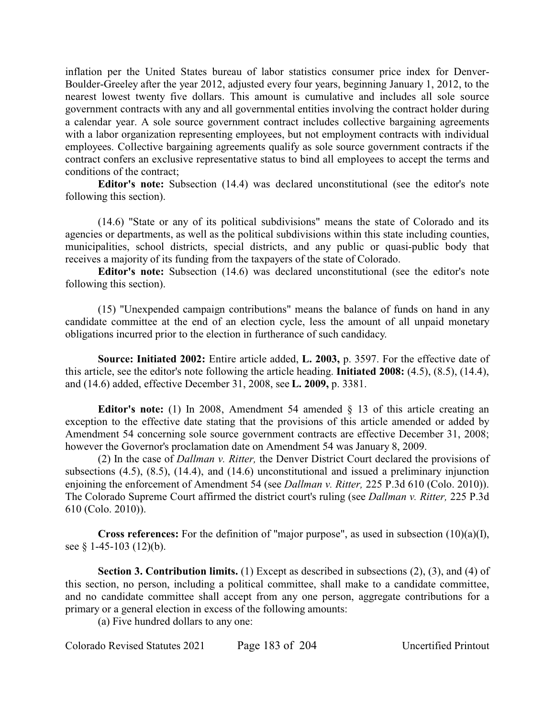inflation per the United States bureau of labor statistics consumer price index for Denver-Boulder-Greeley after the year 2012, adjusted every four years, beginning January 1, 2012, to the nearest lowest twenty five dollars. This amount is cumulative and includes all sole source government contracts with any and all governmental entities involving the contract holder during a calendar year. A sole source government contract includes collective bargaining agreements with a labor organization representing employees, but not employment contracts with individual employees. Collective bargaining agreements qualify as sole source government contracts if the contract confers an exclusive representative status to bind all employees to accept the terms and conditions of the contract;

**Editor's note:** Subsection (14.4) was declared unconstitutional (see the editor's note following this section).

(14.6) "State or any of its political subdivisions" means the state of Colorado and its agencies or departments, as well as the political subdivisions within this state including counties, municipalities, school districts, special districts, and any public or quasi-public body that receives a majority of its funding from the taxpayers of the state of Colorado.

**Editor's note:** Subsection (14.6) was declared unconstitutional (see the editor's note following this section).

(15) "Unexpended campaign contributions" means the balance of funds on hand in any candidate committee at the end of an election cycle, less the amount of all unpaid monetary obligations incurred prior to the election in furtherance of such candidacy.

**Source: Initiated 2002:** Entire article added, **L. 2003,** p. 3597. For the effective date of this article, see the editor's note following the article heading. **Initiated 2008:** (4.5), (8.5), (14.4), and (14.6) added, effective December 31, 2008, see **L. 2009,** p. 3381.

**Editor's note:** (1) In 2008, Amendment 54 amended § 13 of this article creating an exception to the effective date stating that the provisions of this article amended or added by Amendment 54 concerning sole source government contracts are effective December 31, 2008; however the Governor's proclamation date on Amendment 54 was January 8, 2009.

(2) In the case of *Dallman v. Ritter,* the Denver District Court declared the provisions of subsections (4.5), (8.5), (14.4), and (14.6) unconstitutional and issued a preliminary injunction enjoining the enforcement of Amendment 54 (see *Dallman v. Ritter,* 225 P.3d 610 (Colo. 2010)). The Colorado Supreme Court affirmed the district court's ruling (see *Dallman v. Ritter,* 225 P.3d 610 (Colo. 2010)).

**Cross references:** For the definition of "major purpose", as used in subsection (10)(a)(I), see § 1-45-103 (12)(b).

**Section 3. Contribution limits.** (1) Except as described in subsections (2), (3), and (4) of this section, no person, including a political committee, shall make to a candidate committee, and no candidate committee shall accept from any one person, aggregate contributions for a primary or a general election in excess of the following amounts:

(a) Five hundred dollars to any one: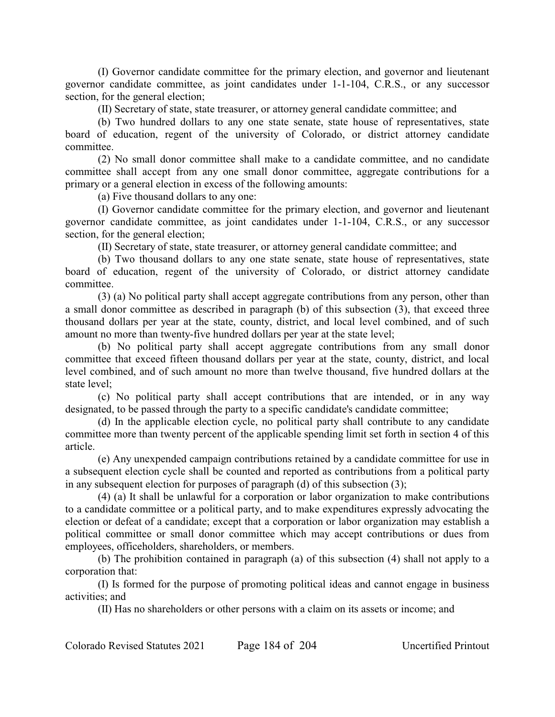(I) Governor candidate committee for the primary election, and governor and lieutenant governor candidate committee, as joint candidates under 1-1-104, C.R.S., or any successor section, for the general election;

(II) Secretary of state, state treasurer, or attorney general candidate committee; and

(b) Two hundred dollars to any one state senate, state house of representatives, state board of education, regent of the university of Colorado, or district attorney candidate committee.

(2) No small donor committee shall make to a candidate committee, and no candidate committee shall accept from any one small donor committee, aggregate contributions for a primary or a general election in excess of the following amounts:

(a) Five thousand dollars to any one:

(I) Governor candidate committee for the primary election, and governor and lieutenant governor candidate committee, as joint candidates under 1-1-104, C.R.S., or any successor section, for the general election;

(II) Secretary of state, state treasurer, or attorney general candidate committee; and

(b) Two thousand dollars to any one state senate, state house of representatives, state board of education, regent of the university of Colorado, or district attorney candidate committee.

(3) (a) No political party shall accept aggregate contributions from any person, other than a small donor committee as described in paragraph (b) of this subsection (3), that exceed three thousand dollars per year at the state, county, district, and local level combined, and of such amount no more than twenty-five hundred dollars per year at the state level;

(b) No political party shall accept aggregate contributions from any small donor committee that exceed fifteen thousand dollars per year at the state, county, district, and local level combined, and of such amount no more than twelve thousand, five hundred dollars at the state level;

(c) No political party shall accept contributions that are intended, or in any way designated, to be passed through the party to a specific candidate's candidate committee;

(d) In the applicable election cycle, no political party shall contribute to any candidate committee more than twenty percent of the applicable spending limit set forth in section 4 of this article.

(e) Any unexpended campaign contributions retained by a candidate committee for use in a subsequent election cycle shall be counted and reported as contributions from a political party in any subsequent election for purposes of paragraph (d) of this subsection (3);

(4) (a) It shall be unlawful for a corporation or labor organization to make contributions to a candidate committee or a political party, and to make expenditures expressly advocating the election or defeat of a candidate; except that a corporation or labor organization may establish a political committee or small donor committee which may accept contributions or dues from employees, officeholders, shareholders, or members.

(b) The prohibition contained in paragraph (a) of this subsection (4) shall not apply to a corporation that:

(I) Is formed for the purpose of promoting political ideas and cannot engage in business activities; and

(II) Has no shareholders or other persons with a claim on its assets or income; and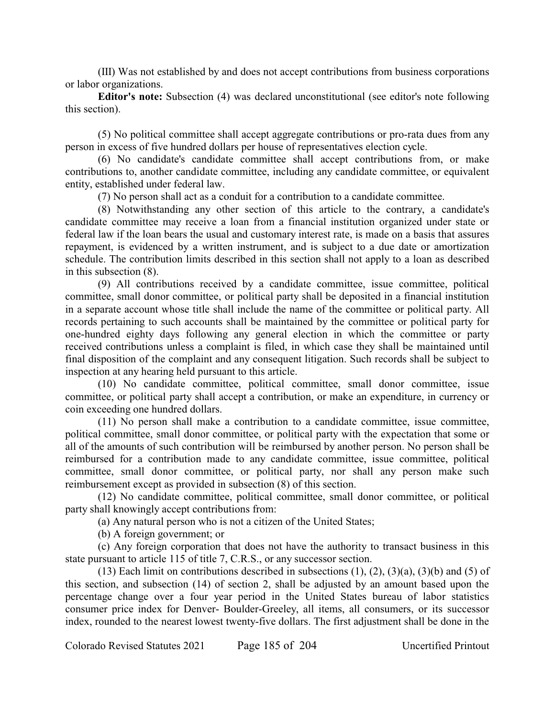(III) Was not established by and does not accept contributions from business corporations or labor organizations.

**Editor's note:** Subsection (4) was declared unconstitutional (see editor's note following this section).

(5) No political committee shall accept aggregate contributions or pro-rata dues from any person in excess of five hundred dollars per house of representatives election cycle.

(6) No candidate's candidate committee shall accept contributions from, or make contributions to, another candidate committee, including any candidate committee, or equivalent entity, established under federal law.

(7) No person shall act as a conduit for a contribution to a candidate committee.

(8) Notwithstanding any other section of this article to the contrary, a candidate's candidate committee may receive a loan from a financial institution organized under state or federal law if the loan bears the usual and customary interest rate, is made on a basis that assures repayment, is evidenced by a written instrument, and is subject to a due date or amortization schedule. The contribution limits described in this section shall not apply to a loan as described in this subsection (8).

(9) All contributions received by a candidate committee, issue committee, political committee, small donor committee, or political party shall be deposited in a financial institution in a separate account whose title shall include the name of the committee or political party. All records pertaining to such accounts shall be maintained by the committee or political party for one-hundred eighty days following any general election in which the committee or party received contributions unless a complaint is filed, in which case they shall be maintained until final disposition of the complaint and any consequent litigation. Such records shall be subject to inspection at any hearing held pursuant to this article.

(10) No candidate committee, political committee, small donor committee, issue committee, or political party shall accept a contribution, or make an expenditure, in currency or coin exceeding one hundred dollars.

(11) No person shall make a contribution to a candidate committee, issue committee, political committee, small donor committee, or political party with the expectation that some or all of the amounts of such contribution will be reimbursed by another person. No person shall be reimbursed for a contribution made to any candidate committee, issue committee, political committee, small donor committee, or political party, nor shall any person make such reimbursement except as provided in subsection (8) of this section.

(12) No candidate committee, political committee, small donor committee, or political party shall knowingly accept contributions from:

(a) Any natural person who is not a citizen of the United States;

(b) A foreign government; or

(c) Any foreign corporation that does not have the authority to transact business in this state pursuant to article 115 of title 7, C.R.S., or any successor section.

(13) Each limit on contributions described in subsections  $(1)$ ,  $(2)$ ,  $(3)(a)$ ,  $(3)(b)$  and  $(5)$  of this section, and subsection (14) of section 2, shall be adjusted by an amount based upon the percentage change over a four year period in the United States bureau of labor statistics consumer price index for Denver- Boulder-Greeley, all items, all consumers, or its successor index, rounded to the nearest lowest twenty-five dollars. The first adjustment shall be done in the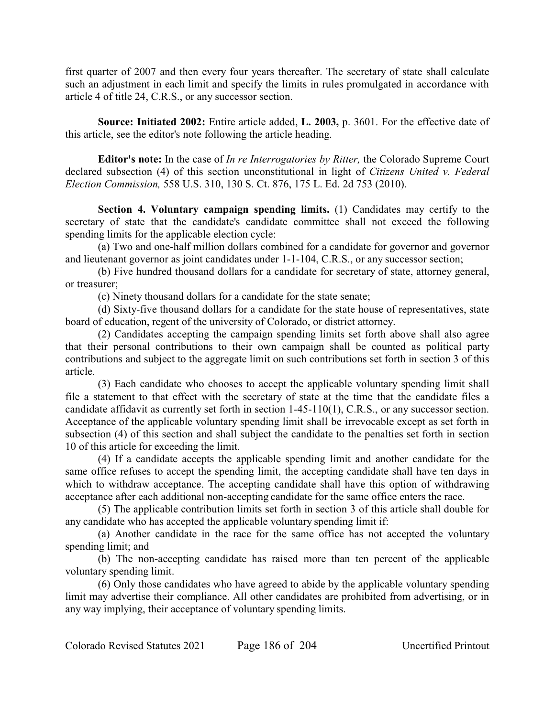first quarter of 2007 and then every four years thereafter. The secretary of state shall calculate such an adjustment in each limit and specify the limits in rules promulgated in accordance with article 4 of title 24, C.R.S., or any successor section.

**Source: Initiated 2002:** Entire article added, **L. 2003,** p. 3601. For the effective date of this article, see the editor's note following the article heading.

**Editor's note:** In the case of *In re Interrogatories by Ritter,* the Colorado Supreme Court declared subsection (4) of this section unconstitutional in light of *Citizens United v. Federal Election Commission,* 558 U.S. 310, 130 S. Ct. 876, 175 L. Ed. 2d 753 (2010).

**Section 4. Voluntary campaign spending limits.** (1) Candidates may certify to the secretary of state that the candidate's candidate committee shall not exceed the following spending limits for the applicable election cycle:

(a) Two and one-half million dollars combined for a candidate for governor and governor and lieutenant governor as joint candidates under 1-1-104, C.R.S., or any successor section;

(b) Five hundred thousand dollars for a candidate for secretary of state, attorney general, or treasurer;

(c) Ninety thousand dollars for a candidate for the state senate;

(d) Sixty-five thousand dollars for a candidate for the state house of representatives, state board of education, regent of the university of Colorado, or district attorney.

(2) Candidates accepting the campaign spending limits set forth above shall also agree that their personal contributions to their own campaign shall be counted as political party contributions and subject to the aggregate limit on such contributions set forth in section 3 of this article.

(3) Each candidate who chooses to accept the applicable voluntary spending limit shall file a statement to that effect with the secretary of state at the time that the candidate files a candidate affidavit as currently set forth in section 1-45-110(1), C.R.S., or any successor section. Acceptance of the applicable voluntary spending limit shall be irrevocable except as set forth in subsection (4) of this section and shall subject the candidate to the penalties set forth in section 10 of this article for exceeding the limit.

(4) If a candidate accepts the applicable spending limit and another candidate for the same office refuses to accept the spending limit, the accepting candidate shall have ten days in which to withdraw acceptance. The accepting candidate shall have this option of withdrawing acceptance after each additional non-accepting candidate for the same office enters the race.

(5) The applicable contribution limits set forth in section 3 of this article shall double for any candidate who has accepted the applicable voluntary spending limit if:

(a) Another candidate in the race for the same office has not accepted the voluntary spending limit; and

(b) The non-accepting candidate has raised more than ten percent of the applicable voluntary spending limit.

(6) Only those candidates who have agreed to abide by the applicable voluntary spending limit may advertise their compliance. All other candidates are prohibited from advertising, or in any way implying, their acceptance of voluntary spending limits.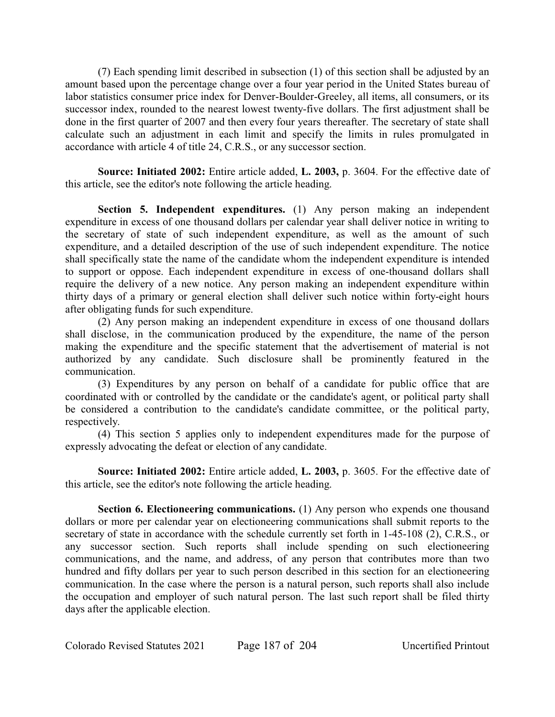(7) Each spending limit described in subsection (1) of this section shall be adjusted by an amount based upon the percentage change over a four year period in the United States bureau of labor statistics consumer price index for Denver-Boulder-Greeley, all items, all consumers, or its successor index, rounded to the nearest lowest twenty-five dollars. The first adjustment shall be done in the first quarter of 2007 and then every four years thereafter. The secretary of state shall calculate such an adjustment in each limit and specify the limits in rules promulgated in accordance with article 4 of title 24, C.R.S., or any successor section.

**Source: Initiated 2002:** Entire article added, **L. 2003,** p. 3604. For the effective date of this article, see the editor's note following the article heading.

**Section 5. Independent expenditures.** (1) Any person making an independent expenditure in excess of one thousand dollars per calendar year shall deliver notice in writing to the secretary of state of such independent expenditure, as well as the amount of such expenditure, and a detailed description of the use of such independent expenditure. The notice shall specifically state the name of the candidate whom the independent expenditure is intended to support or oppose. Each independent expenditure in excess of one-thousand dollars shall require the delivery of a new notice. Any person making an independent expenditure within thirty days of a primary or general election shall deliver such notice within forty-eight hours after obligating funds for such expenditure.

(2) Any person making an independent expenditure in excess of one thousand dollars shall disclose, in the communication produced by the expenditure, the name of the person making the expenditure and the specific statement that the advertisement of material is not authorized by any candidate. Such disclosure shall be prominently featured in the communication.

(3) Expenditures by any person on behalf of a candidate for public office that are coordinated with or controlled by the candidate or the candidate's agent, or political party shall be considered a contribution to the candidate's candidate committee, or the political party, respectively.

(4) This section 5 applies only to independent expenditures made for the purpose of expressly advocating the defeat or election of any candidate.

**Source: Initiated 2002:** Entire article added, **L. 2003,** p. 3605. For the effective date of this article, see the editor's note following the article heading.

**Section 6. Electioneering communications.** (1) Any person who expends one thousand dollars or more per calendar year on electioneering communications shall submit reports to the secretary of state in accordance with the schedule currently set forth in 1-45-108 (2), C.R.S., or any successor section. Such reports shall include spending on such electioneering communications, and the name, and address, of any person that contributes more than two hundred and fifty dollars per year to such person described in this section for an electioneering communication. In the case where the person is a natural person, such reports shall also include the occupation and employer of such natural person. The last such report shall be filed thirty days after the applicable election.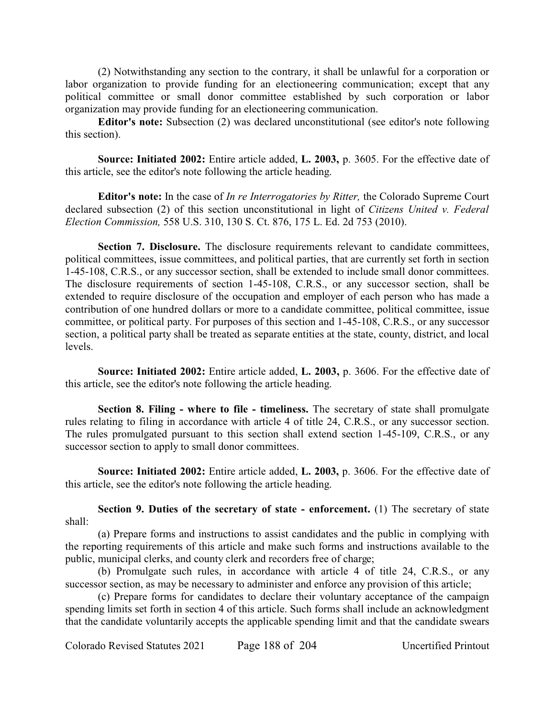(2) Notwithstanding any section to the contrary, it shall be unlawful for a corporation or labor organization to provide funding for an electioneering communication; except that any political committee or small donor committee established by such corporation or labor organization may provide funding for an electioneering communication.

**Editor's note:** Subsection (2) was declared unconstitutional (see editor's note following this section).

**Source: Initiated 2002:** Entire article added, **L. 2003,** p. 3605. For the effective date of this article, see the editor's note following the article heading.

**Editor's note:** In the case of *In re Interrogatories by Ritter,* the Colorado Supreme Court declared subsection (2) of this section unconstitutional in light of *Citizens United v. Federal Election Commission,* 558 U.S. 310, 130 S. Ct. 876, 175 L. Ed. 2d 753 (2010).

**Section 7. Disclosure.** The disclosure requirements relevant to candidate committees, political committees, issue committees, and political parties, that are currently set forth in section 1-45-108, C.R.S., or any successor section, shall be extended to include small donor committees. The disclosure requirements of section 1-45-108, C.R.S., or any successor section, shall be extended to require disclosure of the occupation and employer of each person who has made a contribution of one hundred dollars or more to a candidate committee, political committee, issue committee, or political party. For purposes of this section and 1-45-108, C.R.S., or any successor section, a political party shall be treated as separate entities at the state, county, district, and local levels.

**Source: Initiated 2002:** Entire article added, **L. 2003,** p. 3606. For the effective date of this article, see the editor's note following the article heading.

**Section 8. Filing - where to file - timeliness.** The secretary of state shall promulgate rules relating to filing in accordance with article 4 of title 24, C.R.S., or any successor section. The rules promulgated pursuant to this section shall extend section 1-45-109, C.R.S., or any successor section to apply to small donor committees.

**Source: Initiated 2002:** Entire article added, **L. 2003,** p. 3606. For the effective date of this article, see the editor's note following the article heading.

**Section 9. Duties of the secretary of state - enforcement.** (1) The secretary of state shall:

(a) Prepare forms and instructions to assist candidates and the public in complying with the reporting requirements of this article and make such forms and instructions available to the public, municipal clerks, and county clerk and recorders free of charge;

(b) Promulgate such rules, in accordance with article 4 of title 24, C.R.S., or any successor section, as may be necessary to administer and enforce any provision of this article;

(c) Prepare forms for candidates to declare their voluntary acceptance of the campaign spending limits set forth in section 4 of this article. Such forms shall include an acknowledgment that the candidate voluntarily accepts the applicable spending limit and that the candidate swears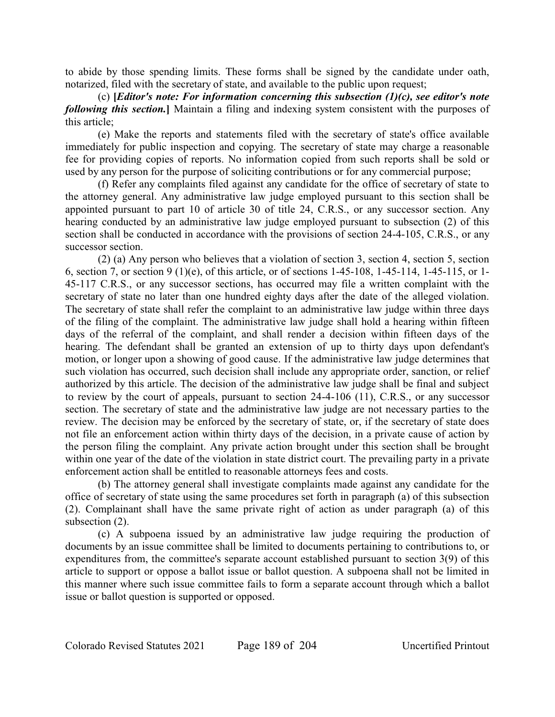to abide by those spending limits. These forms shall be signed by the candidate under oath, notarized, filed with the secretary of state, and available to the public upon request;

(c) **[***Editor's note: For information concerning this subsection (1)(c), see editor's note following this section.***]** Maintain a filing and indexing system consistent with the purposes of this article;

(e) Make the reports and statements filed with the secretary of state's office available immediately for public inspection and copying. The secretary of state may charge a reasonable fee for providing copies of reports. No information copied from such reports shall be sold or used by any person for the purpose of soliciting contributions or for any commercial purpose;

(f) Refer any complaints filed against any candidate for the office of secretary of state to the attorney general. Any administrative law judge employed pursuant to this section shall be appointed pursuant to part 10 of article 30 of title 24, C.R.S., or any successor section. Any hearing conducted by an administrative law judge employed pursuant to subsection (2) of this section shall be conducted in accordance with the provisions of section 24-4-105, C.R.S., or any successor section.

(2) (a) Any person who believes that a violation of section 3, section 4, section 5, section 6, section 7, or section 9 (1)(e), of this article, or of sections 1-45-108, 1-45-114, 1-45-115, or 1- 45-117 C.R.S., or any successor sections, has occurred may file a written complaint with the secretary of state no later than one hundred eighty days after the date of the alleged violation. The secretary of state shall refer the complaint to an administrative law judge within three days of the filing of the complaint. The administrative law judge shall hold a hearing within fifteen days of the referral of the complaint, and shall render a decision within fifteen days of the hearing. The defendant shall be granted an extension of up to thirty days upon defendant's motion, or longer upon a showing of good cause. If the administrative law judge determines that such violation has occurred, such decision shall include any appropriate order, sanction, or relief authorized by this article. The decision of the administrative law judge shall be final and subject to review by the court of appeals, pursuant to section 24-4-106 (11), C.R.S., or any successor section. The secretary of state and the administrative law judge are not necessary parties to the review. The decision may be enforced by the secretary of state, or, if the secretary of state does not file an enforcement action within thirty days of the decision, in a private cause of action by the person filing the complaint. Any private action brought under this section shall be brought within one year of the date of the violation in state district court. The prevailing party in a private enforcement action shall be entitled to reasonable attorneys fees and costs.

(b) The attorney general shall investigate complaints made against any candidate for the office of secretary of state using the same procedures set forth in paragraph (a) of this subsection (2). Complainant shall have the same private right of action as under paragraph (a) of this subsection  $(2)$ .

(c) A subpoena issued by an administrative law judge requiring the production of documents by an issue committee shall be limited to documents pertaining to contributions to, or expenditures from, the committee's separate account established pursuant to section 3(9) of this article to support or oppose a ballot issue or ballot question. A subpoena shall not be limited in this manner where such issue committee fails to form a separate account through which a ballot issue or ballot question is supported or opposed.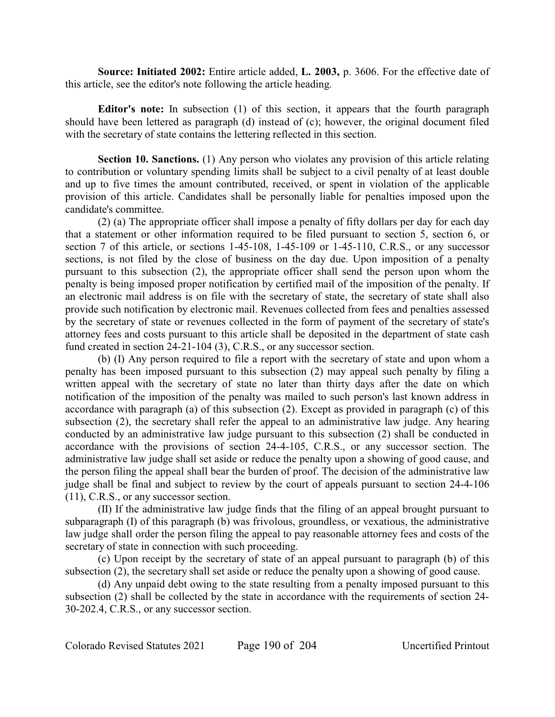**Source: Initiated 2002:** Entire article added, **L. 2003,** p. 3606. For the effective date of this article, see the editor's note following the article heading.

**Editor's note:** In subsection (1) of this section, it appears that the fourth paragraph should have been lettered as paragraph (d) instead of (c); however, the original document filed with the secretary of state contains the lettering reflected in this section.

**Section 10. Sanctions.** (1) Any person who violates any provision of this article relating to contribution or voluntary spending limits shall be subject to a civil penalty of at least double and up to five times the amount contributed, received, or spent in violation of the applicable provision of this article. Candidates shall be personally liable for penalties imposed upon the candidate's committee.

(2) (a) The appropriate officer shall impose a penalty of fifty dollars per day for each day that a statement or other information required to be filed pursuant to section 5, section 6, or section 7 of this article, or sections 1-45-108, 1-45-109 or 1-45-110, C.R.S., or any successor sections, is not filed by the close of business on the day due. Upon imposition of a penalty pursuant to this subsection (2), the appropriate officer shall send the person upon whom the penalty is being imposed proper notification by certified mail of the imposition of the penalty. If an electronic mail address is on file with the secretary of state, the secretary of state shall also provide such notification by electronic mail. Revenues collected from fees and penalties assessed by the secretary of state or revenues collected in the form of payment of the secretary of state's attorney fees and costs pursuant to this article shall be deposited in the department of state cash fund created in section 24-21-104 (3), C.R.S., or any successor section.

(b) (I) Any person required to file a report with the secretary of state and upon whom a penalty has been imposed pursuant to this subsection (2) may appeal such penalty by filing a written appeal with the secretary of state no later than thirty days after the date on which notification of the imposition of the penalty was mailed to such person's last known address in accordance with paragraph (a) of this subsection (2). Except as provided in paragraph (c) of this subsection (2), the secretary shall refer the appeal to an administrative law judge. Any hearing conducted by an administrative law judge pursuant to this subsection (2) shall be conducted in accordance with the provisions of section 24-4-105, C.R.S., or any successor section. The administrative law judge shall set aside or reduce the penalty upon a showing of good cause, and the person filing the appeal shall bear the burden of proof. The decision of the administrative law judge shall be final and subject to review by the court of appeals pursuant to section 24-4-106 (11), C.R.S., or any successor section.

(II) If the administrative law judge finds that the filing of an appeal brought pursuant to subparagraph (I) of this paragraph (b) was frivolous, groundless, or vexatious, the administrative law judge shall order the person filing the appeal to pay reasonable attorney fees and costs of the secretary of state in connection with such proceeding.

(c) Upon receipt by the secretary of state of an appeal pursuant to paragraph (b) of this subsection (2), the secretary shall set aside or reduce the penalty upon a showing of good cause.

(d) Any unpaid debt owing to the state resulting from a penalty imposed pursuant to this subsection (2) shall be collected by the state in accordance with the requirements of section 24- 30-202.4, C.R.S., or any successor section.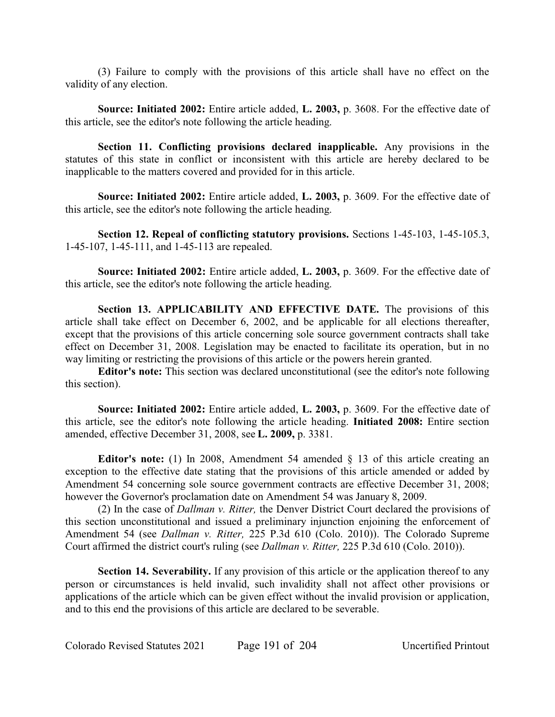(3) Failure to comply with the provisions of this article shall have no effect on the validity of any election.

**Source: Initiated 2002:** Entire article added, **L. 2003,** p. 3608. For the effective date of this article, see the editor's note following the article heading.

**Section 11. Conflicting provisions declared inapplicable.** Any provisions in the statutes of this state in conflict or inconsistent with this article are hereby declared to be inapplicable to the matters covered and provided for in this article.

**Source: Initiated 2002:** Entire article added, **L. 2003,** p. 3609. For the effective date of this article, see the editor's note following the article heading.

**Section 12. Repeal of conflicting statutory provisions.** Sections 1-45-103, 1-45-105.3, 1-45-107, 1-45-111, and 1-45-113 are repealed.

**Source: Initiated 2002:** Entire article added, **L. 2003,** p. 3609. For the effective date of this article, see the editor's note following the article heading.

**Section 13. APPLICABILITY AND EFFECTIVE DATE.** The provisions of this article shall take effect on December 6, 2002, and be applicable for all elections thereafter, except that the provisions of this article concerning sole source government contracts shall take effect on December 31, 2008. Legislation may be enacted to facilitate its operation, but in no way limiting or restricting the provisions of this article or the powers herein granted.

**Editor's note:** This section was declared unconstitutional (see the editor's note following this section).

**Source: Initiated 2002:** Entire article added, **L. 2003,** p. 3609. For the effective date of this article, see the editor's note following the article heading. **Initiated 2008:** Entire section amended, effective December 31, 2008, see **L. 2009,** p. 3381.

**Editor's note:** (1) In 2008, Amendment 54 amended § 13 of this article creating an exception to the effective date stating that the provisions of this article amended or added by Amendment 54 concerning sole source government contracts are effective December 31, 2008; however the Governor's proclamation date on Amendment 54 was January 8, 2009.

(2) In the case of *Dallman v. Ritter,* the Denver District Court declared the provisions of this section unconstitutional and issued a preliminary injunction enjoining the enforcement of Amendment 54 (see *Dallman v. Ritter,* 225 P.3d 610 (Colo. 2010)). The Colorado Supreme Court affirmed the district court's ruling (see *Dallman v. Ritter,* 225 P.3d 610 (Colo. 2010)).

**Section 14. Severability.** If any provision of this article or the application thereof to any person or circumstances is held invalid, such invalidity shall not affect other provisions or applications of the article which can be given effect without the invalid provision or application, and to this end the provisions of this article are declared to be severable.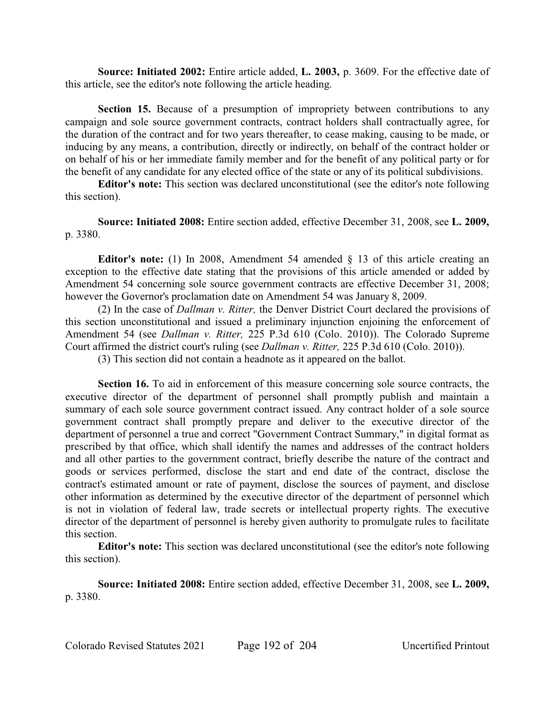**Source: Initiated 2002:** Entire article added, **L. 2003,** p. 3609. For the effective date of this article, see the editor's note following the article heading.

**Section 15.** Because of a presumption of impropriety between contributions to any campaign and sole source government contracts, contract holders shall contractually agree, for the duration of the contract and for two years thereafter, to cease making, causing to be made, or inducing by any means, a contribution, directly or indirectly, on behalf of the contract holder or on behalf of his or her immediate family member and for the benefit of any political party or for the benefit of any candidate for any elected office of the state or any of its political subdivisions.

**Editor's note:** This section was declared unconstitutional (see the editor's note following this section).

**Source: Initiated 2008:** Entire section added, effective December 31, 2008, see **L. 2009,** p. 3380.

**Editor's note:** (1) In 2008, Amendment 54 amended § 13 of this article creating an exception to the effective date stating that the provisions of this article amended or added by Amendment 54 concerning sole source government contracts are effective December 31, 2008; however the Governor's proclamation date on Amendment 54 was January 8, 2009.

(2) In the case of *Dallman v. Ritter,* the Denver District Court declared the provisions of this section unconstitutional and issued a preliminary injunction enjoining the enforcement of Amendment 54 (see *Dallman v. Ritter,* 225 P.3d 610 (Colo. 2010)). The Colorado Supreme Court affirmed the district court's ruling (see *Dallman v. Ritter,* 225 P.3d 610 (Colo. 2010)).

(3) This section did not contain a headnote as it appeared on the ballot.

**Section 16.** To aid in enforcement of this measure concerning sole source contracts, the executive director of the department of personnel shall promptly publish and maintain a summary of each sole source government contract issued. Any contract holder of a sole source government contract shall promptly prepare and deliver to the executive director of the department of personnel a true and correct "Government Contract Summary," in digital format as prescribed by that office, which shall identify the names and addresses of the contract holders and all other parties to the government contract, briefly describe the nature of the contract and goods or services performed, disclose the start and end date of the contract, disclose the contract's estimated amount or rate of payment, disclose the sources of payment, and disclose other information as determined by the executive director of the department of personnel which is not in violation of federal law, trade secrets or intellectual property rights. The executive director of the department of personnel is hereby given authority to promulgate rules to facilitate this section.

**Editor's note:** This section was declared unconstitutional (see the editor's note following this section).

**Source: Initiated 2008:** Entire section added, effective December 31, 2008, see **L. 2009,** p. 3380.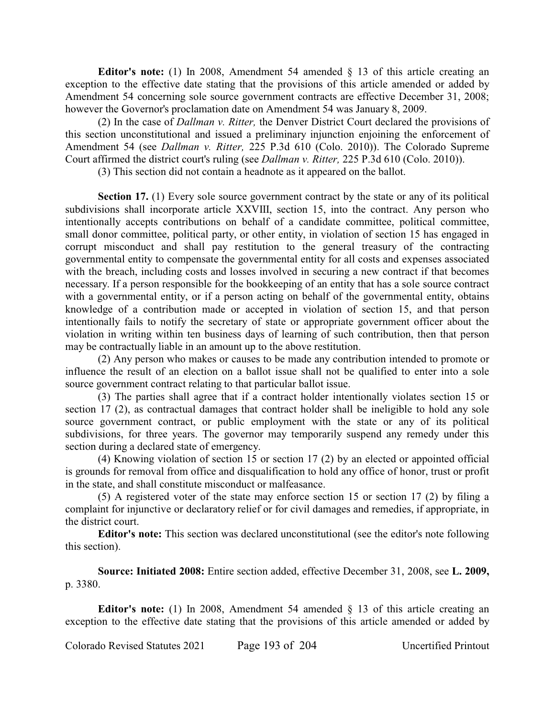**Editor's note:** (1) In 2008, Amendment 54 amended § 13 of this article creating an exception to the effective date stating that the provisions of this article amended or added by Amendment 54 concerning sole source government contracts are effective December 31, 2008; however the Governor's proclamation date on Amendment 54 was January 8, 2009.

(2) In the case of *Dallman v. Ritter,* the Denver District Court declared the provisions of this section unconstitutional and issued a preliminary injunction enjoining the enforcement of Amendment 54 (see *Dallman v. Ritter,* 225 P.3d 610 (Colo. 2010)). The Colorado Supreme Court affirmed the district court's ruling (see *Dallman v. Ritter,* 225 P.3d 610 (Colo. 2010)).

(3) This section did not contain a headnote as it appeared on the ballot.

**Section 17.** (1) Every sole source government contract by the state or any of its political subdivisions shall incorporate article XXVIII, section 15, into the contract. Any person who intentionally accepts contributions on behalf of a candidate committee, political committee, small donor committee, political party, or other entity, in violation of section 15 has engaged in corrupt misconduct and shall pay restitution to the general treasury of the contracting governmental entity to compensate the governmental entity for all costs and expenses associated with the breach, including costs and losses involved in securing a new contract if that becomes necessary. If a person responsible for the bookkeeping of an entity that has a sole source contract with a governmental entity, or if a person acting on behalf of the governmental entity, obtains knowledge of a contribution made or accepted in violation of section 15, and that person intentionally fails to notify the secretary of state or appropriate government officer about the violation in writing within ten business days of learning of such contribution, then that person may be contractually liable in an amount up to the above restitution.

(2) Any person who makes or causes to be made any contribution intended to promote or influence the result of an election on a ballot issue shall not be qualified to enter into a sole source government contract relating to that particular ballot issue.

(3) The parties shall agree that if a contract holder intentionally violates section 15 or section 17 (2), as contractual damages that contract holder shall be ineligible to hold any sole source government contract, or public employment with the state or any of its political subdivisions, for three years. The governor may temporarily suspend any remedy under this section during a declared state of emergency.

(4) Knowing violation of section 15 or section 17 (2) by an elected or appointed official is grounds for removal from office and disqualification to hold any office of honor, trust or profit in the state, and shall constitute misconduct or malfeasance.

(5) A registered voter of the state may enforce section 15 or section 17 (2) by filing a complaint for injunctive or declaratory relief or for civil damages and remedies, if appropriate, in the district court.

**Editor's note:** This section was declared unconstitutional (see the editor's note following this section).

**Source: Initiated 2008:** Entire section added, effective December 31, 2008, see **L. 2009,** p. 3380.

**Editor's note:** (1) In 2008, Amendment 54 amended § 13 of this article creating an exception to the effective date stating that the provisions of this article amended or added by

Colorado Revised Statutes 2021 Page 193 of 204 Uncertified Printout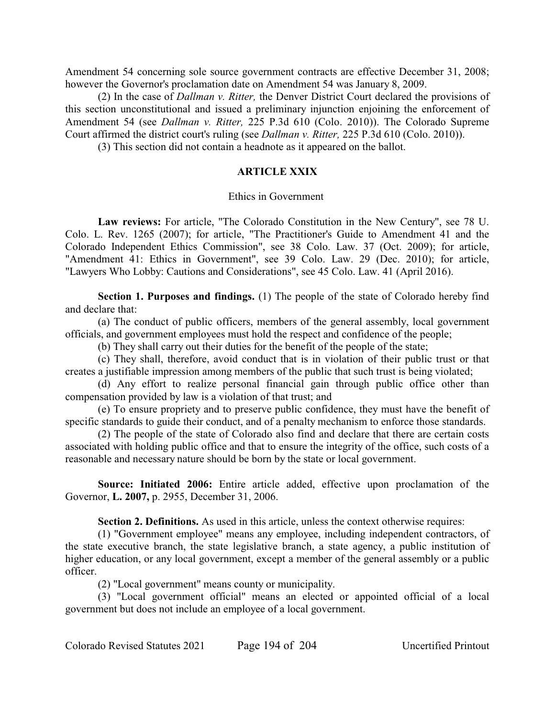Amendment 54 concerning sole source government contracts are effective December 31, 2008; however the Governor's proclamation date on Amendment 54 was January 8, 2009.

(2) In the case of *Dallman v. Ritter,* the Denver District Court declared the provisions of this section unconstitutional and issued a preliminary injunction enjoining the enforcement of Amendment 54 (see *Dallman v. Ritter,* 225 P.3d 610 (Colo. 2010)). The Colorado Supreme Court affirmed the district court's ruling (see *Dallman v. Ritter,* 225 P.3d 610 (Colo. 2010)).

(3) This section did not contain a headnote as it appeared on the ballot.

## **ARTICLE XXIX**

## Ethics in Government

**Law reviews:** For article, "The Colorado Constitution in the New Century", see 78 U. Colo. L. Rev. 1265 (2007); for article, "The Practitioner's Guide to Amendment 41 and the Colorado Independent Ethics Commission", see 38 Colo. Law. 37 (Oct. 2009); for article, "Amendment 41: Ethics in Government", see 39 Colo. Law. 29 (Dec. 2010); for article, "Lawyers Who Lobby: Cautions and Considerations", see 45 Colo. Law. 41 (April 2016).

**Section 1. Purposes and findings.** (1) The people of the state of Colorado hereby find and declare that:

(a) The conduct of public officers, members of the general assembly, local government officials, and government employees must hold the respect and confidence of the people;

(b) They shall carry out their duties for the benefit of the people of the state;

(c) They shall, therefore, avoid conduct that is in violation of their public trust or that creates a justifiable impression among members of the public that such trust is being violated;

(d) Any effort to realize personal financial gain through public office other than compensation provided by law is a violation of that trust; and

(e) To ensure propriety and to preserve public confidence, they must have the benefit of specific standards to guide their conduct, and of a penalty mechanism to enforce those standards.

(2) The people of the state of Colorado also find and declare that there are certain costs associated with holding public office and that to ensure the integrity of the office, such costs of a reasonable and necessary nature should be born by the state or local government.

**Source: Initiated 2006:** Entire article added, effective upon proclamation of the Governor, **L. 2007,** p. 2955, December 31, 2006.

**Section 2. Definitions.** As used in this article, unless the context otherwise requires:

(1) "Government employee" means any employee, including independent contractors, of the state executive branch, the state legislative branch, a state agency, a public institution of higher education, or any local government, except a member of the general assembly or a public officer.

(2) "Local government" means county or municipality.

(3) "Local government official" means an elected or appointed official of a local government but does not include an employee of a local government.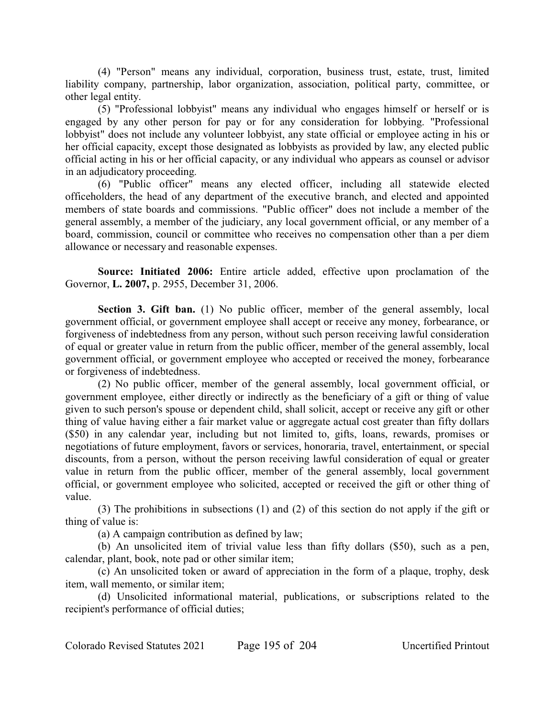(4) "Person" means any individual, corporation, business trust, estate, trust, limited liability company, partnership, labor organization, association, political party, committee, or other legal entity.

(5) "Professional lobbyist" means any individual who engages himself or herself or is engaged by any other person for pay or for any consideration for lobbying. "Professional lobbyist" does not include any volunteer lobbyist, any state official or employee acting in his or her official capacity, except those designated as lobbyists as provided by law, any elected public official acting in his or her official capacity, or any individual who appears as counsel or advisor in an adjudicatory proceeding.

(6) "Public officer" means any elected officer, including all statewide elected officeholders, the head of any department of the executive branch, and elected and appointed members of state boards and commissions. "Public officer" does not include a member of the general assembly, a member of the judiciary, any local government official, or any member of a board, commission, council or committee who receives no compensation other than a per diem allowance or necessary and reasonable expenses.

**Source: Initiated 2006:** Entire article added, effective upon proclamation of the Governor, **L. 2007,** p. 2955, December 31, 2006.

**Section 3. Gift ban.** (1) No public officer, member of the general assembly, local government official, or government employee shall accept or receive any money, forbearance, or forgiveness of indebtedness from any person, without such person receiving lawful consideration of equal or greater value in return from the public officer, member of the general assembly, local government official, or government employee who accepted or received the money, forbearance or forgiveness of indebtedness.

(2) No public officer, member of the general assembly, local government official, or government employee, either directly or indirectly as the beneficiary of a gift or thing of value given to such person's spouse or dependent child, shall solicit, accept or receive any gift or other thing of value having either a fair market value or aggregate actual cost greater than fifty dollars (\$50) in any calendar year, including but not limited to, gifts, loans, rewards, promises or negotiations of future employment, favors or services, honoraria, travel, entertainment, or special discounts, from a person, without the person receiving lawful consideration of equal or greater value in return from the public officer, member of the general assembly, local government official, or government employee who solicited, accepted or received the gift or other thing of value.

(3) The prohibitions in subsections (1) and (2) of this section do not apply if the gift or thing of value is:

(a) A campaign contribution as defined by law;

(b) An unsolicited item of trivial value less than fifty dollars (\$50), such as a pen, calendar, plant, book, note pad or other similar item;

(c) An unsolicited token or award of appreciation in the form of a plaque, trophy, desk item, wall memento, or similar item;

(d) Unsolicited informational material, publications, or subscriptions related to the recipient's performance of official duties;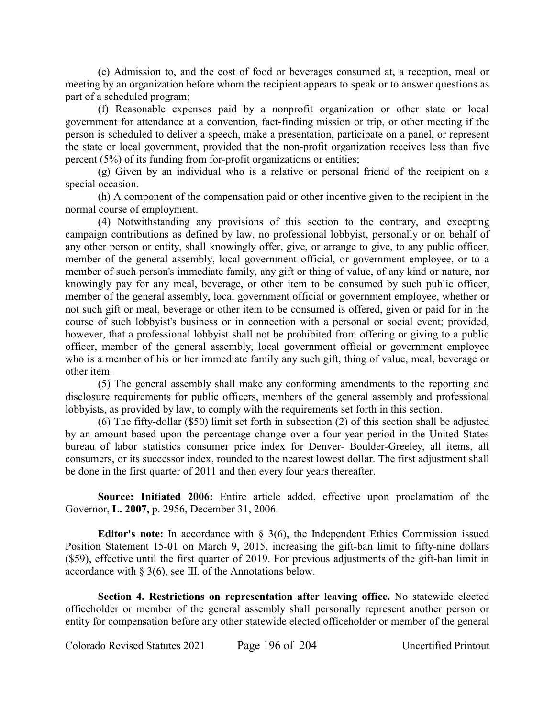(e) Admission to, and the cost of food or beverages consumed at, a reception, meal or meeting by an organization before whom the recipient appears to speak or to answer questions as part of a scheduled program;

(f) Reasonable expenses paid by a nonprofit organization or other state or local government for attendance at a convention, fact-finding mission or trip, or other meeting if the person is scheduled to deliver a speech, make a presentation, participate on a panel, or represent the state or local government, provided that the non-profit organization receives less than five percent (5%) of its funding from for-profit organizations or entities;

(g) Given by an individual who is a relative or personal friend of the recipient on a special occasion.

(h) A component of the compensation paid or other incentive given to the recipient in the normal course of employment.

(4) Notwithstanding any provisions of this section to the contrary, and excepting campaign contributions as defined by law, no professional lobbyist, personally or on behalf of any other person or entity, shall knowingly offer, give, or arrange to give, to any public officer, member of the general assembly, local government official, or government employee, or to a member of such person's immediate family, any gift or thing of value, of any kind or nature, nor knowingly pay for any meal, beverage, or other item to be consumed by such public officer, member of the general assembly, local government official or government employee, whether or not such gift or meal, beverage or other item to be consumed is offered, given or paid for in the course of such lobbyist's business or in connection with a personal or social event; provided, however, that a professional lobbyist shall not be prohibited from offering or giving to a public officer, member of the general assembly, local government official or government employee who is a member of his or her immediate family any such gift, thing of value, meal, beverage or other item.

(5) The general assembly shall make any conforming amendments to the reporting and disclosure requirements for public officers, members of the general assembly and professional lobbyists, as provided by law, to comply with the requirements set forth in this section.

(6) The fifty-dollar (\$50) limit set forth in subsection (2) of this section shall be adjusted by an amount based upon the percentage change over a four-year period in the United States bureau of labor statistics consumer price index for Denver- Boulder-Greeley, all items, all consumers, or its successor index, rounded to the nearest lowest dollar. The first adjustment shall be done in the first quarter of 2011 and then every four years thereafter.

**Source: Initiated 2006:** Entire article added, effective upon proclamation of the Governor, **L. 2007,** p. 2956, December 31, 2006.

**Editor's note:** In accordance with § 3(6), the Independent Ethics Commission issued Position Statement 15-01 on March 9, 2015, increasing the gift-ban limit to fifty-nine dollars (\$59), effective until the first quarter of 2019. For previous adjustments of the gift-ban limit in accordance with § 3(6), see III. of the Annotations below.

**Section 4. Restrictions on representation after leaving office.** No statewide elected officeholder or member of the general assembly shall personally represent another person or entity for compensation before any other statewide elected officeholder or member of the general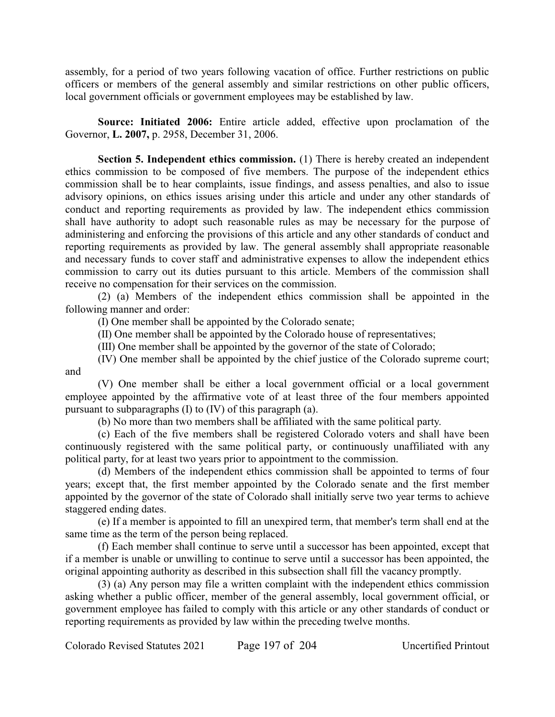assembly, for a period of two years following vacation of office. Further restrictions on public officers or members of the general assembly and similar restrictions on other public officers, local government officials or government employees may be established by law.

**Source: Initiated 2006:** Entire article added, effective upon proclamation of the Governor, **L. 2007,** p. 2958, December 31, 2006.

**Section 5. Independent ethics commission.** (1) There is hereby created an independent ethics commission to be composed of five members. The purpose of the independent ethics commission shall be to hear complaints, issue findings, and assess penalties, and also to issue advisory opinions, on ethics issues arising under this article and under any other standards of conduct and reporting requirements as provided by law. The independent ethics commission shall have authority to adopt such reasonable rules as may be necessary for the purpose of administering and enforcing the provisions of this article and any other standards of conduct and reporting requirements as provided by law. The general assembly shall appropriate reasonable and necessary funds to cover staff and administrative expenses to allow the independent ethics commission to carry out its duties pursuant to this article. Members of the commission shall receive no compensation for their services on the commission.

(2) (a) Members of the independent ethics commission shall be appointed in the following manner and order:

(I) One member shall be appointed by the Colorado senate;

(II) One member shall be appointed by the Colorado house of representatives;

(III) One member shall be appointed by the governor of the state of Colorado;

(IV) One member shall be appointed by the chief justice of the Colorado supreme court; and

(V) One member shall be either a local government official or a local government employee appointed by the affirmative vote of at least three of the four members appointed pursuant to subparagraphs (I) to (IV) of this paragraph (a).

(b) No more than two members shall be affiliated with the same political party.

(c) Each of the five members shall be registered Colorado voters and shall have been continuously registered with the same political party, or continuously unaffiliated with any political party, for at least two years prior to appointment to the commission.

(d) Members of the independent ethics commission shall be appointed to terms of four years; except that, the first member appointed by the Colorado senate and the first member appointed by the governor of the state of Colorado shall initially serve two year terms to achieve staggered ending dates.

(e) If a member is appointed to fill an unexpired term, that member's term shall end at the same time as the term of the person being replaced.

(f) Each member shall continue to serve until a successor has been appointed, except that if a member is unable or unwilling to continue to serve until a successor has been appointed, the original appointing authority as described in this subsection shall fill the vacancy promptly.

(3) (a) Any person may file a written complaint with the independent ethics commission asking whether a public officer, member of the general assembly, local government official, or government employee has failed to comply with this article or any other standards of conduct or reporting requirements as provided by law within the preceding twelve months.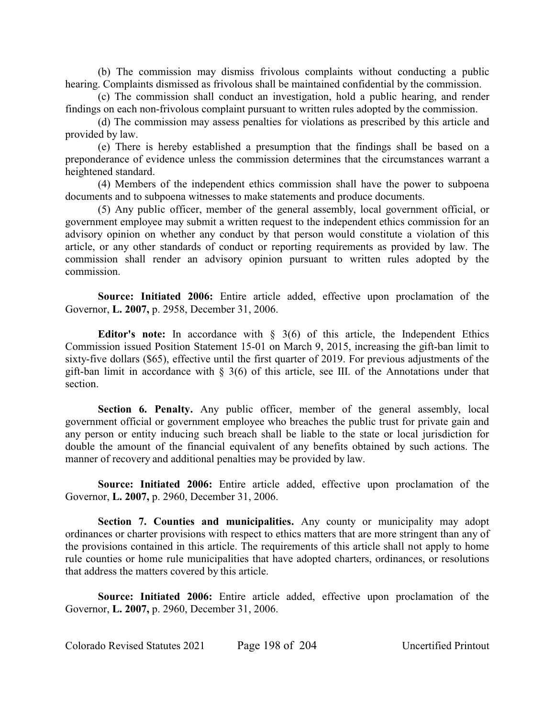(b) The commission may dismiss frivolous complaints without conducting a public hearing. Complaints dismissed as frivolous shall be maintained confidential by the commission.

(c) The commission shall conduct an investigation, hold a public hearing, and render findings on each non-frivolous complaint pursuant to written rules adopted by the commission.

(d) The commission may assess penalties for violations as prescribed by this article and provided by law.

(e) There is hereby established a presumption that the findings shall be based on a preponderance of evidence unless the commission determines that the circumstances warrant a heightened standard.

(4) Members of the independent ethics commission shall have the power to subpoena documents and to subpoena witnesses to make statements and produce documents.

(5) Any public officer, member of the general assembly, local government official, or government employee may submit a written request to the independent ethics commission for an advisory opinion on whether any conduct by that person would constitute a violation of this article, or any other standards of conduct or reporting requirements as provided by law. The commission shall render an advisory opinion pursuant to written rules adopted by the commission.

**Source: Initiated 2006:** Entire article added, effective upon proclamation of the Governor, **L. 2007,** p. 2958, December 31, 2006.

**Editor's note:** In accordance with § 3(6) of this article, the Independent Ethics Commission issued Position Statement 15-01 on March 9, 2015, increasing the gift-ban limit to sixty-five dollars (\$65), effective until the first quarter of 2019. For previous adjustments of the gift-ban limit in accordance with  $\S$  3(6) of this article, see III. of the Annotations under that section.

**Section 6. Penalty.** Any public officer, member of the general assembly, local government official or government employee who breaches the public trust for private gain and any person or entity inducing such breach shall be liable to the state or local jurisdiction for double the amount of the financial equivalent of any benefits obtained by such actions. The manner of recovery and additional penalties may be provided by law.

**Source: Initiated 2006:** Entire article added, effective upon proclamation of the Governor, **L. 2007,** p. 2960, December 31, 2006.

**Section 7. Counties and municipalities.** Any county or municipality may adopt ordinances or charter provisions with respect to ethics matters that are more stringent than any of the provisions contained in this article. The requirements of this article shall not apply to home rule counties or home rule municipalities that have adopted charters, ordinances, or resolutions that address the matters covered by this article.

**Source: Initiated 2006:** Entire article added, effective upon proclamation of the Governor, **L. 2007,** p. 2960, December 31, 2006.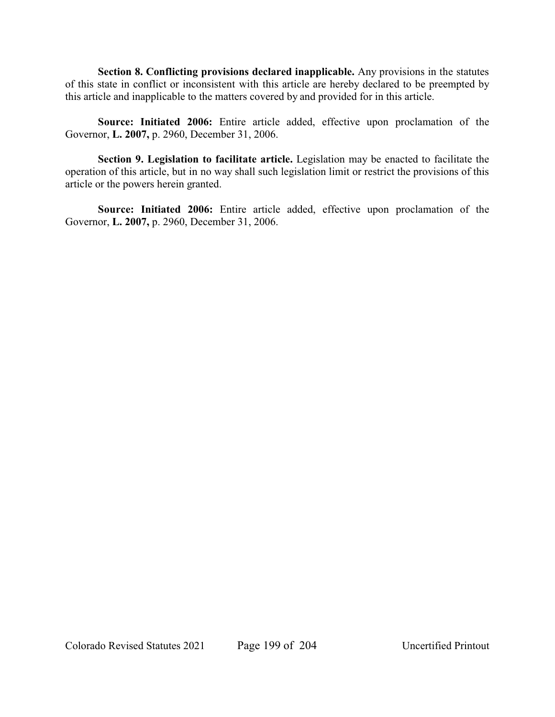**Section 8. Conflicting provisions declared inapplicable.** Any provisions in the statutes of this state in conflict or inconsistent with this article are hereby declared to be preempted by this article and inapplicable to the matters covered by and provided for in this article.

**Source: Initiated 2006:** Entire article added, effective upon proclamation of the Governor, **L. 2007,** p. 2960, December 31, 2006.

**Section 9. Legislation to facilitate article.** Legislation may be enacted to facilitate the operation of this article, but in no way shall such legislation limit or restrict the provisions of this article or the powers herein granted.

**Source: Initiated 2006:** Entire article added, effective upon proclamation of the Governor, **L. 2007,** p. 2960, December 31, 2006.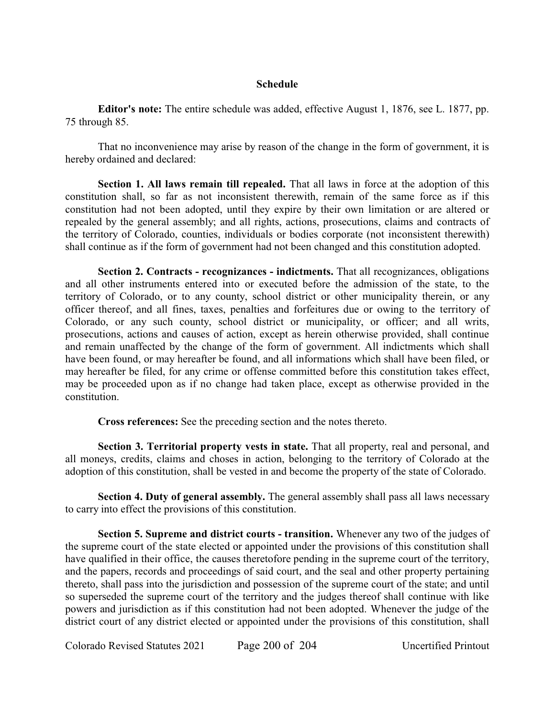## **Schedule**

**Editor's note:** The entire schedule was added, effective August 1, 1876, see L. 1877, pp. 75 through 85.

That no inconvenience may arise by reason of the change in the form of government, it is hereby ordained and declared:

**Section 1. All laws remain till repealed.** That all laws in force at the adoption of this constitution shall, so far as not inconsistent therewith, remain of the same force as if this constitution had not been adopted, until they expire by their own limitation or are altered or repealed by the general assembly; and all rights, actions, prosecutions, claims and contracts of the territory of Colorado, counties, individuals or bodies corporate (not inconsistent therewith) shall continue as if the form of government had not been changed and this constitution adopted.

**Section 2. Contracts - recognizances - indictments.** That all recognizances, obligations and all other instruments entered into or executed before the admission of the state, to the territory of Colorado, or to any county, school district or other municipality therein, or any officer thereof, and all fines, taxes, penalties and forfeitures due or owing to the territory of Colorado, or any such county, school district or municipality, or officer; and all writs, prosecutions, actions and causes of action, except as herein otherwise provided, shall continue and remain unaffected by the change of the form of government. All indictments which shall have been found, or may hereafter be found, and all informations which shall have been filed, or may hereafter be filed, for any crime or offense committed before this constitution takes effect, may be proceeded upon as if no change had taken place, except as otherwise provided in the constitution.

**Cross references:** See the preceding section and the notes thereto.

**Section 3. Territorial property vests in state.** That all property, real and personal, and all moneys, credits, claims and choses in action, belonging to the territory of Colorado at the adoption of this constitution, shall be vested in and become the property of the state of Colorado.

**Section 4. Duty of general assembly.** The general assembly shall pass all laws necessary to carry into effect the provisions of this constitution.

**Section 5. Supreme and district courts - transition.** Whenever any two of the judges of the supreme court of the state elected or appointed under the provisions of this constitution shall have qualified in their office, the causes theretofore pending in the supreme court of the territory, and the papers, records and proceedings of said court, and the seal and other property pertaining thereto, shall pass into the jurisdiction and possession of the supreme court of the state; and until so superseded the supreme court of the territory and the judges thereof shall continue with like powers and jurisdiction as if this constitution had not been adopted. Whenever the judge of the district court of any district elected or appointed under the provisions of this constitution, shall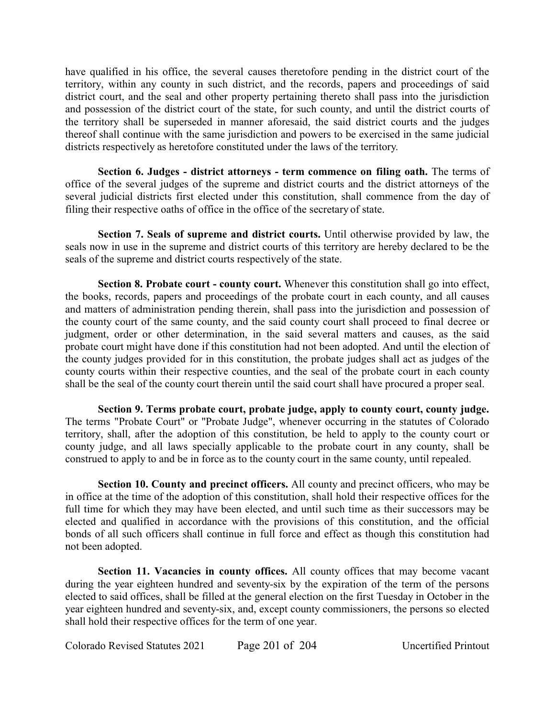have qualified in his office, the several causes theretofore pending in the district court of the territory, within any county in such district, and the records, papers and proceedings of said district court, and the seal and other property pertaining thereto shall pass into the jurisdiction and possession of the district court of the state, for such county, and until the district courts of the territory shall be superseded in manner aforesaid, the said district courts and the judges thereof shall continue with the same jurisdiction and powers to be exercised in the same judicial districts respectively as heretofore constituted under the laws of the territory.

**Section 6. Judges - district attorneys - term commence on filing oath.** The terms of office of the several judges of the supreme and district courts and the district attorneys of the several judicial districts first elected under this constitution, shall commence from the day of filing their respective oaths of office in the office of the secretary of state.

**Section 7. Seals of supreme and district courts.** Until otherwise provided by law, the seals now in use in the supreme and district courts of this territory are hereby declared to be the seals of the supreme and district courts respectively of the state.

**Section 8. Probate court - county court.** Whenever this constitution shall go into effect, the books, records, papers and proceedings of the probate court in each county, and all causes and matters of administration pending therein, shall pass into the jurisdiction and possession of the county court of the same county, and the said county court shall proceed to final decree or judgment, order or other determination, in the said several matters and causes, as the said probate court might have done if this constitution had not been adopted. And until the election of the county judges provided for in this constitution, the probate judges shall act as judges of the county courts within their respective counties, and the seal of the probate court in each county shall be the seal of the county court therein until the said court shall have procured a proper seal.

**Section 9. Terms probate court, probate judge, apply to county court, county judge.** The terms "Probate Court" or "Probate Judge", whenever occurring in the statutes of Colorado territory, shall, after the adoption of this constitution, be held to apply to the county court or county judge, and all laws specially applicable to the probate court in any county, shall be construed to apply to and be in force as to the county court in the same county, until repealed.

**Section 10. County and precinct officers.** All county and precinct officers, who may be in office at the time of the adoption of this constitution, shall hold their respective offices for the full time for which they may have been elected, and until such time as their successors may be elected and qualified in accordance with the provisions of this constitution, and the official bonds of all such officers shall continue in full force and effect as though this constitution had not been adopted.

**Section 11. Vacancies in county offices.** All county offices that may become vacant during the year eighteen hundred and seventy-six by the expiration of the term of the persons elected to said offices, shall be filled at the general election on the first Tuesday in October in the year eighteen hundred and seventy-six, and, except county commissioners, the persons so elected shall hold their respective offices for the term of one year.

Colorado Revised Statutes 2021 Page 201 of 204 Uncertified Printout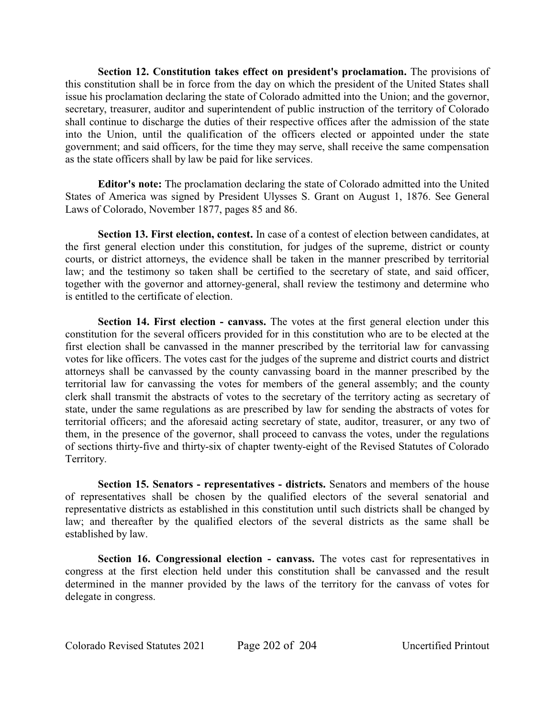**Section 12. Constitution takes effect on president's proclamation.** The provisions of this constitution shall be in force from the day on which the president of the United States shall issue his proclamation declaring the state of Colorado admitted into the Union; and the governor, secretary, treasurer, auditor and superintendent of public instruction of the territory of Colorado shall continue to discharge the duties of their respective offices after the admission of the state into the Union, until the qualification of the officers elected or appointed under the state government; and said officers, for the time they may serve, shall receive the same compensation as the state officers shall by law be paid for like services.

**Editor's note:** The proclamation declaring the state of Colorado admitted into the United States of America was signed by President Ulysses S. Grant on August 1, 1876. See General Laws of Colorado, November 1877, pages 85 and 86.

**Section 13. First election, contest.** In case of a contest of election between candidates, at the first general election under this constitution, for judges of the supreme, district or county courts, or district attorneys, the evidence shall be taken in the manner prescribed by territorial law; and the testimony so taken shall be certified to the secretary of state, and said officer, together with the governor and attorney-general, shall review the testimony and determine who is entitled to the certificate of election.

**Section 14. First election - canvass.** The votes at the first general election under this constitution for the several officers provided for in this constitution who are to be elected at the first election shall be canvassed in the manner prescribed by the territorial law for canvassing votes for like officers. The votes cast for the judges of the supreme and district courts and district attorneys shall be canvassed by the county canvassing board in the manner prescribed by the territorial law for canvassing the votes for members of the general assembly; and the county clerk shall transmit the abstracts of votes to the secretary of the territory acting as secretary of state, under the same regulations as are prescribed by law for sending the abstracts of votes for territorial officers; and the aforesaid acting secretary of state, auditor, treasurer, or any two of them, in the presence of the governor, shall proceed to canvass the votes, under the regulations of sections thirty-five and thirty-six of chapter twenty-eight of the Revised Statutes of Colorado Territory.

**Section 15. Senators - representatives - districts.** Senators and members of the house of representatives shall be chosen by the qualified electors of the several senatorial and representative districts as established in this constitution until such districts shall be changed by law; and thereafter by the qualified electors of the several districts as the same shall be established by law.

**Section 16. Congressional election - canvass.** The votes cast for representatives in congress at the first election held under this constitution shall be canvassed and the result determined in the manner provided by the laws of the territory for the canvass of votes for delegate in congress.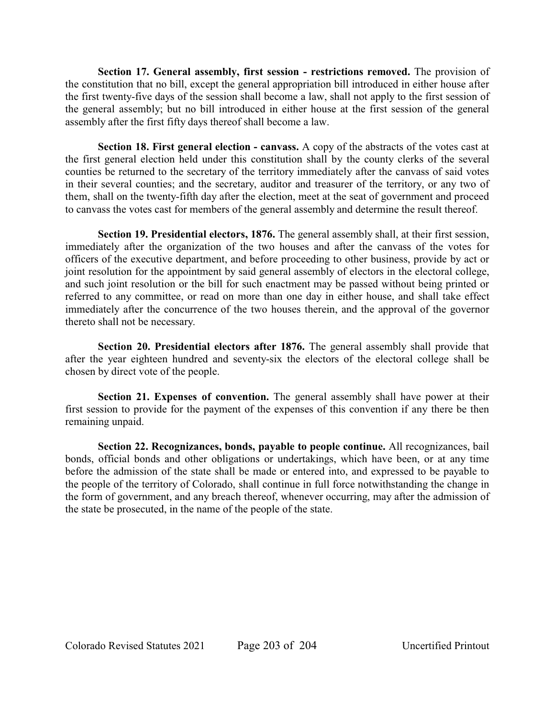**Section 17. General assembly, first session - restrictions removed.** The provision of the constitution that no bill, except the general appropriation bill introduced in either house after the first twenty-five days of the session shall become a law, shall not apply to the first session of the general assembly; but no bill introduced in either house at the first session of the general assembly after the first fifty days thereof shall become a law.

**Section 18. First general election - canvass.** A copy of the abstracts of the votes cast at the first general election held under this constitution shall by the county clerks of the several counties be returned to the secretary of the territory immediately after the canvass of said votes in their several counties; and the secretary, auditor and treasurer of the territory, or any two of them, shall on the twenty-fifth day after the election, meet at the seat of government and proceed to canvass the votes cast for members of the general assembly and determine the result thereof.

**Section 19. Presidential electors, 1876.** The general assembly shall, at their first session, immediately after the organization of the two houses and after the canvass of the votes for officers of the executive department, and before proceeding to other business, provide by act or joint resolution for the appointment by said general assembly of electors in the electoral college, and such joint resolution or the bill for such enactment may be passed without being printed or referred to any committee, or read on more than one day in either house, and shall take effect immediately after the concurrence of the two houses therein, and the approval of the governor thereto shall not be necessary.

**Section 20. Presidential electors after 1876.** The general assembly shall provide that after the year eighteen hundred and seventy-six the electors of the electoral college shall be chosen by direct vote of the people.

**Section 21. Expenses of convention.** The general assembly shall have power at their first session to provide for the payment of the expenses of this convention if any there be then remaining unpaid.

**Section 22. Recognizances, bonds, payable to people continue.** All recognizances, bail bonds, official bonds and other obligations or undertakings, which have been, or at any time before the admission of the state shall be made or entered into, and expressed to be payable to the people of the territory of Colorado, shall continue in full force notwithstanding the change in the form of government, and any breach thereof, whenever occurring, may after the admission of the state be prosecuted, in the name of the people of the state.